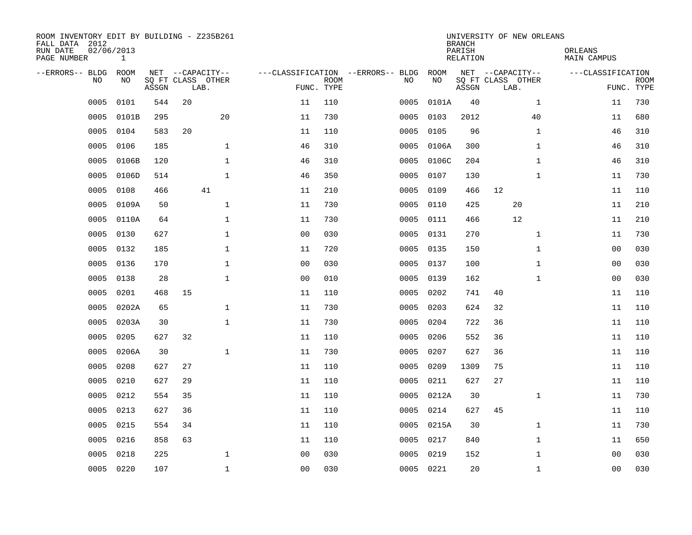| ROOM INVENTORY EDIT BY BUILDING - Z235B261<br>FALL DATA 2012<br>RUN DATE<br>PAGE NUMBER | 02/06/2013<br>$\mathbf{1}$ |       |                                               |              |                                   |                           |      |            | <b>BRANCH</b><br>PARISH<br><b>RELATION</b> | UNIVERSITY OF NEW ORLEANS                     |              | ORLEANS<br>MAIN CAMPUS |                           |
|-----------------------------------------------------------------------------------------|----------------------------|-------|-----------------------------------------------|--------------|-----------------------------------|---------------------------|------|------------|--------------------------------------------|-----------------------------------------------|--------------|------------------------|---------------------------|
| --ERRORS-- BLDG<br>NO                                                                   | ROOM<br>NO                 | ASSGN | NET --CAPACITY--<br>SQ FT CLASS OTHER<br>LAB. |              | ---CLASSIFICATION --ERRORS-- BLDG | <b>ROOM</b><br>FUNC. TYPE | NO   | ROOM<br>NO | ASSGN                                      | NET --CAPACITY--<br>SQ FT CLASS OTHER<br>LAB. |              | ---CLASSIFICATION      | <b>ROOM</b><br>FUNC. TYPE |
| 0005                                                                                    | 0101                       | 544   | 20                                            |              | 11                                | 110                       | 0005 | 0101A      | 40                                         |                                               | $\mathbf{1}$ | 11                     | 730                       |
| 0005                                                                                    | 0101B                      | 295   |                                               | 20           | 11                                | 730                       | 0005 | 0103       | 2012                                       |                                               | 40           | 11                     | 680                       |
| 0005                                                                                    | 0104                       | 583   | 20                                            |              | 11                                | 110                       | 0005 | 0105       | 96                                         |                                               | $\mathbf{1}$ | 46                     | 310                       |
| 0005                                                                                    | 0106                       | 185   |                                               | $\mathbf{1}$ | 46                                | 310                       | 0005 | 0106A      | 300                                        |                                               | $\mathbf{1}$ | 46                     | 310                       |
| 0005                                                                                    | 0106B                      | 120   |                                               | $\mathbf{1}$ | 46                                | 310                       | 0005 | 0106C      | 204                                        |                                               | $\mathbf{1}$ | 46                     | 310                       |
| 0005                                                                                    | 0106D                      | 514   |                                               | $\mathbf{1}$ | 46                                | 350                       | 0005 | 0107       | 130                                        |                                               | $\mathbf{1}$ | 11                     | 730                       |
| 0005                                                                                    | 0108                       | 466   |                                               | 41           | 11                                | 210                       | 0005 | 0109       | 466                                        | 12                                            |              | 11                     | 110                       |
| 0005                                                                                    | 0109A                      | 50    |                                               | $\mathbf{1}$ | 11                                | 730                       | 0005 | 0110       | 425                                        | 20                                            |              | 11                     | 210                       |
| 0005                                                                                    | 0110A                      | 64    |                                               | $\mathbf{1}$ | 11                                | 730                       | 0005 | 0111       | 466                                        | 12                                            |              | 11                     | 210                       |
| 0005                                                                                    | 0130                       | 627   |                                               | $\mathbf 1$  | 0 <sub>0</sub>                    | 030                       | 0005 | 0131       | 270                                        |                                               | $\mathbf{1}$ | 11                     | 730                       |
| 0005                                                                                    | 0132                       | 185   |                                               | $\mathbf 1$  | 11                                | 720                       | 0005 | 0135       | 150                                        |                                               | $\mathbf{1}$ | 00                     | 030                       |
| 0005                                                                                    | 0136                       | 170   |                                               | $\mathbf{1}$ | 0 <sub>0</sub>                    | 030                       | 0005 | 0137       | 100                                        |                                               | $\mathbf{1}$ | 0 <sub>0</sub>         | 030                       |
| 0005                                                                                    | 0138                       | 28    |                                               | $\mathbf 1$  | 0 <sub>0</sub>                    | 010                       | 0005 | 0139       | 162                                        |                                               | $\mathbf{1}$ | 0 <sub>0</sub>         | 030                       |
| 0005                                                                                    | 0201                       | 468   | 15                                            |              | 11                                | 110                       | 0005 | 0202       | 741                                        | 40                                            |              | 11                     | 110                       |
| 0005                                                                                    | 0202A                      | 65    |                                               | $\mathbf 1$  | 11                                | 730                       | 0005 | 0203       | 624                                        | 32                                            |              | 11                     | 110                       |
| 0005                                                                                    | 0203A                      | 30    |                                               | $\mathbf{1}$ | 11                                | 730                       | 0005 | 0204       | 722                                        | 36                                            |              | 11                     | 110                       |
| 0005                                                                                    | 0205                       | 627   | 32                                            |              | 11                                | 110                       | 0005 | 0206       | 552                                        | 36                                            |              | 11                     | 110                       |
| 0005                                                                                    | 0206A                      | 30    |                                               | $\mathbf 1$  | 11                                | 730                       | 0005 | 0207       | 627                                        | 36                                            |              | 11                     | 110                       |
| 0005                                                                                    | 0208                       | 627   | 27                                            |              | 11                                | 110                       | 0005 | 0209       | 1309                                       | 75                                            |              | 11                     | 110                       |
| 0005                                                                                    | 0210                       | 627   | 29                                            |              | 11                                | 110                       | 0005 | 0211       | 627                                        | 27                                            |              | 11                     | 110                       |
| 0005                                                                                    | 0212                       | 554   | 35                                            |              | 11                                | 110                       | 0005 | 0212A      | 30                                         |                                               | $\mathbf{1}$ | 11                     | 730                       |
| 0005                                                                                    | 0213                       | 627   | 36                                            |              | 11                                | 110                       | 0005 | 0214       | 627                                        | 45                                            |              | 11                     | 110                       |
| 0005                                                                                    | 0215                       | 554   | 34                                            |              | 11                                | 110                       | 0005 | 0215A      | 30                                         |                                               | $\mathbf{1}$ | 11                     | 730                       |
| 0005                                                                                    | 0216                       | 858   | 63                                            |              | 11                                | 110                       | 0005 | 0217       | 840                                        |                                               | $\mathbf{1}$ | 11                     | 650                       |
| 0005                                                                                    | 0218                       | 225   |                                               | $\mathbf 1$  | 0 <sub>0</sub>                    | 030                       | 0005 | 0219       | 152                                        |                                               | $\mathbf{1}$ | 00                     | 030                       |
| 0005                                                                                    | 0220                       | 107   |                                               | $\mathbf{1}$ | 0 <sub>0</sub>                    | 030                       |      | 0005 0221  | 20                                         |                                               | $\mathbf{1}$ | 0 <sub>0</sub>         | 030                       |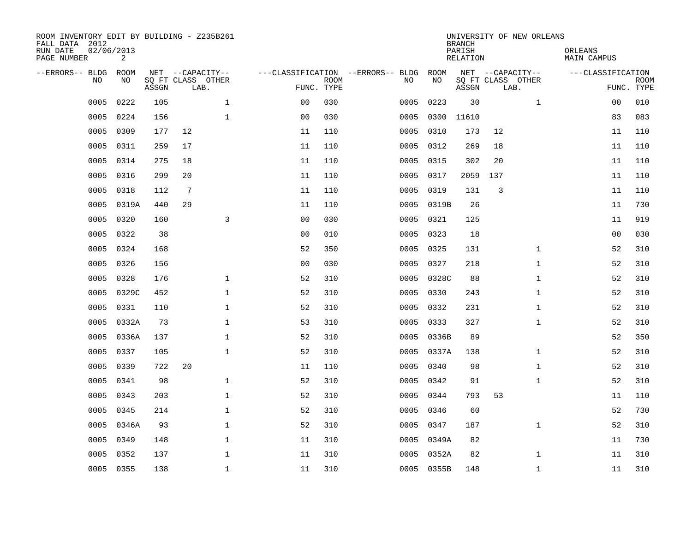| ROOM INVENTORY EDIT BY BUILDING - Z235B261<br>FALL DATA 2012<br>RUN DATE<br>PAGE NUMBER | 02/06/2013<br>2 |       |                           |                               |                           |                                   |            | <b>BRANCH</b><br>PARISH<br><b>RELATION</b> | UNIVERSITY OF NEW ORLEANS | ORLEANS<br><b>MAIN CAMPUS</b> |                           |
|-----------------------------------------------------------------------------------------|-----------------|-------|---------------------------|-------------------------------|---------------------------|-----------------------------------|------------|--------------------------------------------|---------------------------|-------------------------------|---------------------------|
| --ERRORS-- BLDG                                                                         | ROOM            |       | NET --CAPACITY--          |                               |                           | ---CLASSIFICATION --ERRORS-- BLDG | ROOM       |                                            | NET --CAPACITY--          | ---CLASSIFICATION             |                           |
| N <sub>O</sub>                                                                          | NO.             | ASSGN | SO FT CLASS OTHER<br>LAB. |                               | <b>ROOM</b><br>FUNC. TYPE | NO.                               | NO         | ASSGN                                      | SQ FT CLASS OTHER<br>LAB. |                               | <b>ROOM</b><br>FUNC. TYPE |
| 0005                                                                                    | 0222            | 105   |                           | $\mathbf 1$<br>0 <sub>0</sub> | 030                       | 0005                              | 0223       | 30                                         | $\mathbf{1}$              | 00                            | 010                       |
| 0005                                                                                    | 0224            | 156   |                           | $\mathbf 1$<br>0 <sub>0</sub> | 030                       | 0005                              | 0300       | 11610                                      |                           | 83                            | 083                       |
| 0005                                                                                    | 0309            | 177   | 12                        | 11                            | 110                       | 0005                              | 0310       | 173                                        | 12                        | 11                            | 110                       |
| 0005                                                                                    | 0311            | 259   | 17                        | 11                            | 110                       | 0005                              | 0312       | 269                                        | 18                        | 11                            | 110                       |
| 0005                                                                                    | 0314            | 275   | 18                        | 11                            | 110                       | 0005                              | 0315       | 302                                        | 20                        | 11                            | 110                       |
| 0005                                                                                    | 0316            | 299   | 20                        | 11                            | 110                       | 0005                              | 0317       | 2059                                       | 137                       | 11                            | 110                       |
| 0005                                                                                    | 0318            | 112   | $7\phantom{.0}$           | 11                            | 110                       | 0005                              | 0319       | 131                                        | 3                         | 11                            | 110                       |
| 0005                                                                                    | 0319A           | 440   | 29                        | 11                            | 110                       | 0005                              | 0319B      | 26                                         |                           | 11                            | 730                       |
| 0005                                                                                    | 0320            | 160   |                           | 3<br>0 <sub>0</sub>           | 030                       | 0005                              | 0321       | 125                                        |                           | 11                            | 919                       |
| 0005                                                                                    | 0322            | 38    |                           | 0 <sub>0</sub>                | 010                       | 0005                              | 0323       | 18                                         |                           | 0 <sub>0</sub>                | 030                       |
| 0005                                                                                    | 0324            | 168   |                           | 52                            | 350                       | 0005                              | 0325       | 131                                        | $\mathbf{1}$              | 52                            | 310                       |
| 0005                                                                                    | 0326            | 156   |                           | 0 <sub>0</sub>                | 030                       | 0005                              | 0327       | 218                                        | $\mathbf{1}$              | 52                            | 310                       |
| 0005                                                                                    | 0328            | 176   |                           | $\mathbf 1$<br>52             | 310                       | 0005                              | 0328C      | 88                                         | $\mathbf{1}$              | 52                            | 310                       |
| 0005                                                                                    | 0329C           | 452   |                           | $\mathbf 1$<br>52             | 310                       | 0005                              | 0330       | 243                                        | $\mathbf{1}$              | 52                            | 310                       |
| 0005                                                                                    | 0331            | 110   |                           | $\mathbf 1$<br>52             | 310                       | 0005                              | 0332       | 231                                        | $\mathbf{1}$              | 52                            | 310                       |
| 0005                                                                                    | 0332A           | 73    |                           | $\mathbf 1$<br>53             | 310                       | 0005                              | 0333       | 327                                        | $\mathbf{1}$              | 52                            | 310                       |
| 0005                                                                                    | 0336A           | 137   |                           | $\mathbf{1}$<br>52            | 310                       | 0005                              | 0336B      | 89                                         |                           | 52                            | 350                       |
| 0005                                                                                    | 0337            | 105   |                           | $\mathbf 1$<br>52             | 310                       | 0005                              | 0337A      | 138                                        | $\mathbf{1}$              | 52                            | 310                       |
| 0005                                                                                    | 0339            | 722   | 20                        | 11                            | 110                       | 0005                              | 0340       | 98                                         | $\mathbf{1}$              | 52                            | 310                       |
| 0005                                                                                    | 0341            | 98    |                           | $\mathbf 1$<br>52             | 310                       | 0005                              | 0342       | 91                                         | $\mathbf{1}$              | 52                            | 310                       |
| 0005                                                                                    | 0343            | 203   |                           | $\mathbf{1}$<br>52            | 310                       | 0005                              | 0344       | 793                                        | 53                        | 11                            | 110                       |
| 0005                                                                                    | 0345            | 214   |                           | $\mathbf{1}$<br>52            | 310                       | 0005                              | 0346       | 60                                         |                           | 52                            | 730                       |
| 0005                                                                                    | 0346A           | 93    |                           | $\mathbf{1}$<br>52            | 310                       |                                   | 0005 0347  | 187                                        | $\mathbf{1}$              | 52                            | 310                       |
| 0005                                                                                    | 0349            | 148   |                           | $\mathbf 1$<br>11             | 310                       | 0005                              | 0349A      | 82                                         |                           | 11                            | 730                       |
| 0005                                                                                    | 0352            | 137   |                           | $\mathbf{1}$<br>11            | 310                       | 0005                              | 0352A      | 82                                         | $\mathbf{1}$              | 11                            | 310                       |
|                                                                                         | 0005 0355       | 138   |                           | $\mathbf 1$<br>11             | 310                       |                                   | 0005 0355B | 148                                        | $\mathbf{1}$              | 11                            | 310                       |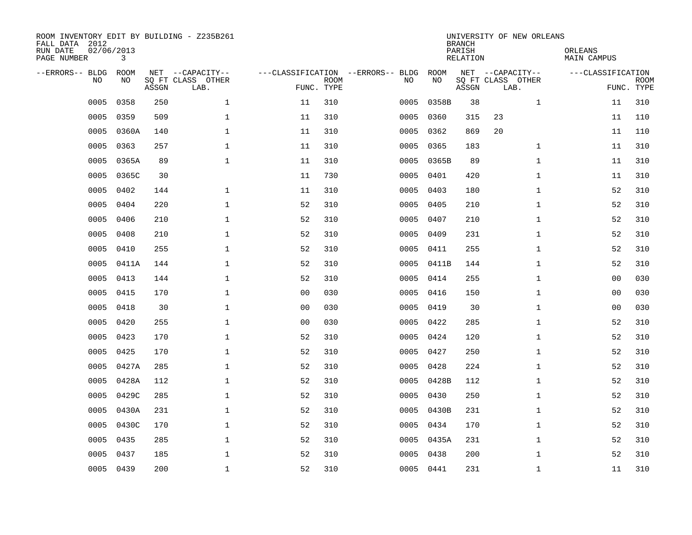| ROOM INVENTORY EDIT BY BUILDING - Z235B261<br>FALL DATA 2012<br>RUN DATE<br>PAGE NUMBER | 02/06/2013<br>3 |       |                                               |                |                           |                                         |            | <b>BRANCH</b><br>PARISH<br><b>RELATION</b> | UNIVERSITY OF NEW ORLEANS                     | ORLEANS<br><b>MAIN CAMPUS</b> |                           |
|-----------------------------------------------------------------------------------------|-----------------|-------|-----------------------------------------------|----------------|---------------------------|-----------------------------------------|------------|--------------------------------------------|-----------------------------------------------|-------------------------------|---------------------------|
| --ERRORS-- BLDG<br>NO                                                                   | ROOM<br>NO      | ASSGN | NET --CAPACITY--<br>SQ FT CLASS OTHER<br>LAB. |                | <b>ROOM</b><br>FUNC. TYPE | ---CLASSIFICATION --ERRORS-- BLDG<br>NO | ROOM<br>NO | ASSGN                                      | NET --CAPACITY--<br>SQ FT CLASS OTHER<br>LAB. | ---CLASSIFICATION             | <b>ROOM</b><br>FUNC. TYPE |
| 0005                                                                                    | 0358            | 250   | $\mathbf 1$                                   | 11             | 310                       | 0005                                    | 0358B      | 38                                         | $\mathbf{1}$                                  | 11                            | 310                       |
| 0005                                                                                    | 0359            | 509   | 1                                             | 11             | 310                       | 0005                                    | 0360       | 315                                        | 23                                            | 11                            | 110                       |
| 0005                                                                                    | 0360A           | 140   | 1                                             | 11             | 310                       | 0005                                    | 0362       | 869                                        | 20                                            | 11                            | 110                       |
| 0005                                                                                    | 0363            | 257   | $\mathbf 1$                                   | 11             | 310                       | 0005                                    | 0365       | 183                                        | $\mathbf{1}$                                  | 11                            | 310                       |
| 0005                                                                                    | 0365A           | 89    | $\mathbf{1}$                                  | 11             | 310                       | 0005                                    | 0365B      | 89                                         | $\mathbf{1}$                                  | 11                            | 310                       |
| 0005                                                                                    | 0365C           | 30    |                                               | 11             | 730                       |                                         | 0005 0401  | 420                                        | $\mathbf{1}$                                  | 11                            | 310                       |
| 0005                                                                                    | 0402            | 144   | $\mathbf{1}$                                  | 11             | 310                       | 0005                                    | 0403       | 180                                        | $\mathbf{1}$                                  | 52                            | 310                       |
| 0005                                                                                    | 0404            | 220   | $\mathbf{1}$                                  | 52             | 310                       | 0005                                    | 0405       | 210                                        | $\mathbf{1}$                                  | 52                            | 310                       |
| 0005                                                                                    | 0406            | 210   | $\mathbf{1}$                                  | 52             | 310                       | 0005                                    | 0407       | 210                                        | $\mathbf{1}$                                  | 52                            | 310                       |
| 0005                                                                                    | 0408            | 210   | $\mathbf{1}$                                  | 52             | 310                       | 0005                                    | 0409       | 231                                        | $\mathbf{1}$                                  | 52                            | 310                       |
| 0005                                                                                    | 0410            | 255   | $\mathbf 1$                                   | 52             | 310                       | 0005                                    | 0411       | 255                                        | $\mathbf{1}$                                  | 52                            | 310                       |
| 0005                                                                                    | 0411A           | 144   | $\mathbf 1$                                   | 52             | 310                       |                                         | 0005 0411B | 144                                        | $\mathbf{1}$                                  | 52                            | 310                       |
| 0005                                                                                    | 0413            | 144   | $\mathbf{1}$                                  | 52             | 310                       | 0005                                    | 0414       | 255                                        | $\mathbf{1}$                                  | 0 <sub>0</sub>                | 030                       |
| 0005                                                                                    | 0415            | 170   | $\mathbf 1$                                   | 0 <sub>0</sub> | 030                       | 0005                                    | 0416       | 150                                        | $\mathbf{1}$                                  | 00                            | 030                       |
| 0005                                                                                    | 0418            | 30    | $\mathbf{1}$                                  | 0 <sub>0</sub> | 030                       | 0005                                    | 0419       | 30                                         | $\mathbf{1}$                                  | 00                            | 030                       |
| 0005                                                                                    | 0420            | 255   | $\mathbf 1$                                   | 00             | 030                       | 0005                                    | 0422       | 285                                        | $\mathbf{1}$                                  | 52                            | 310                       |
| 0005                                                                                    | 0423            | 170   | $\mathbf{1}$                                  | 52             | 310                       | 0005                                    | 0424       | 120                                        | $\mathbf{1}$                                  | 52                            | 310                       |
| 0005                                                                                    | 0425            | 170   | $\mathbf 1$                                   | 52             | 310                       | 0005                                    | 0427       | 250                                        | $\mathbf{1}$                                  | 52                            | 310                       |
| 0005                                                                                    | 0427A           | 285   | $\mathbf 1$                                   | 52             | 310                       | 0005                                    | 0428       | 224                                        | $\mathbf{1}$                                  | 52                            | 310                       |
| 0005                                                                                    | 0428A           | 112   | $\mathbf 1$                                   | 52             | 310                       |                                         | 0005 0428B | 112                                        | $\mathbf{1}$                                  | 52                            | 310                       |
| 0005                                                                                    | 0429C           | 285   | $\mathbf{1}$                                  | 52             | 310                       |                                         | 0005 0430  | 250                                        | $\mathbf{1}$                                  | 52                            | 310                       |
| 0005                                                                                    | 0430A           | 231   | $\mathbf{1}$                                  | 52             | 310                       | 0005                                    | 0430B      | 231                                        | $\mathbf{1}$                                  | 52                            | 310                       |
| 0005                                                                                    | 0430C           | 170   | $\mathbf{1}$                                  | 52             | 310                       |                                         | 0005 0434  | 170                                        | $\mathbf{1}$                                  | 52                            | 310                       |
| 0005                                                                                    | 0435            | 285   | $\mathbf 1$                                   | 52             | 310                       |                                         | 0005 0435A | 231                                        | $\mathbf{1}$                                  | 52                            | 310                       |
| 0005                                                                                    | 0437            | 185   | $\mathbf{1}$                                  | 52             | 310                       | 0005                                    | 0438       | 200                                        | $\mathbf{1}$                                  | 52                            | 310                       |
|                                                                                         | 0005 0439       | 200   | $\mathbf 1$                                   | 52             | 310                       |                                         | 0005 0441  | 231                                        | $\mathbf{1}$                                  | 11                            | 310                       |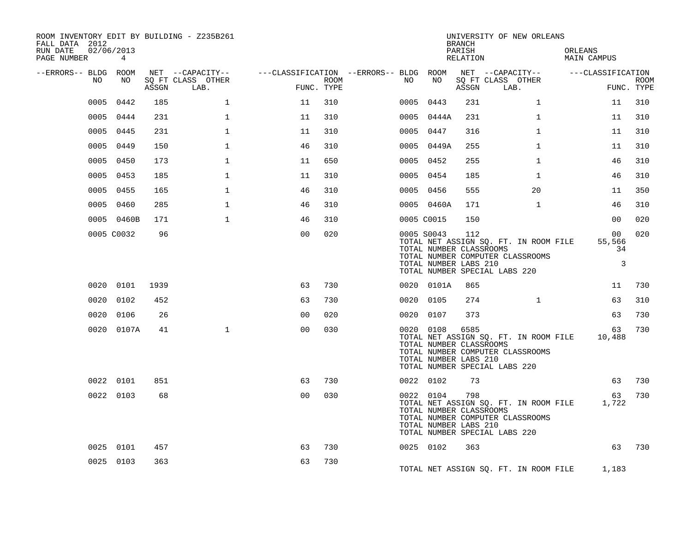| ROOM INVENTORY EDIT BY BUILDING - Z235B261<br>FALL DATA 2012<br>02/06/2013<br>RUN DATE |            |       |                                       |                                        |      |      |            | <b>BRANCH</b><br>PARISH                                  | UNIVERSITY OF NEW ORLEANS                                                                                        | ORLEANS                                           |            |
|----------------------------------------------------------------------------------------|------------|-------|---------------------------------------|----------------------------------------|------|------|------------|----------------------------------------------------------|------------------------------------------------------------------------------------------------------------------|---------------------------------------------------|------------|
| PAGE NUMBER                                                                            | 4          |       |                                       |                                        |      |      |            | RELATION                                                 |                                                                                                                  | MAIN CAMPUS                                       |            |
| --ERRORS-- BLDG ROOM<br>NO                                                             | NO         |       | NET --CAPACITY--<br>SQ FT CLASS OTHER | ---CLASSIFICATION --ERRORS-- BLDG ROOM | ROOM | NO   | NO         |                                                          | NET --CAPACITY--<br>SQ FT CLASS OTHER                                                                            | ---CLASSIFICATION                                 | ROOM       |
|                                                                                        |            | ASSGN | LAB.                                  | FUNC. TYPE                             |      |      |            | ASSGN                                                    | LAB.                                                                                                             |                                                   | FUNC. TYPE |
| 0005                                                                                   | 0442       | 185   | $\mathbf 1$                           | 11                                     | 310  | 0005 | 0443       | 231                                                      | $\mathbf{1}$                                                                                                     | 11                                                | 310        |
|                                                                                        | 0005 0444  | 231   | $\mathbf{1}$                          | 11                                     | 310  | 0005 | 0444A      | 231                                                      | $\mathbf{1}$                                                                                                     | 11                                                | 310        |
|                                                                                        | 0005 0445  | 231   | $\mathbf{1}$                          | 11                                     | 310  | 0005 | 0447       | 316                                                      | $\mathbf{1}$                                                                                                     | 11                                                | 310        |
|                                                                                        | 0005 0449  | 150   | 1                                     | 46                                     | 310  |      | 0005 0449A | 255                                                      | $\mathbf{1}$                                                                                                     | 11                                                | 310        |
|                                                                                        | 0005 0450  | 173   | 1                                     | 11                                     | 650  | 0005 | 0452       | 255                                                      | $\mathbf{1}$                                                                                                     | 46                                                | 310        |
|                                                                                        | 0005 0453  | 185   | 1                                     | 11                                     | 310  | 0005 | 0454       | 185                                                      | $\mathbf{1}$                                                                                                     | 46                                                | 310        |
|                                                                                        | 0005 0455  | 165   | $\mathbf{1}$                          | 46                                     | 310  |      | 0005 0456  | 555                                                      | 20                                                                                                               | 11                                                | 350        |
|                                                                                        | 0005 0460  | 285   | $\mathbf{1}$                          | 46                                     | 310  |      | 0005 0460A | 171                                                      | $\mathbf{1}$                                                                                                     | 46                                                | 310        |
|                                                                                        | 0005 0460B | 171   | $\mathbf{1}$                          | 46                                     | 310  |      | 0005 C0015 | 150                                                      |                                                                                                                  | 00                                                | 020        |
|                                                                                        | 0005 C0032 | 96    |                                       | 00                                     | 020  |      | 0005 S0043 | 112<br>TOTAL NUMBER CLASSROOMS<br>TOTAL NUMBER LABS 210  | TOTAL NET ASSIGN SQ. FT. IN ROOM FILE<br>TOTAL NUMBER COMPUTER CLASSROOMS<br>TOTAL NUMBER SPECIAL LABS 220       | 00 <sub>o</sub><br>55,566<br>34<br>$\overline{3}$ | 020        |
|                                                                                        | 0020 0101  | 1939  |                                       | 63                                     | 730  |      | 0020 0101A | 865                                                      |                                                                                                                  | 11                                                | 730        |
|                                                                                        | 0020 0102  | 452   |                                       | 63                                     | 730  |      | 0020 0105  | 274                                                      | $\mathbf{1}$                                                                                                     | 63                                                | 310        |
|                                                                                        | 0020 0106  | 26    |                                       | 00                                     | 020  |      | 0020 0107  | 373                                                      |                                                                                                                  | 63                                                | 730        |
|                                                                                        | 0020 0107A | 41    | $\mathbf{1}$                          | 00                                     | 030  |      | 0020 0108  | 6585<br>TOTAL NUMBER CLASSROOMS<br>TOTAL NUMBER LABS 210 | TOTAL NET ASSIGN SQ. FT. IN ROOM FILE<br>TOTAL NUMBER COMPUTER CLASSROOMS<br>TOTAL NUMBER SPECIAL LABS 220       | 63<br>10,488                                      | 730        |
|                                                                                        | 0022 0101  | 851   |                                       | 63                                     | 730  |      | 0022 0102  | 73                                                       |                                                                                                                  | 63                                                | 730        |
|                                                                                        | 0022 0103  | 68    |                                       | 0 <sub>0</sub>                         | 030  |      | 0022 0104  | 798<br>TOTAL NUMBER CLASSROOMS<br>TOTAL NUMBER LABS 210  | TOTAL NET ASSIGN SQ. FT. IN ROOM FILE 1,722<br>TOTAL NUMBER COMPUTER CLASSROOMS<br>TOTAL NUMBER SPECIAL LABS 220 | 63                                                | 730        |
|                                                                                        | 0025 0101  | 457   |                                       | 63                                     | 730  |      | 0025 0102  | 363                                                      |                                                                                                                  | 63                                                | 730        |
|                                                                                        | 0025 0103  | 363   |                                       | 63                                     | 730  |      |            |                                                          | TOTAL NET ASSIGN SQ. FT. IN ROOM FILE 1,183                                                                      |                                                   |            |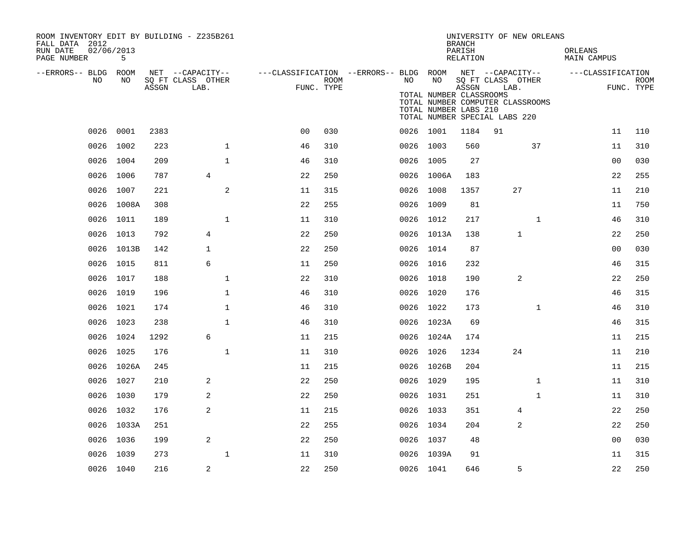| ROOM INVENTORY EDIT BY BUILDING - Z235B261<br>FALL DATA 2012 |            |       |                           |                                                         |      |    |                                                  | <b>BRANCH</b>      | UNIVERSITY OF NEW ORLEANS                                         |              |                        |                           |
|--------------------------------------------------------------|------------|-------|---------------------------|---------------------------------------------------------|------|----|--------------------------------------------------|--------------------|-------------------------------------------------------------------|--------------|------------------------|---------------------------|
| 02/06/2013<br>RUN DATE<br>PAGE NUMBER                        | 5          |       |                           |                                                         |      |    |                                                  | PARISH<br>RELATION |                                                                   |              | ORLEANS<br>MAIN CAMPUS |                           |
| --ERRORS-- BLDG ROOM                                         |            |       | NET --CAPACITY--          | ---CLASSIFICATION --ERRORS-- BLDG ROOM NET --CAPACITY-- |      |    |                                                  |                    |                                                                   |              | ---CLASSIFICATION      |                           |
| NO                                                           | NO         | ASSGN | SQ FT CLASS OTHER<br>LAB. | FUNC. TYPE                                              | ROOM | NO | NO                                               | ASSGN              | SQ FT CLASS OTHER<br>LAB.                                         |              |                        | <b>ROOM</b><br>FUNC. TYPE |
|                                                              |            |       |                           |                                                         |      |    | TOTAL NUMBER CLASSROOMS<br>TOTAL NUMBER LABS 210 |                    | TOTAL NUMBER COMPUTER CLASSROOMS<br>TOTAL NUMBER SPECIAL LABS 220 |              |                        |                           |
|                                                              | 0026 0001  | 2383  |                           | 0 <sub>0</sub>                                          | 030  |    | 0026 1001                                        | 1184               | 91                                                                |              | 11                     | 110                       |
|                                                              | 0026 1002  | 223   | $\mathbf 1$               | 46                                                      | 310  |    | 0026 1003                                        | 560                |                                                                   | 37           | 11                     | 310                       |
|                                                              | 0026 1004  | 209   | $\mathbf{1}$              | 46                                                      | 310  |    | 0026 1005                                        | 27                 |                                                                   |              | 0 <sub>0</sub>         | 030                       |
|                                                              | 0026 1006  | 787   | 4                         | 22                                                      | 250  |    | 0026 1006A                                       | 183                |                                                                   |              | 22                     | 255                       |
| 0026                                                         | 1007       | 221   | $\overline{a}$            | 11                                                      | 315  |    | 0026 1008                                        | 1357               | 27                                                                |              | 11                     | 210                       |
|                                                              | 0026 1008A | 308   |                           | 22                                                      | 255  |    | 0026 1009                                        | 81                 |                                                                   |              | 11                     | 750                       |
| 0026                                                         | 1011       | 189   | $\mathbf{1}$              | 11                                                      | 310  |    | 0026 1012                                        | 217                |                                                                   | $\mathbf{1}$ | 46                     | 310                       |
|                                                              | 0026 1013  | 792   | $\overline{4}$            | 22                                                      | 250  |    | 0026 1013A                                       | 138                | $\mathbf{1}$                                                      |              | 22                     | 250                       |
|                                                              | 0026 1013B | 142   | $\mathbf{1}$              | 22                                                      | 250  |    | 0026 1014                                        | 87                 |                                                                   |              | 0 <sub>0</sub>         | 030                       |
|                                                              | 0026 1015  | 811   | 6                         | 11                                                      | 250  |    | 0026 1016                                        | 232                |                                                                   |              | 46                     | 315                       |
| 0026                                                         | 1017       | 188   | $\mathbf{1}$              | 22                                                      | 310  |    | 0026 1018                                        | 190                | 2                                                                 |              | 22                     | 250                       |
|                                                              | 0026 1019  | 196   | 1                         | 46                                                      | 310  |    | 0026 1020                                        | 176                |                                                                   |              | 46                     | 315                       |
|                                                              | 0026 1021  | 174   | $\mathbf{1}$              | 46                                                      | 310  |    | 0026 1022                                        | 173                |                                                                   | $\mathbf{1}$ | 46                     | 310                       |
|                                                              | 0026 1023  | 238   | $\mathbf{1}$              | 46                                                      | 310  |    | 0026 1023A                                       | 69                 |                                                                   |              | 46                     | 315                       |
|                                                              | 0026 1024  | 1292  | $\epsilon$                | 11                                                      | 215  |    | 0026 1024A                                       | 174                |                                                                   |              | 11                     | 215                       |
|                                                              | 0026 1025  | 176   | $\mathbf{1}$              | 11                                                      | 310  |    | 0026 1026                                        | 1234               | 24                                                                |              | 11                     | 210                       |
|                                                              | 0026 1026A | 245   |                           | 11                                                      | 215  |    | 0026 1026B                                       | 204                |                                                                   |              | 11                     | 215                       |
|                                                              | 0026 1027  | 210   | 2                         | 22                                                      | 250  |    | 0026 1029                                        | 195                |                                                                   | $\mathbf{1}$ | 11                     | 310                       |
|                                                              | 0026 1030  | 179   | 2                         | 22                                                      | 250  |    | 0026 1031                                        | 251                |                                                                   | $\mathbf{1}$ | 11                     | 310                       |
|                                                              | 0026 1032  | 176   | 2                         | 11                                                      | 215  |    | 0026 1033                                        | 351                | 4                                                                 |              | 22                     | 250                       |
|                                                              | 0026 1033A | 251   |                           | 22                                                      | 255  |    | 0026 1034                                        | 204                | 2                                                                 |              | 22                     | 250                       |
|                                                              | 0026 1036  | 199   | $\overline{c}$            | 22                                                      | 250  |    | 0026 1037                                        | 48                 |                                                                   |              | 0 <sub>0</sub>         | 030                       |
|                                                              | 0026 1039  | 273   | $\mathbf{1}$              | 11                                                      | 310  |    | 0026 1039A                                       | 91                 |                                                                   |              | 11                     | 315                       |
|                                                              | 0026 1040  | 216   | 2                         | 22                                                      | 250  |    | 0026 1041                                        | 646                | 5                                                                 |              | 22                     | 250                       |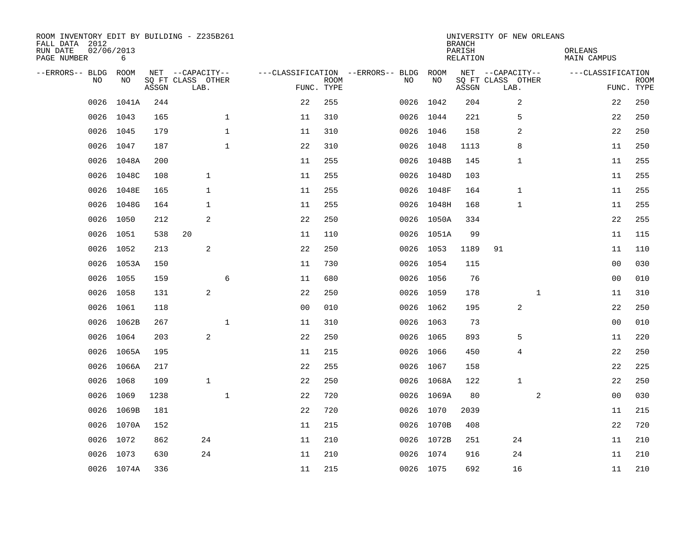| ROOM INVENTORY EDIT BY BUILDING - Z235B261<br>FALL DATA 2012<br>RUN DATE<br>PAGE NUMBER | 02/06/2013<br>6 |       |                           |                |                           |                                   |            | <b>BRANCH</b><br>PARISH<br>RELATION | UNIVERSITY OF NEW ORLEANS | ORLEANS<br>MAIN CAMPUS |                           |
|-----------------------------------------------------------------------------------------|-----------------|-------|---------------------------|----------------|---------------------------|-----------------------------------|------------|-------------------------------------|---------------------------|------------------------|---------------------------|
| --ERRORS-- BLDG                                                                         | ROOM            |       | NET --CAPACITY--          |                |                           | ---CLASSIFICATION --ERRORS-- BLDG | ROOM       |                                     | NET --CAPACITY--          | ---CLASSIFICATION      |                           |
| N <sub>O</sub>                                                                          | NO.             | ASSGN | SO FT CLASS OTHER<br>LAB. |                | <b>ROOM</b><br>FUNC. TYPE | NO.                               | NO         | ASSGN                               | SQ FT CLASS OTHER<br>LAB. |                        | <b>ROOM</b><br>FUNC. TYPE |
| 0026                                                                                    | 1041A           | 244   |                           | 22             | 255                       | 0026                              | 1042       | 204                                 | 2                         | 22                     | 250                       |
| 0026                                                                                    | 1043            | 165   | $\mathbf{1}$              | 11             | 310                       |                                   | 0026 1044  | 221                                 | 5                         | 22                     | 250                       |
| 0026                                                                                    | 1045            | 179   | $\mathbf{1}$              | 11             | 310                       |                                   | 0026 1046  | 158                                 | 2                         | 22                     | 250                       |
| 0026                                                                                    | 1047            | 187   | $\mathbf{1}$              | 22             | 310                       |                                   | 0026 1048  | 1113                                | 8                         | 11                     | 250                       |
| 0026                                                                                    | 1048A           | 200   |                           | 11             | 255                       |                                   | 0026 1048B | 145                                 | 1                         | 11                     | 255                       |
| 0026                                                                                    | 1048C           | 108   | $\mathbf{1}$              | 11             | 255                       |                                   | 0026 1048D | 103                                 |                           | 11                     | 255                       |
| 0026                                                                                    | 1048E           | 165   | $\mathbf{1}$              | 11             | 255                       |                                   | 0026 1048F | 164                                 | $\mathbf 1$               | 11                     | 255                       |
| 0026                                                                                    | 1048G           | 164   | $\mathbf{1}$              | 11             | 255                       |                                   | 0026 1048H | 168                                 | $\mathbf{1}$              | 11                     | 255                       |
| 0026                                                                                    | 1050            | 212   | 2                         | 22             | 250                       |                                   | 0026 1050A | 334                                 |                           | 22                     | 255                       |
| 0026                                                                                    | 1051            | 538   | 20                        | 11             | 110                       |                                   | 0026 1051A | 99                                  |                           | 11                     | 115                       |
| 0026                                                                                    | 1052            | 213   | 2                         | 22             | 250                       |                                   | 0026 1053  | 1189                                | 91                        | 11                     | 110                       |
| 0026                                                                                    | 1053A           | 150   |                           | 11             | 730                       |                                   | 0026 1054  | 115                                 |                           | 00                     | 030                       |
| 0026                                                                                    | 1055            | 159   | 6                         | 11             | 680                       |                                   | 0026 1056  | 76                                  |                           | 0 <sub>0</sub>         | 010                       |
| 0026                                                                                    | 1058            | 131   | 2                         | 22             | 250                       |                                   | 0026 1059  | 178                                 | $\mathbf{1}$              | 11                     | 310                       |
| 0026                                                                                    | 1061            | 118   |                           | 0 <sub>0</sub> | 010                       |                                   | 0026 1062  | 195                                 | $\overline{c}$            | 22                     | 250                       |
| 0026                                                                                    | 1062B           | 267   | $\mathbf 1$               | 11             | 310                       |                                   | 0026 1063  | 73                                  |                           | 00                     | 010                       |
| 0026                                                                                    | 1064            | 203   | 2                         | 22             | 250                       |                                   | 0026 1065  | 893                                 | 5                         | 11                     | 220                       |
| 0026                                                                                    | 1065A           | 195   |                           | 11             | 215                       |                                   | 0026 1066  | 450                                 | 4                         | 22                     | 250                       |
|                                                                                         | 0026 1066A      | 217   |                           | 22             | 255                       |                                   | 0026 1067  | 158                                 |                           | 22                     | 225                       |
| 0026                                                                                    | 1068            | 109   | $\mathbf{1}$              | 22             | 250                       |                                   | 0026 1068A | 122                                 | $\mathbf{1}$              | 22                     | 250                       |
| 0026                                                                                    | 1069            | 1238  | $\mathbf{1}$              | 22             | 720                       |                                   | 0026 1069A | 80                                  | $\overline{a}$            | 00                     | 030                       |
| 0026                                                                                    | 1069B           | 181   |                           | 22             | 720                       |                                   | 0026 1070  | 2039                                |                           | 11                     | 215                       |
|                                                                                         | 0026 1070A      | 152   |                           | 11             | 215                       |                                   | 0026 1070B | 408                                 |                           | 22                     | 720                       |
| 0026                                                                                    | 1072            | 862   | 24                        | 11             | 210                       |                                   | 0026 1072B | 251                                 | 24                        | 11                     | 210                       |
|                                                                                         | 0026 1073       | 630   | 24                        | 11             | 210                       |                                   | 0026 1074  | 916                                 | 24                        | 11                     | 210                       |
|                                                                                         | 0026 1074A      | 336   |                           | 11             | 215                       |                                   | 0026 1075  | 692                                 | 16                        | 11                     | 210                       |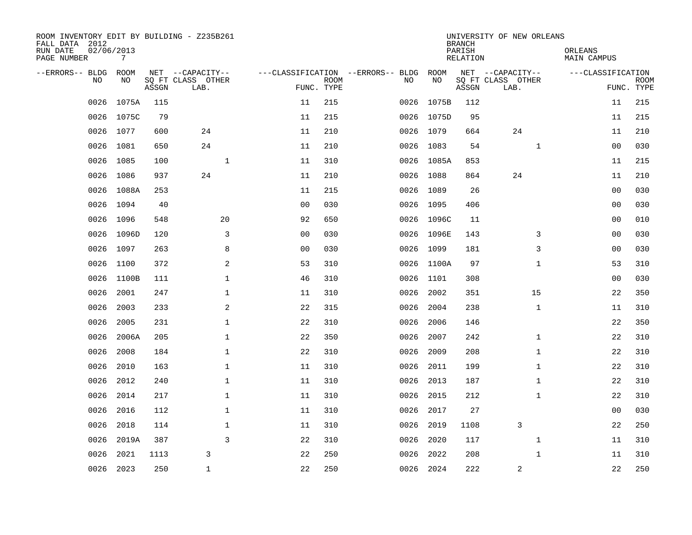| ROOM INVENTORY EDIT BY BUILDING - Z235B261<br>FALL DATA 2012<br>RUN DATE | 02/06/2013 |       |                                       |                |             |                                          |            | <b>BRANCH</b><br>PARISH | UNIVERSITY OF NEW ORLEANS             | ORLEANS           |             |
|--------------------------------------------------------------------------|------------|-------|---------------------------------------|----------------|-------------|------------------------------------------|------------|-------------------------|---------------------------------------|-------------------|-------------|
| PAGE NUMBER                                                              | 7          |       |                                       |                |             |                                          |            | RELATION                |                                       | MAIN CAMPUS       |             |
| --ERRORS-- BLDG ROOM<br>NO.                                              | NO.        |       | NET --CAPACITY--<br>SQ FT CLASS OTHER |                | <b>ROOM</b> | ---CLASSIFICATION --ERRORS-- BLDG<br>NO. | ROOM<br>NO |                         | NET --CAPACITY--<br>SQ FT CLASS OTHER | ---CLASSIFICATION | <b>ROOM</b> |
|                                                                          |            | ASSGN | LAB.                                  | FUNC. TYPE     |             |                                          |            | ASSGN                   | LAB.                                  |                   | FUNC. TYPE  |
| 0026                                                                     | 1075A      | 115   |                                       | 11             | 215         | 0026                                     | 1075B      | 112                     |                                       | 11                | 215         |
|                                                                          | 0026 1075C | 79    |                                       | 11             | 215         |                                          | 0026 1075D | 95                      |                                       | 11                | 215         |
|                                                                          | 0026 1077  | 600   | 24                                    | 11             | 210         |                                          | 0026 1079  | 664                     | 24                                    | 11                | 210         |
|                                                                          | 0026 1081  | 650   | 24                                    | 11             | 210         |                                          | 0026 1083  | 54                      | $\mathbf{1}$                          | 00                | 030         |
| 0026                                                                     | 1085       | 100   | $\mathbf{1}$                          | 11             | 310         |                                          | 0026 1085A | 853                     |                                       | 11                | 215         |
| 0026                                                                     | 1086       | 937   | 24                                    | 11             | 210         |                                          | 0026 1088  | 864                     | 24                                    | 11                | 210         |
| 0026                                                                     | 1088A      | 253   |                                       | 11             | 215         | 0026                                     | 1089       | 26                      |                                       | 0 <sub>0</sub>    | 030         |
| 0026                                                                     | 1094       | 40    |                                       | 0 <sub>0</sub> | 030         |                                          | 0026 1095  | 406                     |                                       | 00                | 030         |
| 0026                                                                     | 1096       | 548   | 20                                    | 92             | 650         |                                          | 0026 1096C | 11                      |                                       | 0 <sub>0</sub>    | 010         |
| 0026                                                                     | 1096D      | 120   | 3                                     | 0 <sub>0</sub> | 030         |                                          | 0026 1096E | 143                     | 3                                     | 0 <sub>0</sub>    | 030         |
| 0026                                                                     | 1097       | 263   | 8                                     | 0 <sub>0</sub> | 030         | 0026                                     | 1099       | 181                     | 3                                     | 0 <sub>0</sub>    | 030         |
| 0026                                                                     | 1100       | 372   | 2                                     | 53             | 310         |                                          | 0026 1100A | 97                      | $\mathbf{1}$                          | 53                | 310         |
| 0026                                                                     | 1100B      | 111   | $\mathbf{1}$                          | 46             | 310         | 0026                                     | 1101       | 308                     |                                       | 0 <sub>0</sub>    | 030         |
| 0026                                                                     | 2001       | 247   | $\mathbf 1$                           | 11             | 310         | 0026                                     | 2002       | 351                     | 15                                    | 22                | 350         |
| 0026                                                                     | 2003       | 233   | 2                                     | 22             | 315         | 0026                                     | 2004       | 238                     | $\mathbf{1}$                          | 11                | 310         |
| 0026                                                                     | 2005       | 231   | $\mathbf{1}$                          | 22             | 310         | 0026                                     | 2006       | 146                     |                                       | 22                | 350         |
| 0026                                                                     | 2006A      | 205   | $\mathbf 1$                           | 22             | 350         | 0026                                     | 2007       | 242                     | $\mathbf{1}$                          | 22                | 310         |
| 0026                                                                     | 2008       | 184   | 1                                     | 22             | 310         | 0026                                     | 2009       | 208                     | $\mathbf{1}$                          | 22                | 310         |
| 0026                                                                     | 2010       | 163   | $\mathbf 1$                           | 11             | 310         | 0026                                     | 2011       | 199                     | $\mathbf{1}$                          | 22                | 310         |
| 0026                                                                     | 2012       | 240   | $\mathbf{1}$                          | 11             | 310         | 0026                                     | 2013       | 187                     | $\mathbf{1}$                          | 22                | 310         |
| 0026                                                                     | 2014       | 217   | $\mathbf{1}$                          | 11             | 310         | 0026                                     | 2015       | 212                     | $\mathbf{1}$                          | 22                | 310         |
| 0026                                                                     | 2016       | 112   | $\mathbf 1$                           | 11             | 310         | 0026                                     | 2017       | 27                      |                                       | 00                | 030         |
| 0026                                                                     | 2018       | 114   | $\mathbf 1$                           | 11             | 310         | 0026                                     | 2019       | 1108                    | 3                                     | 22                | 250         |
| 0026                                                                     | 2019A      | 387   | 3                                     | 22             | 310         |                                          | 0026 2020  | 117                     | $\mathbf{1}$                          | 11                | 310         |
| 0026                                                                     | 2021       | 1113  | 3                                     | 22             | 250         | 0026                                     | 2022       | 208                     | $\mathbf{1}$                          | 11                | 310         |
|                                                                          | 0026 2023  | 250   | $\mathbf{1}$                          | 22             | 250         |                                          | 0026 2024  | 222                     | $\overline{c}$                        | 22                | 250         |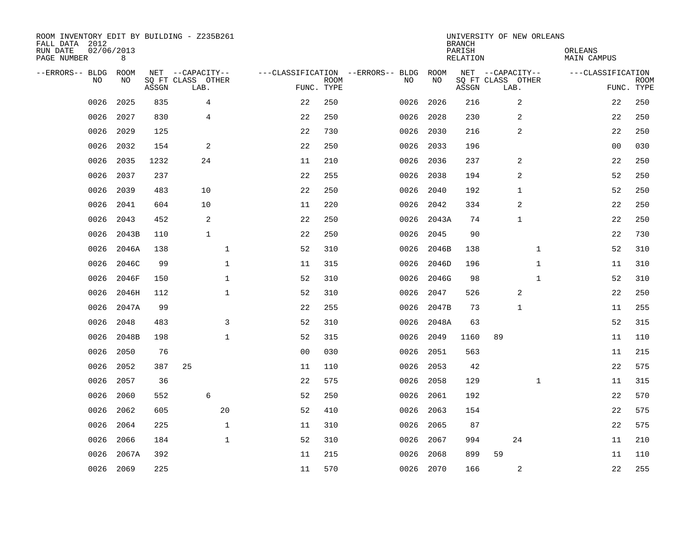| ROOM INVENTORY EDIT BY BUILDING - Z235B261<br>FALL DATA 2012<br>RUN DATE<br>PAGE NUMBER | 02/06/2013<br>8 |       |                           |                |             |                                   |           | <b>BRANCH</b><br>PARISH<br>RELATION | UNIVERSITY OF NEW ORLEANS | ORLEANS<br>MAIN CAMPUS |                           |
|-----------------------------------------------------------------------------------------|-----------------|-------|---------------------------|----------------|-------------|-----------------------------------|-----------|-------------------------------------|---------------------------|------------------------|---------------------------|
| --ERRORS-- BLDG                                                                         | ROOM            |       | NET --CAPACITY--          |                |             | ---CLASSIFICATION --ERRORS-- BLDG | ROOM      |                                     | NET --CAPACITY--          | ---CLASSIFICATION      |                           |
| N <sub>O</sub>                                                                          | NO.             | ASSGN | SO FT CLASS OTHER<br>LAB. | FUNC. TYPE     | <b>ROOM</b> | NO.                               | NO        | ASSGN                               | SQ FT CLASS OTHER<br>LAB. |                        | <b>ROOM</b><br>FUNC. TYPE |
| 0026                                                                                    | 2025            | 835   | $\overline{4}$            | 22             | 250         | 0026                              | 2026      | 216                                 | 2                         | 22                     | 250                       |
| 0026                                                                                    | 2027            | 830   | $\overline{4}$            | 22             | 250         | 0026                              | 2028      | 230                                 | 2                         | 22                     | 250                       |
| 0026                                                                                    | 2029            | 125   |                           | 22             | 730         | 0026                              | 2030      | 216                                 | 2                         | 22                     | 250                       |
| 0026                                                                                    | 2032            | 154   | 2                         | 22             | 250         | 0026                              | 2033      | 196                                 |                           | 00                     | 030                       |
| 0026                                                                                    | 2035            | 1232  | 24                        | 11             | 210         | 0026                              | 2036      | 237                                 | 2                         | 22                     | 250                       |
| 0026                                                                                    | 2037            | 237   |                           | 22             | 255         | 0026                              | 2038      | 194                                 | 2                         | 52                     | 250                       |
| 0026                                                                                    | 2039            | 483   | 10                        | 22             | 250         | 0026                              | 2040      | 192                                 | $\mathbf{1}$              | 52                     | 250                       |
| 0026                                                                                    | 2041            | 604   | 10                        | 11             | 220         | 0026                              | 2042      | 334                                 | $\overline{2}$            | 22                     | 250                       |
| 0026                                                                                    | 2043            | 452   | $\overline{2}$            | 22             | 250         | 0026                              | 2043A     | 74                                  | $\mathbf{1}$              | 22                     | 250                       |
| 0026                                                                                    | 2043B           | 110   | $\mathbf{1}$              | 22             | 250         | 0026                              | 2045      | 90                                  |                           | 22                     | 730                       |
| 0026                                                                                    | 2046A           | 138   | $\mathbf{1}$              | 52             | 310         | 0026                              | 2046B     | 138                                 | $\mathbf{1}$              | 52                     | 310                       |
| 0026                                                                                    | 2046C           | 99    | $\mathbf{1}$              | 11             | 315         | 0026                              | 2046D     | 196                                 | $\mathbf{1}$              | 11                     | 310                       |
| 0026                                                                                    | 2046F           | 150   | $\mathbf 1$               | 52             | 310         | 0026                              | 2046G     | 98                                  | $\mathbf{1}$              | 52                     | 310                       |
| 0026                                                                                    | 2046H           | 112   | $\mathbf 1$               | 52             | 310         | 0026                              | 2047      | 526                                 | 2                         | 22                     | 250                       |
| 0026                                                                                    | 2047A           | 99    |                           | 22             | 255         | 0026                              | 2047B     | 73                                  | $\mathbf{1}$              | 11                     | 255                       |
| 0026                                                                                    | 2048            | 483   | 3                         | 52             | 310         | 0026                              | 2048A     | 63                                  |                           | 52                     | 315                       |
| 0026                                                                                    | 2048B           | 198   | $\mathbf{1}$              | 52             | 315         | 0026                              | 2049      | 1160                                | 89                        | 11                     | 110                       |
| 0026                                                                                    | 2050            | 76    |                           | 0 <sub>0</sub> | 030         | 0026                              | 2051      | 563                                 |                           | 11                     | 215                       |
| 0026                                                                                    | 2052            | 387   | 25                        | 11             | 110         | 0026                              | 2053      | 42                                  |                           | 22                     | 575                       |
| 0026                                                                                    | 2057            | 36    |                           | 22             | 575         | 0026                              | 2058      | 129                                 | $\mathbf{1}$              | 11                     | 315                       |
| 0026                                                                                    | 2060            | 552   | 6                         | 52             | 250         | 0026                              | 2061      | 192                                 |                           | 22                     | 570                       |
| 0026                                                                                    | 2062            | 605   | 20                        | 52             | 410         | 0026                              | 2063      | 154                                 |                           | 22                     | 575                       |
| 0026                                                                                    | 2064            | 225   | 1                         | 11             | 310         | 0026                              | 2065      | 87                                  |                           | 22                     | 575                       |
| 0026                                                                                    | 2066            | 184   | $\mathbf{1}$              | 52             | 310         | 0026                              | 2067      | 994                                 | 24                        | 11                     | 210                       |
| 0026                                                                                    | 2067A           | 392   |                           | 11             | 215         | 0026                              | 2068      | 899                                 | 59                        | 11                     | 110                       |
|                                                                                         | 0026 2069       | 225   |                           | 11             | 570         |                                   | 0026 2070 | 166                                 | 2                         | 22                     | 255                       |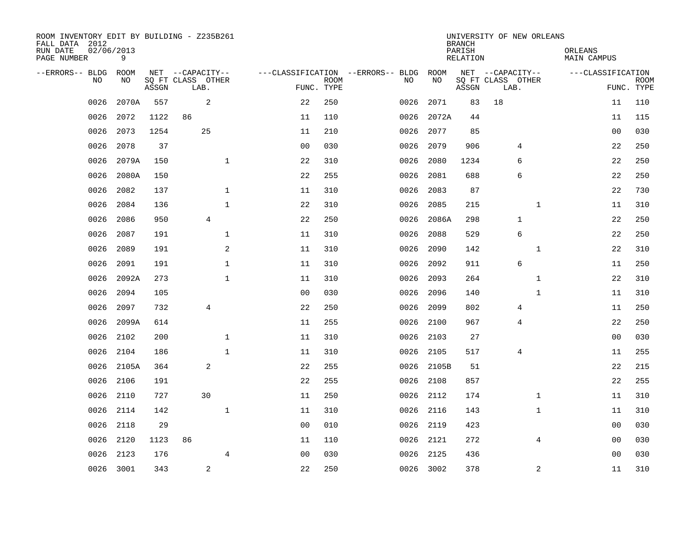| ROOM INVENTORY EDIT BY BUILDING - Z235B261<br>FALL DATA 2012<br>RUN DATE<br>PAGE NUMBER | 02/06/2013<br>9 |       |                           |                |                |             |                                   |      |           | <b>BRANCH</b><br>PARISH<br>RELATION | UNIVERSITY OF NEW ORLEANS |              | ORLEANS | MAIN CAMPUS       |                           |
|-----------------------------------------------------------------------------------------|-----------------|-------|---------------------------|----------------|----------------|-------------|-----------------------------------|------|-----------|-------------------------------------|---------------------------|--------------|---------|-------------------|---------------------------|
| --ERRORS-- BLDG                                                                         | ROOM            |       | NET --CAPACITY--          |                |                |             | ---CLASSIFICATION --ERRORS-- BLDG |      | ROOM      |                                     | NET --CAPACITY--          |              |         | ---CLASSIFICATION |                           |
| N <sub>O</sub>                                                                          | NO.             | ASSGN | SO FT CLASS OTHER<br>LAB. |                | FUNC. TYPE     | <b>ROOM</b> | NO.                               |      | NO        | ASSGN                               | SQ FT CLASS OTHER<br>LAB. |              |         |                   | <b>ROOM</b><br>FUNC. TYPE |
| 0026                                                                                    | 2070A           | 557   | 2                         |                | 22             | 250         | 0026                              |      | 2071      | 83                                  | 18                        |              |         | 11                | 110                       |
| 0026                                                                                    | 2072            | 1122  | 86                        |                | 11             | 110         | 0026                              |      | 2072A     | 44                                  |                           |              |         | 11                | 115                       |
| 0026                                                                                    | 2073            | 1254  | 25                        |                | 11             | 210         | 0026                              |      | 2077      | 85                                  |                           |              |         | 0 <sub>0</sub>    | 030                       |
| 0026                                                                                    | 2078            | 37    |                           |                | 0 <sub>0</sub> | 030         | 0026                              |      | 2079      | 906                                 |                           | 4            |         | 22                | 250                       |
| 0026                                                                                    | 2079A           | 150   |                           | $\mathbf{1}$   | 22             | 310         | 0026                              |      | 2080      | 1234                                |                           | 6            |         | 22                | 250                       |
| 0026                                                                                    | 2080A           | 150   |                           |                | 22             | 255         | 0026                              |      | 2081      | 688                                 |                           | 6            |         | 22                | 250                       |
| 0026                                                                                    | 2082            | 137   |                           | $\mathbf 1$    | 11             | 310         | 0026                              |      | 2083      | 87                                  |                           |              |         | 22                | 730                       |
| 0026                                                                                    | 2084            | 136   |                           | $\mathbf{1}$   | 22             | 310         | 0026                              |      | 2085      | 215                                 |                           | $\mathbf{1}$ |         | 11                | 310                       |
| 0026                                                                                    | 2086            | 950   | $\overline{4}$            |                | 22             | 250         | 0026                              |      | 2086A     | 298                                 |                           | $\mathbf{1}$ |         | 22                | 250                       |
| 0026                                                                                    | 2087            | 191   |                           | 1              | 11             | 310         | 0026                              |      | 2088      | 529                                 |                           | 6            |         | 22                | 250                       |
| 0026                                                                                    | 2089            | 191   |                           | 2              | 11             | 310         | 0026                              |      | 2090      | 142                                 |                           | $\mathbf{1}$ |         | 22                | 310                       |
| 0026                                                                                    | 2091            | 191   |                           | $\mathbf 1$    | 11             | 310         | 0026                              |      | 2092      | 911                                 |                           | 6            |         | 11                | 250                       |
| 0026                                                                                    | 2092A           | 273   |                           | $\mathbf{1}$   | 11             | 310         | 0026                              |      | 2093      | 264                                 |                           | $\mathbf{1}$ |         | 22                | 310                       |
| 0026                                                                                    | 2094            | 105   |                           |                | 0 <sub>0</sub> | 030         | 0026                              |      | 2096      | 140                                 |                           | $\mathbf{1}$ |         | 11                | 310                       |
| 0026                                                                                    | 2097            | 732   | 4                         |                | 22             | 250         | 0026                              |      | 2099      | 802                                 |                           | 4            |         | 11                | 250                       |
| 0026                                                                                    | 2099A           | 614   |                           |                | 11             | 255         | 0026                              |      | 2100      | 967                                 |                           | 4            |         | 22                | 250                       |
| 0026                                                                                    | 2102            | 200   |                           | $\mathbf{1}$   | 11             | 310         | 0026                              |      | 2103      | 27                                  |                           |              |         | 00                | 030                       |
| 0026                                                                                    | 2104            | 186   |                           | $\mathbf 1$    | 11             | 310         | 0026                              |      | 2105      | 517                                 |                           | 4            |         | 11                | 255                       |
| 0026                                                                                    | 2105A           | 364   | 2                         |                | 22             | 255         | 0026                              |      | 2105B     | 51                                  |                           |              |         | 22                | 215                       |
| 0026                                                                                    | 2106            | 191   |                           |                | 22             | 255         | 0026                              |      | 2108      | 857                                 |                           |              |         | 22                | 255                       |
| 0026                                                                                    | 2110            | 727   | 30                        |                | 11             | 250         | 0026                              |      | 2112      | 174                                 |                           | $\mathbf{1}$ |         | 11                | 310                       |
| 0026                                                                                    | 2114            | 142   |                           | $\mathbf 1$    | 11             | 310         | 0026                              |      | 2116      | 143                                 |                           | $\mathbf{1}$ |         | 11                | 310                       |
| 0026                                                                                    | 2118            | 29    |                           |                | 0 <sub>0</sub> | 010         |                                   | 0026 | 2119      | 423                                 |                           |              |         | 00                | 030                       |
| 0026                                                                                    | 2120            | 1123  | 86                        |                | 11             | 110         |                                   |      | 0026 2121 | 272                                 |                           | 4            |         | 00                | 030                       |
| 0026                                                                                    | 2123            | 176   |                           | $\overline{4}$ | 0 <sub>0</sub> | 030         | 0026                              |      | 2125      | 436                                 |                           |              |         | 00                | 030                       |
| 0026                                                                                    | 3001            | 343   | $\overline{c}$            |                | 22             | 250         |                                   |      | 0026 3002 | 378                                 |                           | 2            |         | 11                | 310                       |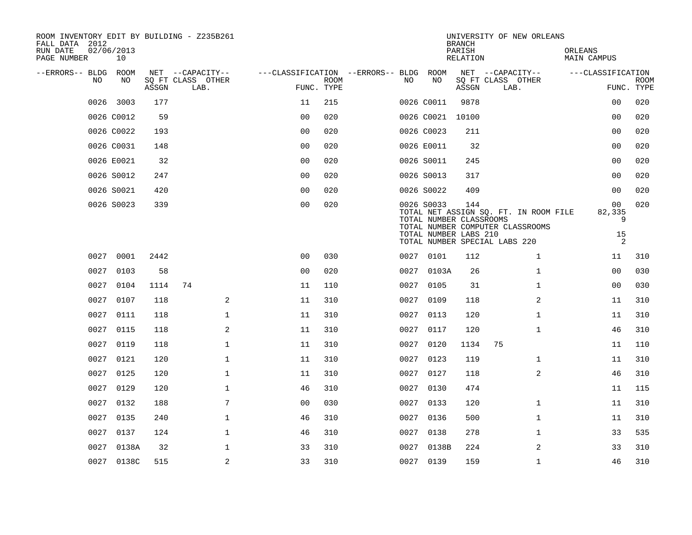| ROOM INVENTORY EDIT BY BUILDING - Z235B261<br>FALL DATA 2012 |                  |       |                           |                |                                        |             |      |                                       | <b>BRANCH</b>             | UNIVERSITY OF NEW ORLEANS                                                 |                        |                           |
|--------------------------------------------------------------|------------------|-------|---------------------------|----------------|----------------------------------------|-------------|------|---------------------------------------|---------------------------|---------------------------------------------------------------------------|------------------------|---------------------------|
| RUN DATE<br>PAGE NUMBER                                      | 02/06/2013<br>10 |       |                           |                |                                        |             |      |                                       | PARISH<br><b>RELATION</b> |                                                                           | ORLEANS<br>MAIN CAMPUS |                           |
| --ERRORS-- BLDG ROOM<br>NO.                                  | NO               |       | NET --CAPACITY--          |                | ---CLASSIFICATION --ERRORS-- BLDG ROOM | <b>ROOM</b> | NO.  | NO                                    |                           | NET --CAPACITY--                                                          | ---CLASSIFICATION      |                           |
|                                                              |                  | ASSGN | SQ FT CLASS OTHER<br>LAB. |                |                                        | FUNC. TYPE  |      |                                       | ASSGN                     | SQ FT CLASS OTHER<br>LAB.                                                 |                        | <b>ROOM</b><br>FUNC. TYPE |
|                                                              | 0026 3003        | 177   |                           |                | 11                                     | 215         |      | 0026 C0011                            | 9878                      |                                                                           | 00                     | 020                       |
|                                                              | 0026 C0012       | 59    |                           |                | 0 <sub>0</sub>                         | 020         |      | 0026 C0021                            | 10100                     |                                                                           | 0 <sub>0</sub>         | 020                       |
|                                                              | 0026 C0022       | 193   |                           |                | 0 <sub>0</sub>                         | 020         |      | 0026 C0023                            | 211                       |                                                                           | 0 <sub>0</sub>         | 020                       |
|                                                              | 0026 C0031       | 148   |                           |                | 0 <sub>0</sub>                         | 020         |      | 0026 E0011                            | 32                        |                                                                           | 0 <sub>0</sub>         | 020                       |
|                                                              | 0026 E0021       | 32    |                           |                | 0 <sub>0</sub>                         | 020         |      | 0026 S0011                            | 245                       |                                                                           | 0 <sub>0</sub>         | 020                       |
|                                                              | 0026 S0012       | 247   |                           |                | 0 <sub>0</sub>                         | 020         |      | 0026 S0013                            | 317                       |                                                                           | 0 <sub>0</sub>         | 020                       |
|                                                              | 0026 S0021       | 420   |                           |                | 0 <sub>0</sub>                         | 020         |      | 0026 S0022                            | 409                       |                                                                           | 00                     | 020                       |
|                                                              | 0026 S0023       | 339   |                           |                | 00                                     | 020         |      | 0026 S0033<br>TOTAL NUMBER CLASSROOMS | 144                       | TOTAL NET ASSIGN SQ. FT. IN ROOM FILE<br>TOTAL NUMBER COMPUTER CLASSROOMS | 00<br>82,335<br>9      | 020                       |
|                                                              |                  |       |                           |                |                                        |             |      | TOTAL NUMBER LABS 210                 |                           | TOTAL NUMBER SPECIAL LABS 220                                             | 15<br>2                |                           |
| 0027                                                         | 0001             | 2442  |                           |                | 0 <sup>0</sup>                         | 030         |      | 0027 0101                             | 112                       | $\mathbf{1}$                                                              | 11                     | 310                       |
| 0027                                                         | 0103             | 58    |                           |                | 0 <sub>0</sub>                         | 020         |      | 0027 0103A                            | 26                        | $\mathbf{1}$                                                              | 0 <sub>0</sub>         | 030                       |
| 0027                                                         | 0104             | 1114  | 74                        |                | 11                                     | 110         | 0027 | 0105                                  | 31                        | $\mathbf{1}$                                                              | 0 <sub>0</sub>         | 030                       |
| 0027                                                         | 0107             | 118   |                           | 2              | 11                                     | 310         |      | 0027 0109                             | 118                       | 2                                                                         | 11                     | 310                       |
| 0027                                                         | 0111             | 118   |                           | $\mathbf 1$    | 11                                     | 310         | 0027 | 0113                                  | 120                       | $\mathbf{1}$                                                              | 11                     | 310                       |
| 0027                                                         | 0115             | 118   |                           | $\overline{2}$ | 11                                     | 310         |      | 0027 0117                             | 120                       | $\mathbf{1}$                                                              | 46                     | 310                       |
| 0027                                                         | 0119             | 118   |                           | $\mathbf{1}$   | 11                                     | 310         | 0027 | 0120                                  | 1134                      | 75                                                                        | 11                     | 110                       |
| 0027                                                         | 0121             | 120   |                           | $\mathbf 1$    | 11                                     | 310         |      | 0027 0123                             | 119                       | $\mathbf{1}$                                                              | 11                     | 310                       |
| 0027                                                         | 0125             | 120   |                           | $\mathbf{1}$   | 11                                     | 310         | 0027 | 0127                                  | 118                       | $\overline{a}$                                                            | 46                     | 310                       |
| 0027                                                         | 0129             | 120   |                           | $\mathbf 1$    | 46                                     | 310         |      | 0027 0130                             | 474                       |                                                                           | 11                     | 115                       |
| 0027                                                         | 0132             | 188   |                           | $\overline{7}$ | 00                                     | 030         | 0027 | 0133                                  | 120                       | $\mathbf{1}$                                                              | 11                     | 310                       |
| 0027                                                         | 0135             | 240   |                           | $\mathbf{1}$   | 46                                     | 310         |      | 0027 0136                             | 500                       | $\mathbf{1}$                                                              | 11                     | 310                       |
| 0027                                                         | 0137             | 124   |                           | $\mathbf 1$    | 46                                     | 310         |      | 0027 0138                             | 278                       | $\mathbf{1}$                                                              | 33                     | 535                       |
| 0027                                                         | 0138A            | 32    |                           | $\mathbf 1$    | 33                                     | 310         |      | 0027 0138B                            | 224                       | 2                                                                         | 33                     | 310                       |
|                                                              | 0027 0138C       | 515   |                           | 2              | 33                                     | 310         |      | 0027 0139                             | 159                       | $\mathbf{1}$                                                              | 46                     | 310                       |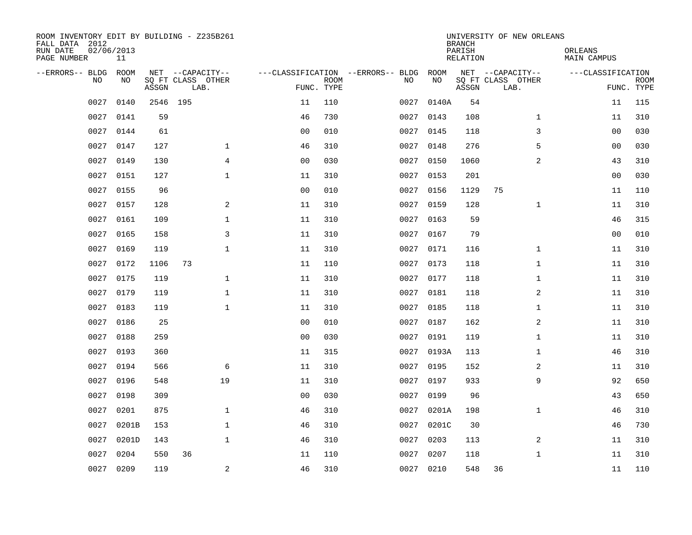| ROOM INVENTORY EDIT BY BUILDING - Z235B261<br>FALL DATA 2012<br>RUN DATE<br>PAGE NUMBER | 02/06/2013<br>11 |          |                           |                |             |                                   |            | <b>BRANCH</b><br>PARISH<br>RELATION | UNIVERSITY OF NEW ORLEANS | ORLEANS<br>MAIN CAMPUS |                           |
|-----------------------------------------------------------------------------------------|------------------|----------|---------------------------|----------------|-------------|-----------------------------------|------------|-------------------------------------|---------------------------|------------------------|---------------------------|
| --ERRORS-- BLDG                                                                         | <b>ROOM</b>      |          | NET --CAPACITY--          |                |             | ---CLASSIFICATION --ERRORS-- BLDG | ROOM       |                                     | NET --CAPACITY--          | ---CLASSIFICATION      |                           |
| N <sub>O</sub>                                                                          | NO.              | ASSGN    | SO FT CLASS OTHER<br>LAB. | FUNC. TYPE     | <b>ROOM</b> | NO.                               | NO         | ASSGN                               | SQ FT CLASS OTHER<br>LAB. |                        | <b>ROOM</b><br>FUNC. TYPE |
| 0027                                                                                    | 0140             | 2546 195 |                           | 11             | 110         | 0027                              | 0140A      | 54                                  |                           | 11                     | 115                       |
| 0027                                                                                    | 0141             | 59       |                           | 46             | 730         |                                   | 0027 0143  | 108                                 | $\mathbf{1}$              | 11                     | 310                       |
| 0027                                                                                    | 0144             | 61       |                           | 0 <sub>0</sub> | 010         | 0027                              | 0145       | 118                                 | 3                         | 0 <sub>0</sub>         | 030                       |
| 0027                                                                                    | 0147             | 127      | $\mathbf{1}$              | 46             | 310         | 0027                              | 0148       | 276                                 | 5                         | 0 <sub>0</sub>         | 030                       |
| 0027                                                                                    | 0149             | 130      | 4                         | 00             | 030         | 0027                              | 0150       | 1060                                | 2                         | 43                     | 310                       |
| 0027                                                                                    | 0151             | 127      | $\mathbf 1$               | 11             | 310         | 0027                              | 0153       | 201                                 |                           | 0 <sub>0</sub>         | 030                       |
| 0027                                                                                    | 0155             | 96       |                           | 00             | 010         | 0027                              | 0156       | 1129                                | 75                        | 11                     | 110                       |
| 0027                                                                                    | 0157             | 128      | 2                         | 11             | 310         | 0027                              | 0159       | 128                                 | $\mathbf{1}$              | 11                     | 310                       |
| 0027                                                                                    | 0161             | 109      | $\mathbf{1}$              | 11             | 310         | 0027                              | 0163       | 59                                  |                           | 46                     | 315                       |
| 0027                                                                                    | 0165             | 158      | 3                         | 11             | 310         |                                   | 0027 0167  | 79                                  |                           | 00                     | 010                       |
| 0027                                                                                    | 0169             | 119      | $\mathbf{1}$              | 11             | 310         | 0027                              | 0171       | 116                                 | $\mathbf{1}$              | 11                     | 310                       |
| 0027                                                                                    | 0172             | 1106     | 73                        | 11             | 110         |                                   | 0027 0173  | 118                                 | $\mathbf{1}$              | 11                     | 310                       |
| 0027                                                                                    | 0175             | 119      | $\mathbf{1}$              | 11             | 310         | 0027                              | 0177       | 118                                 | $\mathbf{1}$              | 11                     | 310                       |
| 0027                                                                                    | 0179             | 119      | $\mathbf{1}$              | 11             | 310         |                                   | 0027 0181  | 118                                 | 2                         | 11                     | 310                       |
| 0027                                                                                    | 0183             | 119      | $\mathbf{1}$              | 11             | 310         | 0027                              | 0185       | 118                                 | $\mathbf{1}$              | 11                     | 310                       |
| 0027                                                                                    | 0186             | 25       |                           | 0 <sub>0</sub> | 010         | 0027                              | 0187       | 162                                 | 2                         | 11                     | 310                       |
| 0027                                                                                    | 0188             | 259      |                           | 0 <sub>0</sub> | 030         | 0027                              | 0191       | 119                                 | $\mathbf{1}$              | 11                     | 310                       |
| 0027                                                                                    | 0193             | 360      |                           | 11             | 315         |                                   | 0027 0193A | 113                                 | $\mathbf{1}$              | 46                     | 310                       |
| 0027                                                                                    | 0194             | 566      | 6                         | 11             | 310         |                                   | 0027 0195  | 152                                 | 2                         | 11                     | 310                       |
| 0027                                                                                    | 0196             | 548      | 19                        | 11             | 310         | 0027                              | 0197       | 933                                 | 9                         | 92                     | 650                       |
| 0027                                                                                    | 0198             | 309      |                           | 0 <sub>0</sub> | 030         | 0027                              | 0199       | 96                                  |                           | 43                     | 650                       |
| 0027                                                                                    | 0201             | 875      | $\mathbf 1$               | 46             | 310         | 0027                              | 0201A      | 198                                 | $\mathbf{1}$              | 46                     | 310                       |
| 0027                                                                                    | 0201B            | 153      | $\mathbf{1}$              | 46             | 310         | 0027                              | 0201C      | 30                                  |                           | 46                     | 730                       |
| 0027                                                                                    | 0201D            | 143      | $\mathbf{1}$              | 46             | 310         | 0027                              | 0203       | 113                                 | 2                         | 11                     | 310                       |
| 0027                                                                                    | 0204             | 550      | 36                        | 11             | 110         | 0027                              | 0207       | 118                                 | $\mathbf{1}$              | 11                     | 310                       |
| 0027                                                                                    | 0209             | 119      | $\overline{a}$            | 46             | 310         |                                   | 0027 0210  | 548                                 | 36                        | 11                     | 110                       |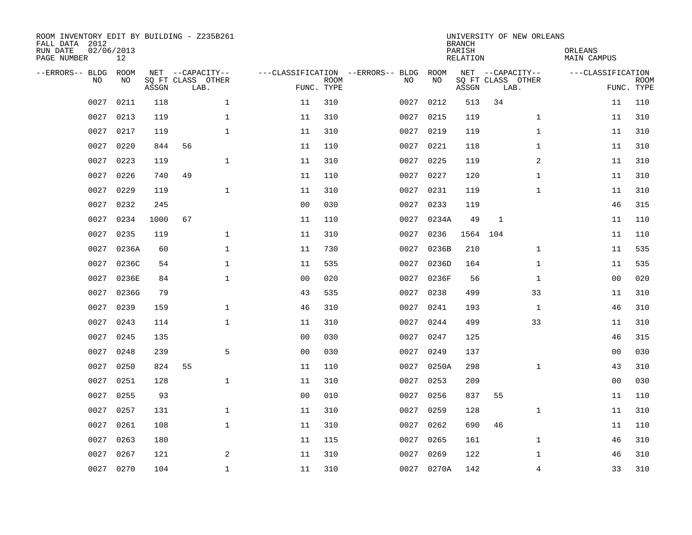| ROOM INVENTORY EDIT BY BUILDING - Z235B261<br>FALL DATA 2012<br>RUN DATE<br>PAGE NUMBER | 02/06/2013<br>12 |       |                                               |                |                           |                                         |            | <b>BRANCH</b><br>PARISH<br><b>RELATION</b> | UNIVERSITY OF NEW ORLEANS                     | ORLEANS<br><b>MAIN CAMPUS</b> |                           |
|-----------------------------------------------------------------------------------------|------------------|-------|-----------------------------------------------|----------------|---------------------------|-----------------------------------------|------------|--------------------------------------------|-----------------------------------------------|-------------------------------|---------------------------|
| --ERRORS-- BLDG<br>NO                                                                   | ROOM<br>NO       | ASSGN | NET --CAPACITY--<br>SQ FT CLASS OTHER<br>LAB. |                | <b>ROOM</b><br>FUNC. TYPE | ---CLASSIFICATION --ERRORS-- BLDG<br>NO | ROOM<br>NO | ASSGN                                      | NET --CAPACITY--<br>SQ FT CLASS OTHER<br>LAB. | ---CLASSIFICATION             | <b>ROOM</b><br>FUNC. TYPE |
| 0027                                                                                    | 0211             | 118   | $\mathbf 1$                                   | 11             | 310                       | 0027                                    | 0212       | 513                                        | 34                                            | 11                            | 110                       |
| 0027                                                                                    | 0213             | 119   | 1                                             | 11             | 310                       | 0027                                    | 0215       | 119                                        | $\mathbf{1}$                                  | 11                            | 310                       |
| 0027                                                                                    | 0217             | 119   | $\mathbf 1$                                   | 11             | 310                       | 0027                                    | 0219       | 119                                        | $\mathbf{1}$                                  | 11                            | 310                       |
| 0027                                                                                    | 0220             | 844   | 56                                            | 11             | 110                       | 0027                                    | 0221       | 118                                        | $\mathbf{1}$                                  | 11                            | 310                       |
| 0027                                                                                    | 0223             | 119   | $\mathbf{1}$                                  | 11             | 310                       | 0027                                    | 0225       | 119                                        | $\overline{a}$                                | 11                            | 310                       |
| 0027                                                                                    | 0226             | 740   | 49                                            | 11             | 110                       | 0027                                    | 0227       | 120                                        | $\mathbf{1}$                                  | 11                            | 310                       |
| 0027                                                                                    | 0229             | 119   | $\mathbf{1}$                                  | 11             | 310                       | 0027                                    | 0231       | 119                                        | $\mathbf{1}$                                  | 11                            | 310                       |
| 0027                                                                                    | 0232             | 245   |                                               | 0 <sub>0</sub> | 030                       | 0027                                    | 0233       | 119                                        |                                               | 46                            | 315                       |
| 0027                                                                                    | 0234             | 1000  | 67                                            | 11             | 110                       | 0027                                    | 0234A      | 49                                         | $\mathbf{1}$                                  | 11                            | 110                       |
| 0027                                                                                    | 0235             | 119   | $\mathbf 1$                                   | 11             | 310                       | 0027                                    | 0236       | 1564                                       | 104                                           | 11                            | 110                       |
| 0027                                                                                    | 0236A            | 60    | $\mathbf 1$                                   | 11             | 730                       | 0027                                    | 0236B      | 210                                        | $\mathbf{1}$                                  | 11                            | 535                       |
| 0027                                                                                    | 0236C            | 54    | $\mathbf 1$                                   | 11             | 535                       | 0027                                    | 0236D      | 164                                        | $\mathbf{1}$                                  | 11                            | 535                       |
| 0027                                                                                    | 0236E            | 84    | $\mathbf 1$                                   | 0 <sub>0</sub> | 020                       | 0027                                    | 0236F      | 56                                         | $\mathbf{1}$                                  | 0 <sub>0</sub>                | 020                       |
| 0027                                                                                    | 0236G            | 79    |                                               | 43             | 535                       |                                         | 0027 0238  | 499                                        | 33                                            | 11                            | 310                       |
| 0027                                                                                    | 0239             | 159   | $\mathbf{1}$                                  | 46             | 310                       | 0027                                    | 0241       | 193                                        | $\mathbf{1}$                                  | 46                            | 310                       |
| 0027                                                                                    | 0243             | 114   | $\mathbf{1}$                                  | 11             | 310                       |                                         | 0027 0244  | 499                                        | 33                                            | 11                            | 310                       |
| 0027                                                                                    | 0245             | 135   |                                               | 0 <sub>0</sub> | 030                       | 0027                                    | 0247       | 125                                        |                                               | 46                            | 315                       |
| 0027                                                                                    | 0248             | 239   | 5                                             | 0 <sub>0</sub> | 030                       | 0027                                    | 0249       | 137                                        |                                               | 00                            | 030                       |
| 0027                                                                                    | 0250             | 824   | 55                                            | 11             | 110                       | 0027                                    | 0250A      | 298                                        | $\mathbf{1}$                                  | 43                            | 310                       |
| 0027                                                                                    | 0251             | 128   | $\mathbf{1}$                                  | 11             | 310                       | 0027                                    | 0253       | 209                                        |                                               | 00                            | 030                       |
| 0027                                                                                    | 0255             | 93    |                                               | 0 <sub>0</sub> | 010                       | 0027                                    | 0256       | 837                                        | 55                                            | 11                            | 110                       |
| 0027                                                                                    | 0257             | 131   | $\mathbf{1}$                                  | 11             | 310                       | 0027                                    | 0259       | 128                                        | $\mathbf{1}$                                  | 11                            | 310                       |
| 0027                                                                                    | 0261             | 108   | $\mathbf{1}$                                  | 11             | 310                       | 0027                                    | 0262       | 690                                        | 46                                            | 11                            | 110                       |
| 0027                                                                                    | 0263             | 180   |                                               | 11             | 115                       | 0027                                    | 0265       | 161                                        | $\mathbf{1}$                                  | 46                            | 310                       |
| 0027                                                                                    | 0267             | 121   | 2                                             | 11             | 310                       | 0027                                    | 0269       | 122                                        | $\mathbf{1}$                                  | 46                            | 310                       |
|                                                                                         | 0027 0270        | 104   | $\mathbf 1$                                   | 11             | 310                       |                                         | 0027 0270A | 142                                        | 4                                             | 33                            | 310                       |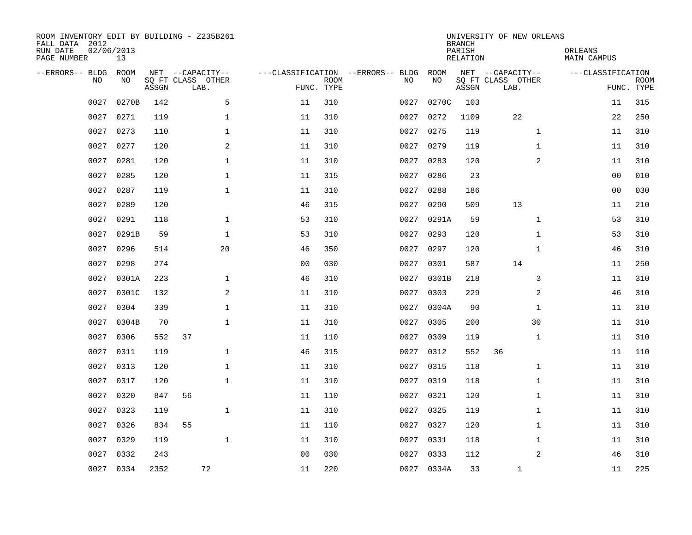| ROOM INVENTORY EDIT BY BUILDING - Z235B261<br>FALL DATA 2012<br>RUN DATE<br>PAGE NUMBER | 02/06/2013<br>13 |       |                                               |                |                           |                                         |            | <b>BRANCH</b><br>PARISH<br><b>RELATION</b> | UNIVERSITY OF NEW ORLEANS                     | ORLEANS<br><b>MAIN CAMPUS</b> |                           |
|-----------------------------------------------------------------------------------------|------------------|-------|-----------------------------------------------|----------------|---------------------------|-----------------------------------------|------------|--------------------------------------------|-----------------------------------------------|-------------------------------|---------------------------|
| --ERRORS-- BLDG<br>NO                                                                   | ROOM<br>NO       | ASSGN | NET --CAPACITY--<br>SQ FT CLASS OTHER<br>LAB. |                | <b>ROOM</b><br>FUNC. TYPE | ---CLASSIFICATION --ERRORS-- BLDG<br>NO | ROOM<br>NO | ASSGN                                      | NET --CAPACITY--<br>SQ FT CLASS OTHER<br>LAB. | ---CLASSIFICATION             | <b>ROOM</b><br>FUNC. TYPE |
| 0027                                                                                    | 0270B            | 142   | 5                                             | 11             | 310                       | 0027                                    | 0270C      | 103                                        |                                               | 11                            | 315                       |
| 0027                                                                                    | 0271             | 119   | 1                                             | 11             | 310                       | 0027                                    | 0272       | 1109                                       | 22                                            | 22                            | 250                       |
| 0027                                                                                    | 0273             | 110   | 1                                             | 11             | 310                       | 0027                                    | 0275       | 119                                        | $\mathbf{1}$                                  | 11                            | 310                       |
| 0027                                                                                    | 0277             | 120   | 2                                             | 11             | 310                       | 0027                                    | 0279       | 119                                        | $\mathbf{1}$                                  | 11                            | 310                       |
| 0027                                                                                    | 0281             | 120   | $\mathbf{1}$                                  | 11             | 310                       | 0027                                    | 0283       | 120                                        | $\overline{a}$                                | 11                            | 310                       |
| 0027                                                                                    | 0285             | 120   | $\mathbf 1$                                   | 11             | 315                       | 0027                                    | 0286       | 23                                         |                                               | 0 <sub>0</sub>                | 010                       |
| 0027                                                                                    | 0287             | 119   | $\mathbf{1}$                                  | 11             | 310                       | 0027                                    | 0288       | 186                                        |                                               | 0 <sub>0</sub>                | 030                       |
| 0027                                                                                    | 0289             | 120   |                                               | 46             | 315                       | 0027                                    | 0290       | 509                                        | 13                                            | 11                            | 210                       |
| 0027                                                                                    | 0291             | 118   | $\mathbf{1}$                                  | 53             | 310                       | 0027                                    | 0291A      | 59                                         | $\mathbf{1}$                                  | 53                            | 310                       |
| 0027                                                                                    | 0291B            | 59    | $\mathbf 1$                                   | 53             | 310                       | 0027                                    | 0293       | 120                                        | $\mathbf{1}$                                  | 53                            | 310                       |
| 0027                                                                                    | 0296             | 514   | 20                                            | 46             | 350                       | 0027                                    | 0297       | 120                                        | $\mathbf{1}$                                  | 46                            | 310                       |
| 0027                                                                                    | 0298             | 274   |                                               | 00             | 030                       |                                         | 0027 0301  | 587                                        | 14                                            | 11                            | 250                       |
| 0027                                                                                    | 0301A            | 223   | $\mathbf{1}$                                  | 46             | 310                       | 0027                                    | 0301B      | 218                                        | 3                                             | 11                            | 310                       |
| 0027                                                                                    | 0301C            | 132   | 2                                             | 11             | 310                       |                                         | 0027 0303  | 229                                        | 2                                             | 46                            | 310                       |
| 0027                                                                                    | 0304             | 339   | $\mathbf{1}$                                  | 11             | 310                       | 0027                                    | 0304A      | 90                                         | $\mathbf{1}$                                  | 11                            | 310                       |
| 0027                                                                                    | 0304B            | 70    | $\mathbf{1}$                                  | 11             | 310                       | 0027                                    | 0305       | 200                                        | 30                                            | 11                            | 310                       |
| 0027                                                                                    | 0306             | 552   | 37                                            | 11             | 110                       | 0027                                    | 0309       | 119                                        | $\mathbf{1}$                                  | 11                            | 310                       |
| 0027                                                                                    | 0311             | 119   | $\mathbf 1$                                   | 46             | 315                       | 0027                                    | 0312       | 552                                        | 36                                            | 11                            | 110                       |
| 0027                                                                                    | 0313             | 120   | $\mathbf 1$                                   | 11             | 310                       | 0027                                    | 0315       | 118                                        | $\mathbf{1}$                                  | 11                            | 310                       |
| 0027                                                                                    | 0317             | 120   | $\mathbf{1}$                                  | 11             | 310                       | 0027                                    | 0319       | 118                                        | $\mathbf{1}$                                  | 11                            | 310                       |
| 0027                                                                                    | 0320             | 847   | 56                                            | 11             | 110                       |                                         | 0027 0321  | 120                                        | $\mathbf{1}$                                  | 11                            | 310                       |
| 0027                                                                                    | 0323             | 119   | $\mathbf{1}$                                  | 11             | 310                       | 0027                                    | 0325       | 119                                        | $\mathbf{1}$                                  | 11                            | 310                       |
| 0027                                                                                    | 0326             | 834   | 55                                            | 11             | 110                       |                                         | 0027 0327  | 120                                        | $\mathbf{1}$                                  | 11                            | 310                       |
| 0027                                                                                    | 0329             | 119   | $\mathbf{1}$                                  | 11             | 310                       |                                         | 0027 0331  | 118                                        | $\mathbf{1}$                                  | 11                            | 310                       |
| 0027                                                                                    | 0332             | 243   |                                               | 0 <sub>0</sub> | 030                       |                                         | 0027 0333  | 112                                        | $\overline{2}$                                | 46                            | 310                       |
|                                                                                         | 0027 0334        | 2352  | 72                                            | 11             | 220                       |                                         | 0027 0334A | 33                                         | $\mathbf 1$                                   | 11                            | 225                       |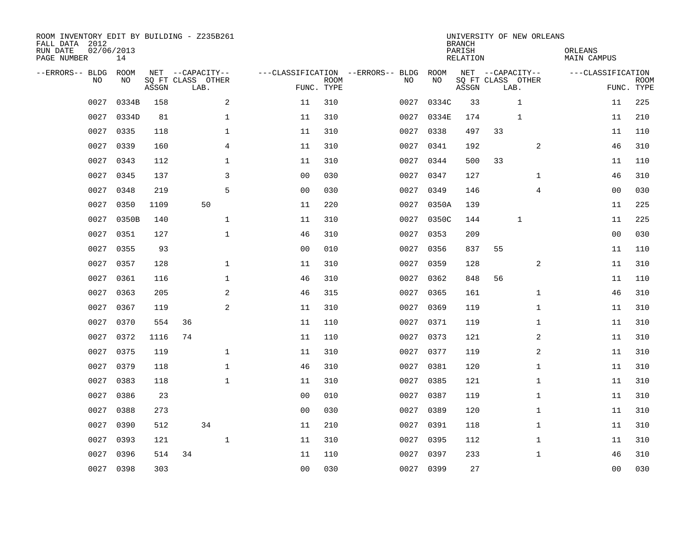| ROOM INVENTORY EDIT BY BUILDING - Z235B261<br>FALL DATA 2012<br>RUN DATE<br>PAGE NUMBER | 02/06/2013<br>14 |       |                                               |                |                           |                                         |            | <b>BRANCH</b><br>PARISH<br><b>RELATION</b> | UNIVERSITY OF NEW ORLEANS                     | ORLEANS<br><b>MAIN CAMPUS</b> |                           |
|-----------------------------------------------------------------------------------------|------------------|-------|-----------------------------------------------|----------------|---------------------------|-----------------------------------------|------------|--------------------------------------------|-----------------------------------------------|-------------------------------|---------------------------|
| --ERRORS-- BLDG<br>NO.                                                                  | ROOM<br>NO       | ASSGN | NET --CAPACITY--<br>SQ FT CLASS OTHER<br>LAB. |                | <b>ROOM</b><br>FUNC. TYPE | ---CLASSIFICATION --ERRORS-- BLDG<br>NO | ROOM<br>NO | ASSGN                                      | NET --CAPACITY--<br>SQ FT CLASS OTHER<br>LAB. | ---CLASSIFICATION             | <b>ROOM</b><br>FUNC. TYPE |
| 0027                                                                                    | 0334B            | 158   | 2                                             | 11             | 310                       | 0027                                    | 0334C      | 33                                         | $\mathbf{1}$                                  | 11                            | 225                       |
| 0027                                                                                    | 0334D            | 81    | 1                                             | 11             | 310                       | 0027                                    | 0334E      | 174                                        | 1                                             | 11                            | 210                       |
| 0027                                                                                    | 0335             | 118   | 1                                             | 11             | 310                       | 0027                                    | 0338       | 497                                        | 33                                            | 11                            | 110                       |
| 0027                                                                                    | 0339             | 160   | 4                                             | 11             | 310                       | 0027                                    | 0341       | 192                                        | 2                                             | 46                            | 310                       |
| 0027                                                                                    | 0343             | 112   | $\mathbf{1}$                                  | 11             | 310                       | 0027                                    | 0344       | 500                                        | 33                                            | 11                            | 110                       |
| 0027                                                                                    | 0345             | 137   | 3                                             | 0 <sub>0</sub> | 030                       | 0027                                    | 0347       | 127                                        | $\mathbf{1}$                                  | 46                            | 310                       |
| 0027                                                                                    | 0348             | 219   | 5                                             | 0 <sub>0</sub> | 030                       | 0027                                    | 0349       | 146                                        | $\overline{4}$                                | 0 <sub>0</sub>                | 030                       |
| 0027                                                                                    | 0350             | 1109  | 50                                            | 11             | 220                       |                                         | 0027 0350A | 139                                        |                                               | 11                            | 225                       |
| 0027                                                                                    | 0350B            | 140   | $\mathbf{1}$                                  | 11             | 310                       | 0027                                    | 0350C      | 144                                        | $\mathbf{1}$                                  | 11                            | 225                       |
| 0027                                                                                    | 0351             | 127   | $\mathbf{1}$                                  | 46             | 310                       |                                         | 0027 0353  | 209                                        |                                               | 0 <sub>0</sub>                | 030                       |
| 0027                                                                                    | 0355             | 93    |                                               | 0 <sub>0</sub> | 010                       | 0027                                    | 0356       | 837                                        | 55                                            | 11                            | 110                       |
| 0027                                                                                    | 0357             | 128   | $\mathbf 1$                                   | 11             | 310                       |                                         | 0027 0359  | 128                                        | 2                                             | 11                            | 310                       |
| 0027                                                                                    | 0361             | 116   | $\mathbf 1$                                   | 46             | 310                       | 0027                                    | 0362       | 848                                        | 56                                            | 11                            | 110                       |
| 0027                                                                                    | 0363             | 205   | 2                                             | 46             | 315                       |                                         | 0027 0365  | 161                                        | $\mathbf{1}$                                  | 46                            | 310                       |
| 0027                                                                                    | 0367             | 119   | 2                                             | 11             | 310                       | 0027                                    | 0369       | 119                                        | $\mathbf{1}$                                  | 11                            | 310                       |
| 0027                                                                                    | 0370             | 554   | 36                                            | 11             | 110                       |                                         | 0027 0371  | 119                                        | $\mathbf{1}$                                  | 11                            | 310                       |
| 0027                                                                                    | 0372             | 1116  | 74                                            | 11             | 110                       | 0027                                    | 0373       | 121                                        | 2                                             | 11                            | 310                       |
| 0027                                                                                    | 0375             | 119   | $\mathbf 1$                                   | 11             | 310                       | 0027                                    | 0377       | 119                                        | 2                                             | 11                            | 310                       |
| 0027                                                                                    | 0379             | 118   | $\mathbf 1$                                   | 46             | 310                       | 0027                                    | 0381       | 120                                        | $\mathbf{1}$                                  | 11                            | 310                       |
| 0027                                                                                    | 0383             | 118   | $\mathbf{1}$                                  | 11             | 310                       | 0027                                    | 0385       | 121                                        | $\mathbf{1}$                                  | 11                            | 310                       |
| 0027                                                                                    | 0386             | 23    |                                               | 0 <sub>0</sub> | 010                       |                                         | 0027 0387  | 119                                        | $\mathbf{1}$                                  | 11                            | 310                       |
| 0027                                                                                    | 0388             | 273   |                                               | 0 <sub>0</sub> | 030                       | 0027                                    | 0389       | 120                                        | $\mathbf{1}$                                  | 11                            | 310                       |
| 0027                                                                                    | 0390             | 512   | 34                                            | 11             | 210                       |                                         | 0027 0391  | 118                                        | $\mathbf{1}$                                  | 11                            | 310                       |
| 0027                                                                                    | 0393             | 121   | $\mathbf{1}$                                  | 11             | 310                       | 0027                                    | 0395       | 112                                        | $\mathbf{1}$                                  | 11                            | 310                       |
| 0027                                                                                    | 0396             | 514   | 34                                            | 11             | 110                       | 0027                                    | 0397       | 233                                        | $\mathbf{1}$                                  | 46                            | 310                       |
|                                                                                         | 0027 0398        | 303   |                                               | 0 <sub>0</sub> | 030                       |                                         | 0027 0399  | 27                                         |                                               | 00                            | 030                       |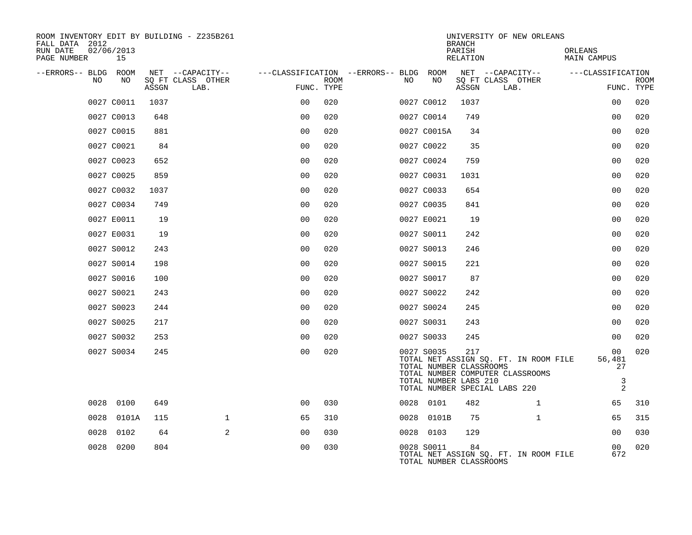| ROOM INVENTORY EDIT BY BUILDING - Z235B261<br>FALL DATA 2012 |                  |       |                           |                                        |      |    |                                       | <b>BRANCH</b>      | UNIVERSITY OF NEW ORLEANS                                                 |                               |                           |
|--------------------------------------------------------------|------------------|-------|---------------------------|----------------------------------------|------|----|---------------------------------------|--------------------|---------------------------------------------------------------------------|-------------------------------|---------------------------|
| RUN DATE<br>PAGE NUMBER                                      | 02/06/2013<br>15 |       |                           |                                        |      |    |                                       | PARISH<br>RELATION |                                                                           | ORLEANS<br><b>MAIN CAMPUS</b> |                           |
| --ERRORS-- BLDG ROOM                                         |                  |       | NET --CAPACITY--          | ---CLASSIFICATION --ERRORS-- BLDG ROOM |      |    |                                       |                    | NET --CAPACITY--                                                          | ---CLASSIFICATION             |                           |
| NO                                                           | NO               | ASSGN | SQ FT CLASS OTHER<br>LAB. | FUNC. TYPE                             | ROOM | NO | NO                                    | ASSGN              | SQ FT CLASS OTHER<br>LAB.                                                 |                               | <b>ROOM</b><br>FUNC. TYPE |
|                                                              | 0027 C0011       | 1037  |                           | 0 <sub>0</sub>                         | 020  |    | 0027 C0012                            | 1037               |                                                                           | 0 <sub>0</sub>                | 020                       |
|                                                              | 0027 C0013       | 648   |                           | 0 <sup>0</sup>                         | 020  |    | 0027 C0014                            | 749                |                                                                           | 0 <sub>0</sub>                | 020                       |
|                                                              | 0027 C0015       | 881   |                           | 0 <sub>0</sub>                         | 020  |    | 0027 C0015A                           | 34                 |                                                                           | 0 <sub>0</sub>                | 020                       |
|                                                              | 0027 C0021       | 84    |                           | 0 <sub>0</sub>                         | 020  |    | 0027 C0022                            | 35                 |                                                                           | 0 <sub>0</sub>                | 020                       |
|                                                              | 0027 C0023       | 652   |                           | 0 <sub>0</sub>                         | 020  |    | 0027 C0024                            | 759                |                                                                           | 0 <sub>0</sub>                | 020                       |
|                                                              | 0027 C0025       | 859   |                           | 0 <sub>0</sub>                         | 020  |    | 0027 C0031                            | 1031               |                                                                           | 0 <sub>0</sub>                | 020                       |
|                                                              | 0027 C0032       | 1037  |                           | 0 <sub>0</sub>                         | 020  |    | 0027 C0033                            | 654                |                                                                           | 0 <sub>0</sub>                | 020                       |
|                                                              | 0027 C0034       | 749   |                           | 0 <sub>0</sub>                         | 020  |    | 0027 C0035                            | 841                |                                                                           | 0 <sub>0</sub>                | 020                       |
|                                                              | 0027 E0011       | 19    |                           | 0 <sub>0</sub>                         | 020  |    | 0027 E0021                            | 19                 |                                                                           | 0 <sub>0</sub>                | 020                       |
|                                                              | 0027 E0031       | 19    |                           | 0 <sub>0</sub>                         | 020  |    | 0027 S0011                            | 242                |                                                                           | 0 <sub>0</sub>                | 020                       |
|                                                              | 0027 S0012       | 243   |                           | 0 <sub>0</sub>                         | 020  |    | 0027 S0013                            | 246                |                                                                           | 0 <sub>0</sub>                | 020                       |
|                                                              | 0027 S0014       | 198   |                           | 0 <sub>0</sub>                         | 020  |    | 0027 S0015                            | 221                |                                                                           | 0 <sub>0</sub>                | 020                       |
|                                                              | 0027 S0016       | 100   |                           | 0 <sub>0</sub>                         | 020  |    | 0027 S0017                            | 87                 |                                                                           | 0 <sub>0</sub>                | 020                       |
|                                                              | 0027 S0021       | 243   |                           | 0 <sub>0</sub>                         | 020  |    | 0027 S0022                            | 242                |                                                                           | 0 <sub>0</sub>                | 020                       |
|                                                              | 0027 S0023       | 244   |                           | 0 <sub>0</sub>                         | 020  |    | 0027 S0024                            | 245                |                                                                           | 0 <sub>0</sub>                | 020                       |
|                                                              | 0027 S0025       | 217   |                           | 0 <sub>0</sub>                         | 020  |    | 0027 S0031                            | 243                |                                                                           | 0 <sub>0</sub>                | 020                       |
|                                                              | 0027 S0032       | 253   |                           | 0 <sub>0</sub>                         | 020  |    | 0027 S0033                            | 245                |                                                                           | 0 <sub>0</sub>                | 020                       |
|                                                              | 0027 S0034       | 245   |                           | 0 <sub>0</sub>                         | 020  |    | 0027 S0035<br>TOTAL NUMBER CLASSROOMS | 217                | TOTAL NET ASSIGN SQ. FT. IN ROOM FILE<br>TOTAL NUMBER COMPUTER CLASSROOMS | 00<br>56,481<br>27            | 020                       |
|                                                              |                  |       |                           |                                        |      |    | TOTAL NUMBER LABS 210                 |                    | TOTAL NUMBER SPECIAL LABS 220                                             | $\mathsf 3$                   | $\overline{2}$            |
|                                                              | 0028 0100        | 649   |                           | 0 <sub>0</sub>                         | 030  |    | 0028 0101                             | 482                | $\mathbf{1}$                                                              | 65                            | 310                       |
| 0028                                                         | 0101A            | 115   | $\mathbf 1$               | 65                                     | 310  |    | 0028 0101B                            | 75                 | $\mathbf{1}$                                                              | 65                            | 315                       |
| 0028                                                         | 0102             | 64    | 2                         | 00                                     | 030  |    | 0028 0103                             | 129                |                                                                           | 00                            | 030                       |
| 0028                                                         | 0200             | 804   |                           | 0 <sub>0</sub>                         | 030  |    | 0028 S0011<br>TOTAL NUMBER CLASSROOMS | 84                 | TOTAL NET ASSIGN SQ. FT. IN ROOM FILE                                     | 00<br>672                     | 020                       |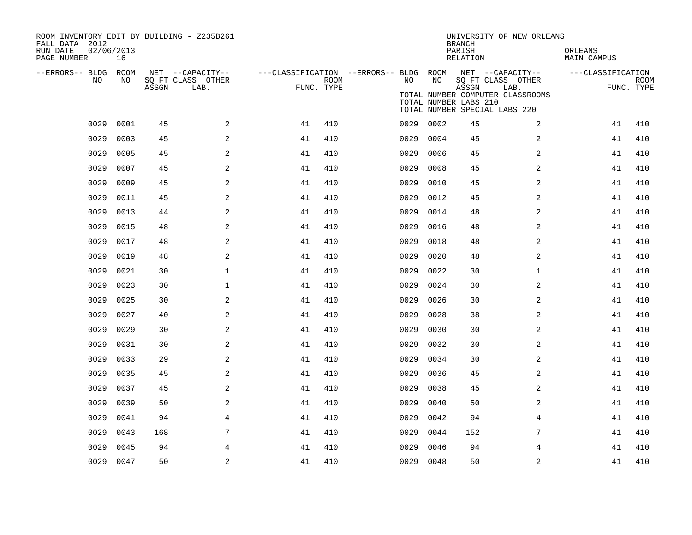| ROOM INVENTORY EDIT BY BUILDING - Z235B261<br>FALL DATA 2012<br>RUN DATE<br>PAGE NUMBER | 02/06/2013<br>16 |       |                           |                                                         |             |           |      | <b>BRANCH</b><br>PARISH<br>RELATION | UNIVERSITY OF NEW ORLEANS                                                                      | ORLEANS<br>MAIN CAMPUS |                           |
|-----------------------------------------------------------------------------------------|------------------|-------|---------------------------|---------------------------------------------------------|-------------|-----------|------|-------------------------------------|------------------------------------------------------------------------------------------------|------------------------|---------------------------|
| --ERRORS-- BLDG ROOM                                                                    |                  |       | NET --CAPACITY--          | ---CLASSIFICATION --ERRORS-- BLDG ROOM NET --CAPACITY-- |             |           |      |                                     |                                                                                                | ---CLASSIFICATION      |                           |
| NO.                                                                                     | NO.              | ASSGN | SQ FT CLASS OTHER<br>LAB. | FUNC. TYPE                                              | <b>ROOM</b> | NO        | NO   | ASSGN<br>TOTAL NUMBER LABS 210      | SQ FT CLASS OTHER<br>LAB.<br>TOTAL NUMBER COMPUTER CLASSROOMS<br>TOTAL NUMBER SPECIAL LABS 220 |                        | <b>ROOM</b><br>FUNC. TYPE |
| 0029                                                                                    | 0001             | 45    | 2                         | 41                                                      | 410         | 0029      | 0002 | 45                                  | $\overline{a}$                                                                                 | 41                     | 410                       |
| 0029                                                                                    | 0003             | 45    | 2                         | 41                                                      | 410         | 0029      | 0004 | 45                                  | 2                                                                                              | 41                     | 410                       |
| 0029                                                                                    | 0005             | 45    | 2                         | 41                                                      | 410         | 0029      | 0006 | 45                                  | 2                                                                                              | 41                     | 410                       |
| 0029                                                                                    | 0007             | 45    | 2                         | 41                                                      | 410         | 0029      | 0008 | 45                                  | 2                                                                                              | 41                     | 410                       |
| 0029                                                                                    | 0009             | 45    | 2                         | 41                                                      | 410         | 0029      | 0010 | 45                                  | 2                                                                                              | 41                     | 410                       |
| 0029                                                                                    | 0011             | 45    | 2                         | 41                                                      | 410         | 0029      | 0012 | 45                                  | 2                                                                                              | 41                     | 410                       |
| 0029                                                                                    | 0013             | 44    | 2                         | 41                                                      | 410         | 0029      | 0014 | 48                                  | 2                                                                                              | 41                     | 410                       |
| 0029                                                                                    | 0015             | 48    | 2                         | 41                                                      | 410         | 0029      | 0016 | 48                                  | 2                                                                                              | 41                     | 410                       |
| 0029                                                                                    | 0017             | 48    | 2                         | 41                                                      | 410         | 0029      | 0018 | 48                                  | $\overline{a}$                                                                                 | 41                     | 410                       |
| 0029                                                                                    | 0019             | 48    | 2                         | 41                                                      | 410         | 0029      | 0020 | 48                                  | 2                                                                                              | 41                     | 410                       |
| 0029                                                                                    | 0021             | 30    | $\mathbf{1}$              | 41                                                      | 410         | 0029      | 0022 | 30                                  | $\mathbf{1}$                                                                                   | 41                     | 410                       |
| 0029                                                                                    | 0023             | 30    | $\mathbf 1$               | 41                                                      | 410         | 0029      | 0024 | 30                                  | 2                                                                                              | 41                     | 410                       |
| 0029                                                                                    | 0025             | 30    | 2                         | 41                                                      | 410         | 0029      | 0026 | 30                                  | 2                                                                                              | 41                     | 410                       |
| 0029                                                                                    | 0027             | 40    | 2                         | 41                                                      | 410         | 0029      | 0028 | 38                                  | $\overline{2}$                                                                                 | 41                     | 410                       |
| 0029                                                                                    | 0029             | 30    | 2                         | 41                                                      | 410         | 0029      | 0030 | 30                                  | 2                                                                                              | 41                     | 410                       |
| 0029                                                                                    | 0031             | 30    | 2                         | 41                                                      | 410         | 0029      | 0032 | 30                                  | $\overline{a}$                                                                                 | 41                     | 410                       |
| 0029                                                                                    | 0033             | 29    | $\overline{a}$            | 41                                                      | 410         | 0029      | 0034 | 30                                  | 2                                                                                              | 41                     | 410                       |
| 0029                                                                                    | 0035             | 45    | 2                         | 41                                                      | 410         | 0029      | 0036 | 45                                  | $\overline{a}$                                                                                 | 41                     | 410                       |
| 0029                                                                                    | 0037             | 45    | 2                         | 41                                                      | 410         | 0029      | 0038 | 45                                  | 2                                                                                              | 41                     | 410                       |
| 0029                                                                                    | 0039             | 50    | $\overline{a}$            | 41                                                      | 410         | 0029      | 0040 | 50                                  | 2                                                                                              | 41                     | 410                       |
| 0029                                                                                    | 0041             | 94    | 4                         | 41                                                      | 410         | 0029      | 0042 | 94                                  | 4                                                                                              | 41                     | 410                       |
| 0029                                                                                    | 0043             | 168   | 7                         | 41                                                      | 410         | 0029      | 0044 | 152                                 | $7\phantom{.}$                                                                                 | 41                     | 410                       |
| 0029                                                                                    | 0045             | 94    | 4                         | 41                                                      | 410         | 0029      | 0046 | 94                                  | 4                                                                                              | 41                     | 410                       |
|                                                                                         | 0029 0047        | 50    | $\overline{a}$            | 41                                                      | 410         | 0029 0048 |      | 50                                  | $\overline{2}$                                                                                 | 41                     | 410                       |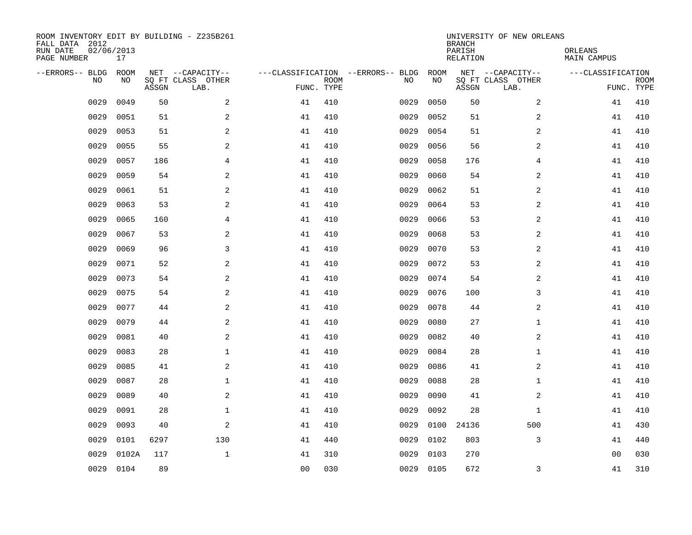| ROOM INVENTORY EDIT BY BUILDING - Z235B261<br>FALL DATA 2012<br>RUN DATE<br>PAGE NUMBER | 02/06/2013<br>17 |       |                                               |                |             |                                         |            | <b>BRANCH</b><br>PARISH<br><b>RELATION</b> | UNIVERSITY OF NEW ORLEANS                     | ORLEANS<br><b>MAIN CAMPUS</b> |                           |
|-----------------------------------------------------------------------------------------|------------------|-------|-----------------------------------------------|----------------|-------------|-----------------------------------------|------------|--------------------------------------------|-----------------------------------------------|-------------------------------|---------------------------|
| --ERRORS-- BLDG<br>NO                                                                   | ROOM<br>NO       | ASSGN | NET --CAPACITY--<br>SQ FT CLASS OTHER<br>LAB. | FUNC. TYPE     | <b>ROOM</b> | ---CLASSIFICATION --ERRORS-- BLDG<br>NO | ROOM<br>NO | ASSGN                                      | NET --CAPACITY--<br>SQ FT CLASS OTHER<br>LAB. | ---CLASSIFICATION             | <b>ROOM</b><br>FUNC. TYPE |
| 0029                                                                                    | 0049             | 50    | 2                                             | 41             | 410         | 0029                                    | 0050       | 50                                         | $\overline{2}$                                | 41                            | 410                       |
| 0029                                                                                    | 0051             | 51    | 2                                             | 41             | 410         | 0029                                    | 0052       | 51                                         | 2                                             | 41                            | 410                       |
| 0029                                                                                    | 0053             | 51    | 2                                             | 41             | 410         | 0029                                    | 0054       | 51                                         | 2                                             | 41                            | 410                       |
| 0029                                                                                    | 0055             | 55    | 2                                             | 41             | 410         | 0029                                    | 0056       | 56                                         | 2                                             | 41                            | 410                       |
| 0029                                                                                    | 0057             | 186   | $\overline{4}$                                | 41             | 410         | 0029                                    | 0058       | 176                                        | $\overline{4}$                                | 41                            | 410                       |
| 0029                                                                                    | 0059             | 54    | $\overline{a}$                                | 41             | 410         | 0029                                    | 0060       | 54                                         | $\boldsymbol{2}$                              | 41                            | 410                       |
| 0029                                                                                    | 0061             | 51    | $\sqrt{2}$                                    | 41             | 410         | 0029                                    | 0062       | 51                                         | $\overline{c}$                                | 41                            | 410                       |
| 0029                                                                                    | 0063             | 53    | 2                                             | 41             | 410         | 0029                                    | 0064       | 53                                         | 2                                             | 41                            | 410                       |
| 0029                                                                                    | 0065             | 160   | $\overline{4}$                                | 41             | 410         | 0029                                    | 0066       | 53                                         | 2                                             | 41                            | 410                       |
| 0029                                                                                    | 0067             | 53    | 2                                             | 41             | 410         | 0029                                    | 0068       | 53                                         | 2                                             | 41                            | 410                       |
| 0029                                                                                    | 0069             | 96    | 3                                             | 41             | 410         | 0029                                    | 0070       | 53                                         | 2                                             | 41                            | 410                       |
| 0029                                                                                    | 0071             | 52    | 2                                             | 41             | 410         | 0029                                    | 0072       | 53                                         | 2                                             | 41                            | 410                       |
| 0029                                                                                    | 0073             | 54    | 2                                             | 41             | 410         | 0029                                    | 0074       | 54                                         | 2                                             | 41                            | 410                       |
| 0029                                                                                    | 0075             | 54    | 2                                             | 41             | 410         | 0029                                    | 0076       | 100                                        | 3                                             | 41                            | 410                       |
| 0029                                                                                    | 0077             | 44    | 2                                             | 41             | 410         | 0029                                    | 0078       | 44                                         | 2                                             | 41                            | 410                       |
| 0029                                                                                    | 0079             | 44    | 2                                             | 41             | 410         | 0029                                    | 0080       | 27                                         | $\mathbf{1}$                                  | 41                            | 410                       |
| 0029                                                                                    | 0081             | 40    | 2                                             | 41             | 410         | 0029                                    | 0082       | 40                                         | $\overline{a}$                                | 41                            | 410                       |
| 0029                                                                                    | 0083             | 28    | $\mathbf 1$                                   | 41             | 410         | 0029                                    | 0084       | 28                                         | $\mathbf{1}$                                  | 41                            | 410                       |
| 0029                                                                                    | 0085             | 41    | 2                                             | 41             | 410         | 0029                                    | 0086       | 41                                         | $\overline{a}$                                | 41                            | 410                       |
| 0029                                                                                    | 0087             | 28    | $\mathbf{1}$                                  | 41             | 410         | 0029                                    | 0088       | 28                                         | $\mathbf{1}$                                  | 41                            | 410                       |
| 0029                                                                                    | 0089             | 40    | $\mathbf{2}$                                  | 41             | 410         | 0029                                    | 0090       | 41                                         | 2                                             | 41                            | 410                       |
| 0029                                                                                    | 0091             | 28    | $\mathbf{1}$                                  | 41             | 410         | 0029                                    | 0092       | 28                                         | $\mathbf{1}$                                  | 41                            | 410                       |
| 0029                                                                                    | 0093             | 40    | 2                                             | 41             | 410         | 0029                                    | 0100       | 24136                                      | 500                                           | 41                            | 430                       |
| 0029                                                                                    | 0101             | 6297  | 130                                           | 41             | 440         | 0029                                    | 0102       | 803                                        | 3                                             | 41                            | 440                       |
| 0029                                                                                    | 0102A            | 117   | $\mathbf{1}$                                  | 41             | 310         | 0029                                    | 0103       | 270                                        |                                               | 00                            | 030                       |
|                                                                                         | 0029 0104        | 89    |                                               | 0 <sub>0</sub> | 030         |                                         | 0029 0105  | 672                                        | 3                                             | 41                            | 310                       |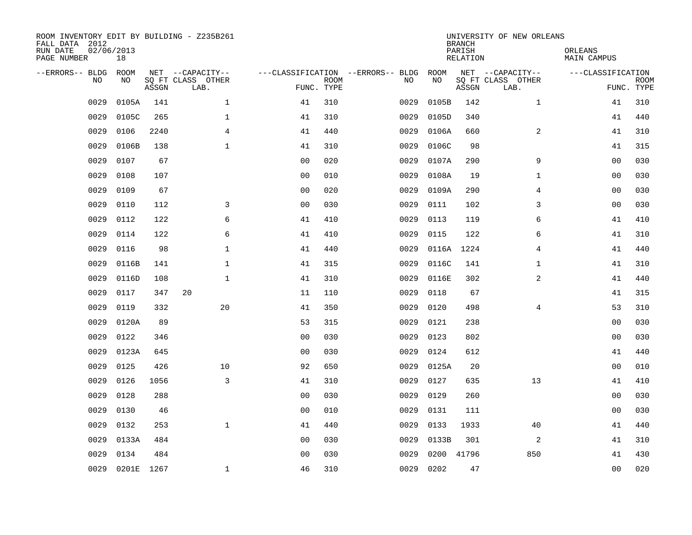| ROOM INVENTORY EDIT BY BUILDING - Z235B261<br>FALL DATA 2012<br>RUN DATE<br>PAGE NUMBER | 02/06/2013<br>18 |       |                           |                |             |                                   |       | <b>BRANCH</b><br>PARISH<br><b>RELATION</b> | UNIVERSITY OF NEW ORLEANS | ORLEANS<br><b>MAIN CAMPUS</b> |                           |
|-----------------------------------------------------------------------------------------|------------------|-------|---------------------------|----------------|-------------|-----------------------------------|-------|--------------------------------------------|---------------------------|-------------------------------|---------------------------|
| --ERRORS-- BLDG                                                                         | ROOM             |       | NET --CAPACITY--          |                |             | ---CLASSIFICATION --ERRORS-- BLDG | ROOM  |                                            | NET --CAPACITY--          | ---CLASSIFICATION             |                           |
| NO                                                                                      | NO.              | ASSGN | SQ FT CLASS OTHER<br>LAB. | FUNC. TYPE     | <b>ROOM</b> | NO                                | NO    | ASSGN                                      | SQ FT CLASS OTHER<br>LAB. |                               | <b>ROOM</b><br>FUNC. TYPE |
| 0029                                                                                    | 0105A            | 141   | $\mathbf{1}$              | 41             | 310         | 0029                              | 0105B | 142                                        | $\mathbf{1}$              | 41                            | 310                       |
| 0029                                                                                    | 0105C            | 265   | $\mathbf 1$               | 41             | 310         | 0029                              | 0105D | 340                                        |                           | 41                            | 440                       |
| 0029                                                                                    | 0106             | 2240  | $\overline{4}$            | 41             | 440         | 0029                              | 0106A | 660                                        | 2                         | 41                            | 310                       |
| 0029                                                                                    | 0106B            | 138   | $\mathbf{1}$              | 41             | 310         | 0029                              | 0106C | 98                                         |                           | 41                            | 315                       |
| 0029                                                                                    | 0107             | 67    |                           | 0 <sub>0</sub> | 020         | 0029                              | 0107A | 290                                        | 9                         | 0 <sub>0</sub>                | 030                       |
| 0029                                                                                    | 0108             | 107   |                           | 0 <sub>0</sub> | 010         | 0029                              | 0108A | 19                                         | $\mathbf{1}$              | 0 <sub>0</sub>                | 030                       |
| 0029                                                                                    | 0109             | 67    |                           | 0 <sub>0</sub> | 020         | 0029                              | 0109A | 290                                        | 4                         | 0 <sub>0</sub>                | 030                       |
| 0029                                                                                    | 0110             | 112   | 3                         | 0 <sub>0</sub> | 030         | 0029                              | 0111  | 102                                        | 3                         | 00                            | 030                       |
| 0029                                                                                    | 0112             | 122   | 6                         | 41             | 410         | 0029                              | 0113  | 119                                        | 6                         | 41                            | 410                       |
| 0029                                                                                    | 0114             | 122   | 6                         | 41             | 410         | 0029                              | 0115  | 122                                        | 6                         | 41                            | 310                       |
| 0029                                                                                    | 0116             | 98    | $\mathbf 1$               | 41             | 440         | 0029                              | 0116A | 1224                                       | 4                         | 41                            | 440                       |
| 0029                                                                                    | 0116B            | 141   | $\mathbf 1$               | 41             | 315         | 0029                              | 0116C | 141                                        | $\mathbf{1}$              | 41                            | 310                       |
| 0029                                                                                    | 0116D            | 108   | $\mathbf{1}$              | 41             | 310         | 0029                              | 0116E | 302                                        | 2                         | 41                            | 440                       |
| 0029                                                                                    | 0117             | 347   | 20                        | 11             | 110         | 0029                              | 0118  | 67                                         |                           | 41                            | 315                       |
| 0029                                                                                    | 0119             | 332   | 20                        | 41             | 350         | 0029                              | 0120  | 498                                        | 4                         | 53                            | 310                       |
| 0029                                                                                    | 0120A            | 89    |                           | 53             | 315         | 0029                              | 0121  | 238                                        |                           | 00                            | 030                       |
| 0029                                                                                    | 0122             | 346   |                           | 0 <sub>0</sub> | 030         | 0029                              | 0123  | 802                                        |                           | 00                            | 030                       |
| 0029                                                                                    | 0123A            | 645   |                           | 0 <sub>0</sub> | 030         | 0029                              | 0124  | 612                                        |                           | 41                            | 440                       |
| 0029                                                                                    | 0125             | 426   | 10                        | 92             | 650         | 0029                              | 0125A | 20                                         |                           | 00                            | 010                       |
| 0029                                                                                    | 0126             | 1056  | 3                         | 41             | 310         | 0029                              | 0127  | 635                                        | 13                        | 41                            | 410                       |
| 0029                                                                                    | 0128             | 288   |                           | 0 <sub>0</sub> | 030         | 0029                              | 0129  | 260                                        |                           | 0 <sub>0</sub>                | 030                       |
| 0029                                                                                    | 0130             | 46    |                           | 0 <sub>0</sub> | 010         | 0029                              | 0131  | 111                                        |                           | 0 <sub>0</sub>                | 030                       |
| 0029                                                                                    | 0132             | 253   | $\mathbf{1}$              | 41             | 440         | 0029                              | 0133  | 1933                                       | 40                        | 41                            | 440                       |
| 0029                                                                                    | 0133A            | 484   |                           | 00             | 030         | 0029                              | 0133B | 301                                        | 2                         | 41                            | 310                       |
| 0029                                                                                    | 0134             | 484   |                           | 00             | 030         | 0029                              | 0200  | 41796                                      | 850                       | 41                            | 430                       |
|                                                                                         | 0029 0201E 1267  |       | $\mathbf 1$               | 46             | 310         | 0029                              | 0202  | 47                                         |                           | 0 <sub>0</sub>                | 020                       |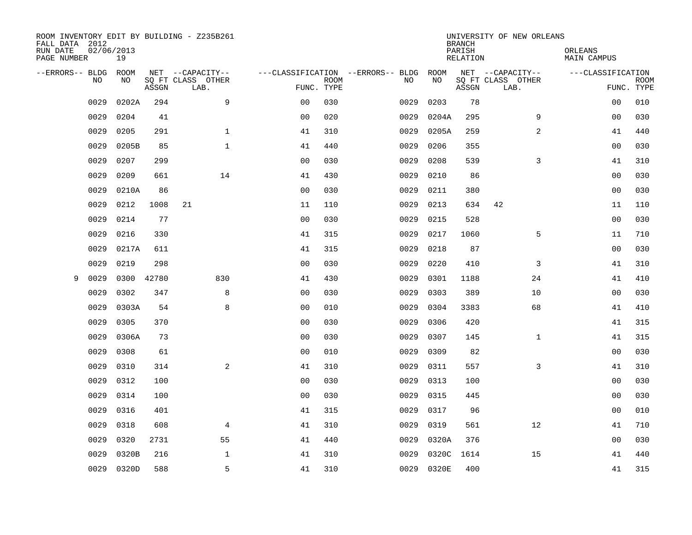| ROOM INVENTORY EDIT BY BUILDING - Z235B261<br>FALL DATA 2012<br>RUN DATE<br>PAGE NUMBER | 02/06/2013<br>19 |       |                           |                |             |                                   |       | <b>BRANCH</b><br>PARISH<br>RELATION | UNIVERSITY OF NEW ORLEANS | ORLEANS<br><b>MAIN CAMPUS</b> |             |
|-----------------------------------------------------------------------------------------|------------------|-------|---------------------------|----------------|-------------|-----------------------------------|-------|-------------------------------------|---------------------------|-------------------------------|-------------|
| --ERRORS-- BLDG                                                                         | <b>ROOM</b>      |       | NET --CAPACITY--          |                |             | ---CLASSIFICATION --ERRORS-- BLDG | ROOM  |                                     | NET --CAPACITY--          | ---CLASSIFICATION             |             |
| NO                                                                                      | NO               | ASSGN | SQ FT CLASS OTHER<br>LAB. | FUNC. TYPE     | <b>ROOM</b> | NO                                | NO    | ASSGN                               | SQ FT CLASS OTHER<br>LAB. | FUNC. TYPE                    | <b>ROOM</b> |
| 0029                                                                                    | 0202A            | 294   | 9                         | 0 <sub>0</sub> | 030         | 0029                              | 0203  | 78                                  |                           | 00                            | 010         |
| 0029                                                                                    | 0204             | 41    |                           | 0 <sub>0</sub> | 020         | 0029                              | 0204A | 295                                 | 9                         | 00                            | 030         |
| 0029                                                                                    | 0205             | 291   | $\mathbf{1}$              | 41             | 310         | 0029                              | 0205A | 259                                 | 2                         | 41                            | 440         |
| 0029                                                                                    | 0205B            | 85    | $\mathbf{1}$              | 41             | 440         | 0029                              | 0206  | 355                                 |                           | 0 <sub>0</sub>                | 030         |
| 0029                                                                                    | 0207             | 299   |                           | 0 <sub>0</sub> | 030         | 0029                              | 0208  | 539                                 | 3                         | 41                            | 310         |
| 0029                                                                                    | 0209             | 661   | 14                        | 41             | 430         | 0029                              | 0210  | 86                                  |                           | 00                            | 030         |
| 0029                                                                                    | 0210A            | 86    |                           | 0 <sub>0</sub> | 030         | 0029                              | 0211  | 380                                 |                           | 0 <sub>0</sub>                | 030         |
| 0029                                                                                    | 0212             | 1008  | 21                        | 11             | 110         | 0029                              | 0213  | 634                                 | 42                        | 11                            | 110         |
| 0029                                                                                    | 0214             | 77    |                           | 0 <sub>0</sub> | 030         | 0029                              | 0215  | 528                                 |                           | 0 <sub>0</sub>                | 030         |
| 0029                                                                                    | 0216             | 330   |                           | 41             | 315         | 0029                              | 0217  | 1060                                | 5                         | 11                            | 710         |
| 0029                                                                                    | 0217A            | 611   |                           | 41             | 315         | 0029                              | 0218  | 87                                  |                           | 0 <sub>0</sub>                | 030         |
| 0029                                                                                    | 0219             | 298   |                           | 0 <sub>0</sub> | 030         | 0029                              | 0220  | 410                                 | 3                         | 41                            | 310         |
| 0029<br>9                                                                               | 0300             | 42780 | 830                       | 41             | 430         | 0029                              | 0301  | 1188                                | 24                        | 41                            | 410         |
| 0029                                                                                    | 0302             | 347   | 8                         | 0 <sub>0</sub> | 030         | 0029                              | 0303  | 389                                 | 10                        | 0 <sub>0</sub>                | 030         |
| 0029                                                                                    | 0303A            | 54    | 8                         | 0 <sub>0</sub> | 010         | 0029                              | 0304  | 3383                                | 68                        | 41                            | 410         |
| 0029                                                                                    | 0305             | 370   |                           | 0 <sub>0</sub> | 030         | 0029                              | 0306  | 420                                 |                           | 41                            | 315         |
| 0029                                                                                    | 0306A            | 73    |                           | 0 <sub>0</sub> | 030         | 0029                              | 0307  | 145                                 | $\mathbf{1}$              | 41                            | 315         |
| 0029                                                                                    | 0308             | 61    |                           | 0 <sub>0</sub> | 010         | 0029                              | 0309  | 82                                  |                           | 00                            | 030         |
| 0029                                                                                    | 0310             | 314   | 2                         | 41             | 310         | 0029                              | 0311  | 557                                 | 3                         | 41                            | 310         |
| 0029                                                                                    | 0312             | 100   |                           | 0 <sub>0</sub> | 030         | 0029                              | 0313  | 100                                 |                           | 00                            | 030         |
| 0029                                                                                    | 0314             | 100   |                           | 0 <sub>0</sub> | 030         | 0029                              | 0315  | 445                                 |                           | 0 <sub>0</sub>                | 030         |
| 0029                                                                                    | 0316             | 401   |                           | 41             | 315         | 0029                              | 0317  | 96                                  |                           | 0 <sub>0</sub>                | 010         |
| 0029                                                                                    | 0318             | 608   | 4                         | 41             | 310         | 0029                              | 0319  | 561                                 | 12                        | 41                            | 710         |
| 0029                                                                                    | 0320             | 2731  | 55                        | 41             | 440         | 0029                              | 0320A | 376                                 |                           | 00                            | 030         |
| 0029                                                                                    | 0320B            | 216   | 1                         | 41             | 310         | 0029                              | 0320C | 1614                                | 15                        | 41                            | 440         |
| 0029                                                                                    | 0320D            | 588   | 5                         | 41             | 310         | 0029                              | 0320E | 400                                 |                           | 41                            | 315         |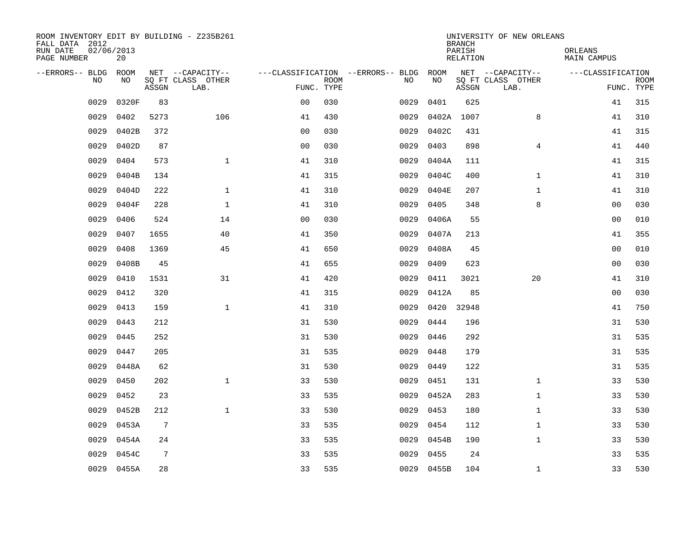| ROOM INVENTORY EDIT BY BUILDING - Z235B261<br>FALL DATA 2012 |                  |       |                           |                                        |             |      |            | <b>BRANCH</b>      | UNIVERSITY OF NEW ORLEANS |                        |                           |
|--------------------------------------------------------------|------------------|-------|---------------------------|----------------------------------------|-------------|------|------------|--------------------|---------------------------|------------------------|---------------------------|
| RUN DATE<br>PAGE NUMBER                                      | 02/06/2013<br>20 |       |                           |                                        |             |      |            | PARISH<br>RELATION |                           | ORLEANS<br>MAIN CAMPUS |                           |
| --ERRORS-- BLDG ROOM<br>NO.                                  | NO.              |       | NET --CAPACITY--          | ---CLASSIFICATION --ERRORS-- BLDG ROOM |             | NO.  | NO         |                    | NET --CAPACITY--          | ---CLASSIFICATION      |                           |
|                                                              |                  | ASSGN | SQ FT CLASS OTHER<br>LAB. | FUNC. TYPE                             | <b>ROOM</b> |      |            | ASSGN              | SQ FT CLASS OTHER<br>LAB. |                        | <b>ROOM</b><br>FUNC. TYPE |
| 0029                                                         | 0320F            | 83    |                           | 0 <sub>0</sub>                         | 030         | 0029 | 0401       | 625                |                           | 41                     | 315                       |
| 0029                                                         | 0402             | 5273  | 106                       | 41                                     | 430         | 0029 | 0402A      | 1007               | 8                         | 41                     | 310                       |
| 0029                                                         | 0402B            | 372   |                           | 0 <sub>0</sub>                         | 030         | 0029 | 0402C      | 431                |                           | 41                     | 315                       |
| 0029                                                         | 0402D            | 87    |                           | 0 <sub>0</sub>                         | 030         | 0029 | 0403       | 898                | 4                         | 41                     | 440                       |
| 0029                                                         | 0404             | 573   | $\mathbf{1}$              | 41                                     | 310         | 0029 | 0404A      | 111                |                           | 41                     | 315                       |
| 0029                                                         | 0404B            | 134   |                           | 41                                     | 315         | 0029 | 0404C      | 400                | $\mathbf{1}$              | 41                     | 310                       |
| 0029                                                         | 0404D            | 222   | $\mathbf{1}$              | 41                                     | 310         | 0029 | 0404E      | 207                | $\mathbf{1}$              | 41                     | 310                       |
| 0029                                                         | 0404F            | 228   | $\mathbf 1$               | 41                                     | 310         | 0029 | 0405       | 348                | 8                         | 00                     | 030                       |
| 0029                                                         | 0406             | 524   | 14                        | 00                                     | 030         | 0029 | 0406A      | 55                 |                           | 0 <sub>0</sub>         | 010                       |
| 0029                                                         | 0407             | 1655  | 40                        | 41                                     | 350         | 0029 | 0407A      | 213                |                           | 41                     | 355                       |
| 0029                                                         | 0408             | 1369  | 45                        | 41                                     | 650         | 0029 | 0408A      | 45                 |                           | 0 <sub>0</sub>         | 010                       |
| 0029                                                         | 0408B            | 45    |                           | 41                                     | 655         | 0029 | 0409       | 623                |                           | 00                     | 030                       |
| 0029                                                         | 0410             | 1531  | 31                        | 41                                     | 420         | 0029 | 0411       | 3021               | 20                        | 41                     | 310                       |
| 0029                                                         | 0412             | 320   |                           | 41                                     | 315         | 0029 | 0412A      | 85                 |                           | 00                     | 030                       |
| 0029                                                         | 0413             | 159   | $\mathbf{1}$              | 41                                     | 310         | 0029 | 0420       | 32948              |                           | 41                     | 750                       |
| 0029                                                         | 0443             | 212   |                           | 31                                     | 530         | 0029 | 0444       | 196                |                           | 31                     | 530                       |
| 0029                                                         | 0445             | 252   |                           | 31                                     | 530         | 0029 | 0446       | 292                |                           | 31                     | 535                       |
| 0029                                                         | 0447             | 205   |                           | 31                                     | 535         | 0029 | 0448       | 179                |                           | 31                     | 535                       |
| 0029                                                         | 0448A            | 62    |                           | 31                                     | 530         | 0029 | 0449       | 122                |                           | 31                     | 535                       |
| 0029                                                         | 0450             | 202   | $\mathbf{1}$              | 33                                     | 530         | 0029 | 0451       | 131                | $\mathbf{1}$              | 33                     | 530                       |
| 0029                                                         | 0452             | 23    |                           | 33                                     | 535         | 0029 | 0452A      | 283                | $\mathbf{1}$              | 33                     | 530                       |
| 0029                                                         | 0452B            | 212   | $\mathbf{1}$              | 33                                     | 530         | 0029 | 0453       | 180                | $\mathbf{1}$              | 33                     | 530                       |
| 0029                                                         | 0453A            | 7     |                           | 33                                     | 535         | 0029 | 0454       | 112                | $\mathbf{1}$              | 33                     | 530                       |
| 0029                                                         | 0454A            | 24    |                           | 33                                     | 535         | 0029 | 0454B      | 190                | $\mathbf{1}$              | 33                     | 530                       |
| 0029                                                         | 0454C            | 7     |                           | 33                                     | 535         | 0029 | 0455       | 24                 |                           | 33                     | 535                       |
|                                                              | 0029 0455A       | 28    |                           | 33                                     | 535         |      | 0029 0455B | 104                | $\mathbf{1}$              | 33                     | 530                       |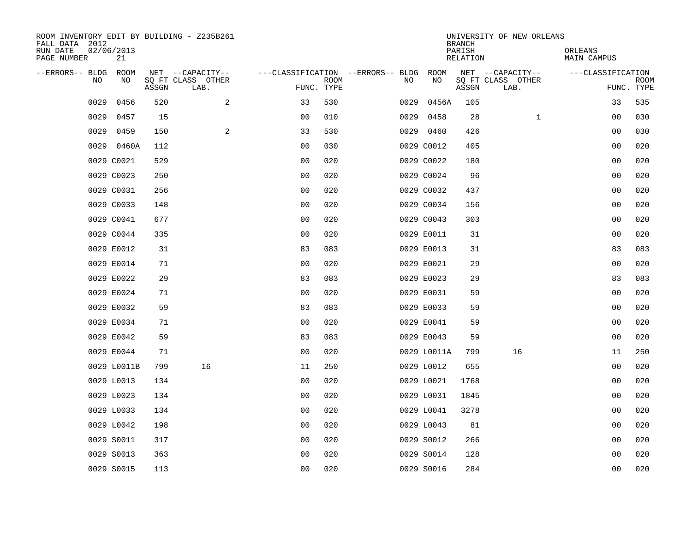| ROOM INVENTORY EDIT BY BUILDING - Z235B261<br>FALL DATA 2012<br>RUN DATE | 02/06/2013  |       |                                       |                                   |             |      |             | <b>BRANCH</b><br>PARISH | UNIVERSITY OF NEW ORLEANS             | ORLEANS            |             |
|--------------------------------------------------------------------------|-------------|-------|---------------------------------------|-----------------------------------|-------------|------|-------------|-------------------------|---------------------------------------|--------------------|-------------|
| PAGE NUMBER                                                              | 21          |       |                                       |                                   |             |      |             | RELATION                |                                       | <b>MAIN CAMPUS</b> |             |
| --ERRORS-- BLDG<br><b>NO</b>                                             | ROOM<br>NO. |       | NET --CAPACITY--<br>SO FT CLASS OTHER | ---CLASSIFICATION --ERRORS-- BLDG | <b>ROOM</b> | NO.  | ROOM<br>NO  |                         | NET --CAPACITY--<br>SQ FT CLASS OTHER | ---CLASSIFICATION  | <b>ROOM</b> |
|                                                                          |             | ASSGN | LAB.                                  | FUNC. TYPE                        |             |      |             | ASSGN                   | LAB.                                  |                    | FUNC. TYPE  |
| 0029                                                                     | 0456        | 520   | 2                                     | 33                                | 530         | 0029 | 0456A       | 105                     |                                       | 33                 | 535         |
| 0029                                                                     | 0457        | 15    |                                       | 0 <sub>0</sub>                    | 010         |      | 0029 0458   | 28                      | $\mathbf{1}$                          | 00                 | 030         |
| 0029                                                                     | 0459        | 150   | 2                                     | 33                                | 530         |      | 0029 0460   | 426                     |                                       | 00                 | 030         |
|                                                                          | 0029 0460A  | 112   |                                       | 0 <sub>0</sub>                    | 030         |      | 0029 C0012  | 405                     |                                       | 0 <sub>0</sub>     | 020         |
|                                                                          | 0029 C0021  | 529   |                                       | 00                                | 020         |      | 0029 C0022  | 180                     |                                       | 00                 | 020         |
|                                                                          | 0029 C0023  | 250   |                                       | 0 <sub>0</sub>                    | 020         |      | 0029 C0024  | 96                      |                                       | 00                 | 020         |
|                                                                          | 0029 C0031  | 256   |                                       | 0 <sub>0</sub>                    | 020         |      | 0029 C0032  | 437                     |                                       | 00                 | 020         |
|                                                                          | 0029 C0033  | 148   |                                       | 0 <sub>0</sub>                    | 020         |      | 0029 C0034  | 156                     |                                       | 0 <sub>0</sub>     | 020         |
|                                                                          | 0029 C0041  | 677   |                                       | 0 <sub>0</sub>                    | 020         |      | 0029 C0043  | 303                     |                                       | 0 <sub>0</sub>     | 020         |
|                                                                          | 0029 C0044  | 335   |                                       | 0 <sub>0</sub>                    | 020         |      | 0029 E0011  | 31                      |                                       | 0 <sub>0</sub>     | 020         |
|                                                                          | 0029 E0012  | 31    |                                       | 83                                | 083         |      | 0029 E0013  | 31                      |                                       | 83                 | 083         |
|                                                                          | 0029 E0014  | 71    |                                       | 0 <sub>0</sub>                    | 020         |      | 0029 E0021  | 29                      |                                       | 0 <sub>0</sub>     | 020         |
|                                                                          | 0029 E0022  | 29    |                                       | 83                                | 083         |      | 0029 E0023  | 29                      |                                       | 83                 | 083         |
|                                                                          | 0029 E0024  | 71    |                                       | 0 <sub>0</sub>                    | 020         |      | 0029 E0031  | 59                      |                                       | 00                 | 020         |
|                                                                          | 0029 E0032  | 59    |                                       | 83                                | 083         |      | 0029 E0033  | 59                      |                                       | 00                 | 020         |
|                                                                          | 0029 E0034  | 71    |                                       | 0 <sub>0</sub>                    | 020         |      | 0029 E0041  | 59                      |                                       | 0 <sub>0</sub>     | 020         |
|                                                                          | 0029 E0042  | 59    |                                       | 83                                | 083         |      | 0029 E0043  | 59                      |                                       | 0 <sub>0</sub>     | 020         |
|                                                                          | 0029 E0044  | 71    |                                       | 0 <sub>0</sub>                    | 020         |      | 0029 L0011A | 799                     | 16                                    | 11                 | 250         |
|                                                                          | 0029 L0011B | 799   | 16                                    | 11                                | 250         |      | 0029 L0012  | 655                     |                                       | 0 <sub>0</sub>     | 020         |
|                                                                          | 0029 L0013  | 134   |                                       | 0 <sub>0</sub>                    | 020         |      | 0029 L0021  | 1768                    |                                       | 0 <sub>0</sub>     | 020         |
|                                                                          | 0029 L0023  | 134   |                                       | 0 <sub>0</sub>                    | 020         |      | 0029 L0031  | 1845                    |                                       | 00                 | 020         |
|                                                                          | 0029 L0033  | 134   |                                       | 0 <sub>0</sub>                    | 020         |      | 0029 L0041  | 3278                    |                                       | 00                 | 020         |
|                                                                          | 0029 L0042  | 198   |                                       | 0 <sub>0</sub>                    | 020         |      | 0029 L0043  | 81                      |                                       | 00                 | 020         |
|                                                                          | 0029 S0011  | 317   |                                       | 0 <sub>0</sub>                    | 020         |      | 0029 S0012  | 266                     |                                       | 00                 | 020         |
|                                                                          | 0029 S0013  | 363   |                                       | 0 <sub>0</sub>                    | 020         |      | 0029 S0014  | 128                     |                                       | 00                 | 020         |
|                                                                          | 0029 S0015  | 113   |                                       | 0 <sub>0</sub>                    | 020         |      | 0029 S0016  | 284                     |                                       | 0 <sub>0</sub>     | 020         |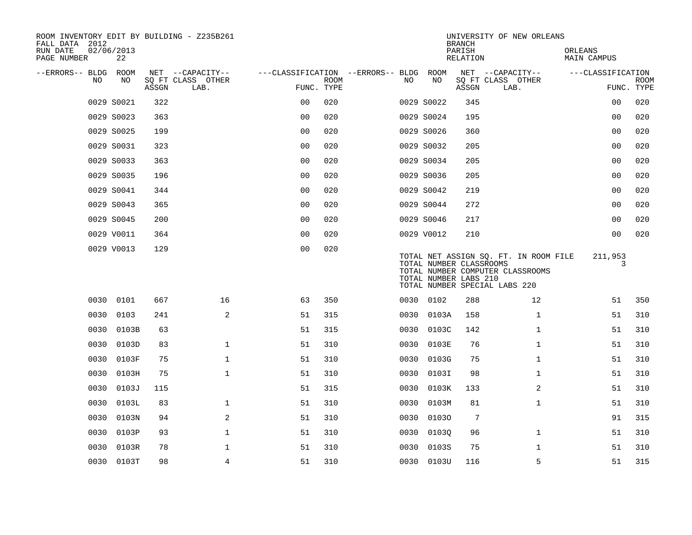| ROOM INVENTORY EDIT BY BUILDING - Z235B261<br>FALL DATA 2012<br>RUN DATE | 02/06/2013 |       |                                       |                                        |             |      |            | <b>BRANCH</b><br>PARISH                          | UNIVERSITY OF NEW ORLEANS                                                                                  | ORLEANS           |             |
|--------------------------------------------------------------------------|------------|-------|---------------------------------------|----------------------------------------|-------------|------|------------|--------------------------------------------------|------------------------------------------------------------------------------------------------------------|-------------------|-------------|
| PAGE NUMBER                                                              | 22         |       |                                       |                                        |             |      |            | <b>RELATION</b>                                  |                                                                                                            | MAIN CAMPUS       |             |
| --ERRORS-- BLDG ROOM<br>NO.                                              | NO         |       | NET --CAPACITY--<br>SQ FT CLASS OTHER | ---CLASSIFICATION --ERRORS-- BLDG ROOM | <b>ROOM</b> | NO.  | NO         |                                                  | NET --CAPACITY--<br>SQ FT CLASS OTHER                                                                      | ---CLASSIFICATION | <b>ROOM</b> |
|                                                                          |            | ASSGN | LAB.                                  | FUNC. TYPE                             |             |      |            | ASSGN                                            | LAB.                                                                                                       |                   | FUNC. TYPE  |
|                                                                          | 0029 S0021 | 322   |                                       | 0 <sub>0</sub>                         | 020         |      | 0029 S0022 | 345                                              |                                                                                                            | 00                | 020         |
|                                                                          | 0029 S0023 | 363   |                                       | 0 <sub>0</sub>                         | 020         |      | 0029 S0024 | 195                                              |                                                                                                            | 0 <sub>0</sub>    | 020         |
|                                                                          | 0029 S0025 | 199   |                                       | 0 <sub>0</sub>                         | 020         |      | 0029 S0026 | 360                                              |                                                                                                            | 00                | 020         |
|                                                                          | 0029 S0031 | 323   |                                       | 00                                     | 020         |      | 0029 S0032 | 205                                              |                                                                                                            | 0 <sub>0</sub>    | 020         |
|                                                                          | 0029 S0033 | 363   |                                       | 0 <sub>0</sub>                         | 020         |      | 0029 S0034 | 205                                              |                                                                                                            | 0 <sub>0</sub>    | 020         |
|                                                                          | 0029 S0035 | 196   |                                       | 0 <sub>0</sub>                         | 020         |      | 0029 S0036 | 205                                              |                                                                                                            | 0 <sub>0</sub>    | 020         |
|                                                                          | 0029 S0041 | 344   |                                       | 0 <sub>0</sub>                         | 020         |      | 0029 S0042 | 219                                              |                                                                                                            | 00                | 020         |
|                                                                          | 0029 S0043 | 365   |                                       | 0 <sub>0</sub>                         | 020         |      | 0029 S0044 | 272                                              |                                                                                                            | 0 <sub>0</sub>    | 020         |
|                                                                          | 0029 S0045 | 200   |                                       | 0 <sub>0</sub>                         | 020         |      | 0029 S0046 | 217                                              |                                                                                                            | 00                | 020         |
|                                                                          | 0029 V0011 | 364   |                                       | 0 <sub>0</sub>                         | 020         |      | 0029 V0012 | 210                                              |                                                                                                            | 0 <sub>0</sub>    | 020         |
|                                                                          | 0029 V0013 | 129   |                                       | 0 <sub>0</sub>                         | 020         |      |            | TOTAL NUMBER CLASSROOMS<br>TOTAL NUMBER LABS 210 | TOTAL NET ASSIGN SQ. FT. IN ROOM FILE<br>TOTAL NUMBER COMPUTER CLASSROOMS<br>TOTAL NUMBER SPECIAL LABS 220 | 211,953<br>3      |             |
|                                                                          | 0030 0101  | 667   | 16                                    | 63                                     | 350         |      | 0030 0102  | 288                                              | 12                                                                                                         | 51                | 350         |
| 0030                                                                     | 0103       | 241   | $\mathbf{2}$                          | 51                                     | 315         | 0030 | 0103A      | 158                                              | $\mathbf{1}$                                                                                               | 51                | 310         |
| 0030                                                                     | 0103B      | 63    |                                       | 51                                     | 315         | 0030 | 0103C      | 142                                              | $\mathbf{1}$                                                                                               | 51                | 310         |
| 0030                                                                     | 0103D      | 83    | $\mathbf{1}$                          | 51                                     | 310         | 0030 | 0103E      | 76                                               | $\mathbf{1}$                                                                                               | 51                | 310         |
| 0030                                                                     | 0103F      | 75    | $\mathbf{1}$                          | 51                                     | 310         | 0030 | 0103G      | 75                                               | $\mathbf{1}$                                                                                               | 51                | 310         |
| 0030                                                                     | 0103H      | 75    | $\mathbf 1$                           | 51                                     | 310         | 0030 | 0103I      | 98                                               | $\mathbf{1}$                                                                                               | 51                | 310         |
| 0030                                                                     | 0103J      | 115   |                                       | 51                                     | 315         | 0030 | 0103K      | 133                                              | 2                                                                                                          | 51                | 310         |
| 0030                                                                     | 0103L      | 83    | $\mathbf 1$                           | 51                                     | 310         | 0030 | 0103M      | 81                                               | $\mathbf{1}$                                                                                               | 51                | 310         |
| 0030                                                                     | 0103N      | 94    | 2                                     | 51                                     | 310         | 0030 | 01030      | 7                                                |                                                                                                            | 91                | 315         |
| 0030                                                                     | 0103P      | 93    | $\mathbf 1$                           | 51                                     | 310         | 0030 | 01030      | 96                                               | $\mathbf{1}$                                                                                               | 51                | 310         |
| 0030                                                                     | 0103R      | 78    | $\mathbf{1}$                          | 51                                     | 310         | 0030 | 0103S      | 75                                               | $\mathbf{1}$                                                                                               | 51                | 310         |
|                                                                          | 0030 0103T | 98    | $\overline{4}$                        | 51                                     | 310         |      | 0030 0103U | 116                                              | 5                                                                                                          | 51                | 315         |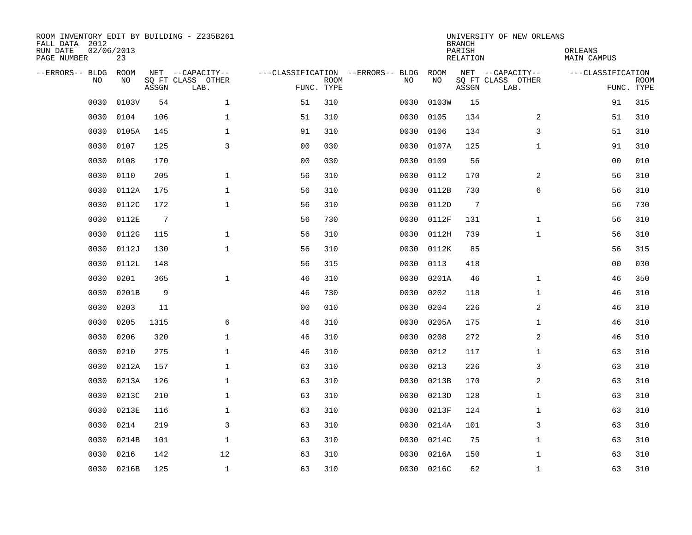| ROOM INVENTORY EDIT BY BUILDING - Z235B261<br>FALL DATA 2012<br>RUN DATE<br>PAGE NUMBER | 02/06/2013<br>23 |                 |                                               |                                                 |             |      |            | <b>BRANCH</b><br>PARISH<br><b>RELATION</b> | UNIVERSITY OF NEW ORLEANS                     | ORLEANS<br><b>MAIN CAMPUS</b> |                           |
|-----------------------------------------------------------------------------------------|------------------|-----------------|-----------------------------------------------|-------------------------------------------------|-------------|------|------------|--------------------------------------------|-----------------------------------------------|-------------------------------|---------------------------|
| --ERRORS-- BLDG<br>NO                                                                   | ROOM<br>NO       | ASSGN           | NET --CAPACITY--<br>SQ FT CLASS OTHER<br>LAB. | ---CLASSIFICATION --ERRORS-- BLDG<br>FUNC. TYPE | <b>ROOM</b> | NO   | ROOM<br>NO | ASSGN                                      | NET --CAPACITY--<br>SQ FT CLASS OTHER<br>LAB. | ---CLASSIFICATION             | <b>ROOM</b><br>FUNC. TYPE |
| 0030                                                                                    | 0103V            | 54              | $\mathbf 1$                                   | 51                                              | 310         | 0030 | 0103W      | 15                                         |                                               | 91                            | 315                       |
| 0030                                                                                    | 0104             | 106             | 1                                             | 51                                              | 310         | 0030 | 0105       | 134                                        | 2                                             | 51                            | 310                       |
| 0030                                                                                    | 0105A            | 145             | 1                                             | 91                                              | 310         | 0030 | 0106       | 134                                        | 3                                             | 51                            | 310                       |
| 0030                                                                                    | 0107             | 125             | 3                                             | 00                                              | 030         | 0030 | 0107A      | 125                                        | $\mathbf{1}$                                  | 91                            | 310                       |
| 0030                                                                                    | 0108             | 170             |                                               | 0 <sub>0</sub>                                  | 030         | 0030 | 0109       | 56                                         |                                               | 0 <sub>0</sub>                | 010                       |
| 0030                                                                                    | 0110             | 205             | $\mathbf 1$                                   | 56                                              | 310         | 0030 | 0112       | 170                                        | 2                                             | 56                            | 310                       |
| 0030                                                                                    | 0112A            | 175             | $\mathbf{1}$                                  | 56                                              | 310         | 0030 | 0112B      | 730                                        | 6                                             | 56                            | 310                       |
| 0030                                                                                    | 0112C            | 172             | $\mathbf{1}$                                  | 56                                              | 310         | 0030 | 0112D      | 7                                          |                                               | 56                            | 730                       |
| 0030                                                                                    | 0112E            | $7\phantom{.0}$ |                                               | 56                                              | 730         | 0030 | 0112F      | 131                                        | $\mathbf{1}$                                  | 56                            | 310                       |
| 0030                                                                                    | 0112G            | 115             | $\mathbf{1}$                                  | 56                                              | 310         | 0030 | 0112H      | 739                                        | $\mathbf{1}$                                  | 56                            | 310                       |
| 0030                                                                                    | 0112J            | 130             | $\mathbf{1}$                                  | 56                                              | 310         | 0030 | 0112K      | 85                                         |                                               | 56                            | 315                       |
| 0030                                                                                    | 0112L            | 148             |                                               | 56                                              | 315         | 0030 | 0113       | 418                                        |                                               | 0 <sub>0</sub>                | 030                       |
| 0030                                                                                    | 0201             | 365             | $\mathbf{1}$                                  | 46                                              | 310         | 0030 | 0201A      | 46                                         | $\mathbf{1}$                                  | 46                            | 350                       |
| 0030                                                                                    | 0201B            | 9               |                                               | 46                                              | 730         | 0030 | 0202       | 118                                        | $\mathbf{1}$                                  | 46                            | 310                       |
| 0030                                                                                    | 0203             | 11              |                                               | 0 <sub>0</sub>                                  | 010         | 0030 | 0204       | 226                                        | 2                                             | 46                            | 310                       |
| 0030                                                                                    | 0205             | 1315            | 6                                             | 46                                              | 310         | 0030 | 0205A      | 175                                        | $\mathbf{1}$                                  | 46                            | 310                       |
| 0030                                                                                    | 0206             | 320             | $\mathbf 1$                                   | 46                                              | 310         | 0030 | 0208       | 272                                        | 2                                             | 46                            | 310                       |
| 0030                                                                                    | 0210             | 275             | $\mathbf 1$                                   | 46                                              | 310         | 0030 | 0212       | 117                                        | $\mathbf{1}$                                  | 63                            | 310                       |
| 0030                                                                                    | 0212A            | 157             | $\mathbf 1$                                   | 63                                              | 310         | 0030 | 0213       | 226                                        | 3                                             | 63                            | 310                       |
| 0030                                                                                    | 0213A            | 126             | $\mathbf{1}$                                  | 63                                              | 310         | 0030 | 0213B      | 170                                        | 2                                             | 63                            | 310                       |
| 0030                                                                                    | 0213C            | 210             | $\mathbf{1}$                                  | 63                                              | 310         | 0030 | 0213D      | 128                                        | $\mathbf{1}$                                  | 63                            | 310                       |
| 0030                                                                                    | 0213E            | 116             | $\mathbf{1}$                                  | 63                                              | 310         | 0030 | 0213F      | 124                                        | $\mathbf{1}$                                  | 63                            | 310                       |
| 0030                                                                                    | 0214             | 219             | 3                                             | 63                                              | 310         | 0030 | 0214A      | 101                                        | 3                                             | 63                            | 310                       |
| 0030                                                                                    | 0214B            | 101             | $\mathbf 1$                                   | 63                                              | 310         | 0030 | 0214C      | 75                                         | $\mathbf{1}$                                  | 63                            | 310                       |
| 0030                                                                                    | 0216             | 142             | 12                                            | 63                                              | 310         | 0030 | 0216A      | 150                                        | $\mathbf{1}$                                  | 63                            | 310                       |
|                                                                                         | 0030 0216B       | 125             | $\mathbf 1$                                   | 63                                              | 310         |      | 0030 0216C | 62                                         | $\mathbf{1}$                                  | 63                            | 310                       |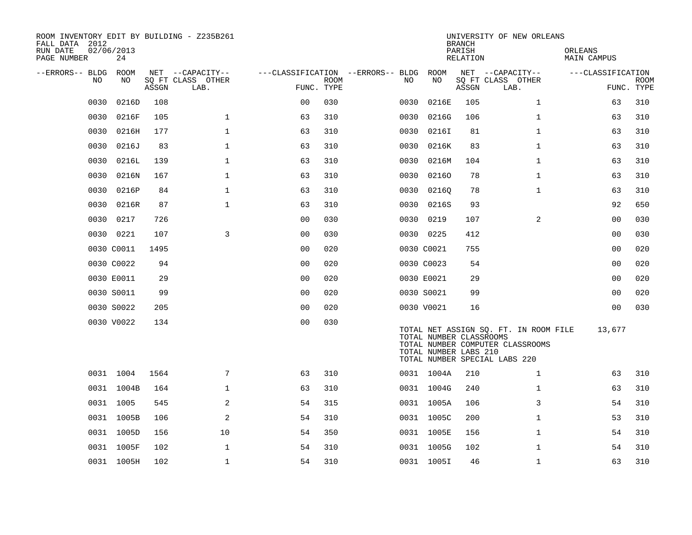| ROOM INVENTORY EDIT BY BUILDING - Z235B261<br>FALL DATA 2012<br>RUN DATE<br>PAGE NUMBER | 02/06/2013<br>24 |       |                           |                |             |                                   |                                                  | <b>BRANCH</b><br>PARISH<br>RELATION | UNIVERSITY OF NEW ORLEANS                                                                                  | ORLEANS<br><b>MAIN CAMPUS</b> |                           |
|-----------------------------------------------------------------------------------------|------------------|-------|---------------------------|----------------|-------------|-----------------------------------|--------------------------------------------------|-------------------------------------|------------------------------------------------------------------------------------------------------------|-------------------------------|---------------------------|
| --ERRORS-- BLDG ROOM                                                                    |                  |       | NET --CAPACITY--          |                |             | ---CLASSIFICATION --ERRORS-- BLDG | ROOM                                             |                                     | NET --CAPACITY--                                                                                           | ---CLASSIFICATION             |                           |
| NO.                                                                                     | NO               | ASSGN | SO FT CLASS OTHER<br>LAB. | FUNC. TYPE     | <b>ROOM</b> | NO.                               | NO                                               | ASSGN                               | SQ FT CLASS OTHER<br>LAB.                                                                                  |                               | <b>ROOM</b><br>FUNC. TYPE |
| 0030                                                                                    | 0216D            | 108   |                           | 0 <sub>0</sub> | 030         | 0030                              | 0216E                                            | 105                                 | $\mathbf{1}$                                                                                               | 63                            | 310                       |
| 0030                                                                                    | 0216F            | 105   | $\mathbf{1}$              | 63             | 310         | 0030                              | 0216G                                            | 106                                 | $\mathbf{1}$                                                                                               | 63                            | 310                       |
| 0030                                                                                    | 0216H            | 177   | $\mathbf 1$               | 63             | 310         | 0030                              | 02161                                            | 81                                  | $\mathbf{1}$                                                                                               | 63                            | 310                       |
| 0030                                                                                    | 0216J            | 83    | $\mathbf{1}$              | 63             | 310         | 0030                              | 0216K                                            | 83                                  | $\mathbf{1}$                                                                                               | 63                            | 310                       |
| 0030                                                                                    | 0216L            | 139   | $\mathbf 1$               | 63             | 310         | 0030                              | 0216M                                            | 104                                 | $\mathbf{1}$                                                                                               | 63                            | 310                       |
| 0030                                                                                    | 0216N            | 167   | $\mathbf{1}$              | 63             | 310         | 0030                              | 02160                                            | 78                                  | $\mathbf{1}$                                                                                               | 63                            | 310                       |
| 0030                                                                                    | 0216P            | 84    | $\mathbf{1}$              | 63             | 310         |                                   | 0030 02160                                       | 78                                  | $\mathbf{1}$                                                                                               | 63                            | 310                       |
| 0030                                                                                    | 0216R            | 87    | $\mathbf{1}$              | 63             | 310         | 0030                              | 0216S                                            | 93                                  |                                                                                                            | 92                            | 650                       |
| 0030                                                                                    | 0217             | 726   |                           | 0 <sub>0</sub> | 030         |                                   | 0030 0219                                        | 107                                 | 2                                                                                                          | 0 <sub>0</sub>                | 030                       |
|                                                                                         | 0030 0221        | 107   | 3                         | 0 <sub>0</sub> | 030         |                                   | 0030 0225                                        | 412                                 |                                                                                                            | 00                            | 030                       |
|                                                                                         | 0030 C0011       | 1495  |                           | 0 <sub>0</sub> | 020         |                                   | 0030 C0021                                       | 755                                 |                                                                                                            | 0 <sub>0</sub>                | 020                       |
|                                                                                         | 0030 C0022       | 94    |                           | 0 <sub>0</sub> | 020         |                                   | 0030 C0023                                       | 54                                  |                                                                                                            | 0 <sub>0</sub>                | 020                       |
|                                                                                         | 0030 E0011       | 29    |                           | 0 <sub>0</sub> | 020         |                                   | 0030 E0021                                       | 29                                  |                                                                                                            | 00                            | 020                       |
|                                                                                         | 0030 S0011       | 99    |                           | 0 <sub>0</sub> | 020         |                                   | 0030 S0021                                       | 99                                  |                                                                                                            | 0 <sub>0</sub>                | 020                       |
|                                                                                         | 0030 S0022       | 205   |                           | 0 <sub>0</sub> | 020         |                                   | 0030 V0021                                       | 16                                  |                                                                                                            | 0 <sub>0</sub>                | 030                       |
|                                                                                         | 0030 V0022       | 134   |                           | 00             | 030         |                                   | TOTAL NUMBER CLASSROOMS<br>TOTAL NUMBER LABS 210 |                                     | TOTAL NET ASSIGN SQ. FT. IN ROOM FILE<br>TOTAL NUMBER COMPUTER CLASSROOMS<br>TOTAL NUMBER SPECIAL LABS 220 | 13,677                        |                           |
|                                                                                         | 0031 1004        | 1564  | 7                         | 63             | 310         |                                   | 0031 1004A                                       | 210                                 | $\mathbf{1}$                                                                                               | 63                            | 310                       |
|                                                                                         | 0031 1004B       | 164   | $\mathbf 1$               | 63             | 310         |                                   | 0031 1004G                                       | 240                                 | $\mathbf{1}$                                                                                               | 63                            | 310                       |
|                                                                                         | 0031 1005        | 545   | 2                         | 54             | 315         |                                   | 0031 1005A                                       | 106                                 | 3                                                                                                          | 54                            | 310                       |
|                                                                                         | 0031 1005B       | 106   | 2                         | 54             | 310         |                                   | 0031 1005C                                       | 200                                 | $\mathbf{1}$                                                                                               | 53                            | 310                       |
|                                                                                         | 0031 1005D       | 156   | 10                        | 54             | 350         |                                   | 0031 1005E                                       | 156                                 | $\mathbf{1}$                                                                                               | 54                            | 310                       |
|                                                                                         | 0031 1005F       | 102   | $\mathbf{1}$              | 54             | 310         |                                   | 0031 1005G                                       | 102                                 | $\mathbf{1}$                                                                                               | 54                            | 310                       |
|                                                                                         | 0031 1005H       | 102   | $\mathbf 1$               | 54             | 310         |                                   | 0031 1005I                                       | 46                                  | $\mathbf{1}$                                                                                               | 63                            | 310                       |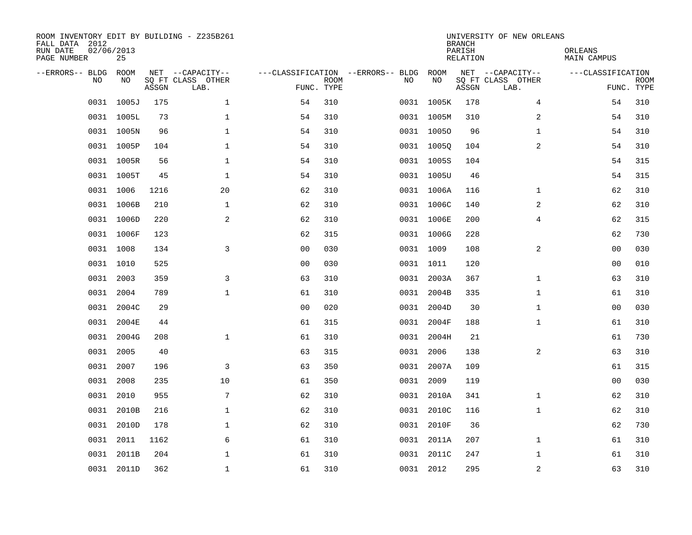| ROOM INVENTORY EDIT BY BUILDING - Z235B261<br>FALL DATA 2012<br>RUN DATE<br>PAGE NUMBER | 02/06/2013<br>25 |       |                                               |                                                 |             |           |            | <b>BRANCH</b><br>PARISH<br><b>RELATION</b> | UNIVERSITY OF NEW ORLEANS                     | ORLEANS<br><b>MAIN CAMPUS</b> |                           |
|-----------------------------------------------------------------------------------------|------------------|-------|-----------------------------------------------|-------------------------------------------------|-------------|-----------|------------|--------------------------------------------|-----------------------------------------------|-------------------------------|---------------------------|
| --ERRORS-- BLDG<br>NO                                                                   | ROOM<br>NO       | ASSGN | NET --CAPACITY--<br>SQ FT CLASS OTHER<br>LAB. | ---CLASSIFICATION --ERRORS-- BLDG<br>FUNC. TYPE | <b>ROOM</b> | NO        | ROOM<br>NO | ASSGN                                      | NET --CAPACITY--<br>SQ FT CLASS OTHER<br>LAB. | ---CLASSIFICATION             | <b>ROOM</b><br>FUNC. TYPE |
|                                                                                         | 0031 1005J       | 175   | $\mathbf 1$                                   | 54                                              | 310         |           | 0031 1005K | 178                                        | 4                                             | 54                            | 310                       |
|                                                                                         | 0031 1005L       | 73    | 1                                             | 54                                              | 310         |           | 0031 1005M | 310                                        | 2                                             | 54                            | 310                       |
|                                                                                         | 0031 1005N       | 96    | 1                                             | 54                                              | 310         |           | 0031 10050 | 96                                         | $\mathbf{1}$                                  | 54                            | 310                       |
|                                                                                         | 0031 1005P       | 104   | $\mathbf 1$                                   | 54                                              | 310         |           | 0031 1005Q | 104                                        | $\overline{a}$                                | 54                            | 310                       |
|                                                                                         | 0031 1005R       | 56    | $\mathbf{1}$                                  | 54                                              | 310         |           | 0031 1005S | 104                                        |                                               | 54                            | 315                       |
|                                                                                         | 0031 1005T       | 45    | $\mathbf{1}$                                  | 54                                              | 310         |           | 0031 1005U | 46                                         |                                               | 54                            | 315                       |
|                                                                                         | 0031 1006        | 1216  | 20                                            | 62                                              | 310         |           | 0031 1006A | 116                                        | $\mathbf{1}$                                  | 62                            | 310                       |
|                                                                                         | 0031 1006B       | 210   | $\mathbf{1}$                                  | 62                                              | 310         |           | 0031 1006C | 140                                        | 2                                             | 62                            | 310                       |
|                                                                                         | 0031 1006D       | 220   | 2                                             | 62                                              | 310         |           | 0031 1006E | 200                                        | 4                                             | 62                            | 315                       |
|                                                                                         | 0031 1006F       | 123   |                                               | 62                                              | 315         |           | 0031 1006G | 228                                        |                                               | 62                            | 730                       |
|                                                                                         | 0031 1008        | 134   | 3                                             | 0 <sub>0</sub>                                  | 030         | 0031 1009 |            | 108                                        | $\overline{2}$                                | 0 <sub>0</sub>                | 030                       |
|                                                                                         | 0031 1010        | 525   |                                               | 0 <sub>0</sub>                                  | 030         | 0031 1011 |            | 120                                        |                                               | 0 <sub>0</sub>                | 010                       |
| 0031                                                                                    | 2003             | 359   | 3                                             | 63                                              | 310         | 0031      | 2003A      | 367                                        | $\mathbf{1}$                                  | 63                            | 310                       |
| 0031                                                                                    | 2004             | 789   | $\mathbf{1}$                                  | 61                                              | 310         |           | 0031 2004B | 335                                        | $\mathbf{1}$                                  | 61                            | 310                       |
| 0031                                                                                    | 2004C            | 29    |                                               | 0 <sub>0</sub>                                  | 020         | 0031      | 2004D      | 30                                         | $\mathbf{1}$                                  | 00                            | 030                       |
| 0031                                                                                    | 2004E            | 44    |                                               | 61                                              | 315         |           | 0031 2004F | 188                                        | $\mathbf{1}$                                  | 61                            | 310                       |
| 0031                                                                                    | 2004G            | 208   | $\mathbf{1}$                                  | 61                                              | 310         | 0031      | 2004H      | 21                                         |                                               | 61                            | 730                       |
| 0031                                                                                    | 2005             | 40    |                                               | 63                                              | 315         | 0031      | 2006       | 138                                        | 2                                             | 63                            | 310                       |
| 0031                                                                                    | 2007             | 196   | 3                                             | 63                                              | 350         | 0031      | 2007A      | 109                                        |                                               | 61                            | 315                       |
| 0031                                                                                    | 2008             | 235   | 10                                            | 61                                              | 350         | 0031 2009 |            | 119                                        |                                               | 00                            | 030                       |
| 0031                                                                                    | 2010             | 955   | 7                                             | 62                                              | 310         | 0031      | 2010A      | 341                                        | $\mathbf{1}$                                  | 62                            | 310                       |
| 0031                                                                                    | 2010B            | 216   | $\mathbf 1$                                   | 62                                              | 310         | 0031      | 2010C      | 116                                        | $\mathbf{1}$                                  | 62                            | 310                       |
|                                                                                         | 0031 2010D       | 178   | 1                                             | 62                                              | 310         |           | 0031 2010F | 36                                         |                                               | 62                            | 730                       |
| 0031                                                                                    | 2011             | 1162  | 6                                             | 61                                              | 310         |           | 0031 2011A | 207                                        | $\mathbf{1}$                                  | 61                            | 310                       |
| 0031                                                                                    | 2011B            | 204   | $\mathbf{1}$                                  | 61                                              | 310         | 0031      | 2011C      | 247                                        | $\mathbf{1}$                                  | 61                            | 310                       |
|                                                                                         | 0031 2011D       | 362   | $\mathbf{1}$                                  | 61                                              | 310         | 0031 2012 |            | 295                                        | $\boldsymbol{2}$                              | 63                            | 310                       |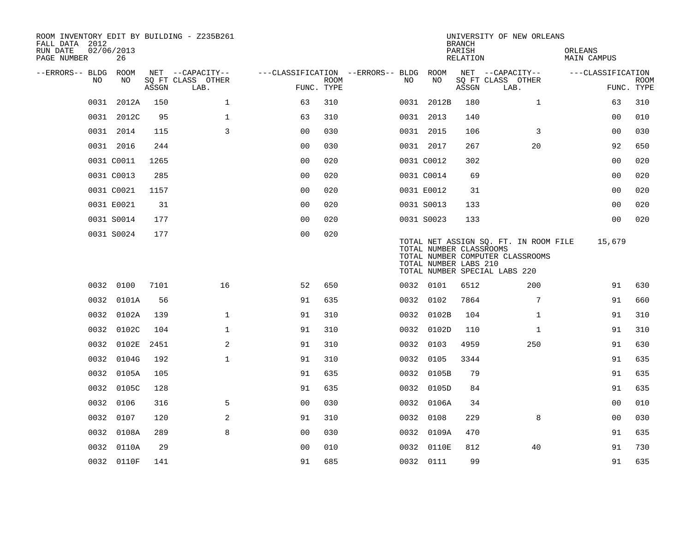| ROOM INVENTORY EDIT BY BUILDING - Z235B261<br>FALL DATA 2012<br>RUN DATE<br>PAGE NUMBER | 02/06/2013<br>26 |       |       |                           |                                        |                           |     |                                                  | <b>BRANCH</b><br>PARISH<br>RELATION | UNIVERSITY OF NEW ORLEANS                                                                                  | ORLEANS<br>MAIN CAMPUS |                           |
|-----------------------------------------------------------------------------------------|------------------|-------|-------|---------------------------|----------------------------------------|---------------------------|-----|--------------------------------------------------|-------------------------------------|------------------------------------------------------------------------------------------------------------|------------------------|---------------------------|
| --ERRORS-- BLDG ROOM                                                                    |                  |       |       | NET --CAPACITY--          | ---CLASSIFICATION --ERRORS-- BLDG ROOM |                           |     |                                                  |                                     | NET --CAPACITY--                                                                                           | ---CLASSIFICATION      |                           |
| NO                                                                                      |                  | NO    | ASSGN | SQ FT CLASS OTHER<br>LAB. |                                        | <b>ROOM</b><br>FUNC. TYPE | NO. | NO                                               | ASSGN                               | SQ FT CLASS OTHER<br>LAB.                                                                                  |                        | <b>ROOM</b><br>FUNC. TYPE |
|                                                                                         | 0031 2012A       |       | 150   | $\mathbf{1}$              | 63                                     | 310                       |     | 0031 2012B                                       | 180                                 | $\mathbf{1}$                                                                                               | 63                     | 310                       |
|                                                                                         | 0031 2012C       |       | 95    | $\mathbf{1}$              | 63                                     | 310                       |     | 0031 2013                                        | 140                                 |                                                                                                            | 00                     | 010                       |
|                                                                                         | 0031 2014        |       | 115   | 3                         | 0 <sub>0</sub>                         | 030                       |     | 0031 2015                                        | 106                                 | 3                                                                                                          | 0 <sub>0</sub>         | 030                       |
|                                                                                         | 0031 2016        |       | 244   |                           | 0 <sub>0</sub>                         | 030                       |     | 0031 2017                                        | 267                                 | 20                                                                                                         | 92                     | 650                       |
|                                                                                         | 0031 C0011       |       | 1265  |                           | 0 <sub>0</sub>                         | 020                       |     | 0031 C0012                                       | 302                                 |                                                                                                            | 0 <sub>0</sub>         | 020                       |
|                                                                                         | 0031 C0013       |       | 285   |                           | 0 <sub>0</sub>                         | 020                       |     | 0031 C0014                                       | 69                                  |                                                                                                            | 00                     | 020                       |
|                                                                                         | 0031 C0021       |       | 1157  |                           | 0 <sub>0</sub>                         | 020                       |     | 0031 E0012                                       | 31                                  |                                                                                                            | 0 <sub>0</sub>         | 020                       |
|                                                                                         | 0031 E0021       |       | 31    |                           | 00                                     | 020                       |     | 0031 S0013                                       | 133                                 |                                                                                                            | 00                     | 020                       |
|                                                                                         | 0031 S0014       |       | 177   |                           | 0 <sub>0</sub>                         | 020                       |     | 0031 S0023                                       | 133                                 |                                                                                                            | 0 <sub>0</sub>         | 020                       |
|                                                                                         | 0031 S0024       |       | 177   |                           | 0 <sub>0</sub>                         | 020                       |     | TOTAL NUMBER CLASSROOMS<br>TOTAL NUMBER LABS 210 |                                     | TOTAL NET ASSIGN SQ. FT. IN ROOM FILE<br>TOTAL NUMBER COMPUTER CLASSROOMS<br>TOTAL NUMBER SPECIAL LABS 220 | 15,679                 |                           |
|                                                                                         | 0032 0100        |       | 7101  | 16                        | 52                                     | 650                       |     | 0032 0101                                        | 6512                                | 200                                                                                                        | 91                     | 630                       |
|                                                                                         | 0032 0101A       |       | 56    |                           | 91                                     | 635                       |     | 0032 0102                                        | 7864                                | $7\phantom{.0}$                                                                                            | 91                     | 660                       |
| 0032                                                                                    |                  | 0102A | 139   | $\mathbf{1}$              | 91                                     | 310                       |     | 0032 0102B                                       | 104                                 | $\mathbf{1}$                                                                                               | 91                     | 310                       |
|                                                                                         | 0032 0102C       |       | 104   | $\mathbf 1$               | 91                                     | 310                       |     | 0032 0102D                                       | 110                                 | $\mathbf{1}$                                                                                               | 91                     | 310                       |
| 0032                                                                                    |                  | 0102E | 2451  | 2                         | 91                                     | 310                       |     | 0032 0103                                        | 4959                                | 250                                                                                                        | 91                     | 630                       |
| 0032                                                                                    |                  | 0104G | 192   | $\mathbf 1$               | 91                                     | 310                       |     | 0032 0105                                        | 3344                                |                                                                                                            | 91                     | 635                       |
|                                                                                         | 0032 0105A       |       | 105   |                           | 91                                     | 635                       |     | 0032 0105B                                       | 79                                  |                                                                                                            | 91                     | 635                       |
|                                                                                         | 0032 0105C       |       | 128   |                           | 91                                     | 635                       |     | 0032 0105D                                       | 84                                  |                                                                                                            | 91                     | 635                       |
|                                                                                         | 0032 0106        |       | 316   | 5                         | 0 <sub>0</sub>                         | 030                       |     | 0032 0106A                                       | 34                                  |                                                                                                            | 0 <sub>0</sub>         | 010                       |
|                                                                                         | 0032 0107        |       | 120   | 2                         | 91                                     | 310                       |     | 0032 0108                                        | 229                                 | 8                                                                                                          | 0 <sub>0</sub>         | 030                       |
|                                                                                         | 0032 0108A       |       | 289   | 8                         | 00                                     | 030                       |     | 0032 0109A                                       | 470                                 |                                                                                                            | 91                     | 635                       |
|                                                                                         | 0032 0110A       |       | 29    |                           | 0 <sub>0</sub>                         | 010                       |     | 0032 0110E                                       | 812                                 | 40                                                                                                         | 91                     | 730                       |
|                                                                                         | 0032 0110F       |       | 141   |                           | 91                                     | 685                       |     | 0032 0111                                        | 99                                  |                                                                                                            | 91                     | 635                       |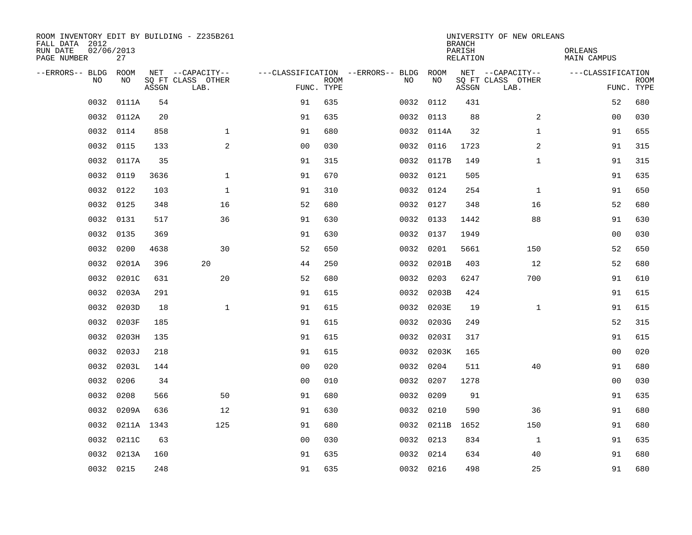| ROOM INVENTORY EDIT BY BUILDING - Z235B261<br>FALL DATA 2012<br>RUN DATE | 02/06/2013 |       |                                       |                                        |             |           |            | <b>BRANCH</b><br>PARISH | UNIVERSITY OF NEW ORLEANS             | ORLEANS           |             |
|--------------------------------------------------------------------------|------------|-------|---------------------------------------|----------------------------------------|-------------|-----------|------------|-------------------------|---------------------------------------|-------------------|-------------|
| PAGE NUMBER                                                              | 27         |       |                                       |                                        |             |           |            | RELATION                |                                       | MAIN CAMPUS       |             |
| --ERRORS-- BLDG ROOM<br>NO.                                              | NO.        |       | NET --CAPACITY--<br>SQ FT CLASS OTHER | ---CLASSIFICATION --ERRORS-- BLDG ROOM | <b>ROOM</b> | NO.       | <b>NO</b>  |                         | NET --CAPACITY--<br>SQ FT CLASS OTHER | ---CLASSIFICATION | <b>ROOM</b> |
|                                                                          |            | ASSGN | LAB.                                  | FUNC. TYPE                             |             |           |            | ASSGN                   | LAB.                                  |                   | FUNC. TYPE  |
| 0032                                                                     | 0111A      | 54    |                                       | 91                                     | 635         | 0032 0112 |            | 431                     |                                       | 52                | 680         |
| 0032                                                                     | 0112A      | 20    |                                       | 91                                     | 635         | 0032 0113 |            | 88                      | 2                                     | 00                | 030         |
| 0032                                                                     | 0114       | 858   | $\mathbf 1$                           | 91                                     | 680         |           | 0032 0114A | 32                      | $\mathbf{1}$                          | 91                | 655         |
| 0032                                                                     | 0115       | 133   | 2                                     | 0 <sub>0</sub>                         | 030         | 0032 0116 |            | 1723                    | 2                                     | 91                | 315         |
| 0032                                                                     | 0117A      | 35    |                                       | 91                                     | 315         |           | 0032 0117B | 149                     | $\mathbf{1}$                          | 91                | 315         |
| 0032                                                                     | 0119       | 3636  | $\mathbf{1}$                          | 91                                     | 670         | 0032 0121 |            | 505                     |                                       | 91                | 635         |
| 0032                                                                     | 0122       | 103   | $\mathbf{1}$                          | 91                                     | 310         | 0032 0124 |            | 254                     | $\mathbf{1}$                          | 91                | 650         |
| 0032                                                                     | 0125       | 348   | 16                                    | 52                                     | 680         | 0032 0127 |            | 348                     | 16                                    | 52                | 680         |
| 0032                                                                     | 0131       | 517   | 36                                    | 91                                     | 630         | 0032 0133 |            | 1442                    | 88                                    | 91                | 630         |
| 0032                                                                     | 0135       | 369   |                                       | 91                                     | 630         | 0032 0137 |            | 1949                    |                                       | 0 <sub>0</sub>    | 030         |
| 0032                                                                     | 0200       | 4638  | 30                                    | 52                                     | 650         | 0032 0201 |            | 5661                    | 150                                   | 52                | 650         |
| 0032                                                                     | 0201A      | 396   | 20                                    | 44                                     | 250         |           | 0032 0201B | 403                     | 12                                    | 52                | 680         |
| 0032                                                                     | 0201C      | 631   | 20                                    | 52                                     | 680         | 0032      | 0203       | 6247                    | 700                                   | 91                | 610         |
| 0032                                                                     | 0203A      | 291   |                                       | 91                                     | 615         | 0032      | 0203B      | 424                     |                                       | 91                | 615         |
| 0032                                                                     | 0203D      | 18    | $\mathbf 1$                           | 91                                     | 615         |           | 0032 0203E | 19                      | $\mathbf{1}$                          | 91                | 615         |
| 0032                                                                     | 0203F      | 185   |                                       | 91                                     | 615         |           | 0032 0203G | 249                     |                                       | 52                | 315         |
| 0032                                                                     | 0203H      | 135   |                                       | 91                                     | 615         |           | 0032 0203I | 317                     |                                       | 91                | 615         |
| 0032                                                                     | 0203J      | 218   |                                       | 91                                     | 615         |           | 0032 0203K | 165                     |                                       | 0 <sub>0</sub>    | 020         |
|                                                                          | 0032 0203L | 144   |                                       | 0 <sub>0</sub>                         | 020         | 0032 0204 |            | 511                     | 40                                    | 91                | 680         |
| 0032                                                                     | 0206       | 34    |                                       | 00                                     | 010         | 0032 0207 |            | 1278                    |                                       | 00                | 030         |
| 0032                                                                     | 0208       | 566   | 50                                    | 91                                     | 680         | 0032 0209 |            | 91                      |                                       | 91                | 635         |
| 0032                                                                     | 0209A      | 636   | 12                                    | 91                                     | 630         | 0032 0210 |            | 590                     | 36                                    | 91                | 680         |
| 0032                                                                     | 0211A 1343 |       | 125                                   | 91                                     | 680         |           | 0032 0211B | 1652                    | 150                                   | 91                | 680         |
| 0032                                                                     | 0211C      | 63    |                                       | 0 <sub>0</sub>                         | 030         | 0032 0213 |            | 834                     | $\mathbf{1}$                          | 91                | 635         |
| 0032                                                                     | 0213A      | 160   |                                       | 91                                     | 635         | 0032 0214 |            | 634                     | 40                                    | 91                | 680         |
|                                                                          | 0032 0215  | 248   |                                       | 91                                     | 635         | 0032 0216 |            | 498                     | 25                                    | 91                | 680         |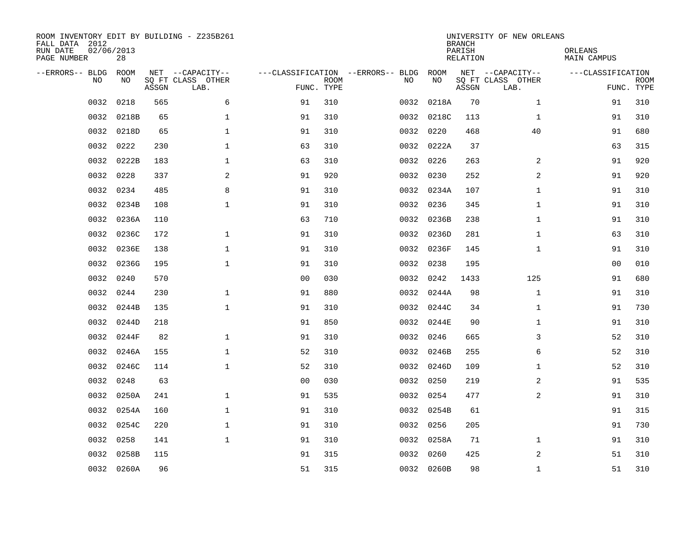| ROOM INVENTORY EDIT BY BUILDING - Z235B261<br>FALL DATA 2012<br>RUN DATE<br>PAGE NUMBER | 02/06/2013<br>28 |       |                           |                |             |                                   |      |            | <b>BRANCH</b><br>PARISH<br>RELATION | UNIVERSITY OF NEW ORLEANS | ORLEANS<br>MAIN CAMPUS |                           |
|-----------------------------------------------------------------------------------------|------------------|-------|---------------------------|----------------|-------------|-----------------------------------|------|------------|-------------------------------------|---------------------------|------------------------|---------------------------|
| --ERRORS-- BLDG                                                                         | <b>ROOM</b>      |       | NET --CAPACITY--          |                |             | ---CLASSIFICATION --ERRORS-- BLDG |      | ROOM       |                                     | NET --CAPACITY--          | ---CLASSIFICATION      |                           |
| N <sub>O</sub>                                                                          | NO.              | ASSGN | SO FT CLASS OTHER<br>LAB. | FUNC. TYPE     | <b>ROOM</b> |                                   | NO.  | NO         | ASSGN                               | SQ FT CLASS OTHER<br>LAB. |                        | <b>ROOM</b><br>FUNC. TYPE |
| 0032                                                                                    | 0218             | 565   | 6                         | 91             | 310         |                                   | 0032 | 0218A      | 70                                  | $\mathbf{1}$              | 91                     | 310                       |
| 0032                                                                                    | 0218B            | 65    | $\mathbf{1}$              | 91             | 310         |                                   |      | 0032 0218C | 113                                 | $\mathbf{1}$              | 91                     | 310                       |
| 0032                                                                                    | 0218D            | 65    | $\mathbf{1}$              | 91             | 310         |                                   |      | 0032 0220  | 468                                 | 40                        | 91                     | 680                       |
| 0032                                                                                    | 0222             | 230   | $\mathbf{1}$              | 63             | 310         |                                   |      | 0032 0222A | 37                                  |                           | 63                     | 315                       |
| 0032                                                                                    | 0222B            | 183   | 1                         | 63             | 310         |                                   | 0032 | 0226       | 263                                 | 2                         | 91                     | 920                       |
| 0032                                                                                    | 0228             | 337   | 2                         | 91             | 920         |                                   |      | 0032 0230  | 252                                 | 2                         | 91                     | 920                       |
| 0032                                                                                    | 0234             | 485   | 8                         | 91             | 310         |                                   |      | 0032 0234A | 107                                 | $\mathbf{1}$              | 91                     | 310                       |
| 0032                                                                                    | 0234B            | 108   | $\mathbf{1}$              | 91             | 310         |                                   |      | 0032 0236  | 345                                 | $\mathbf{1}$              | 91                     | 310                       |
| 0032                                                                                    | 0236A            | 110   |                           | 63             | 710         |                                   | 0032 | 0236B      | 238                                 | $\mathbf{1}$              | 91                     | 310                       |
| 0032                                                                                    | 0236C            | 172   | $\mathbf 1$               | 91             | 310         |                                   |      | 0032 0236D | 281                                 | $\mathbf{1}$              | 63                     | 310                       |
| 0032                                                                                    | 0236E            | 138   | $\mathbf 1$               | 91             | 310         |                                   | 0032 | 0236F      | 145                                 | $\mathbf{1}$              | 91                     | 310                       |
| 0032                                                                                    | 0236G            | 195   | $\mathbf 1$               | 91             | 310         |                                   |      | 0032 0238  | 195                                 |                           | 00                     | 010                       |
| 0032                                                                                    | 0240             | 570   |                           | 0 <sub>0</sub> | 030         |                                   | 0032 | 0242       | 1433                                | 125                       | 91                     | 680                       |
| 0032                                                                                    | 0244             | 230   | $\mathbf{1}$              | 91             | 880         |                                   |      | 0032 0244A | 98                                  | $\mathbf{1}$              | 91                     | 310                       |
| 0032                                                                                    | 0244B            | 135   | $\mathbf{1}$              | 91             | 310         |                                   |      | 0032 0244C | 34                                  | $\mathbf{1}$              | 91                     | 730                       |
| 0032                                                                                    | 0244D            | 218   |                           | 91             | 850         |                                   |      | 0032 0244E | 90                                  | $\mathbf{1}$              | 91                     | 310                       |
| 0032                                                                                    | 0244F            | 82    | $\mathbf 1$               | 91             | 310         |                                   | 0032 | 0246       | 665                                 | 3                         | 52                     | 310                       |
| 0032                                                                                    | 0246A            | 155   | $\mathbf{1}$              | 52             | 310         |                                   |      | 0032 0246B | 255                                 | 6                         | 52                     | 310                       |
| 0032                                                                                    | 0246C            | 114   | $\mathbf{1}$              | 52             | 310         |                                   |      | 0032 0246D | 109                                 | $\mathbf{1}$              | 52                     | 310                       |
| 0032                                                                                    | 0248             | 63    |                           | 0 <sub>0</sub> | 030         |                                   |      | 0032 0250  | 219                                 | 2                         | 91                     | 535                       |
| 0032                                                                                    | 0250A            | 241   | $\mathbf 1$               | 91             | 535         |                                   |      | 0032 0254  | 477                                 | 2                         | 91                     | 310                       |
| 0032                                                                                    | 0254A            | 160   | $\mathbf 1$               | 91             | 310         |                                   |      | 0032 0254B | 61                                  |                           | 91                     | 315                       |
| 0032                                                                                    | 0254C            | 220   | $\mathbf 1$               | 91             | 310         |                                   |      | 0032 0256  | 205                                 |                           | 91                     | 730                       |
| 0032                                                                                    | 0258             | 141   | $\mathbf{1}$              | 91             | 310         |                                   |      | 0032 0258A | 71                                  | $\mathbf{1}$              | 91                     | 310                       |
| 0032                                                                                    | 0258B            | 115   |                           | 91             | 315         |                                   | 0032 | 0260       | 425                                 | 2                         | 51                     | 310                       |
|                                                                                         | 0032 0260A       | 96    |                           | 51             | 315         |                                   |      | 0032 0260B | 98                                  | $\mathbf{1}$              | 51                     | 310                       |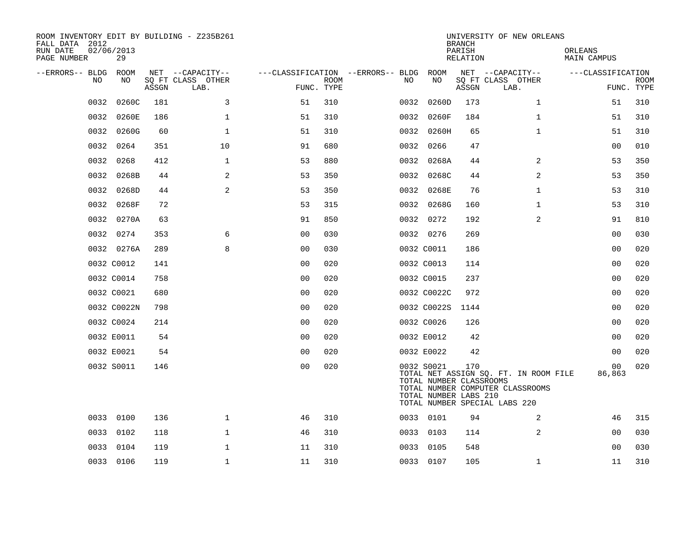| ROOM INVENTORY EDIT BY BUILDING - Z235B261<br>FALL DATA 2012<br>RUN DATE<br>PAGE NUMBER | 02/06/2013<br>29 |       |                           |                |             |                                        |             | <b>BRANCH</b><br>PARISH | RELATION                                                | UNIVERSITY OF NEW ORLEANS                                                                                  |                | ORLEANS<br>MAIN CAMPUS |                |             |
|-----------------------------------------------------------------------------------------|------------------|-------|---------------------------|----------------|-------------|----------------------------------------|-------------|-------------------------|---------------------------------------------------------|------------------------------------------------------------------------------------------------------------|----------------|------------------------|----------------|-------------|
| --ERRORS-- BLDG ROOM                                                                    |                  |       | NET --CAPACITY--          |                |             | ---CLASSIFICATION --ERRORS-- BLDG ROOM |             |                         |                                                         | NET --CAPACITY--                                                                                           |                | ---CLASSIFICATION      |                |             |
| NO.                                                                                     | NO               | ASSGN | SQ FT CLASS OTHER<br>LAB. | FUNC. TYPE     | <b>ROOM</b> | NO.                                    | NO          |                         | ASSGN                                                   | SQ FT CLASS OTHER<br>LAB.                                                                                  |                |                        | FUNC. TYPE     | <b>ROOM</b> |
| 0032                                                                                    | 0260C            | 181   | 3                         | 51             | 310         | 0032                                   | 0260D       |                         | 173                                                     |                                                                                                            | $\mathbf{1}$   |                        | 51             | 310         |
| 0032                                                                                    | 0260E            | 186   | $\mathbf{1}$              | 51             | 310         | 0032                                   | 0260F       |                         | 184                                                     |                                                                                                            | $\mathbf{1}$   |                        | 51             | 310         |
|                                                                                         | 0032 0260G       | 60    | $\mathbf{1}$              | 51             | 310         |                                        | 0032 0260H  |                         | 65                                                      |                                                                                                            | $\mathbf{1}$   |                        | 51             | 310         |
| 0032                                                                                    | 0264             | 351   | 10                        | 91             | 680         | 0032                                   | 0266        |                         | 47                                                      |                                                                                                            |                |                        | 0 <sub>0</sub> | 010         |
| 0032                                                                                    | 0268             | 412   | $\mathbf{1}$              | 53             | 880         |                                        | 0032 0268A  |                         | 44                                                      |                                                                                                            | 2              |                        | 53             | 350         |
| 0032                                                                                    | 0268B            | 44    | 2                         | 53             | 350         |                                        | 0032 0268C  |                         | 44                                                      |                                                                                                            | $\overline{a}$ |                        | 53             | 350         |
| 0032                                                                                    | 0268D            | 44    | 2                         | 53             | 350         |                                        | 0032 0268E  |                         | 76                                                      |                                                                                                            | $\mathbf{1}$   |                        | 53             | 310         |
| 0032                                                                                    | 0268F            | 72    |                           | 53             | 315         |                                        | 0032 0268G  |                         | 160                                                     |                                                                                                            | $\mathbf{1}$   |                        | 53             | 310         |
|                                                                                         | 0032 0270A       | 63    |                           | 91             | 850         |                                        | 0032 0272   |                         | 192                                                     |                                                                                                            | 2              |                        | 91             | 810         |
| 0032                                                                                    | 0274             | 353   | 6                         | 0 <sub>0</sub> | 030         |                                        | 0032 0276   |                         | 269                                                     |                                                                                                            |                |                        | 0 <sub>0</sub> | 030         |
|                                                                                         | 0032 0276A       | 289   | 8                         | 0 <sub>0</sub> | 030         |                                        | 0032 C0011  |                         | 186                                                     |                                                                                                            |                |                        | 0 <sub>0</sub> | 020         |
|                                                                                         | 0032 C0012       | 141   |                           | 00             | 020         |                                        | 0032 C0013  |                         | 114                                                     |                                                                                                            |                |                        | 00             | 020         |
|                                                                                         | 0032 C0014       | 758   |                           | 0 <sub>0</sub> | 020         |                                        | 0032 C0015  |                         | 237                                                     |                                                                                                            |                |                        | 0 <sub>0</sub> | 020         |
|                                                                                         | 0032 C0021       | 680   |                           | 0 <sub>0</sub> | 020         |                                        | 0032 C0022C |                         | 972                                                     |                                                                                                            |                |                        | 00             | 020         |
|                                                                                         | 0032 C0022N      | 798   |                           | 0 <sub>0</sub> | 020         |                                        | 0032 C0022S |                         | 1144                                                    |                                                                                                            |                |                        | 0 <sub>0</sub> | 020         |
|                                                                                         | 0032 C0024       | 214   |                           | 00             | 020         |                                        | 0032 C0026  |                         | 126                                                     |                                                                                                            |                |                        | 00             | 020         |
|                                                                                         | 0032 E0011       | 54    |                           | 0 <sub>0</sub> | 020         |                                        | 0032 E0012  |                         | 42                                                      |                                                                                                            |                |                        | 0 <sub>0</sub> | 020         |
|                                                                                         | 0032 E0021       | 54    |                           | 0 <sub>0</sub> | 020         |                                        | 0032 E0022  |                         | 42                                                      |                                                                                                            |                |                        | 0 <sub>0</sub> | 020         |
|                                                                                         | 0032 S0011       | 146   |                           | 0 <sub>0</sub> | 020         |                                        | 0032 S0021  |                         | 170<br>TOTAL NUMBER CLASSROOMS<br>TOTAL NUMBER LABS 210 | TOTAL NET ASSIGN SQ. FT. IN ROOM FILE<br>TOTAL NUMBER COMPUTER CLASSROOMS<br>TOTAL NUMBER SPECIAL LABS 220 |                |                        | 00<br>86,863   | 020         |
|                                                                                         | 0033 0100        | 136   | $\mathbf 1$               | 46             | 310         |                                        | 0033 0101   |                         | 94                                                      |                                                                                                            | 2              |                        | 46             | 315         |
| 0033                                                                                    | 0102             | 118   | $\mathbf 1$               | 46             | 310         |                                        | 0033 0103   |                         | 114                                                     |                                                                                                            | 2              |                        | 00             | 030         |
| 0033                                                                                    | 0104             | 119   | $\mathbf{1}$              | 11             | 310         |                                        | 0033 0105   |                         | 548                                                     |                                                                                                            |                |                        | 00             | 030         |
|                                                                                         | 0033 0106        | 119   | $\mathbf 1$               | 11             | 310         |                                        | 0033 0107   |                         | 105                                                     |                                                                                                            | $\mathbf{1}$   |                        | 11             | 310         |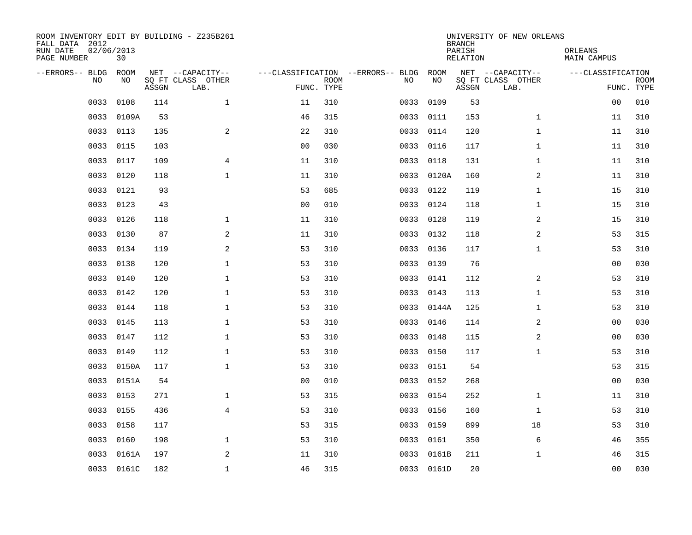| ROOM INVENTORY EDIT BY BUILDING - Z235B261<br>FALL DATA 2012<br>RUN DATE<br>PAGE NUMBER | 02/06/2013<br>30 |       |                                               |                |                           |                                         |            | <b>BRANCH</b><br>PARISH<br><b>RELATION</b> | UNIVERSITY OF NEW ORLEANS                     | ORLEANS<br><b>MAIN CAMPUS</b> |                           |
|-----------------------------------------------------------------------------------------|------------------|-------|-----------------------------------------------|----------------|---------------------------|-----------------------------------------|------------|--------------------------------------------|-----------------------------------------------|-------------------------------|---------------------------|
| --ERRORS-- BLDG<br>NO.                                                                  | ROOM<br>NO       | ASSGN | NET --CAPACITY--<br>SQ FT CLASS OTHER<br>LAB. |                | <b>ROOM</b><br>FUNC. TYPE | ---CLASSIFICATION --ERRORS-- BLDG<br>NO | ROOM<br>NO | ASSGN                                      | NET --CAPACITY--<br>SQ FT CLASS OTHER<br>LAB. | ---CLASSIFICATION             | <b>ROOM</b><br>FUNC. TYPE |
| 0033                                                                                    | 0108             | 114   | $\mathbf{1}$                                  | 11             | 310                       | 0033                                    | 0109       | 53                                         |                                               | 0 <sub>0</sub>                | 010                       |
| 0033                                                                                    | 0109A            | 53    |                                               | 46             | 315                       | 0033                                    | 0111       | 153                                        | $\mathbf{1}$                                  | 11                            | 310                       |
| 0033                                                                                    | 0113             | 135   | $\mathbf{2}$                                  | 22             | 310                       | 0033                                    | 0114       | 120                                        | $\mathbf{1}$                                  | 11                            | 310                       |
| 0033                                                                                    | 0115             | 103   |                                               | 0 <sub>0</sub> | 030                       |                                         | 0033 0116  | 117                                        | $\mathbf{1}$                                  | 11                            | 310                       |
| 0033                                                                                    | 0117             | 109   | 4                                             | 11             | 310                       | 0033                                    | 0118       | 131                                        | $\mathbf{1}$                                  | 11                            | 310                       |
| 0033                                                                                    | 0120             | 118   | $\mathbf 1$                                   | 11             | 310                       |                                         | 0033 0120A | 160                                        | 2                                             | 11                            | 310                       |
| 0033                                                                                    | 0121             | 93    |                                               | 53             | 685                       | 0033                                    | 0122       | 119                                        | $\mathbf{1}$                                  | 15                            | 310                       |
| 0033                                                                                    | 0123             | 43    |                                               | 0 <sub>0</sub> | 010                       |                                         | 0033 0124  | 118                                        | $\mathbf{1}$                                  | 15                            | 310                       |
| 0033                                                                                    | 0126             | 118   | $\mathbf 1$                                   | 11             | 310                       | 0033                                    | 0128       | 119                                        | 2                                             | 15                            | 310                       |
| 0033                                                                                    | 0130             | 87    | 2                                             | 11             | 310                       |                                         | 0033 0132  | 118                                        | 2                                             | 53                            | 315                       |
| 0033                                                                                    | 0134             | 119   | 2                                             | 53             | 310                       | 0033                                    | 0136       | 117                                        | $\mathbf{1}$                                  | 53                            | 310                       |
| 0033                                                                                    | 0138             | 120   | $\mathbf 1$                                   | 53             | 310                       |                                         | 0033 0139  | 76                                         |                                               | 0 <sub>0</sub>                | 030                       |
| 0033                                                                                    | 0140             | 120   | $\mathbf{1}$                                  | 53             | 310                       | 0033                                    | 0141       | 112                                        | 2                                             | 53                            | 310                       |
| 0033                                                                                    | 0142             | 120   | $\mathbf{1}$                                  | 53             | 310                       | 0033                                    | 0143       | 113                                        | $\mathbf{1}$                                  | 53                            | 310                       |
| 0033                                                                                    | 0144             | 118   | 1                                             | 53             | 310                       | 0033                                    | 0144A      | 125                                        | $\mathbf{1}$                                  | 53                            | 310                       |
| 0033                                                                                    | 0145             | 113   | $\mathbf 1$                                   | 53             | 310                       | 0033                                    | 0146       | 114                                        | 2                                             | 00                            | 030                       |
| 0033                                                                                    | 0147             | 112   | $\mathbf 1$                                   | 53             | 310                       | 0033                                    | 0148       | 115                                        | 2                                             | 00                            | 030                       |
| 0033                                                                                    | 0149             | 112   | $\mathbf 1$                                   | 53             | 310                       | 0033                                    | 0150       | 117                                        | $\mathbf{1}$                                  | 53                            | 310                       |
| 0033                                                                                    | 0150A            | 117   | $\mathbf{1}$                                  | 53             | 310                       |                                         | 0033 0151  | 54                                         |                                               | 53                            | 315                       |
| 0033                                                                                    | 0151A            | 54    |                                               | 0 <sub>0</sub> | 010                       |                                         | 0033 0152  | 268                                        |                                               | 00                            | 030                       |
|                                                                                         | 0033 0153        | 271   | $\mathbf{1}$                                  | 53             | 315                       |                                         | 0033 0154  | 252                                        | $\mathbf{1}$                                  | 11                            | 310                       |
| 0033                                                                                    | 0155             | 436   | $\overline{4}$                                | 53             | 310                       | 0033                                    | 0156       | 160                                        | $\mathbf{1}$                                  | 53                            | 310                       |
| 0033                                                                                    | 0158             | 117   |                                               | 53             | 315                       |                                         | 0033 0159  | 899                                        | 18                                            | 53                            | 310                       |
| 0033                                                                                    | 0160             | 198   | 1                                             | 53             | 310                       | 0033                                    | 0161       | 350                                        | 6                                             | 46                            | 355                       |
| 0033                                                                                    | 0161A            | 197   | 2                                             | 11             | 310                       | 0033                                    | 0161B      | 211                                        | $\mathbf{1}$                                  | 46                            | 315                       |
|                                                                                         | 0033 0161C       | 182   | $\mathbf 1$                                   | 46             | 315                       |                                         | 0033 0161D | 20                                         |                                               | 00                            | 030                       |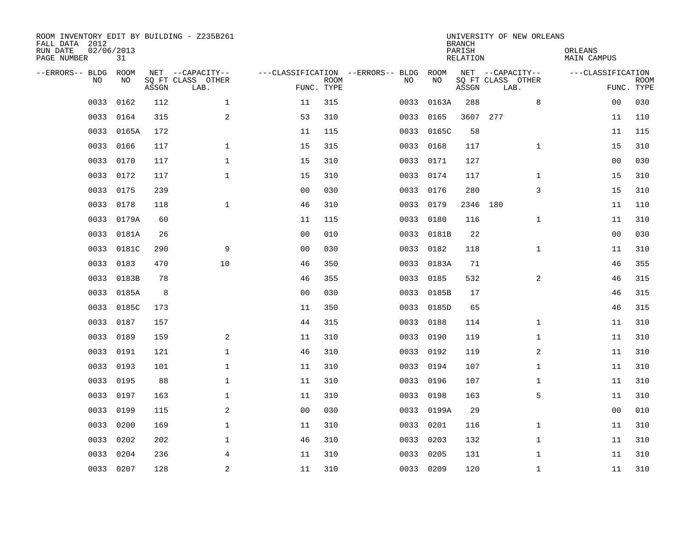| ROOM INVENTORY EDIT BY BUILDING - Z235B261<br>FALL DATA 2012<br>RUN DATE<br>PAGE NUMBER | 02/06/2013<br>31 |       |                                               |                |             |                                         |            | <b>BRANCH</b><br>PARISH<br><b>RELATION</b> | UNIVERSITY OF NEW ORLEANS                     | ORLEANS<br><b>MAIN CAMPUS</b> |                           |
|-----------------------------------------------------------------------------------------|------------------|-------|-----------------------------------------------|----------------|-------------|-----------------------------------------|------------|--------------------------------------------|-----------------------------------------------|-------------------------------|---------------------------|
| --ERRORS-- BLDG<br>NO                                                                   | ROOM<br>NO       | ASSGN | NET --CAPACITY--<br>SQ FT CLASS OTHER<br>LAB. | FUNC. TYPE     | <b>ROOM</b> | ---CLASSIFICATION --ERRORS-- BLDG<br>NO | ROOM<br>NO | ASSGN                                      | NET --CAPACITY--<br>SQ FT CLASS OTHER<br>LAB. | ---CLASSIFICATION             | <b>ROOM</b><br>FUNC. TYPE |
| 0033                                                                                    | 0162             | 112   | $\mathbf 1$                                   | 11             | 315         | 0033                                    | 0163A      | 288                                        | 8                                             | 00                            | 030                       |
| 0033                                                                                    | 0164             | 315   | 2                                             | 53             | 310         | 0033                                    | 0165       |                                            | 3607 277                                      | 11                            | 110                       |
| 0033                                                                                    | 0165A            | 172   |                                               | 11             | 115         | 0033                                    | 0165C      | 58                                         |                                               | 11                            | 115                       |
| 0033                                                                                    | 0166             | 117   | $\mathbf 1$                                   | 15             | 315         | 0033                                    | 0168       | 117                                        | $\mathbf{1}$                                  | 15                            | 310                       |
| 0033                                                                                    | 0170             | 117   | $\mathbf{1}$                                  | 15             | 310         | 0033                                    | 0171       | 127                                        |                                               | 0 <sub>0</sub>                | 030                       |
| 0033                                                                                    | 0172             | 117   | $\mathbf{1}$                                  | 15             | 310         |                                         | 0033 0174  | 117                                        | $\mathbf{1}$                                  | 15                            | 310                       |
| 0033                                                                                    | 0175             | 239   |                                               | 0 <sub>0</sub> | 030         | 0033                                    | 0176       | 280                                        | 3                                             | 15                            | 310                       |
| 0033                                                                                    | 0178             | 118   | $\mathbf{1}$                                  | 46             | 310         |                                         | 0033 0179  |                                            | 2346 180                                      | 11                            | 110                       |
| 0033                                                                                    | 0179A            | 60    |                                               | 11             | 115         | 0033                                    | 0180       | 116                                        | $\mathbf{1}$                                  | 11                            | 310                       |
| 0033                                                                                    | 0181A            | 26    |                                               | 0 <sub>0</sub> | 010         |                                         | 0033 0181B | 22                                         |                                               | 0 <sub>0</sub>                | 030                       |
| 0033                                                                                    | 0181C            | 290   | 9                                             | 0 <sub>0</sub> | 030         | 0033                                    | 0182       | 118                                        | $\mathbf{1}$                                  | 11                            | 310                       |
| 0033                                                                                    | 0183             | 470   | 10                                            | 46             | 350         | 0033                                    | 0183A      | 71                                         |                                               | 46                            | 355                       |
| 0033                                                                                    | 0183B            | 78    |                                               | 46             | 355         | 0033                                    | 0185       | 532                                        | 2                                             | 46                            | 315                       |
| 0033                                                                                    | 0185A            | 8     |                                               | 0 <sub>0</sub> | 030         | 0033                                    | 0185B      | 17                                         |                                               | 46                            | 315                       |
| 0033                                                                                    | 0185C            | 173   |                                               | 11             | 350         | 0033                                    | 0185D      | 65                                         |                                               | 46                            | 315                       |
| 0033                                                                                    | 0187             | 157   |                                               | 44             | 315         | 0033                                    | 0188       | 114                                        | $\mathbf{1}$                                  | 11                            | 310                       |
| 0033                                                                                    | 0189             | 159   | 2                                             | 11             | 310         | 0033                                    | 0190       | 119                                        | $\mathbf{1}$                                  | 11                            | 310                       |
| 0033                                                                                    | 0191             | 121   | $\mathbf{1}$                                  | 46             | 310         | 0033                                    | 0192       | 119                                        | $\overline{a}$                                | 11                            | 310                       |
| 0033                                                                                    | 0193             | 101   | $\mathbf{1}$                                  | 11             | 310         |                                         | 0033 0194  | 107                                        | $\mathbf{1}$                                  | 11                            | 310                       |
| 0033                                                                                    | 0195             | 88    | $\mathbf 1$                                   | 11             | 310         | 0033                                    | 0196       | 107                                        | $\mathbf{1}$                                  | 11                            | 310                       |
| 0033                                                                                    | 0197             | 163   | 1                                             | 11             | 310         | 0033                                    | 0198       | 163                                        | 5                                             | 11                            | 310                       |
| 0033                                                                                    | 0199             | 115   | 2                                             | 0 <sub>0</sub> | 030         | 0033                                    | 0199A      | 29                                         |                                               | 00                            | 010                       |
| 0033                                                                                    | 0200             | 169   | $\mathbf 1$                                   | 11             | 310         | 0033                                    | 0201       | 116                                        | $\mathbf{1}$                                  | 11                            | 310                       |
| 0033                                                                                    | 0202             | 202   | $\mathbf 1$                                   | 46             | 310         | 0033                                    | 0203       | 132                                        | $\mathbf{1}$                                  | 11                            | 310                       |
| 0033                                                                                    | 0204             | 236   | 4                                             | 11             | 310         | 0033                                    | 0205       | 131                                        | $\mathbf{1}$                                  | 11                            | 310                       |
|                                                                                         | 0033 0207        | 128   | $\overline{c}$                                | 11             | 310         |                                         | 0033 0209  | 120                                        | $\mathbf{1}$                                  | 11                            | 310                       |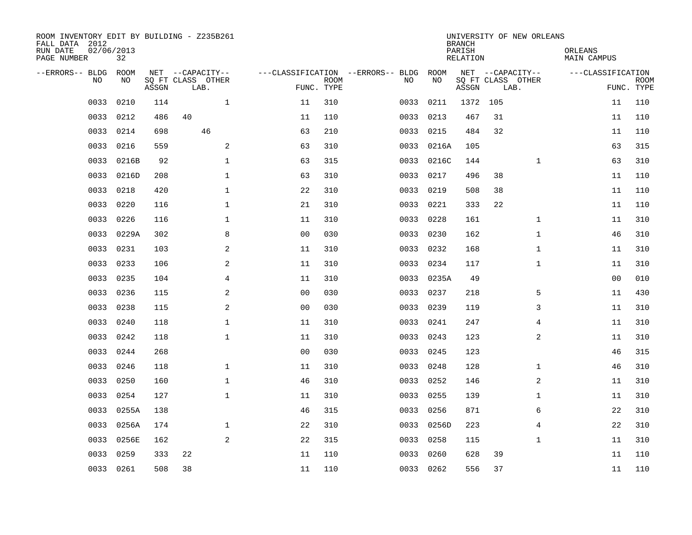| ROOM INVENTORY EDIT BY BUILDING - Z235B261<br>FALL DATA 2012<br>RUN DATE<br>PAGE NUMBER | 02/06/2013<br>32 |       |                           |                |                           |                                   |            | <b>BRANCH</b><br>PARISH<br><b>RELATION</b> |     | UNIVERSITY OF NEW ORLEANS | ORLEANS<br><b>MAIN CAMPUS</b> |                           |
|-----------------------------------------------------------------------------------------|------------------|-------|---------------------------|----------------|---------------------------|-----------------------------------|------------|--------------------------------------------|-----|---------------------------|-------------------------------|---------------------------|
| --ERRORS-- BLDG                                                                         | ROOM             |       | NET --CAPACITY--          |                |                           | ---CLASSIFICATION --ERRORS-- BLDG | ROOM       |                                            |     | NET --CAPACITY--          | ---CLASSIFICATION             |                           |
| N <sub>O</sub>                                                                          | NO.              | ASSGN | SO FT CLASS OTHER<br>LAB. |                | <b>ROOM</b><br>FUNC. TYPE | NO.                               | NO         | ASSGN                                      |     | SQ FT CLASS OTHER<br>LAB. |                               | <b>ROOM</b><br>FUNC. TYPE |
| 0033                                                                                    | 0210             | 114   | $\mathbf{1}$              | 11             | 310                       | 0033                              | 0211       | 1372                                       | 105 |                           | 11                            | 110                       |
| 0033                                                                                    | 0212             | 486   | 40                        | 11             | 110                       | 0033                              | 0213       | 467                                        | 31  |                           | 11                            | 110                       |
| 0033                                                                                    | 0214             | 698   | 46                        | 63             | 210                       | 0033                              | 0215       | 484                                        | 32  |                           | 11                            | 110                       |
| 0033                                                                                    | 0216             | 559   | 2                         | 63             | 310                       | 0033                              | 0216A      | 105                                        |     |                           | 63                            | 315                       |
| 0033                                                                                    | 0216B            | 92    | $\mathbf{1}$              | 63             | 315                       | 0033                              | 0216C      | 144                                        |     | $\mathbf{1}$              | 63                            | 310                       |
| 0033                                                                                    | 0216D            | 208   | $\mathbf 1$               | 63             | 310                       | 0033                              | 0217       | 496                                        | 38  |                           | 11                            | 110                       |
| 0033                                                                                    | 0218             | 420   | $\mathbf 1$               | 22             | 310                       | 0033                              | 0219       | 508                                        | 38  |                           | 11                            | 110                       |
| 0033                                                                                    | 0220             | 116   | $\mathbf 1$               | 21             | 310                       | 0033                              | 0221       | 333                                        | 22  |                           | 11                            | 110                       |
| 0033                                                                                    | 0226             | 116   | $\mathbf{1}$              | 11             | 310                       | 0033                              | 0228       | 161                                        |     | $\mathbf{1}$              | 11                            | 310                       |
| 0033                                                                                    | 0229A            | 302   | 8                         | 0 <sub>0</sub> | 030                       |                                   | 0033 0230  | 162                                        |     | $\mathbf{1}$              | 46                            | 310                       |
| 0033                                                                                    | 0231             | 103   | 2                         | 11             | 310                       | 0033                              | 0232       | 168                                        |     | $\mathbf{1}$              | 11                            | 310                       |
| 0033                                                                                    | 0233             | 106   | 2                         | 11             | 310                       |                                   | 0033 0234  | 117                                        |     | $\mathbf{1}$              | 11                            | 310                       |
| 0033                                                                                    | 0235             | 104   | 4                         | 11             | 310                       | 0033                              | 0235A      | 49                                         |     |                           | 00                            | 010                       |
| 0033                                                                                    | 0236             | 115   | 2                         | 0 <sub>0</sub> | 030                       | 0033                              | 0237       | 218                                        |     | 5                         | 11                            | 430                       |
| 0033                                                                                    | 0238             | 115   | 2                         | 0 <sub>0</sub> | 030                       | 0033                              | 0239       | 119                                        |     | 3                         | 11                            | 310                       |
| 0033                                                                                    | 0240             | 118   | $\mathbf 1$               | 11             | 310                       | 0033                              | 0241       | 247                                        |     | 4                         | 11                            | 310                       |
| 0033                                                                                    | 0242             | 118   | $\mathbf{1}$              | 11             | 310                       | 0033                              | 0243       | 123                                        |     | $\overline{a}$            | 11                            | 310                       |
| 0033                                                                                    | 0244             | 268   |                           | 00             | 030                       | 0033                              | 0245       | 123                                        |     |                           | 46                            | 315                       |
| 0033                                                                                    | 0246             | 118   | $\mathbf{1}$              | 11             | 310                       | 0033                              | 0248       | 128                                        |     | $\mathbf{1}$              | 46                            | 310                       |
| 0033                                                                                    | 0250             | 160   | $\mathbf 1$               | 46             | 310                       | 0033                              | 0252       | 146                                        |     | 2                         | 11                            | 310                       |
| 0033                                                                                    | 0254             | 127   | $\mathbf{1}$              | 11             | 310                       |                                   | 0033 0255  | 139                                        |     | $\mathbf{1}$              | 11                            | 310                       |
| 0033                                                                                    | 0255A            | 138   |                           | 46             | 315                       | 0033                              | 0256       | 871                                        |     | 6                         | 22                            | 310                       |
| 0033                                                                                    | 0256A            | 174   | $\mathbf{1}$              | 22             | 310                       |                                   | 0033 0256D | 223                                        |     | $\overline{4}$            | 22                            | 310                       |
| 0033                                                                                    | 0256E            | 162   | 2                         | 22             | 315                       | 0033                              | 0258       | 115                                        |     | $\mathbf{1}$              | 11                            | 310                       |
| 0033                                                                                    | 0259             | 333   | 22                        | 11             | 110                       | 0033                              | 0260       | 628                                        | 39  |                           | 11                            | 110                       |
|                                                                                         | 0033 0261        | 508   | 38                        | 11             | 110                       |                                   | 0033 0262  | 556                                        | 37  |                           | 11                            | 110                       |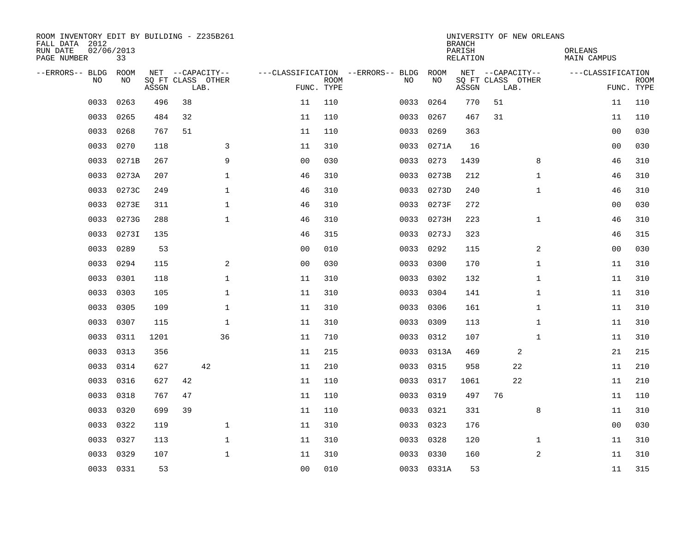| ROOM INVENTORY EDIT BY BUILDING - Z235B261<br>FALL DATA 2012<br>RUN DATE<br>PAGE NUMBER | 02/06/2013<br>33 |       |    |                           |                |                           |                                   |            | <b>BRANCH</b><br>PARISH<br><b>RELATION</b> | UNIVERSITY OF NEW ORLEANS |                | ORLEANS<br><b>MAIN CAMPUS</b> |                           |
|-----------------------------------------------------------------------------------------|------------------|-------|----|---------------------------|----------------|---------------------------|-----------------------------------|------------|--------------------------------------------|---------------------------|----------------|-------------------------------|---------------------------|
| --ERRORS-- BLDG                                                                         | ROOM             |       |    | NET --CAPACITY--          |                |                           | ---CLASSIFICATION --ERRORS-- BLDG | ROOM       |                                            | NET --CAPACITY--          |                | ---CLASSIFICATION             |                           |
| <b>NO</b>                                                                               | NO.              | ASSGN |    | SO FT CLASS OTHER<br>LAB. |                | <b>ROOM</b><br>FUNC. TYPE | NO.                               | NO         | ASSGN                                      | SQ FT CLASS OTHER<br>LAB. |                |                               | <b>ROOM</b><br>FUNC. TYPE |
| 0033                                                                                    | 0263             | 496   | 38 |                           | 11             | 110                       | 0033                              | 0264       | 770                                        | 51                        |                | 11                            | 110                       |
| 0033                                                                                    | 0265             | 484   | 32 |                           | 11             | 110                       | 0033                              | 0267       | 467                                        | 31                        |                | 11                            | 110                       |
| 0033                                                                                    | 0268             | 767   | 51 |                           | 11             | 110                       | 0033                              | 0269       | 363                                        |                           |                | 00                            | 030                       |
| 0033                                                                                    | 0270             | 118   |    | 3                         | 11             | 310                       | 0033                              | 0271A      | 16                                         |                           |                | 00                            | 030                       |
| 0033                                                                                    | 0271B            | 267   |    | 9                         | 00             | 030                       | 0033                              | 0273       | 1439                                       |                           | 8              | 46                            | 310                       |
| 0033                                                                                    | 0273A            | 207   |    | $\mathbf{1}$              | 46             | 310                       | 0033                              | 0273B      | 212                                        |                           | $\mathbf{1}$   | 46                            | 310                       |
| 0033                                                                                    | 0273C            | 249   |    | $\mathbf{1}$              | 46             | 310                       | 0033                              | 0273D      | 240                                        |                           | $\mathbf{1}$   | 46                            | 310                       |
| 0033                                                                                    | 0273E            | 311   |    | 1                         | 46             | 310                       | 0033                              | 0273F      | 272                                        |                           |                | 00                            | 030                       |
| 0033                                                                                    | 0273G            | 288   |    | $\mathbf{1}$              | 46             | 310                       | 0033                              | 0273H      | 223                                        |                           | $\mathbf{1}$   | 46                            | 310                       |
| 0033                                                                                    | 02731            | 135   |    |                           | 46             | 315                       |                                   | 0033 0273J | 323                                        |                           |                | 46                            | 315                       |
| 0033                                                                                    | 0289             | 53    |    |                           | 0 <sub>0</sub> | 010                       | 0033                              | 0292       | 115                                        |                           | 2              | 00                            | 030                       |
| 0033                                                                                    | 0294             | 115   |    | 2                         | 0 <sub>0</sub> | 030                       | 0033                              | 0300       | 170                                        |                           | $\mathbf{1}$   | 11                            | 310                       |
| 0033                                                                                    | 0301             | 118   |    | $\mathbf{1}$              | 11             | 310                       | 0033                              | 0302       | 132                                        |                           | $\mathbf{1}$   | 11                            | 310                       |
| 0033                                                                                    | 0303             | 105   |    | $\mathbf{1}$              | 11             | 310                       | 0033                              | 0304       | 141                                        |                           | $\mathbf{1}$   | 11                            | 310                       |
| 0033                                                                                    | 0305             | 109   |    | $\mathbf{1}$              | 11             | 310                       | 0033                              | 0306       | 161                                        |                           | $\mathbf{1}$   | 11                            | 310                       |
| 0033                                                                                    | 0307             | 115   |    | $\mathbf{1}$              | 11             | 310                       | 0033                              | 0309       | 113                                        |                           | $\mathbf{1}$   | 11                            | 310                       |
| 0033                                                                                    | 0311             | 1201  |    | 36                        | 11             | 710                       | 0033                              | 0312       | 107                                        |                           | $\mathbf{1}$   | 11                            | 310                       |
| 0033                                                                                    | 0313             | 356   |    |                           | 11             | 215                       |                                   | 0033 0313A | 469                                        |                           | 2              | 21                            | 215                       |
| 0033                                                                                    | 0314             | 627   |    | 42                        | 11             | 210                       | 0033                              | 0315       | 958                                        | 22                        |                | 11                            | 210                       |
| 0033                                                                                    | 0316             | 627   | 42 |                           | 11             | 110                       | 0033                              | 0317       | 1061                                       | 22                        |                | 11                            | 210                       |
| 0033                                                                                    | 0318             | 767   | 47 |                           | 11             | 110                       | 0033                              | 0319       | 497                                        | 76                        |                | 11                            | 110                       |
| 0033                                                                                    | 0320             | 699   | 39 |                           | 11             | 110                       | 0033                              | 0321       | 331                                        |                           | 8              | 11                            | 310                       |
| 0033                                                                                    | 0322             | 119   |    | $\mathbf{1}$              | 11             | 310                       | 0033                              | 0323       | 176                                        |                           |                | 0 <sub>0</sub>                | 030                       |
| 0033                                                                                    | 0327             | 113   |    | $\mathbf{1}$              | 11             | 310                       | 0033                              | 0328       | 120                                        |                           | $\mathbf{1}$   | 11                            | 310                       |
| 0033                                                                                    | 0329             | 107   |    | $\mathbf 1$               | 11             | 310                       |                                   | 0033 0330  | 160                                        |                           | $\overline{a}$ | 11                            | 310                       |
|                                                                                         | 0033 0331        | 53    |    |                           | 0 <sub>0</sub> | 010                       |                                   | 0033 0331A | 53                                         |                           |                | 11                            | 315                       |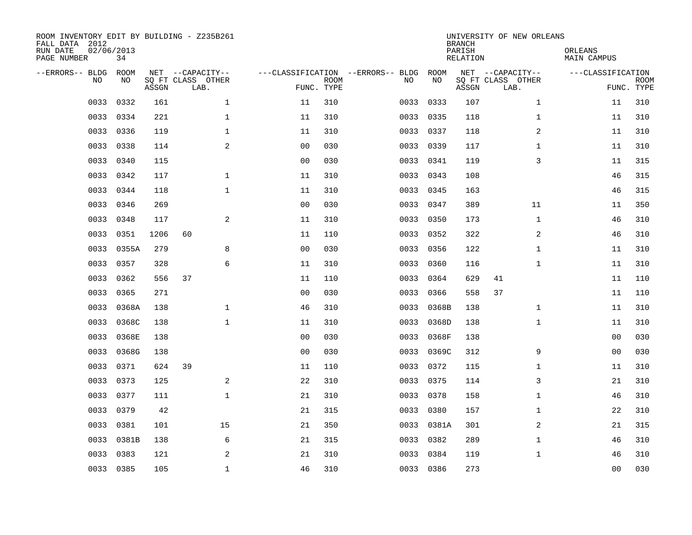| ROOM INVENTORY EDIT BY BUILDING - Z235B261<br>FALL DATA 2012<br>RUN DATE<br>PAGE NUMBER | 02/06/2013<br>34 |       |                                               |                |                           |                                         |            | <b>BRANCH</b><br>PARISH<br><b>RELATION</b> | UNIVERSITY OF NEW ORLEANS                     | ORLEANS<br><b>MAIN CAMPUS</b> |                           |
|-----------------------------------------------------------------------------------------|------------------|-------|-----------------------------------------------|----------------|---------------------------|-----------------------------------------|------------|--------------------------------------------|-----------------------------------------------|-------------------------------|---------------------------|
| --ERRORS-- BLDG<br>NO.                                                                  | ROOM<br>NO       | ASSGN | NET --CAPACITY--<br>SQ FT CLASS OTHER<br>LAB. |                | <b>ROOM</b><br>FUNC. TYPE | ---CLASSIFICATION --ERRORS-- BLDG<br>NO | ROOM<br>NO | ASSGN                                      | NET --CAPACITY--<br>SQ FT CLASS OTHER<br>LAB. | ---CLASSIFICATION             | <b>ROOM</b><br>FUNC. TYPE |
| 0033                                                                                    | 0332             | 161   | $\mathbf{1}$                                  | 11             | 310                       | 0033                                    | 0333       | 107                                        | $\mathbf{1}$                                  | 11                            | 310                       |
| 0033                                                                                    | 0334             | 221   | $\mathbf{1}$                                  | 11             | 310                       | 0033                                    | 0335       | 118                                        | $\mathbf{1}$                                  | 11                            | 310                       |
| 0033                                                                                    | 0336             | 119   | $\mathbf 1$                                   | 11             | 310                       | 0033                                    | 0337       | 118                                        | 2                                             | 11                            | 310                       |
| 0033                                                                                    | 0338             | 114   | 2                                             | 0 <sub>0</sub> | 030                       |                                         | 0033 0339  | 117                                        | $\mathbf{1}$                                  | 11                            | 310                       |
| 0033                                                                                    | 0340             | 115   |                                               | 0 <sub>0</sub> | 030                       | 0033                                    | 0341       | 119                                        | 3                                             | 11                            | 315                       |
| 0033                                                                                    | 0342             | 117   | $\mathbf 1$                                   | 11             | 310                       |                                         | 0033 0343  | 108                                        |                                               | 46                            | 315                       |
| 0033                                                                                    | 0344             | 118   | $\mathbf{1}$                                  | 11             | 310                       | 0033                                    | 0345       | 163                                        |                                               | 46                            | 315                       |
| 0033                                                                                    | 0346             | 269   |                                               | 0 <sub>0</sub> | 030                       |                                         | 0033 0347  | 389                                        | 11                                            | 11                            | 350                       |
| 0033                                                                                    | 0348             | 117   | 2                                             | 11             | 310                       | 0033                                    | 0350       | 173                                        | $\mathbf{1}$                                  | 46                            | 310                       |
| 0033                                                                                    | 0351             | 1206  | 60                                            | 11             | 110                       | 0033                                    | 0352       | 322                                        | 2                                             | 46                            | 310                       |
| 0033                                                                                    | 0355A            | 279   | 8                                             | 0 <sub>0</sub> | 030                       | 0033                                    | 0356       | 122                                        | $\mathbf{1}$                                  | 11                            | 310                       |
| 0033                                                                                    | 0357             | 328   | 6                                             | 11             | 310                       | 0033                                    | 0360       | 116                                        | $\mathbf{1}$                                  | 11                            | 310                       |
| 0033                                                                                    | 0362             | 556   | 37                                            | 11             | 110                       | 0033                                    | 0364       | 629                                        | 41                                            | 11                            | 110                       |
| 0033                                                                                    | 0365             | 271   |                                               | 0 <sub>0</sub> | 030                       | 0033                                    | 0366       | 558                                        | 37                                            | 11                            | 110                       |
| 0033                                                                                    | 0368A            | 138   | $\mathbf 1$                                   | 46             | 310                       | 0033                                    | 0368B      | 138                                        | $\mathbf{1}$                                  | 11                            | 310                       |
| 0033                                                                                    | 0368C            | 138   | $\mathbf{1}$                                  | 11             | 310                       | 0033                                    | 0368D      | 138                                        | $\mathbf{1}$                                  | 11                            | 310                       |
| 0033                                                                                    | 0368E            | 138   |                                               | 0 <sub>0</sub> | 030                       | 0033                                    | 0368F      | 138                                        |                                               | 0 <sub>0</sub>                | 030                       |
| 0033                                                                                    | 0368G            | 138   |                                               | 0 <sub>0</sub> | 030                       | 0033                                    | 0369C      | 312                                        | 9                                             | 00                            | 030                       |
| 0033                                                                                    | 0371             | 624   | 39                                            | 11             | 110                       | 0033                                    | 0372       | 115                                        | $\mathbf{1}$                                  | 11                            | 310                       |
| 0033                                                                                    | 0373             | 125   | 2                                             | 22             | 310                       | 0033                                    | 0375       | 114                                        | 3                                             | 21                            | 310                       |
| 0033                                                                                    | 0377             | 111   | $\mathbf 1$                                   | 21             | 310                       | 0033                                    | 0378       | 158                                        | $\mathbf{1}$                                  | 46                            | 310                       |
| 0033                                                                                    | 0379             | 42    |                                               | 21             | 315                       | 0033                                    | 0380       | 157                                        | $\mathbf{1}$                                  | 22                            | 310                       |
| 0033                                                                                    | 0381             | 101   | 15                                            | 21             | 350                       | 0033                                    | 0381A      | 301                                        | 2                                             | 21                            | 315                       |
| 0033                                                                                    | 0381B            | 138   | 6                                             | 21             | 315                       | 0033                                    | 0382       | 289                                        | $\mathbf{1}$                                  | 46                            | 310                       |
| 0033                                                                                    | 0383             | 121   | 2                                             | 21             | 310                       | 0033                                    | 0384       | 119                                        | $\mathbf{1}$                                  | 46                            | 310                       |
|                                                                                         | 0033 0385        | 105   | $\mathbf{1}$                                  | 46             | 310                       |                                         | 0033 0386  | 273                                        |                                               | 0 <sub>0</sub>                | 030                       |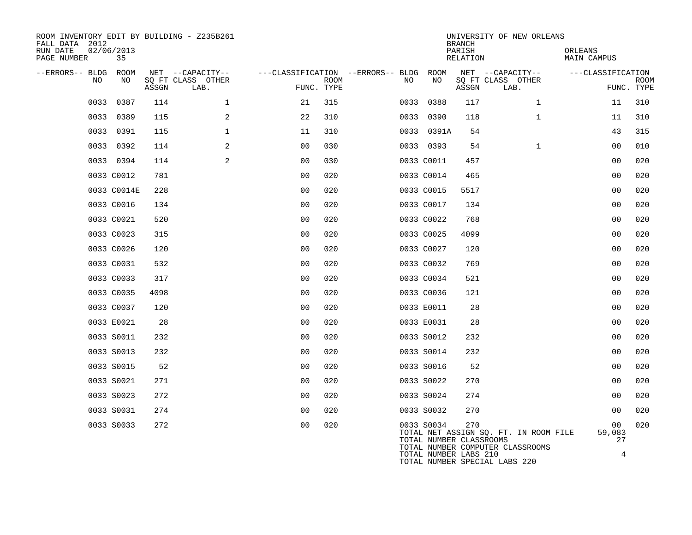| ROOM INVENTORY EDIT BY BUILDING - Z235B261<br>FALL DATA 2012<br>RUN DATE<br>PAGE NUMBER | 02/06/2013<br>35 |       |                           |                                        |      |      |                                       | <b>BRANCH</b><br>PARISH<br>RELATION | UNIVERSITY OF NEW ORLEANS                                                 | ORLEANS<br><b>MAIN CAMPUS</b>  |                           |
|-----------------------------------------------------------------------------------------|------------------|-------|---------------------------|----------------------------------------|------|------|---------------------------------------|-------------------------------------|---------------------------------------------------------------------------|--------------------------------|---------------------------|
| --ERRORS-- BLDG ROOM                                                                    |                  |       | NET --CAPACITY--          | ---CLASSIFICATION --ERRORS-- BLDG ROOM |      |      |                                       |                                     | NET --CAPACITY--                                                          | ---CLASSIFICATION              |                           |
| NO                                                                                      | NO               | ASSGN | SQ FT CLASS OTHER<br>LAB. | FUNC. TYPE                             | ROOM | NO   | NO                                    | ASSGN                               | SQ FT CLASS OTHER<br>LAB.                                                 |                                | <b>ROOM</b><br>FUNC. TYPE |
| 0033                                                                                    | 0387             | 114   | $\mathbf 1$               | 21                                     | 315  |      | 0033 0388                             | 117                                 | $\mathbf{1}$                                                              | 11                             | 310                       |
| 0033                                                                                    | 0389             | 115   | 2                         | 22                                     | 310  | 0033 | 0390                                  | 118                                 | $\mathbf{1}$                                                              | 11                             | 310                       |
|                                                                                         | 0033 0391        | 115   | $\mathbf{1}$              | 11                                     | 310  |      | 0033 0391A                            | 54                                  |                                                                           | 43                             | 315                       |
|                                                                                         | 0033 0392        | 114   | 2                         | 0 <sub>0</sub>                         | 030  |      | 0033 0393                             | 54                                  | $\mathbf{1}$                                                              | 00                             | 010                       |
|                                                                                         | 0033 0394        | 114   | 2                         | 0 <sub>0</sub>                         | 030  |      | 0033 C0011                            | 457                                 |                                                                           | 00                             | 020                       |
|                                                                                         | 0033 C0012       | 781   |                           | 0 <sub>0</sub>                         | 020  |      | 0033 C0014                            | 465                                 |                                                                           | 0 <sub>0</sub>                 | 020                       |
|                                                                                         | 0033 C0014E      | 228   |                           | 0 <sub>0</sub>                         | 020  |      | 0033 C0015                            | 5517                                |                                                                           | 0 <sub>0</sub>                 | 020                       |
|                                                                                         | 0033 C0016       | 134   |                           | 0 <sub>0</sub>                         | 020  |      | 0033 C0017                            | 134                                 |                                                                           | 00                             | 020                       |
|                                                                                         | 0033 C0021       | 520   |                           | 0 <sub>0</sub>                         | 020  |      | 0033 C0022                            | 768                                 |                                                                           | 00                             | 020                       |
|                                                                                         | 0033 C0023       | 315   |                           | 0 <sub>0</sub>                         | 020  |      | 0033 C0025                            | 4099                                |                                                                           | 0 <sub>0</sub>                 | 020                       |
|                                                                                         | 0033 C0026       | 120   |                           | 0 <sub>0</sub>                         | 020  |      | 0033 C0027                            | 120                                 |                                                                           | 0 <sub>0</sub>                 | 020                       |
|                                                                                         | 0033 C0031       | 532   |                           | 0 <sub>0</sub>                         | 020  |      | 0033 C0032                            | 769                                 |                                                                           | 00                             | 020                       |
|                                                                                         | 0033 C0033       | 317   |                           | 0 <sub>0</sub>                         | 020  |      | 0033 C0034                            | 521                                 |                                                                           | 0 <sub>0</sub>                 | 020                       |
|                                                                                         | 0033 C0035       | 4098  |                           | 0 <sub>0</sub>                         | 020  |      | 0033 C0036                            | 121                                 |                                                                           | 0 <sub>0</sub>                 | 020                       |
|                                                                                         | 0033 C0037       | 120   |                           | 0 <sub>0</sub>                         | 020  |      | 0033 E0011                            | 28                                  |                                                                           | 0 <sub>0</sub>                 | 020                       |
|                                                                                         | 0033 E0021       | 28    |                           | 0 <sub>0</sub>                         | 020  |      | 0033 E0031                            | 28                                  |                                                                           | 00                             | 020                       |
|                                                                                         | 0033 S0011       | 232   |                           | 0 <sub>0</sub>                         | 020  |      | 0033 S0012                            | 232                                 |                                                                           | 0 <sub>0</sub>                 | 020                       |
|                                                                                         | 0033 S0013       | 232   |                           | 0 <sub>0</sub>                         | 020  |      | 0033 S0014                            | 232                                 |                                                                           | 0 <sub>0</sub>                 | 020                       |
|                                                                                         | 0033 S0015       | 52    |                           | 0 <sub>0</sub>                         | 020  |      | 0033 S0016                            | 52                                  |                                                                           | 0 <sub>0</sub>                 | 020                       |
|                                                                                         | 0033 S0021       | 271   |                           | 0 <sub>0</sub>                         | 020  |      | 0033 S0022                            | 270                                 |                                                                           | 0 <sub>0</sub>                 | 020                       |
|                                                                                         | 0033 S0023       | 272   |                           | 0 <sub>0</sub>                         | 020  |      | 0033 S0024                            | 274                                 |                                                                           | 0 <sub>0</sub>                 | 020                       |
|                                                                                         | 0033 S0031       | 274   |                           | 0 <sub>0</sub>                         | 020  |      | 0033 S0032                            | 270                                 |                                                                           | 0 <sub>0</sub>                 | 020                       |
|                                                                                         | 0033 S0033       | 272   |                           | 00                                     | 020  |      | 0033 S0034<br>TOTAL NUMBER CLASSROOMS | 270                                 | TOTAL NET ASSIGN SQ. FT. IN ROOM FILE<br>TOTAL NUMBER COMPUTER CLASSROOMS | 0 <sub>0</sub><br>59,083<br>27 | 020                       |
|                                                                                         |                  |       |                           |                                        |      |      | TOTAL NUMBER LABS 210                 |                                     | TOTAL NUMBER SPECIAL LABS 220                                             | 4                              |                           |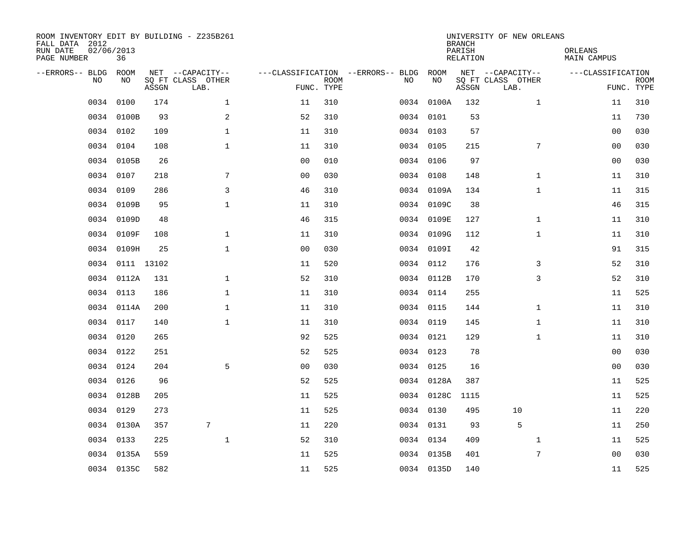| ROOM INVENTORY EDIT BY BUILDING - Z235B261<br>FALL DATA 2012<br>RUN DATE<br>PAGE NUMBER | 02/06/2013<br>36 |       |                                               |                |                           |                                         |            | <b>BRANCH</b><br>PARISH<br><b>RELATION</b> | UNIVERSITY OF NEW ORLEANS                     | ORLEANS<br><b>MAIN CAMPUS</b> |                           |
|-----------------------------------------------------------------------------------------|------------------|-------|-----------------------------------------------|----------------|---------------------------|-----------------------------------------|------------|--------------------------------------------|-----------------------------------------------|-------------------------------|---------------------------|
| --ERRORS-- BLDG<br>NO                                                                   | ROOM<br>NO       | ASSGN | NET --CAPACITY--<br>SO FT CLASS OTHER<br>LAB. |                | <b>ROOM</b><br>FUNC. TYPE | ---CLASSIFICATION --ERRORS-- BLDG<br>NO | ROOM<br>NO | ASSGN                                      | NET --CAPACITY--<br>SQ FT CLASS OTHER<br>LAB. | ---CLASSIFICATION             | <b>ROOM</b><br>FUNC. TYPE |
| 0034                                                                                    | 0100             | 174   | $\mathbf 1$                                   | 11             | 310                       |                                         | 0034 0100A | 132                                        | $\mathbf{1}$                                  | 11                            | 310                       |
| 0034                                                                                    | 0100B            | 93    | 2                                             | 52             | 310                       |                                         | 0034 0101  | 53                                         |                                               | 11                            | 730                       |
|                                                                                         | 0034 0102        | 109   | $\mathbf 1$                                   | 11             | 310                       |                                         | 0034 0103  | 57                                         |                                               | 00                            | 030                       |
| 0034                                                                                    | 0104             | 108   | $\mathbf 1$                                   | 11             | 310                       |                                         | 0034 0105  | 215                                        | 7                                             | 00                            | 030                       |
| 0034                                                                                    | 0105B            | 26    |                                               | 00             | 010                       |                                         | 0034 0106  | 97                                         |                                               | 0 <sub>0</sub>                | 030                       |
| 0034                                                                                    | 0107             | 218   | 7                                             | 0 <sub>0</sub> | 030                       |                                         | 0034 0108  | 148                                        | $\mathbf{1}$                                  | 11                            | 310                       |
| 0034                                                                                    | 0109             | 286   | 3                                             | 46             | 310                       |                                         | 0034 0109A | 134                                        | $\mathbf{1}$                                  | 11                            | 315                       |
| 0034                                                                                    | 0109B            | 95    | $\mathbf 1$                                   | 11             | 310                       |                                         | 0034 0109C | 38                                         |                                               | 46                            | 315                       |
|                                                                                         | 0034 0109D       | 48    |                                               | 46             | 315                       |                                         | 0034 0109E | 127                                        | $\mathbf{1}$                                  | 11                            | 310                       |
|                                                                                         | 0034 0109F       | 108   | $\mathbf{1}$                                  | 11             | 310                       |                                         | 0034 0109G | 112                                        | $\mathbf{1}$                                  | 11                            | 310                       |
|                                                                                         | 0034 0109H       | 25    | $\mathbf{1}$                                  | 0 <sub>0</sub> | 030                       |                                         | 0034 0109I | 42                                         |                                               | 91                            | 315                       |
|                                                                                         | 0034 0111 13102  |       |                                               | 11             | 520                       |                                         | 0034 0112  | 176                                        | 3                                             | 52                            | 310                       |
| 0034                                                                                    | 0112A            | 131   | $\mathbf{1}$                                  | 52             | 310                       |                                         | 0034 0112B | 170                                        | 3                                             | 52                            | 310                       |
|                                                                                         | 0034 0113        | 186   | $\mathbf 1$                                   | 11             | 310                       |                                         | 0034 0114  | 255                                        |                                               | 11                            | 525                       |
|                                                                                         | 0034 0114A       | 200   | $\mathbf 1$                                   | 11             | 310                       |                                         | 0034 0115  | 144                                        | $\mathbf{1}$                                  | 11                            | 310                       |
|                                                                                         | 0034 0117        | 140   | $\mathbf 1$                                   | 11             | 310                       |                                         | 0034 0119  | 145                                        | $\mathbf{1}$                                  | 11                            | 310                       |
| 0034                                                                                    | 0120             | 265   |                                               | 92             | 525                       |                                         | 0034 0121  | 129                                        | $\mathbf{1}$                                  | 11                            | 310                       |
|                                                                                         | 0034 0122        | 251   |                                               | 52             | 525                       |                                         | 0034 0123  | 78                                         |                                               | 0 <sub>0</sub>                | 030                       |
|                                                                                         | 0034 0124        | 204   | 5                                             | 0 <sub>0</sub> | 030                       |                                         | 0034 0125  | 16                                         |                                               | 0 <sub>0</sub>                | 030                       |
|                                                                                         | 0034 0126        | 96    |                                               | 52             | 525                       |                                         | 0034 0128A | 387                                        |                                               | 11                            | 525                       |
|                                                                                         | 0034 0128B       | 205   |                                               | 11             | 525                       |                                         | 0034 0128C | 1115                                       |                                               | 11                            | 525                       |
|                                                                                         | 0034 0129        | 273   |                                               | 11             | 525                       |                                         | 0034 0130  | 495                                        | 10                                            | 11                            | 220                       |
|                                                                                         | 0034 0130A       | 357   | 7                                             | 11             | 220                       |                                         | 0034 0131  | 93                                         | 5                                             | 11                            | 250                       |
| 0034                                                                                    | 0133             | 225   | $\mathbf{1}$                                  | 52             | 310                       |                                         | 0034 0134  | 409                                        | 1                                             | 11                            | 525                       |
| 0034                                                                                    | 0135A            | 559   |                                               | 11             | 525                       |                                         | 0034 0135B | 401                                        | 7                                             | 00                            | 030                       |
|                                                                                         | 0034 0135C       | 582   |                                               | 11             | 525                       |                                         | 0034 0135D | 140                                        |                                               | 11                            | 525                       |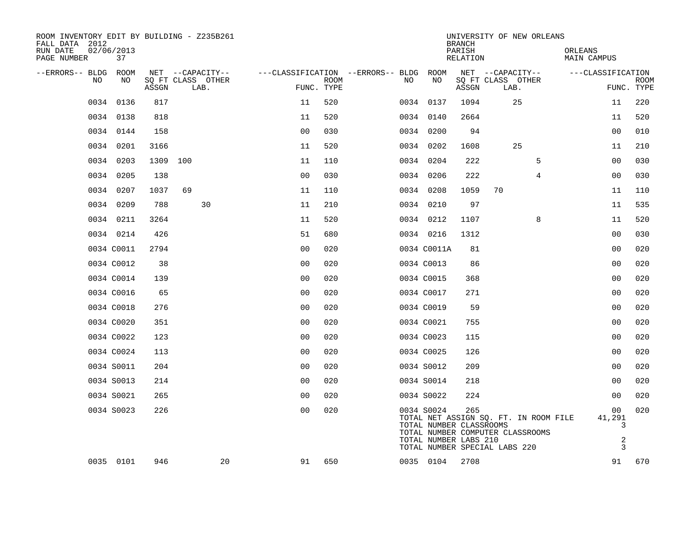| ROOM INVENTORY EDIT BY BUILDING - Z235B261<br>FALL DATA 2012 |                  |          |    |                           |                                        |                           |     |                                                                                                                                                                              | <b>BRANCH</b>      | UNIVERSITY OF NEW ORLEANS |    |         |                                          |             |
|--------------------------------------------------------------|------------------|----------|----|---------------------------|----------------------------------------|---------------------------|-----|------------------------------------------------------------------------------------------------------------------------------------------------------------------------------|--------------------|---------------------------|----|---------|------------------------------------------|-------------|
| RUN DATE<br>PAGE NUMBER                                      | 02/06/2013<br>37 |          |    |                           |                                        |                           |     |                                                                                                                                                                              | PARISH<br>RELATION |                           |    | ORLEANS | MAIN CAMPUS                              |             |
| --ERRORS-- BLDG ROOM                                         |                  |          |    | NET --CAPACITY--          | ---CLASSIFICATION --ERRORS-- BLDG ROOM |                           |     |                                                                                                                                                                              |                    | NET --CAPACITY--          |    |         | ---CLASSIFICATION                        |             |
| NO                                                           | NO               | ASSGN    |    | SQ FT CLASS OTHER<br>LAB. |                                        | <b>ROOM</b><br>FUNC. TYPE | NO. | NO                                                                                                                                                                           | ASSGN              | SQ FT CLASS OTHER<br>LAB. |    |         | FUNC. TYPE                               | <b>ROOM</b> |
|                                                              | 0034 0136        | 817      |    |                           | 11                                     | 520                       |     | 0034 0137                                                                                                                                                                    | 1094               |                           | 25 |         | 11                                       | 220         |
|                                                              | 0034 0138        | 818      |    |                           | 11                                     | 520                       |     | 0034 0140                                                                                                                                                                    | 2664               |                           |    |         | 11                                       | 520         |
|                                                              | 0034 0144        | 158      |    |                           | 0 <sub>0</sub>                         | 030                       |     | 0034 0200                                                                                                                                                                    | 94                 |                           |    |         | 0 <sub>0</sub>                           | 010         |
|                                                              | 0034 0201        | 3166     |    |                           | 11                                     | 520                       |     | 0034 0202                                                                                                                                                                    | 1608               |                           | 25 |         | 11                                       | 210         |
|                                                              | 0034 0203        | 1309 100 |    |                           | 11                                     | 110                       |     | 0034 0204                                                                                                                                                                    | 222                |                           | 5  |         | 0 <sub>0</sub>                           | 030         |
|                                                              | 0034 0205        | 138      |    |                           | 0 <sub>0</sub>                         | 030                       |     | 0034 0206                                                                                                                                                                    | 222                |                           | 4  |         | 0 <sub>0</sub>                           | 030         |
|                                                              | 0034 0207        | 1037     | 69 |                           | 11                                     | 110                       |     | 0034 0208                                                                                                                                                                    | 1059               | 70                        |    |         | 11                                       | 110         |
|                                                              | 0034 0209        | 788      |    | 30                        | 11                                     | 210                       |     | 0034 0210                                                                                                                                                                    | 97                 |                           |    |         | 11                                       | 535         |
|                                                              | 0034 0211        | 3264     |    |                           | 11                                     | 520                       |     | 0034 0212                                                                                                                                                                    | 1107               |                           | 8  |         | 11                                       | 520         |
|                                                              | 0034 0214        | 426      |    |                           | 51                                     | 680                       |     | 0034 0216                                                                                                                                                                    | 1312               |                           |    |         | 00                                       | 030         |
|                                                              | 0034 C0011       | 2794     |    |                           | 0 <sub>0</sub>                         | 020                       |     | 0034 C0011A                                                                                                                                                                  | 81                 |                           |    |         | 0 <sub>0</sub>                           | 020         |
|                                                              | 0034 C0012       | 38       |    |                           | 0 <sub>0</sub>                         | 020                       |     | 0034 C0013                                                                                                                                                                   | 86                 |                           |    |         | 00                                       | 020         |
|                                                              | 0034 C0014       | 139      |    |                           | 0 <sub>0</sub>                         | 020                       |     | 0034 C0015                                                                                                                                                                   | 368                |                           |    |         | 00                                       | 020         |
|                                                              | 0034 C0016       | 65       |    |                           | 0 <sub>0</sub>                         | 020                       |     | 0034 C0017                                                                                                                                                                   | 271                |                           |    |         | 0 <sub>0</sub>                           | 020         |
|                                                              | 0034 C0018       | 276      |    |                           | 0 <sub>0</sub>                         | 020                       |     | 0034 C0019                                                                                                                                                                   | 59                 |                           |    |         | 00                                       | 020         |
|                                                              | 0034 C0020       | 351      |    |                           | 00                                     | 020                       |     | 0034 C0021                                                                                                                                                                   | 755                |                           |    |         | 0 <sub>0</sub>                           | 020         |
|                                                              | 0034 C0022       | 123      |    |                           | 0 <sub>0</sub>                         | 020                       |     | 0034 C0023                                                                                                                                                                   | 115                |                           |    |         | 00                                       | 020         |
|                                                              | 0034 C0024       | 113      |    |                           | 0 <sub>0</sub>                         | 020                       |     | 0034 C0025                                                                                                                                                                   | 126                |                           |    |         | 0 <sub>0</sub>                           | 020         |
|                                                              | 0034 S0011       | 204      |    |                           | 0 <sub>0</sub>                         | 020                       |     | 0034 S0012                                                                                                                                                                   | 209                |                           |    |         | 00                                       | 020         |
|                                                              | 0034 S0013       | 214      |    |                           | 0 <sub>0</sub>                         | 020                       |     | 0034 S0014                                                                                                                                                                   | 218                |                           |    |         | 0 <sub>0</sub>                           | 020         |
|                                                              | 0034 S0021       | 265      |    |                           | 0 <sup>0</sup>                         | 020                       |     | 0034 S0022                                                                                                                                                                   | 224                |                           |    |         | 0 <sub>0</sub>                           | 020         |
|                                                              | 0034 S0023       | 226      |    |                           | 0 <sub>0</sub>                         | 020                       |     | 0034 S0024<br>TOTAL NET ASSIGN SQ. FT. IN ROOM FILE<br>TOTAL NUMBER CLASSROOMS<br>TOTAL NUMBER COMPUTER CLASSROOMS<br>TOTAL NUMBER LABS 210<br>TOTAL NUMBER SPECIAL LABS 220 | 265                |                           |    |         | 00<br>41,291<br>3<br>$\overline{2}$<br>3 | 020         |
|                                                              | 0035 0101        | 946      |    | 20                        | 91                                     | 650                       |     | 0035 0104                                                                                                                                                                    | 2708               |                           |    |         | 91                                       | 670         |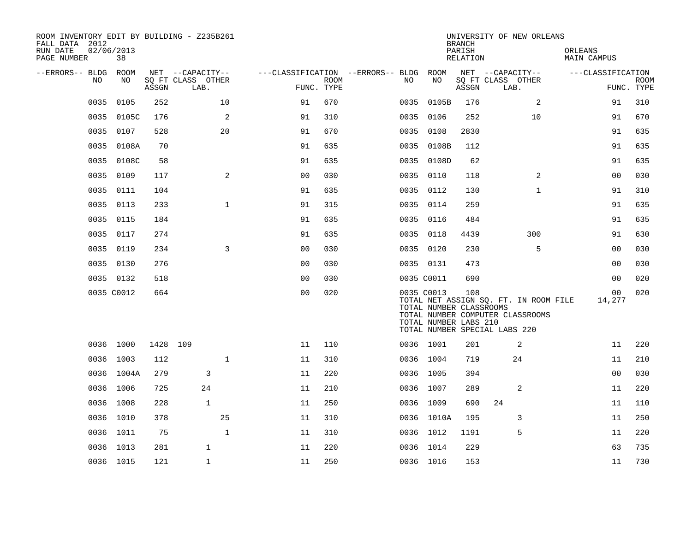| ROOM INVENTORY EDIT BY BUILDING - Z235B261<br>FALL DATA 2012<br>RUN DATE<br>PAGE NUMBER | 02/06/2013 | 38         |          |                                               |              |                                        |                           |     |                                                                                                                                     | <b>BRANCH</b><br>PARISH<br>RELATION |                           | UNIVERSITY OF NEW ORLEANS |                                       | ORLEANS<br>MAIN CAMPUS |                           |
|-----------------------------------------------------------------------------------------|------------|------------|----------|-----------------------------------------------|--------------|----------------------------------------|---------------------------|-----|-------------------------------------------------------------------------------------------------------------------------------------|-------------------------------------|---------------------------|---------------------------|---------------------------------------|------------------------|---------------------------|
| --ERRORS-- BLDG ROOM                                                                    | NO         | NO         | ASSGN    | NET --CAPACITY--<br>SQ FT CLASS OTHER<br>LAB. |              | ---CLASSIFICATION --ERRORS-- BLDG ROOM | <b>ROOM</b><br>FUNC. TYPE | NO. | NO                                                                                                                                  | ASSGN                               | SQ FT CLASS OTHER<br>LAB. | NET --CAPACITY--          |                                       | ---CLASSIFICATION      | <b>ROOM</b><br>FUNC. TYPE |
|                                                                                         | 0035       | 0105       | 252      |                                               | 10           | 91                                     | 670                       |     | 0035 0105B                                                                                                                          | 176                                 |                           | 2                         |                                       | 91                     | 310                       |
|                                                                                         | 0035       | 0105C      | 176      |                                               | 2            | 91                                     | 310                       |     | 0035 0106                                                                                                                           | 252                                 |                           | 10                        |                                       | 91                     | 670                       |
|                                                                                         | 0035       | 0107       | 528      |                                               | 20           | 91                                     | 670                       |     | 0035 0108                                                                                                                           | 2830                                |                           |                           |                                       | 91                     | 635                       |
|                                                                                         | 0035       | 0108A      | 70       |                                               |              | 91                                     | 635                       |     | 0035 0108B                                                                                                                          | 112                                 |                           |                           |                                       | 91                     | 635                       |
|                                                                                         | 0035       | 0108C      | 58       |                                               |              | 91                                     | 635                       |     | 0035 0108D                                                                                                                          | 62                                  |                           |                           |                                       | 91                     | 635                       |
|                                                                                         | 0035       | 0109       | 117      |                                               | 2            | 0 <sub>0</sub>                         | 030                       |     | 0035 0110                                                                                                                           | 118                                 |                           | 2                         |                                       | 00                     | 030                       |
|                                                                                         | 0035       | 0111       | 104      |                                               |              | 91                                     | 635                       |     | 0035 0112                                                                                                                           | 130                                 |                           | $\mathbf{1}$              |                                       | 91                     | 310                       |
|                                                                                         | 0035       | 0113       | 233      |                                               | $\mathbf{1}$ | 91                                     | 315                       |     | 0035 0114                                                                                                                           | 259                                 |                           |                           |                                       | 91                     | 635                       |
|                                                                                         | 0035       | 0115       | 184      |                                               |              | 91                                     | 635                       |     | 0035 0116                                                                                                                           | 484                                 |                           |                           |                                       | 91                     | 635                       |
|                                                                                         | 0035       | 0117       | 274      |                                               |              | 91                                     | 635                       |     | 0035 0118                                                                                                                           | 4439                                |                           | 300                       |                                       | 91                     | 630                       |
|                                                                                         | 0035 0119  |            | 234      |                                               | 3            | 0 <sub>0</sub>                         | 030                       |     | 0035 0120                                                                                                                           | 230                                 |                           | 5                         |                                       | 00                     | 030                       |
|                                                                                         | 0035 0130  |            | 276      |                                               |              | 00                                     | 030                       |     | 0035 0131                                                                                                                           | 473                                 |                           |                           |                                       | 00                     | 030                       |
|                                                                                         | 0035 0132  |            | 518      |                                               |              | 0 <sub>0</sub>                         | 030                       |     | 0035 C0011                                                                                                                          | 690                                 |                           |                           |                                       | 00                     | 020                       |
|                                                                                         |            | 0035 C0012 | 664      |                                               |              | 0 <sub>0</sub>                         | 020                       |     | 0035 C0013<br>TOTAL NUMBER CLASSROOMS<br>TOTAL NUMBER COMPUTER CLASSROOMS<br>TOTAL NUMBER LABS 210<br>TOTAL NUMBER SPECIAL LABS 220 | 108                                 |                           |                           | TOTAL NET ASSIGN SQ. FT. IN ROOM FILE | 00<br>14,277           | 020                       |
|                                                                                         | 0036 1000  |            | 1428 109 |                                               |              | 11                                     | 110                       |     | 0036 1001                                                                                                                           | 201                                 |                           | 2                         |                                       | 11                     | 220                       |
|                                                                                         | 0036 1003  |            | 112      |                                               | $\mathbf{1}$ | 11                                     | 310                       |     | 0036 1004                                                                                                                           | 719                                 |                           | 24                        |                                       | 11                     | 210                       |
|                                                                                         |            | 0036 1004A | 279      | 3                                             |              | 11                                     | 220                       |     | 0036 1005                                                                                                                           | 394                                 |                           |                           |                                       | 0 <sub>0</sub>         | 030                       |
|                                                                                         | 0036 1006  |            | 725      | 24                                            |              | 11                                     | 210                       |     | 0036 1007                                                                                                                           | 289                                 |                           | 2                         |                                       | 11                     | 220                       |
|                                                                                         | 0036 1008  |            | 228      | $\mathbf{1}$                                  |              | 11                                     | 250                       |     | 0036 1009                                                                                                                           | 690                                 | 24                        |                           |                                       | 11                     | 110                       |
|                                                                                         | 0036 1010  |            | 378      |                                               | 25           | 11                                     | 310                       |     | 0036 1010A                                                                                                                          | 195                                 |                           | 3                         |                                       | 11                     | 250                       |
|                                                                                         | 0036 1011  |            | 75       |                                               | $\mathbf{1}$ | 11                                     | 310                       |     | 0036 1012                                                                                                                           | 1191                                |                           | 5                         |                                       | 11                     | 220                       |
|                                                                                         | 0036 1013  |            | 281      | $\mathbf{1}$                                  |              | 11                                     | 220                       |     | 0036 1014                                                                                                                           | 229                                 |                           |                           |                                       | 63                     | 735                       |
|                                                                                         | 0036 1015  |            | 121      | $\mathbf{1}$                                  |              | 11                                     | 250                       |     | 0036 1016                                                                                                                           | 153                                 |                           |                           |                                       | 11                     | 730                       |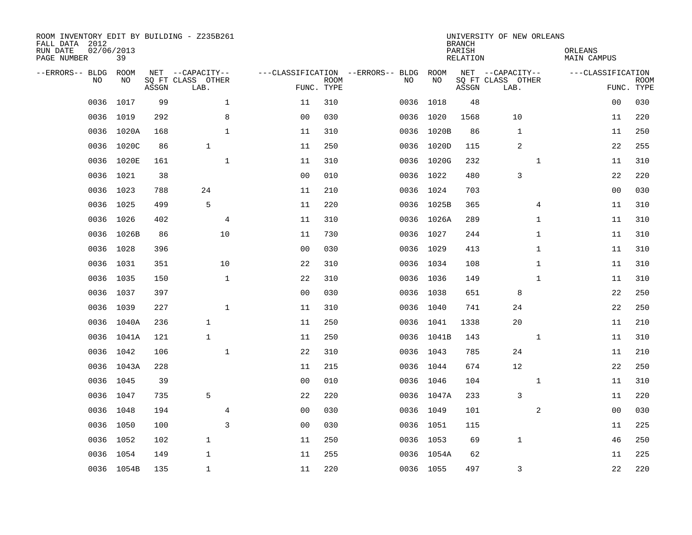| ROOM INVENTORY EDIT BY BUILDING - Z235B261<br>FALL DATA 2012<br>RUN DATE<br>PAGE NUMBER | 02/06/2013<br>39 |       |                           |                |                           |                                   |            | <b>BRANCH</b><br>PARISH<br><b>RELATION</b> | UNIVERSITY OF NEW ORLEANS | ORLEANS<br><b>MAIN CAMPUS</b> |                           |
|-----------------------------------------------------------------------------------------|------------------|-------|---------------------------|----------------|---------------------------|-----------------------------------|------------|--------------------------------------------|---------------------------|-------------------------------|---------------------------|
| --ERRORS-- BLDG                                                                         | ROOM             |       | NET --CAPACITY--          |                |                           | ---CLASSIFICATION --ERRORS-- BLDG | ROOM       |                                            | NET --CAPACITY--          | ---CLASSIFICATION             |                           |
| NO.                                                                                     | NO               | ASSGN | SQ FT CLASS OTHER<br>LAB. |                | <b>ROOM</b><br>FUNC. TYPE | NO                                | NO         | ASSGN                                      | SQ FT CLASS OTHER<br>LAB. |                               | <b>ROOM</b><br>FUNC. TYPE |
| 0036                                                                                    | 1017             | 99    | $\mathbf{1}$              | 11             | 310                       | 0036                              | 1018       | 48                                         |                           | 0 <sub>0</sub>                | 030                       |
| 0036                                                                                    | 1019             | 292   | $\,8\,$                   | 0 <sub>0</sub> | 030                       | 0036                              | 1020       | 1568                                       | 10                        | 11                            | 220                       |
| 0036                                                                                    | 1020A            | 168   | $\mathbf{1}$              | 11             | 310                       | 0036                              | 1020B      | 86                                         | $\mathbf 1$               | 11                            | 250                       |
|                                                                                         | 0036 1020C       | 86    | $\mathbf{1}$              | 11             | 250                       |                                   | 0036 1020D | 115                                        | 2                         | 22                            | 255                       |
| 0036                                                                                    | 1020E            | 161   | $\mathbf{1}$              | 11             | 310                       |                                   | 0036 1020G | 232                                        | $\mathbf{1}$              | 11                            | 310                       |
|                                                                                         | 0036 1021        | 38    |                           | 0 <sub>0</sub> | 010                       |                                   | 0036 1022  | 480                                        | 3                         | 22                            | 220                       |
| 0036                                                                                    | 1023             | 788   | 24                        | 11             | 210                       |                                   | 0036 1024  | 703                                        |                           | 0 <sub>0</sub>                | 030                       |
|                                                                                         | 0036 1025        | 499   | 5                         | 11             | 220                       |                                   | 0036 1025B | 365                                        | 4                         | 11                            | 310                       |
| 0036                                                                                    | 1026             | 402   | $\overline{4}$            | 11             | 310                       |                                   | 0036 1026A | 289                                        | $\mathbf{1}$              | 11                            | 310                       |
|                                                                                         | 0036 1026B       | 86    | 10                        | 11             | 730                       |                                   | 0036 1027  | 244                                        | $\mathbf{1}$              | 11                            | 310                       |
| 0036                                                                                    | 1028             | 396   |                           | 0 <sub>0</sub> | 030                       |                                   | 0036 1029  | 413                                        | $\mathbf{1}$              | 11                            | 310                       |
|                                                                                         | 0036 1031        | 351   | 10                        | 22             | 310                       |                                   | 0036 1034  | 108                                        | $\mathbf{1}$              | 11                            | 310                       |
| 0036                                                                                    | 1035             | 150   | $\mathbf{1}$              | 22             | 310                       |                                   | 0036 1036  | 149                                        | $\mathbf{1}$              | 11                            | 310                       |
|                                                                                         | 0036 1037        | 397   |                           | 0 <sub>0</sub> | 030                       |                                   | 0036 1038  | 651                                        | 8                         | 22                            | 250                       |
| 0036                                                                                    | 1039             | 227   | $\mathbf{1}$              | 11             | 310                       |                                   | 0036 1040  | 741                                        | 24                        | 22                            | 250                       |
|                                                                                         | 0036 1040A       | 236   | $\mathbf{1}$              | 11             | 250                       |                                   | 0036 1041  | 1338                                       | 20                        | 11                            | 210                       |
|                                                                                         | 0036 1041A       | 121   | $\mathbf{1}$              | 11             | 250                       |                                   | 0036 1041B | 143                                        | $\mathbf{1}$              | 11                            | 310                       |
| 0036                                                                                    | 1042             | 106   | $\mathbf{1}$              | 22             | 310                       |                                   | 0036 1043  | 785                                        | 24                        | 11                            | 210                       |
|                                                                                         | 0036 1043A       | 228   |                           | 11             | 215                       |                                   | 0036 1044  | 674                                        | 12                        | 22                            | 250                       |
| 0036                                                                                    | 1045             | 39    |                           | 0 <sub>0</sub> | 010                       |                                   | 0036 1046  | 104                                        | $\mathbf{1}$              | 11                            | 310                       |
|                                                                                         | 0036 1047        | 735   | 5                         | 22             | 220                       |                                   | 0036 1047A | 233                                        | 3                         | 11                            | 220                       |
| 0036                                                                                    | 1048             | 194   | $\overline{4}$            | 00             | 030                       |                                   | 0036 1049  | 101                                        | 2                         | 00                            | 030                       |
|                                                                                         | 0036 1050        | 100   | 3                         | 0 <sub>0</sub> | 030                       |                                   | 0036 1051  | 115                                        |                           | 11                            | 225                       |
| 0036                                                                                    | 1052             | 102   | $\mathbf{1}$              | 11             | 250                       |                                   | 0036 1053  | 69                                         | $\mathbf 1$               | 46                            | 250                       |
|                                                                                         | 0036 1054        | 149   | $\mathbf 1$               | 11             | 255                       | 0036                              | 1054A      | 62                                         |                           | 11                            | 225                       |
|                                                                                         | 0036 1054B       | 135   | $\mathbf{1}$              | 11             | 220                       |                                   | 0036 1055  | 497                                        | 3                         | 22                            | 220                       |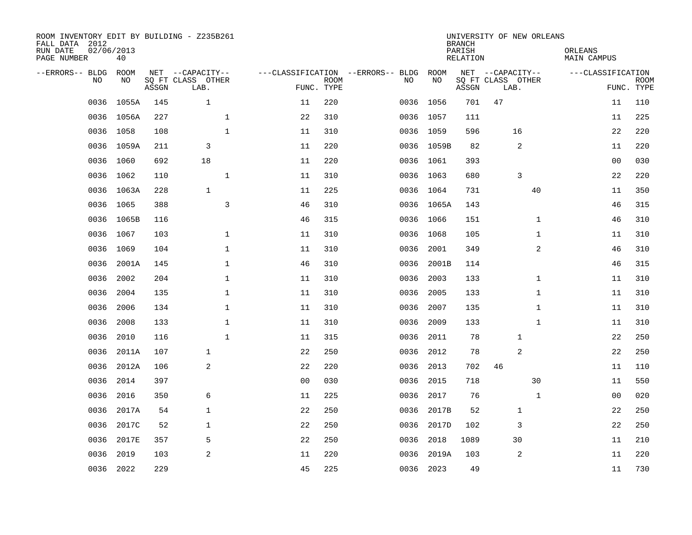| ROOM INVENTORY EDIT BY BUILDING - Z235B261<br>FALL DATA 2012<br>RUN DATE<br>PAGE NUMBER | 02/06/2013<br>40 |       |                                               |                |                           |                                         |            | <b>BRANCH</b><br>PARISH<br><b>RELATION</b> | UNIVERSITY OF NEW ORLEANS                     |              | ORLEANS<br><b>MAIN CAMPUS</b> |                           |
|-----------------------------------------------------------------------------------------|------------------|-------|-----------------------------------------------|----------------|---------------------------|-----------------------------------------|------------|--------------------------------------------|-----------------------------------------------|--------------|-------------------------------|---------------------------|
| --ERRORS-- BLDG<br>NO.                                                                  | ROOM<br>NO       | ASSGN | NET --CAPACITY--<br>SQ FT CLASS OTHER<br>LAB. |                | <b>ROOM</b><br>FUNC. TYPE | ---CLASSIFICATION --ERRORS-- BLDG<br>NO | ROOM<br>NO | ASSGN                                      | NET --CAPACITY--<br>SQ FT CLASS OTHER<br>LAB. |              | ---CLASSIFICATION             | <b>ROOM</b><br>FUNC. TYPE |
| 0036                                                                                    | 1055A            | 145   | $\mathbf{1}$                                  | 11             | 220                       |                                         | 0036 1056  | 701                                        | 47                                            |              | 11                            | 110                       |
|                                                                                         | 0036 1056A       | 227   | $\mathbf 1$                                   | 22             | 310                       |                                         | 0036 1057  | 111                                        |                                               |              | 11                            | 225                       |
| 0036                                                                                    | 1058             | 108   | $\mathbf 1$                                   | 11             | 310                       |                                         | 0036 1059  | 596                                        | 16                                            |              | 22                            | 220                       |
|                                                                                         | 0036 1059A       | 211   | 3                                             | 11             | 220                       |                                         | 0036 1059B | 82                                         | 2                                             |              | 11                            | 220                       |
| 0036                                                                                    | 1060             | 692   | 18                                            | 11             | 220                       |                                         | 0036 1061  | 393                                        |                                               |              | 0 <sub>0</sub>                | 030                       |
|                                                                                         | 0036 1062        | 110   | $\mathbf{1}$                                  | 11             | 310                       |                                         | 0036 1063  | 680                                        | 3                                             |              | 22                            | 220                       |
| 0036                                                                                    | 1063A            | 228   | $\mathbf{1}$                                  | 11             | 225                       |                                         | 0036 1064  | 731                                        |                                               | 40           | 11                            | 350                       |
|                                                                                         | 0036 1065        | 388   | 3                                             | 46             | 310                       |                                         | 0036 1065A | 143                                        |                                               |              | 46                            | 315                       |
| 0036                                                                                    | 1065B            | 116   |                                               | 46             | 315                       | 0036                                    | 1066       | 151                                        |                                               | $\mathbf{1}$ | 46                            | 310                       |
|                                                                                         | 0036 1067        | 103   | $\mathbf 1$                                   | 11             | 310                       |                                         | 0036 1068  | 105                                        |                                               | $\mathbf{1}$ | 11                            | 310                       |
| 0036                                                                                    | 1069             | 104   | $\mathbf{1}$                                  | 11             | 310                       | 0036                                    | 2001       | 349                                        |                                               | 2            | 46                            | 310                       |
| 0036                                                                                    | 2001A            | 145   | $\mathbf{1}$                                  | 46             | 310                       | 0036                                    | 2001B      | 114                                        |                                               |              | 46                            | 315                       |
| 0036                                                                                    | 2002             | 204   | $\mathbf 1$                                   | 11             | 310                       | 0036                                    | 2003       | 133                                        |                                               | $\mathbf{1}$ | 11                            | 310                       |
| 0036                                                                                    | 2004             | 135   | $\mathbf 1$                                   | 11             | 310                       | 0036                                    | 2005       | 133                                        |                                               | $\mathbf{1}$ | 11                            | 310                       |
| 0036                                                                                    | 2006             | 134   | 1                                             | 11             | 310                       | 0036                                    | 2007       | 135                                        |                                               | $\mathbf{1}$ | 11                            | 310                       |
| 0036                                                                                    | 2008             | 133   | $\mathbf{1}$                                  | 11             | 310                       | 0036                                    | 2009       | 133                                        |                                               | $\mathbf{1}$ | 11                            | 310                       |
| 0036                                                                                    | 2010             | 116   | $\mathbf{1}$                                  | 11             | 315                       | 0036                                    | 2011       | 78                                         | 1                                             |              | 22                            | 250                       |
| 0036                                                                                    | 2011A            | 107   | $\mathbf{1}$                                  | 22             | 250                       | 0036                                    | 2012       | 78                                         | 2                                             |              | 22                            | 250                       |
| 0036                                                                                    | 2012A            | 106   | 2                                             | 22             | 220                       | 0036                                    | 2013       | 702                                        | 46                                            |              | 11                            | 110                       |
| 0036                                                                                    | 2014             | 397   |                                               | 0 <sub>0</sub> | 030                       | 0036                                    | 2015       | 718                                        |                                               | 30           | 11                            | 550                       |
| 0036                                                                                    | 2016             | 350   | 6                                             | 11             | 225                       | 0036                                    | 2017       | 76                                         |                                               | $\mathbf{1}$ | 00                            | 020                       |
| 0036                                                                                    | 2017A            | 54    | $\mathbf{1}$                                  | 22             | 250                       | 0036                                    | 2017B      | 52                                         | 1                                             |              | 22                            | 250                       |
| 0036                                                                                    | 2017C            | 52    | $\mathbf{1}$                                  | 22             | 250                       | 0036                                    | 2017D      | 102                                        | 3                                             |              | 22                            | 250                       |
| 0036                                                                                    | 2017E            | 357   | 5                                             | 22             | 250                       | 0036                                    | 2018       | 1089                                       | 30                                            |              | 11                            | 210                       |
| 0036                                                                                    | 2019             | 103   | $\overline{2}$                                | 11             | 220                       | 0036                                    | 2019A      | 103                                        | 2                                             |              | 11                            | 220                       |
|                                                                                         | 0036 2022        | 229   |                                               | 45             | 225                       |                                         | 0036 2023  | 49                                         |                                               |              | 11                            | 730                       |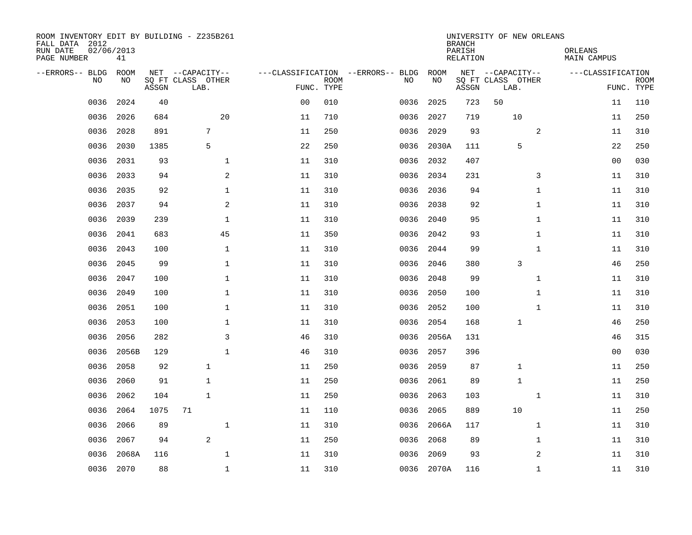| ROOM INVENTORY EDIT BY BUILDING - Z235B261<br>FALL DATA 2012<br>RUN DATE<br>PAGE NUMBER | 02/06/2013<br>41 |       |                           |                |             |                                   |             | <b>BRANCH</b><br>PARISH<br><b>RELATION</b> | UNIVERSITY OF NEW ORLEANS | ORLEANS<br><b>MAIN CAMPUS</b> |                           |
|-----------------------------------------------------------------------------------------|------------------|-------|---------------------------|----------------|-------------|-----------------------------------|-------------|--------------------------------------------|---------------------------|-------------------------------|---------------------------|
| --ERRORS-- BLDG                                                                         | ROOM             |       | NET --CAPACITY--          |                |             | ---CLASSIFICATION --ERRORS-- BLDG | <b>ROOM</b> |                                            | NET --CAPACITY--          | ---CLASSIFICATION             |                           |
| N <sub>O</sub>                                                                          | NO.              | ASSGN | SO FT CLASS OTHER<br>LAB. | FUNC. TYPE     | <b>ROOM</b> | NO.                               | NO          | ASSGN                                      | SQ FT CLASS OTHER<br>LAB. |                               | <b>ROOM</b><br>FUNC. TYPE |
| 0036                                                                                    | 2024             | 40    |                           | 0 <sub>0</sub> | 010         | 0036                              | 2025        | 723                                        | 50                        | 11                            | 110                       |
| 0036                                                                                    | 2026             | 684   | 20                        | 11             | 710         | 0036                              | 2027        | 719                                        | 10                        | 11                            | 250                       |
| 0036                                                                                    | 2028             | 891   | 7                         | 11             | 250         | 0036                              | 2029        | 93                                         | 2                         | 11                            | 310                       |
| 0036                                                                                    | 2030             | 1385  | 5                         | 22             | 250         | 0036                              | 2030A       | 111                                        | 5                         | 22                            | 250                       |
| 0036                                                                                    | 2031             | 93    | $\mathbf 1$               | 11             | 310         | 0036                              | 2032        | 407                                        |                           | 0 <sub>0</sub>                | 030                       |
| 0036                                                                                    | 2033             | 94    | $\mathbf{2}$              | 11             | 310         | 0036                              | 2034        | 231                                        | 3                         | 11                            | 310                       |
| 0036                                                                                    | 2035             | 92    | 1                         | 11             | 310         | 0036                              | 2036        | 94                                         | $\mathbf{1}$              | 11                            | 310                       |
| 0036                                                                                    | 2037             | 94    | 2                         | 11             | 310         | 0036                              | 2038        | 92                                         | $\mathbf{1}$              | 11                            | 310                       |
| 0036                                                                                    | 2039             | 239   | $\mathbf 1$               | 11             | 310         | 0036                              | 2040        | 95                                         | $\mathbf{1}$              | 11                            | 310                       |
| 0036                                                                                    | 2041             | 683   | 45                        | 11             | 350         | 0036                              | 2042        | 93                                         | $\mathbf{1}$              | 11                            | 310                       |
| 0036                                                                                    | 2043             | 100   | $\mathbf{1}$              | 11             | 310         | 0036                              | 2044        | 99                                         | $\mathbf{1}$              | 11                            | 310                       |
| 0036                                                                                    | 2045             | 99    | $\mathbf{1}$              | 11             | 310         | 0036                              | 2046        | 380                                        | 3                         | 46                            | 250                       |
| 0036                                                                                    | 2047             | 100   | $\mathbf 1$               | 11             | 310         | 0036                              | 2048        | 99                                         | $\mathbf{1}$              | 11                            | 310                       |
| 0036                                                                                    | 2049             | 100   | 1                         | 11             | 310         | 0036                              | 2050        | 100                                        | $\mathbf{1}$              | 11                            | 310                       |
| 0036                                                                                    | 2051             | 100   | $\mathbf 1$               | 11             | 310         | 0036                              | 2052        | 100                                        | $\mathbf{1}$              | 11                            | 310                       |
| 0036                                                                                    | 2053             | 100   | $\mathbf 1$               | 11             | 310         | 0036                              | 2054        | 168                                        | 1                         | 46                            | 250                       |
| 0036                                                                                    | 2056             | 282   | 3                         | 46             | 310         | 0036                              | 2056A       | 131                                        |                           | 46                            | 315                       |
| 0036                                                                                    | 2056B            | 129   | $\mathbf{1}$              | 46             | 310         | 0036                              | 2057        | 396                                        |                           | 00                            | 030                       |
| 0036                                                                                    | 2058             | 92    | $\mathbf{1}$              | 11             | 250         | 0036                              | 2059        | 87                                         | $\mathbf{1}$              | 11                            | 250                       |
| 0036                                                                                    | 2060             | 91    | $\mathbf{1}$              | 11             | 250         | 0036                              | 2061        | 89                                         | $\mathbf{1}$              | 11                            | 250                       |
| 0036                                                                                    | 2062             | 104   | $\mathbf{1}$              | 11             | 250         | 0036                              | 2063        | 103                                        | $\mathbf{1}$              | 11                            | 310                       |
| 0036                                                                                    | 2064             | 1075  | 71                        | 11             | 110         | 0036                              | 2065        | 889                                        | 10                        | 11                            | 250                       |
| 0036                                                                                    | 2066             | 89    | $\mathbf 1$               | 11             | 310         | 0036                              | 2066A       | 117                                        | $\mathbf{1}$              | 11                            | 310                       |
| 0036                                                                                    | 2067             | 94    | 2                         | 11             | 250         | 0036                              | 2068        | 89                                         | $\mathbf{1}$              | 11                            | 310                       |
| 0036                                                                                    | 2068A            | 116   | $\mathbf{1}$              | 11             | 310         | 0036                              | 2069        | 93                                         | 2                         | 11                            | 310                       |
|                                                                                         | 0036 2070        | 88    | $\mathbf 1$               | 11             | 310         |                                   | 0036 2070A  | 116                                        | $\mathbf{1}$              | 11                            | 310                       |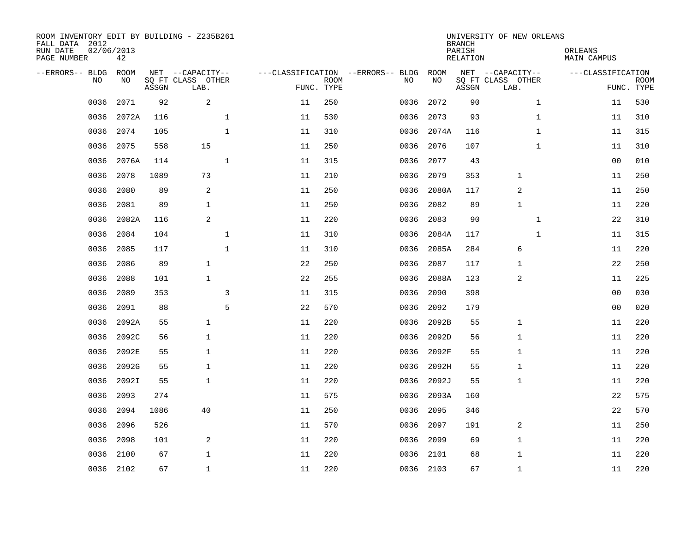| ROOM INVENTORY EDIT BY BUILDING - Z235B261<br>FALL DATA 2012<br>RUN DATE<br>PAGE NUMBER | 02/06/2013<br>42 |       |                                               |    |                           |                                         |            | <b>BRANCH</b><br>PARISH<br><b>RELATION</b> | UNIVERSITY OF NEW ORLEANS                     | ORLEANS<br><b>MAIN CAMPUS</b> |                           |
|-----------------------------------------------------------------------------------------|------------------|-------|-----------------------------------------------|----|---------------------------|-----------------------------------------|------------|--------------------------------------------|-----------------------------------------------|-------------------------------|---------------------------|
| --ERRORS-- BLDG<br>NO                                                                   | ROOM<br>NO       | ASSGN | NET --CAPACITY--<br>SQ FT CLASS OTHER<br>LAB. |    | <b>ROOM</b><br>FUNC. TYPE | ---CLASSIFICATION --ERRORS-- BLDG<br>NO | ROOM<br>NO | ASSGN                                      | NET --CAPACITY--<br>SQ FT CLASS OTHER<br>LAB. | ---CLASSIFICATION             | <b>ROOM</b><br>FUNC. TYPE |
| 0036                                                                                    | 2071             | 92    | $\sqrt{2}$                                    | 11 | 250                       | 0036                                    | 2072       | 90                                         | $\mathbf{1}$                                  | 11                            | 530                       |
| 0036                                                                                    | 2072A            | 116   | $\mathbf 1$                                   | 11 | 530                       | 0036                                    | 2073       | 93                                         | $\mathbf{1}$                                  | 11                            | 310                       |
| 0036                                                                                    | 2074             | 105   | 1                                             | 11 | 310                       | 0036                                    | 2074A      | 116                                        | $\mathbf{1}$                                  | 11                            | 315                       |
| 0036                                                                                    | 2075             | 558   | 15                                            | 11 | 250                       | 0036                                    | 2076       | 107                                        | $\mathbf{1}$                                  | 11                            | 310                       |
| 0036                                                                                    | 2076A            | 114   | $\mathbf{1}$                                  | 11 | 315                       | 0036                                    | 2077       | 43                                         |                                               | 0 <sub>0</sub>                | 010                       |
| 0036                                                                                    | 2078             | 1089  | 73                                            | 11 | 210                       | 0036                                    | 2079       | 353                                        | 1                                             | 11                            | 250                       |
| 0036                                                                                    | 2080             | 89    | $\sqrt{2}$                                    | 11 | 250                       | 0036                                    | 2080A      | 117                                        | 2                                             | 11                            | 250                       |
| 0036                                                                                    | 2081             | 89    | $\mathbf{1}$                                  | 11 | 250                       | 0036                                    | 2082       | 89                                         | $\mathbf{1}$                                  | 11                            | 220                       |
| 0036                                                                                    | 2082A            | 116   | 2                                             | 11 | 220                       | 0036                                    | 2083       | 90                                         | $\mathbf{1}$                                  | 22                            | 310                       |
| 0036                                                                                    | 2084             | 104   | $\mathbf 1$                                   | 11 | 310                       | 0036                                    | 2084A      | 117                                        | $\mathbf{1}$                                  | 11                            | 315                       |
| 0036                                                                                    | 2085             | 117   | $\mathbf{1}$                                  | 11 | 310                       | 0036                                    | 2085A      | 284                                        | 6                                             | 11                            | 220                       |
| 0036                                                                                    | 2086             | 89    | $\mathbf{1}$                                  | 22 | 250                       | 0036                                    | 2087       | 117                                        | 1                                             | 22                            | 250                       |
| 0036                                                                                    | 2088             | 101   | $\mathbf{1}$                                  | 22 | 255                       | 0036                                    | 2088A      | 123                                        | 2                                             | 11                            | 225                       |
| 0036                                                                                    | 2089             | 353   | 3                                             | 11 | 315                       | 0036                                    | 2090       | 398                                        |                                               | 00                            | 030                       |
| 0036                                                                                    | 2091             | 88    | 5                                             | 22 | 570                       | 0036                                    | 2092       | 179                                        |                                               | 0 <sub>0</sub>                | 020                       |
| 0036                                                                                    | 2092A            | 55    | $\mathbf{1}$                                  | 11 | 220                       | 0036                                    | 2092B      | 55                                         | 1                                             | 11                            | 220                       |
| 0036                                                                                    | 2092C            | 56    | $\mathbf 1$                                   | 11 | 220                       | 0036                                    | 2092D      | 56                                         | $\mathbf{1}$                                  | 11                            | 220                       |
| 0036                                                                                    | 2092E            | 55    | $\mathbf 1$                                   | 11 | 220                       | 0036                                    | 2092F      | 55                                         | $\mathbf{1}$                                  | 11                            | 220                       |
| 0036                                                                                    | 2092G            | 55    | $\mathbf{1}$                                  | 11 | 220                       | 0036                                    | 2092H      | 55                                         | $\mathbf{1}$                                  | 11                            | 220                       |
| 0036                                                                                    | 2092I            | 55    | $\mathbf{1}$                                  | 11 | 220                       | 0036                                    | 2092J      | 55                                         | 1                                             | 11                            | 220                       |
| 0036                                                                                    | 2093             | 274   |                                               | 11 | 575                       | 0036                                    | 2093A      | 160                                        |                                               | 22                            | 575                       |
| 0036                                                                                    | 2094             | 1086  | 40                                            | 11 | 250                       | 0036                                    | 2095       | 346                                        |                                               | 22                            | 570                       |
| 0036                                                                                    | 2096             | 526   |                                               | 11 | 570                       | 0036                                    | 2097       | 191                                        | 2                                             | 11                            | 250                       |
| 0036                                                                                    | 2098             | 101   | 2                                             | 11 | 220                       | 0036                                    | 2099       | 69                                         | $\mathbf 1$                                   | 11                            | 220                       |
| 0036                                                                                    | 2100             | 67    | $\mathbf 1$                                   | 11 | 220                       | 0036                                    | 2101       | 68                                         | 1                                             | 11                            | 220                       |
|                                                                                         | 0036 2102        | 67    | $\mathbf{1}$                                  | 11 | 220                       |                                         | 0036 2103  | 67                                         | 1                                             | 11                            | 220                       |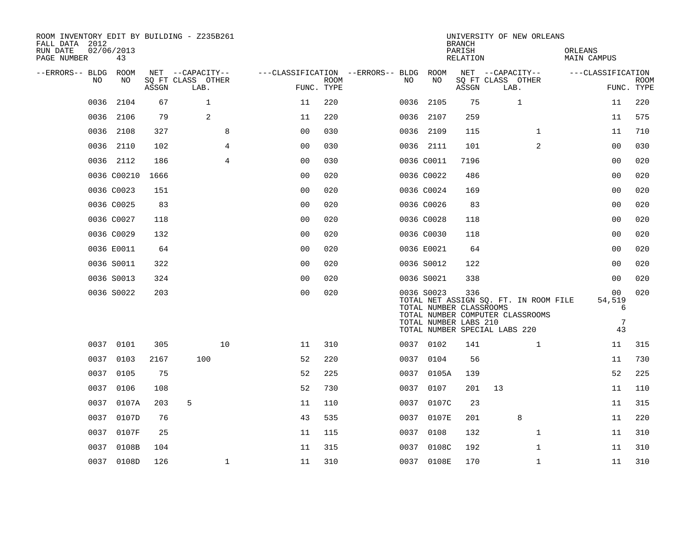| ROOM INVENTORY EDIT BY BUILDING - Z235B261<br>FALL DATA 2012<br>RUN DATE<br>PAGE NUMBER | 02/06/2013<br>43 |       |                                               |                |                           |                                        |      |                                                                | <b>BRANCH</b><br>PARISH<br>RELATION | UNIVERSITY OF NEW ORLEANS                                                                                  |              | ORLEANS<br>MAIN CAMPUS       |                           |
|-----------------------------------------------------------------------------------------|------------------|-------|-----------------------------------------------|----------------|---------------------------|----------------------------------------|------|----------------------------------------------------------------|-------------------------------------|------------------------------------------------------------------------------------------------------------|--------------|------------------------------|---------------------------|
| --ERRORS-- BLDG<br>NO.                                                                  | ROOM<br>NO.      | ASSGN | NET --CAPACITY--<br>SQ FT CLASS OTHER<br>LAB. |                | <b>ROOM</b><br>FUNC. TYPE | ---CLASSIFICATION --ERRORS-- BLDG ROOM | NO.  | NO                                                             | ASSGN                               | NET --CAPACITY--<br>SQ FT CLASS OTHER<br>LAB.                                                              |              | ---CLASSIFICATION            | <b>ROOM</b><br>FUNC. TYPE |
| 0036                                                                                    | 2104             | 67    | $\mathbf{1}$                                  |                | 220<br>11                 |                                        |      | 0036 2105                                                      | 75                                  | 1                                                                                                          |              | 11                           | 220                       |
| 0036                                                                                    | 2106             | 79    | 2                                             |                | 220<br>11                 |                                        |      | 0036 2107                                                      | 259                                 |                                                                                                            |              | 11                           | 575                       |
| 0036                                                                                    | 2108             | 327   |                                               | 8              | 0 <sub>0</sub><br>030     |                                        |      | 0036 2109                                                      | 115                                 |                                                                                                            | $\mathbf{1}$ | 11                           | 710                       |
| 0036                                                                                    | 2110             | 102   |                                               | $\overline{4}$ | 0 <sub>0</sub><br>030     |                                        |      | 0036 2111                                                      | 101                                 |                                                                                                            | 2            | 0 <sub>0</sub>               | 030                       |
|                                                                                         | 0036 2112        | 186   |                                               | $\overline{4}$ | 0 <sub>0</sub><br>030     |                                        |      | 0036 C0011                                                     | 7196                                |                                                                                                            |              | 00                           | 020                       |
|                                                                                         | 0036 C00210      | 1666  |                                               |                | 0 <sub>0</sub><br>020     |                                        |      | 0036 C0022                                                     | 486                                 |                                                                                                            |              | 0 <sub>0</sub>               | 020                       |
|                                                                                         | 0036 C0023       | 151   |                                               |                | 0 <sub>0</sub><br>020     |                                        |      | 0036 C0024                                                     | 169                                 |                                                                                                            |              | 0 <sub>0</sub>               | 020                       |
|                                                                                         | 0036 C0025       | 83    |                                               |                | 00<br>020                 |                                        |      | 0036 C0026                                                     | 83                                  |                                                                                                            |              | 00                           | 020                       |
|                                                                                         | 0036 C0027       | 118   |                                               |                | 0 <sub>0</sub><br>020     |                                        |      | 0036 C0028                                                     | 118                                 |                                                                                                            |              | 0 <sub>0</sub>               | 020                       |
|                                                                                         | 0036 C0029       | 132   |                                               |                | 0 <sub>0</sub><br>020     |                                        |      | 0036 C0030                                                     | 118                                 |                                                                                                            |              | 00                           | 020                       |
|                                                                                         | 0036 E0011       | 64    |                                               |                | 0 <sub>0</sub><br>020     |                                        |      | 0036 E0021                                                     | 64                                  |                                                                                                            |              | 00                           | 020                       |
|                                                                                         | 0036 S0011       | 322   |                                               |                | 020<br>00                 |                                        |      | 0036 S0012                                                     | 122                                 |                                                                                                            |              | 0 <sub>0</sub>               | 020                       |
|                                                                                         | 0036 S0013       | 324   |                                               |                | 0 <sub>0</sub><br>020     |                                        |      | 0036 S0021                                                     | 338                                 |                                                                                                            |              | 00                           | 020                       |
|                                                                                         | 0036 S0022       | 203   |                                               |                | 00<br>020                 |                                        |      | 0036 S0023<br>TOTAL NUMBER CLASSROOMS<br>TOTAL NUMBER LABS 210 | 336                                 | TOTAL NET ASSIGN SQ. FT. IN ROOM FILE<br>TOTAL NUMBER COMPUTER CLASSROOMS<br>TOTAL NUMBER SPECIAL LABS 220 |              | 00<br>54,519<br>6<br>7<br>43 | 020                       |
|                                                                                         | 0037 0101        | 305   |                                               | 10             | 310<br>11                 |                                        |      | 0037 0102                                                      | 141                                 |                                                                                                            | $\mathbf{1}$ | 11                           | 315                       |
|                                                                                         | 0037 0103        | 2167  | 100                                           |                | 220<br>52                 |                                        |      | 0037 0104                                                      | 56                                  |                                                                                                            |              | 11                           | 730                       |
| 0037                                                                                    | 0105             | 75    |                                               |                | 52<br>225                 |                                        |      | 0037 0105A                                                     | 139                                 |                                                                                                            |              | 52                           | 225                       |
|                                                                                         | 0037 0106        | 108   |                                               |                | 52<br>730                 |                                        |      | 0037 0107                                                      | 201                                 | 13                                                                                                         |              | 11                           | 110                       |
| 0037                                                                                    | 0107A            | 203   | 5                                             |                | 11<br>110                 |                                        |      | 0037 0107C                                                     | 23                                  |                                                                                                            |              | 11                           | 315                       |
|                                                                                         | 0037 0107D       | 76    |                                               |                | 43<br>535                 |                                        |      | 0037 0107E                                                     | 201                                 | 8                                                                                                          |              | 11                           | 220                       |
| 0037                                                                                    | 0107F            | 25    |                                               |                | 115<br>11                 |                                        | 0037 | 0108                                                           | 132                                 |                                                                                                            | $\mathbf{1}$ | 11                           | 310                       |
| 0037                                                                                    | 0108B            | 104   |                                               |                | 11<br>315                 |                                        |      | 0037 0108C                                                     | 192                                 |                                                                                                            | $\mathbf{1}$ | 11                           | 310                       |
|                                                                                         | 0037 0108D       | 126   |                                               | $\mathbf 1$    | 11<br>310                 |                                        |      | 0037 0108E                                                     | 170                                 |                                                                                                            | $\mathbf{1}$ | 11                           | 310                       |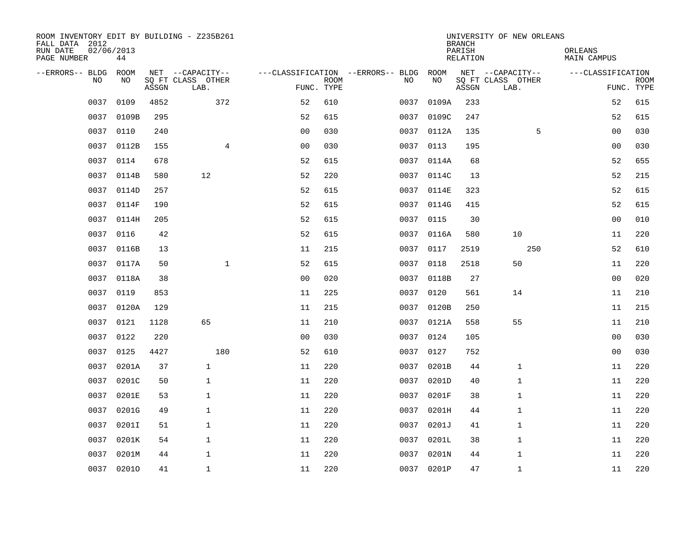| ROOM INVENTORY EDIT BY BUILDING - Z235B261<br>FALL DATA 2012 |            |       |                           |                                        |             |      |            | <b>BRANCH</b>      | UNIVERSITY OF NEW ORLEANS |                        |                           |
|--------------------------------------------------------------|------------|-------|---------------------------|----------------------------------------|-------------|------|------------|--------------------|---------------------------|------------------------|---------------------------|
| RUN DATE<br>02/06/2013<br>PAGE NUMBER                        | 44         |       |                           |                                        |             |      |            | PARISH<br>RELATION |                           | ORLEANS<br>MAIN CAMPUS |                           |
| --ERRORS-- BLDG ROOM                                         |            |       | NET --CAPACITY--          | ---CLASSIFICATION --ERRORS-- BLDG ROOM |             |      |            |                    | NET --CAPACITY--          | ---CLASSIFICATION      |                           |
| NO                                                           | NO         | ASSGN | SQ FT CLASS OTHER<br>LAB. | FUNC. TYPE                             | <b>ROOM</b> | NO   | NO         | ASSGN              | SQ FT CLASS OTHER<br>LAB. |                        | <b>ROOM</b><br>FUNC. TYPE |
| 0037                                                         | 0109       | 4852  | 372                       | 52                                     | 610         | 0037 | 0109A      | 233                |                           | 52                     | 615                       |
| 0037                                                         | 0109B      | 295   |                           | 52                                     | 615         | 0037 | 0109C      | 247                |                           | 52                     | 615                       |
| 0037                                                         | 0110       | 240   |                           | 0 <sub>0</sub>                         | 030         |      | 0037 0112A | 135                | 5                         | 0 <sub>0</sub>         | 030                       |
| 0037                                                         | 0112B      | 155   | $\overline{4}$            | 0 <sub>0</sub>                         | 030         |      | 0037 0113  | 195                |                           | 0 <sub>0</sub>         | 030                       |
| 0037                                                         | 0114       | 678   |                           | 52                                     | 615         | 0037 | 0114A      | 68                 |                           | 52                     | 655                       |
| 0037                                                         | 0114B      | 580   | 12                        | 52                                     | 220         |      | 0037 0114C | 13                 |                           | 52                     | 215                       |
| 0037                                                         | 0114D      | 257   |                           | 52                                     | 615         | 0037 | 0114E      | 323                |                           | 52                     | 615                       |
| 0037                                                         | 0114F      | 190   |                           | 52                                     | 615         |      | 0037 0114G | 415                |                           | 52                     | 615                       |
| 0037                                                         | 0114H      | 205   |                           | 52                                     | 615         | 0037 | 0115       | 30                 |                           | 0 <sub>0</sub>         | 010                       |
|                                                              | 0037 0116  | 42    |                           | 52                                     | 615         |      | 0037 0116A | 580                | 10                        | 11                     | 220                       |
| 0037                                                         | 0116B      | 13    |                           | 11                                     | 215         | 0037 | 0117       | 2519               | 250                       | 52                     | 610                       |
|                                                              | 0037 0117A | 50    | $\mathbf{1}$              | 52                                     | 615         |      | 0037 0118  | 2518               | 50                        | 11                     | 220                       |
| 0037                                                         | 0118A      | 38    |                           | 0 <sub>0</sub>                         | 020         | 0037 | 0118B      | 27                 |                           | 00                     | 020                       |
| 0037                                                         | 0119       | 853   |                           | 11                                     | 225         |      | 0037 0120  | 561                | 14                        | 11                     | 210                       |
| 0037                                                         | 0120A      | 129   |                           | 11                                     | 215         |      | 0037 0120B | 250                |                           | 11                     | 215                       |
| 0037                                                         | 0121       | 1128  | 65                        | 11                                     | 210         |      | 0037 0121A | 558                | 55                        | 11                     | 210                       |
| 0037                                                         | 0122       | 220   |                           | 0 <sub>0</sub>                         | 030         |      | 0037 0124  | 105                |                           | 0 <sub>0</sub>         | 030                       |
| 0037                                                         | 0125       | 4427  | 180                       | 52                                     | 610         | 0037 | 0127       | 752                |                           | 00                     | 030                       |
| 0037                                                         | 0201A      | 37    | $\mathbf{1}$              | 11                                     | 220         |      | 0037 0201B | 44                 | $\mathbf 1$               | 11                     | 220                       |
| 0037                                                         | 0201C      | 50    | $\mathbf{1}$              | 11                                     | 220         | 0037 | 0201D      | 40                 | 1                         | 11                     | 220                       |
| 0037                                                         | 0201E      | 53    | $\mathbf{1}$              | 11                                     | 220         |      | 0037 0201F | 38                 | $\mathbf 1$               | 11                     | 220                       |
| 0037                                                         | 0201G      | 49    | $\mathbf{1}$              | 11                                     | 220         | 0037 | 0201H      | 44                 | 1                         | 11                     | 220                       |
| 0037                                                         | 0201I      | 51    | $\mathbf 1$               | 11                                     | 220         | 0037 | 0201J      | 41                 | 1                         | 11                     | 220                       |
| 0037                                                         | 0201K      | 54    | $\mathbf{1}$              | 11                                     | 220         | 0037 | 0201L      | 38                 | 1                         | 11                     | 220                       |
| 0037                                                         | 0201M      | 44    | $\mathbf{1}$              | 11                                     | 220         | 0037 | 0201N      | 44                 | 1                         | 11                     | 220                       |
|                                                              | 0037 02010 | 41    | $\mathbf{1}$              | 11                                     | 220         |      | 0037 0201P | 47                 | $\mathbf{1}$              | 11                     | 220                       |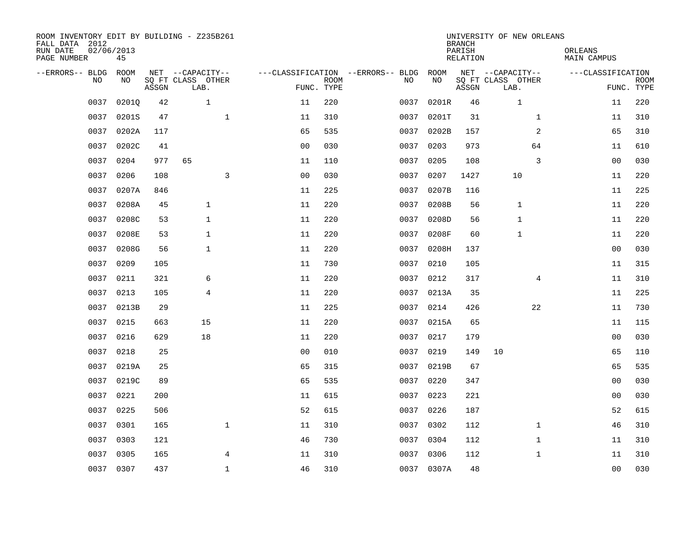| ROOM INVENTORY EDIT BY BUILDING - Z235B261<br>FALL DATA 2012<br>RUN DATE<br>PAGE NUMBER | 02/06/2013<br>45 |       |                           |                     |                           |                                   |            | <b>BRANCH</b><br>PARISH<br>RELATION | UNIVERSITY OF NEW ORLEANS | ORLEANS<br>MAIN CAMPUS |                           |
|-----------------------------------------------------------------------------------------|------------------|-------|---------------------------|---------------------|---------------------------|-----------------------------------|------------|-------------------------------------|---------------------------|------------------------|---------------------------|
| --ERRORS-- BLDG                                                                         | ROOM             |       | NET --CAPACITY--          |                     |                           | ---CLASSIFICATION --ERRORS-- BLDG | ROOM       |                                     | NET --CAPACITY--          | ---CLASSIFICATION      |                           |
| N <sub>O</sub>                                                                          | NO.              | ASSGN | SO FT CLASS OTHER<br>LAB. |                     | <b>ROOM</b><br>FUNC. TYPE | NO.                               | NO         | ASSGN                               | SQ FT CLASS OTHER<br>LAB. |                        | <b>ROOM</b><br>FUNC. TYPE |
| 0037                                                                                    | 02010            | 42    | $\mathbf{1}$              | 11                  | 220                       | 0037                              | 0201R      | 46                                  | $\mathbf 1$               | 11                     | 220                       |
| 0037                                                                                    | 0201S            | 47    |                           | $\mathbf 1$<br>11   | 310                       | 0037                              | 0201T      | 31                                  | $\mathbf{1}$              | 11                     | 310                       |
| 0037                                                                                    | 0202A            | 117   |                           | 65                  | 535                       | 0037                              | 0202B      | 157                                 | 2                         | 65                     | 310                       |
| 0037                                                                                    | 0202C            | 41    |                           | 0 <sub>0</sub>      | 030                       | 0037                              | 0203       | 973                                 | 64                        | 11                     | 610                       |
| 0037                                                                                    | 0204             | 977   | 65                        | 11                  | 110                       | 0037                              | 0205       | 108                                 | 3                         | 00                     | 030                       |
| 0037                                                                                    | 0206             | 108   |                           | 3<br>0 <sub>0</sub> | 030                       | 0037                              | 0207       | 1427                                | 10                        | 11                     | 220                       |
| 0037                                                                                    | 0207A            | 846   |                           | 11                  | 225                       | 0037                              | 0207B      | 116                                 |                           | 11                     | 225                       |
| 0037                                                                                    | 0208A            | 45    | $\mathbf{1}$              | 11                  | 220                       | 0037                              | 0208B      | 56                                  | $\mathbf{1}$              | 11                     | 220                       |
| 0037                                                                                    | 0208C            | 53    | $\mathbf{1}$              | 11                  | 220                       | 0037                              | 0208D      | 56                                  | $\mathbf{1}$              | 11                     | 220                       |
| 0037                                                                                    | 0208E            | 53    | $\mathbf{1}$              | 11                  | 220                       | 0037                              | 0208F      | 60                                  | 1                         | 11                     | 220                       |
| 0037                                                                                    | 0208G            | 56    | $\mathbf{1}$              | 11                  | 220                       | 0037                              | 0208H      | 137                                 |                           | 0 <sub>0</sub>         | 030                       |
| 0037                                                                                    | 0209             | 105   |                           | 11                  | 730                       |                                   | 0037 0210  | 105                                 |                           | 11                     | 315                       |
| 0037                                                                                    | 0211             | 321   | 6                         | 11                  | 220                       | 0037                              | 0212       | 317                                 | $\overline{4}$            | 11                     | 310                       |
| 0037                                                                                    | 0213             | 105   | $\overline{4}$            | 11                  | 220                       |                                   | 0037 0213A | 35                                  |                           | 11                     | 225                       |
| 0037                                                                                    | 0213B            | 29    |                           | 11                  | 225                       | 0037                              | 0214       | 426                                 | 22                        | 11                     | 730                       |
| 0037                                                                                    | 0215             | 663   | 15                        | 11                  | 220                       | 0037                              | 0215A      | 65                                  |                           | 11                     | 115                       |
| 0037                                                                                    | 0216             | 629   | 18                        | 11                  | 220                       | 0037                              | 0217       | 179                                 |                           | 00                     | 030                       |
| 0037                                                                                    | 0218             | 25    |                           | 0 <sub>0</sub>      | 010                       | 0037                              | 0219       | 149                                 | 10                        | 65                     | 110                       |
| 0037                                                                                    | 0219A            | 25    |                           | 65                  | 315                       |                                   | 0037 0219B | 67                                  |                           | 65                     | 535                       |
| 0037                                                                                    | 0219C            | 89    |                           | 65                  | 535                       | 0037                              | 0220       | 347                                 |                           | 0 <sub>0</sub>         | 030                       |
| 0037                                                                                    | 0221             | 200   |                           | 11                  | 615                       | 0037                              | 0223       | 221                                 |                           | 00                     | 030                       |
| 0037                                                                                    | 0225             | 506   |                           | 52                  | 615                       | 0037                              | 0226       | 187                                 |                           | 52                     | 615                       |
| 0037                                                                                    | 0301             | 165   |                           | $\mathbf{1}$<br>11  | 310                       | 0037                              | 0302       | 112                                 | $\mathbf{1}$              | 46                     | 310                       |
| 0037                                                                                    | 0303             | 121   |                           | 46                  | 730                       | 0037                              | 0304       | 112                                 | $\mathbf{1}$              | 11                     | 310                       |
| 0037                                                                                    | 0305             | 165   |                           | 4<br>11             | 310                       |                                   | 0037 0306  | 112                                 | $\mathbf{1}$              | 11                     | 310                       |
|                                                                                         | 0037 0307        | 437   |                           | $\mathbf{1}$<br>46  | 310                       |                                   | 0037 0307A | 48                                  |                           | 0 <sub>0</sub>         | 030                       |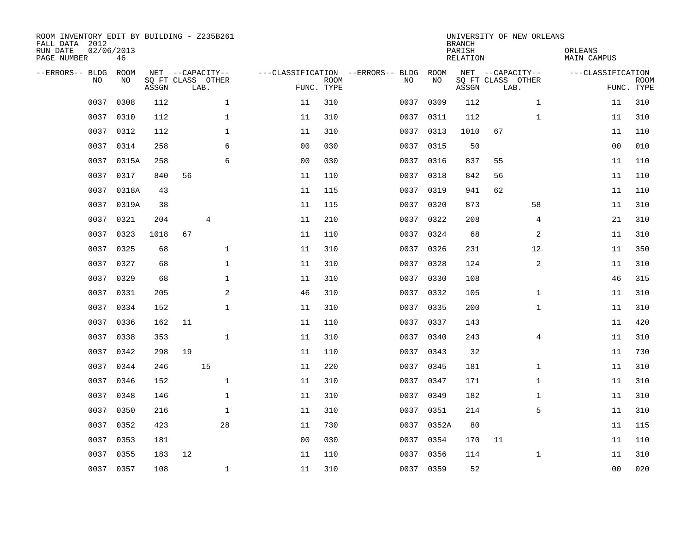| ROOM INVENTORY EDIT BY BUILDING - Z235B261<br>FALL DATA 2012<br>RUN DATE<br>PAGE NUMBER | 02/06/2013<br>46 |       |                                               |                |                           |                                         |            | <b>BRANCH</b><br>PARISH<br><b>RELATION</b> | UNIVERSITY OF NEW ORLEANS                     | ORLEANS<br><b>MAIN CAMPUS</b> |                           |
|-----------------------------------------------------------------------------------------|------------------|-------|-----------------------------------------------|----------------|---------------------------|-----------------------------------------|------------|--------------------------------------------|-----------------------------------------------|-------------------------------|---------------------------|
| --ERRORS-- BLDG<br>NO                                                                   | ROOM<br>NO       | ASSGN | NET --CAPACITY--<br>SQ FT CLASS OTHER<br>LAB. |                | <b>ROOM</b><br>FUNC. TYPE | ---CLASSIFICATION --ERRORS-- BLDG<br>NO | ROOM<br>NO | ASSGN                                      | NET --CAPACITY--<br>SQ FT CLASS OTHER<br>LAB. | ---CLASSIFICATION             | <b>ROOM</b><br>FUNC. TYPE |
| 0037                                                                                    | 0308             | 112   | $\mathbf 1$                                   | 11             | 310                       | 0037                                    | 0309       | 112                                        | $\mathbf{1}$                                  | 11                            | 310                       |
| 0037                                                                                    | 0310             | 112   | 1                                             | 11             | 310                       |                                         | 0037 0311  | 112                                        | $\mathbf{1}$                                  | 11                            | 310                       |
| 0037                                                                                    | 0312             | 112   | 1                                             | 11             | 310                       | 0037                                    | 0313       | 1010                                       | 67                                            | 11                            | 110                       |
| 0037                                                                                    | 0314             | 258   | 6                                             | 0 <sub>0</sub> | 030                       |                                         | 0037 0315  | 50                                         |                                               | 0 <sub>0</sub>                | 010                       |
| 0037                                                                                    | 0315A            | 258   | 6                                             | 0 <sub>0</sub> | 030                       | 0037                                    | 0316       | 837                                        | 55                                            | 11                            | 110                       |
| 0037                                                                                    | 0317             | 840   | 56                                            | 11             | 110                       | 0037                                    | 0318       | 842                                        | 56                                            | 11                            | 110                       |
| 0037                                                                                    | 0318A            | 43    |                                               | 11             | 115                       | 0037                                    | 0319       | 941                                        | 62                                            | 11                            | 110                       |
| 0037                                                                                    | 0319A            | 38    |                                               | 11             | 115                       | 0037                                    | 0320       | 873                                        | 58                                            | 11                            | 310                       |
| 0037                                                                                    | 0321             | 204   | 4                                             | 11             | 210                       | 0037                                    | 0322       | 208                                        | 4                                             | 21                            | 310                       |
| 0037                                                                                    | 0323             | 1018  | 67                                            | 11             | 110                       |                                         | 0037 0324  | 68                                         | 2                                             | 11                            | 310                       |
| 0037                                                                                    | 0325             | 68    | $\mathbf{1}$                                  | 11             | 310                       | 0037                                    | 0326       | 231                                        | 12                                            | 11                            | 350                       |
| 0037                                                                                    | 0327             | 68    | $\mathbf{1}$                                  | 11             | 310                       |                                         | 0037 0328  | 124                                        | 2                                             | 11                            | 310                       |
| 0037                                                                                    | 0329             | 68    | $\mathbf 1$                                   | 11             | 310                       | 0037                                    | 0330       | 108                                        |                                               | 46                            | 315                       |
| 0037                                                                                    | 0331             | 205   | $\mathbf{2}$                                  | 46             | 310                       |                                         | 0037 0332  | 105                                        | $\mathbf{1}$                                  | 11                            | 310                       |
| 0037                                                                                    | 0334             | 152   | $\mathbf 1$                                   | 11             | 310                       | 0037                                    | 0335       | 200                                        | $\mathbf{1}$                                  | 11                            | 310                       |
| 0037                                                                                    | 0336             | 162   | 11                                            | 11             | 110                       | 0037                                    | 0337       | 143                                        |                                               | 11                            | 420                       |
| 0037                                                                                    | 0338             | 353   | $\mathbf{1}$                                  | 11             | 310                       | 0037                                    | 0340       | 243                                        | $\overline{4}$                                | 11                            | 310                       |
| 0037                                                                                    | 0342             | 298   | 19                                            | 11             | 110                       | 0037                                    | 0343       | 32                                         |                                               | 11                            | 730                       |
| 0037                                                                                    | 0344             | 246   | 15                                            | 11             | 220                       |                                         | 0037 0345  | 181                                        | $\mathbf{1}$                                  | 11                            | 310                       |
| 0037                                                                                    | 0346             | 152   | $\mathbf 1$                                   | 11             | 310                       |                                         | 0037 0347  | 171                                        | $\mathbf{1}$                                  | 11                            | 310                       |
| 0037                                                                                    | 0348             | 146   | $\mathbf 1$                                   | 11             | 310                       |                                         | 0037 0349  | 182                                        | $\mathbf{1}$                                  | 11                            | 310                       |
| 0037                                                                                    | 0350             | 216   | $\mathbf 1$                                   | 11             | 310                       | 0037                                    | 0351       | 214                                        | 5                                             | 11                            | 310                       |
| 0037                                                                                    | 0352             | 423   | 28                                            | 11             | 730                       |                                         | 0037 0352A | 80                                         |                                               | 11                            | 115                       |
| 0037                                                                                    | 0353             | 181   |                                               | 0 <sub>0</sub> | 030                       | 0037                                    | 0354       | 170                                        | 11                                            | 11                            | 110                       |
| 0037                                                                                    | 0355             | 183   | 12                                            | 11             | 110                       |                                         | 0037 0356  | 114                                        | $\mathbf{1}$                                  | 11                            | 310                       |
|                                                                                         | 0037 0357        | 108   | $\mathbf 1$                                   | 11             | 310                       |                                         | 0037 0359  | 52                                         |                                               | 0 <sub>0</sub>                | 020                       |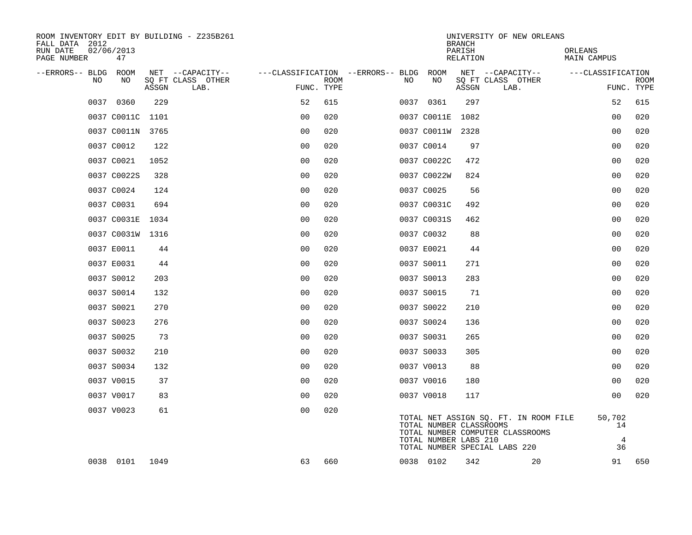| ROOM INVENTORY EDIT BY BUILDING - Z235B261<br>FALL DATA 2012 |                  |       |                           |                                        |             |    |                                                  | <b>BRANCH</b>      | UNIVERSITY OF NEW ORLEANS                                                                                  |                                      |                           |
|--------------------------------------------------------------|------------------|-------|---------------------------|----------------------------------------|-------------|----|--------------------------------------------------|--------------------|------------------------------------------------------------------------------------------------------------|--------------------------------------|---------------------------|
| RUN DATE<br>PAGE NUMBER                                      | 02/06/2013<br>47 |       |                           |                                        |             |    |                                                  | PARISH<br>RELATION |                                                                                                            | ORLEANS<br>MAIN CAMPUS               |                           |
| --ERRORS-- BLDG ROOM                                         |                  |       | NET --CAPACITY--          | ---CLASSIFICATION --ERRORS-- BLDG ROOM |             |    |                                                  |                    | NET --CAPACITY--                                                                                           | ---CLASSIFICATION                    |                           |
| NO                                                           | NO               | ASSGN | SO FT CLASS OTHER<br>LAB. | FUNC. TYPE                             | <b>ROOM</b> | NO | NO                                               | ASSGN              | SQ FT CLASS OTHER<br>LAB.                                                                                  |                                      | <b>ROOM</b><br>FUNC. TYPE |
|                                                              | 0037 0360        | 229   |                           | 52                                     | 615         |    | 0037 0361                                        | 297                |                                                                                                            | 52                                   | 615                       |
|                                                              | 0037 C0011C      | 1101  |                           | 0 <sub>0</sub>                         | 020         |    | 0037 C0011E                                      | 1082               |                                                                                                            | 0 <sub>0</sub>                       | 020                       |
|                                                              | 0037 C0011N 3765 |       |                           | 0 <sub>0</sub>                         | 020         |    | 0037 C0011W 2328                                 |                    |                                                                                                            | 0 <sub>0</sub>                       | 020                       |
|                                                              | 0037 C0012       | 122   |                           | 0 <sub>0</sub>                         | 020         |    | 0037 C0014                                       | 97                 |                                                                                                            | 0 <sub>0</sub>                       | 020                       |
|                                                              | 0037 C0021       | 1052  |                           | 0 <sub>0</sub>                         | 020         |    | 0037 C0022C                                      | 472                |                                                                                                            | 0 <sub>0</sub>                       | 020                       |
|                                                              | 0037 C0022S      | 328   |                           | 0 <sub>0</sub>                         | 020         |    | 0037 C0022W                                      | 824                |                                                                                                            | 0 <sub>0</sub>                       | 020                       |
|                                                              | 0037 C0024       | 124   |                           | 0 <sub>0</sub>                         | 020         |    | 0037 C0025                                       | 56                 |                                                                                                            | 0 <sub>0</sub>                       | 020                       |
|                                                              | 0037 C0031       | 694   |                           | 0 <sub>0</sub>                         | 020         |    | 0037 C0031C                                      | 492                |                                                                                                            | 00                                   | 020                       |
|                                                              | 0037 C0031E      | 1034  |                           | 0 <sub>0</sub>                         | 020         |    | 0037 C0031S                                      | 462                |                                                                                                            | 0 <sub>0</sub>                       | 020                       |
|                                                              | 0037 C0031W 1316 |       |                           | 0 <sub>0</sub>                         | 020         |    | 0037 C0032                                       | 88                 |                                                                                                            | 0 <sub>0</sub>                       | 020                       |
|                                                              | 0037 E0011       | 44    |                           | 0 <sub>0</sub>                         | 020         |    | 0037 E0021                                       | 44                 |                                                                                                            | 0 <sub>0</sub>                       | 020                       |
|                                                              | 0037 E0031       | 44    |                           | 0 <sub>0</sub>                         | 020         |    | 0037 S0011                                       | 271                |                                                                                                            | 0 <sub>0</sub>                       | 020                       |
|                                                              | 0037 S0012       | 203   |                           | 0 <sub>0</sub>                         | 020         |    | 0037 S0013                                       | 283                |                                                                                                            | 00                                   | 020                       |
|                                                              | 0037 S0014       | 132   |                           | 0 <sub>0</sub>                         | 020         |    | 0037 S0015                                       | 71                 |                                                                                                            | 0 <sub>0</sub>                       | 020                       |
|                                                              | 0037 S0021       | 270   |                           | 0 <sub>0</sub>                         | 020         |    | 0037 S0022                                       | 210                |                                                                                                            | 0 <sub>0</sub>                       | 020                       |
|                                                              | 0037 S0023       | 276   |                           | 00                                     | 020         |    | 0037 S0024                                       | 136                |                                                                                                            | 0 <sub>0</sub>                       | 020                       |
|                                                              | 0037 S0025       | 73    |                           | 0 <sub>0</sub>                         | 020         |    | 0037 S0031                                       | 265                |                                                                                                            | 00                                   | 020                       |
|                                                              | 0037 S0032       | 210   |                           | 0 <sub>0</sub>                         | 020         |    | 0037 S0033                                       | 305                |                                                                                                            | 0 <sub>0</sub>                       | 020                       |
|                                                              | 0037 S0034       | 132   |                           | 0 <sub>0</sub>                         | 020         |    | 0037 V0013                                       | 88                 |                                                                                                            | 0 <sub>0</sub>                       | 020                       |
|                                                              | 0037 V0015       | 37    |                           | 0 <sub>0</sub>                         | 020         |    | 0037 V0016                                       | 180                |                                                                                                            | 0 <sub>0</sub>                       | 020                       |
|                                                              | 0037 V0017       | 83    |                           | 0 <sub>0</sub>                         | 020         |    | 0037 V0018                                       | 117                |                                                                                                            | 00                                   | 020                       |
|                                                              | 0037 V0023       | 61    |                           | 0 <sub>0</sub>                         | 020         |    | TOTAL NUMBER CLASSROOMS<br>TOTAL NUMBER LABS 210 |                    | TOTAL NET ASSIGN SQ. FT. IN ROOM FILE<br>TOTAL NUMBER COMPUTER CLASSROOMS<br>TOTAL NUMBER SPECIAL LABS 220 | 50,702<br>14<br>$\overline{4}$<br>36 |                           |
|                                                              | 0038 0101 1049   |       |                           | 63                                     | 660         |    | 0038 0102                                        | 342                | 20                                                                                                         | 91                                   | 650                       |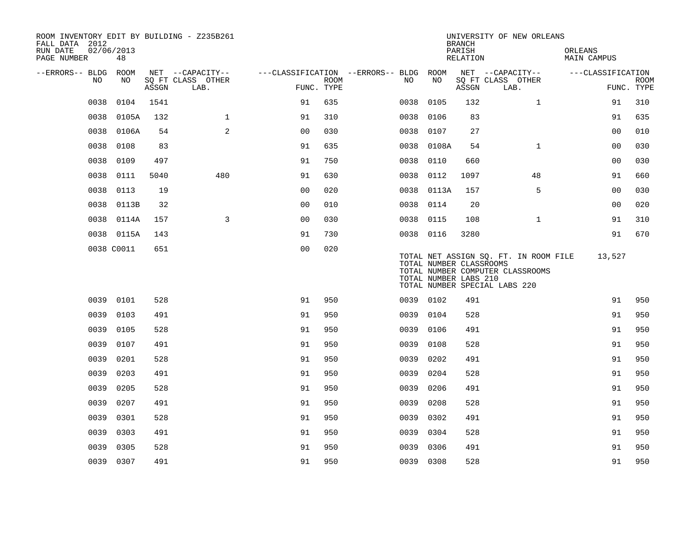| FALL DATA 2012<br>RUN DATE |      | 02/06/2013 |       | ROOM INVENTORY EDIT BY BUILDING - Z235B261    |                                                      |             |           |            | <b>BRANCH</b><br>PARISH                          | UNIVERSITY OF NEW ORLEANS                                                                                  | ORLEANS           |                           |
|----------------------------|------|------------|-------|-----------------------------------------------|------------------------------------------------------|-------------|-----------|------------|--------------------------------------------------|------------------------------------------------------------------------------------------------------------|-------------------|---------------------------|
| PAGE NUMBER                |      | 48         |       |                                               |                                                      |             |           |            | RELATION                                         |                                                                                                            | MAIN CAMPUS       |                           |
| --ERRORS-- BLDG ROOM       | NO.  | NO.        | ASSGN | NET --CAPACITY--<br>SQ FT CLASS OTHER<br>LAB. | ---CLASSIFICATION --ERRORS-- BLDG ROOM<br>FUNC. TYPE | <b>ROOM</b> | NO        | NO         | ASSGN                                            | NET --CAPACITY--<br>SQ FT CLASS OTHER<br>LAB.                                                              | ---CLASSIFICATION | <b>ROOM</b><br>FUNC. TYPE |
|                            | 0038 | 0104       | 1541  |                                               | 91                                                   | 635         | 0038      | 0105       | 132                                              | $\mathbf{1}$                                                                                               | 91                | 310                       |
|                            | 0038 | 0105A      | 132   | $\mathbf{1}$                                  | 91                                                   | 310         | 0038      | 0106       | 83                                               |                                                                                                            | 91                | 635                       |
|                            | 0038 | 0106A      | 54    | 2                                             | 0 <sub>0</sub>                                       | 030         | 0038 0107 |            | 27                                               |                                                                                                            | 0 <sub>0</sub>    | 010                       |
|                            | 0038 | 0108       | 83    |                                               | 91                                                   | 635         | 0038      | 0108A      | 54                                               | $\mathbf{1}$                                                                                               | 0 <sub>0</sub>    | 030                       |
|                            | 0038 | 0109       | 497   |                                               | 91                                                   | 750         | 0038 0110 |            | 660                                              |                                                                                                            | 00                | 030                       |
|                            | 0038 | 0111       | 5040  | 480                                           | 91                                                   | 630         | 0038 0112 |            | 1097                                             | 48                                                                                                         | 91                | 660                       |
|                            | 0038 | 0113       | 19    |                                               | 0 <sub>0</sub>                                       | 020         |           | 0038 0113A | 157                                              | 5                                                                                                          | 0 <sub>0</sub>    | 030                       |
|                            | 0038 | 0113B      | 32    |                                               | 00                                                   | 010         | 0038 0114 |            | 20                                               |                                                                                                            | 00                | 020                       |
|                            |      | 0038 0114A | 157   | 3                                             | 0 <sub>0</sub>                                       | 030         | 0038 0115 |            | 108                                              | $\mathbf{1}$                                                                                               | 91                | 310                       |
|                            |      | 0038 0115A | 143   |                                               | 91                                                   | 730         | 0038 0116 |            | 3280                                             |                                                                                                            | 91                | 670                       |
|                            |      | 0038 C0011 | 651   |                                               | 0 <sub>0</sub>                                       | 020         |           |            | TOTAL NUMBER CLASSROOMS<br>TOTAL NUMBER LABS 210 | TOTAL NET ASSIGN SQ. FT. IN ROOM FILE<br>TOTAL NUMBER COMPUTER CLASSROOMS<br>TOTAL NUMBER SPECIAL LABS 220 | 13,527            |                           |
|                            | 0039 | 0101       | 528   |                                               | 91                                                   | 950         | 0039 0102 |            | 491                                              |                                                                                                            | 91                | 950                       |
|                            | 0039 | 0103       | 491   |                                               | 91                                                   | 950         | 0039 0104 |            | 528                                              |                                                                                                            | 91                | 950                       |
|                            | 0039 | 0105       | 528   |                                               | 91                                                   | 950         | 0039 0106 |            | 491                                              |                                                                                                            | 91                | 950                       |
|                            | 0039 | 0107       | 491   |                                               | 91                                                   | 950         | 0039      | 0108       | 528                                              |                                                                                                            | 91                | 950                       |
|                            | 0039 | 0201       | 528   |                                               | 91                                                   | 950         | 0039      | 0202       | 491                                              |                                                                                                            | 91                | 950                       |
|                            | 0039 | 0203       | 491   |                                               | 91                                                   | 950         | 0039      | 0204       | 528                                              |                                                                                                            | 91                | 950                       |
|                            | 0039 | 0205       | 528   |                                               | 91                                                   | 950         | 0039      | 0206       | 491                                              |                                                                                                            | 91                | 950                       |
|                            | 0039 | 0207       | 491   |                                               | 91                                                   | 950         | 0039      | 0208       | 528                                              |                                                                                                            | 91                | 950                       |
|                            | 0039 | 0301       | 528   |                                               | 91                                                   | 950         | 0039      | 0302       | 491                                              |                                                                                                            | 91                | 950                       |
|                            | 0039 | 0303       | 491   |                                               | 91                                                   | 950         | 0039      | 0304       | 528                                              |                                                                                                            | 91                | 950                       |
|                            | 0039 | 0305       | 528   |                                               | 91                                                   | 950         | 0039      | 0306       | 491                                              |                                                                                                            | 91                | 950                       |
|                            |      | 0039 0307  | 491   |                                               | 91                                                   | 950         | 0039 0308 |            | 528                                              |                                                                                                            | 91                | 950                       |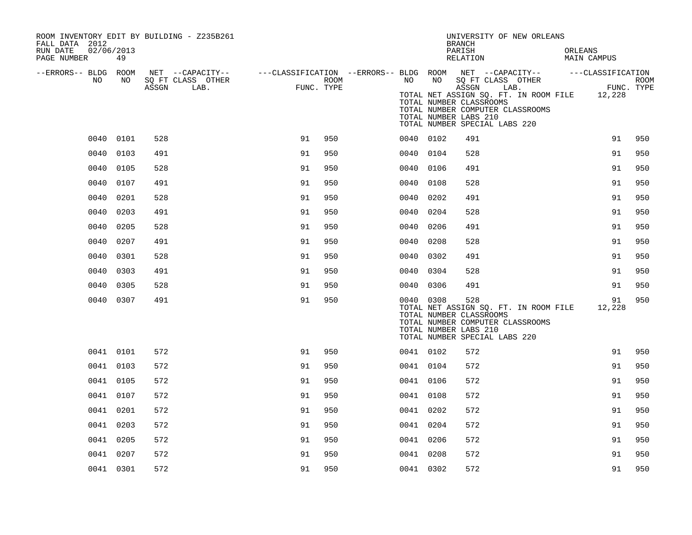| ROOM INVENTORY EDIT BY BUILDING - Z235B261<br>FALL DATA 2012 |           |       |                           |            |      |           |    | UNIVERSITY OF NEW ORLEANS<br><b>BRANCH</b>                                                                                                                                                                                                                                                                 |                        |             |
|--------------------------------------------------------------|-----------|-------|---------------------------|------------|------|-----------|----|------------------------------------------------------------------------------------------------------------------------------------------------------------------------------------------------------------------------------------------------------------------------------------------------------------|------------------------|-------------|
| RUN DATE<br>02/06/2013<br>PAGE NUMBER                        | 49        |       |                           |            |      |           |    | PARISH<br>RELATION                                                                                                                                                                                                                                                                                         | ORLEANS<br>MAIN CAMPUS |             |
| --ERRORS-- BLDG ROOM<br>NO                                   | NO        | ASSGN | SQ FT CLASS OTHER<br>LAB. | FUNC. TYPE | ROOM | NO        | NO | NET --CAPACITY-- - ---CLASSIFICATION --ERRORS-- BLDG ROOM NET --CAPACITY-- - ---CLASSIFICATION<br>SQ FT CLASS OTHER<br>ASSGN LAB.<br>TOTAL NET ASSIGN SQ. FT. IN ROOM FILE 12,228<br>TOTAL NUMBER CLASSROOMS<br>TOTAL NUMBER COMPUTER CLASSROOMS<br>TOTAL NUMBER LABS 210<br>TOTAL NUMBER SPECIAL LABS 220 | FUNC. TYPE             | <b>ROOM</b> |
|                                                              | 0040 0101 | 528   |                           | 91         | 950  | 0040 0102 |    | 491                                                                                                                                                                                                                                                                                                        | 91                     | 950         |
| 0040                                                         | 0103      | 491   |                           | 91         | 950  | 0040 0104 |    | 528                                                                                                                                                                                                                                                                                                        | 91                     | 950         |
| 0040                                                         | 0105      | 528   |                           | 91         | 950  | 0040 0106 |    | 491                                                                                                                                                                                                                                                                                                        | 91                     | 950         |
| 0040                                                         | 0107      | 491   |                           | 91         | 950  | 0040 0108 |    | 528                                                                                                                                                                                                                                                                                                        | 91                     | 950         |
| 0040                                                         | 0201      | 528   |                           | 91         | 950  | 0040 0202 |    | 491                                                                                                                                                                                                                                                                                                        | 91                     | 950         |
| 0040                                                         | 0203      | 491   |                           | 91         | 950  | 0040 0204 |    | 528                                                                                                                                                                                                                                                                                                        | 91                     | 950         |
| 0040                                                         | 0205      | 528   |                           | 91         | 950  | 0040 0206 |    | 491                                                                                                                                                                                                                                                                                                        | 91                     | 950         |
| 0040                                                         | 0207      | 491   |                           | 91         | 950  | 0040 0208 |    | 528                                                                                                                                                                                                                                                                                                        | 91                     | 950         |
| 0040                                                         | 0301      | 528   |                           | 91         | 950  | 0040 0302 |    | 491                                                                                                                                                                                                                                                                                                        | 91                     | 950         |
|                                                              | 0040 0303 | 491   |                           | 91         | 950  | 0040 0304 |    | 528                                                                                                                                                                                                                                                                                                        | 91                     | 950         |
|                                                              | 0040 0305 | 528   |                           | 91         | 950  | 0040 0306 |    | 491                                                                                                                                                                                                                                                                                                        | 91                     | 950         |
|                                                              | 0040 0307 | 491   |                           | 91         | 950  | 0040 0308 |    | 528<br>TOTAL NET ASSIGN SQ. FT. IN ROOM FILE<br>TOTAL NUMBER CLASSROOMS<br>TOTAL NUMBER COMPUTER CLASSROOMS<br>TOTAL NUMBER LABS 210<br>TOTAL NUMBER SPECIAL LABS 220                                                                                                                                      | 91<br>12,228           | 950         |
|                                                              | 0041 0101 | 572   |                           | 91         | 950  | 0041 0102 |    | 572                                                                                                                                                                                                                                                                                                        | 91                     | 950         |
|                                                              | 0041 0103 | 572   |                           | 91         | 950  | 0041 0104 |    | 572                                                                                                                                                                                                                                                                                                        | 91                     | 950         |
|                                                              | 0041 0105 | 572   |                           | 91         | 950  | 0041 0106 |    | 572                                                                                                                                                                                                                                                                                                        | 91                     | 950         |
|                                                              | 0041 0107 | 572   |                           | 91         | 950  | 0041 0108 |    | 572                                                                                                                                                                                                                                                                                                        | 91                     | 950         |
|                                                              | 0041 0201 | 572   |                           | 91         | 950  | 0041 0202 |    | 572                                                                                                                                                                                                                                                                                                        | 91                     | 950         |
|                                                              | 0041 0203 | 572   |                           | 91         | 950  | 0041 0204 |    | 572                                                                                                                                                                                                                                                                                                        | 91                     | 950         |
|                                                              | 0041 0205 | 572   |                           | 91         | 950  | 0041 0206 |    | 572                                                                                                                                                                                                                                                                                                        | 91                     | 950         |
|                                                              | 0041 0207 | 572   |                           | 91         | 950  | 0041 0208 |    | 572                                                                                                                                                                                                                                                                                                        | 91                     | 950         |
|                                                              | 0041 0301 | 572   |                           | 91         | 950  | 0041 0302 |    | 572                                                                                                                                                                                                                                                                                                        | 91                     | 950         |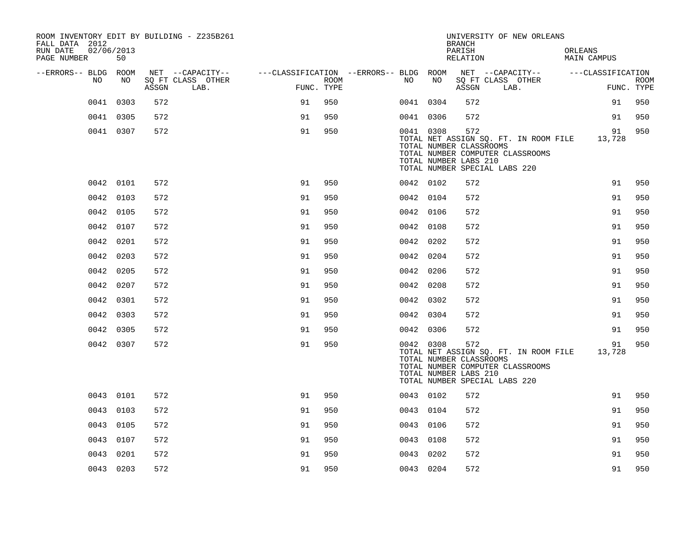| ROOM INVENTORY EDIT BY BUILDING - Z235B261<br>FALL DATA 2012 |           |       |                                                                               |            |      |           |                                                  | <b>BRANCH</b>      | UNIVERSITY OF NEW ORLEANS                                                                                         |         |             |             |
|--------------------------------------------------------------|-----------|-------|-------------------------------------------------------------------------------|------------|------|-----------|--------------------------------------------------|--------------------|-------------------------------------------------------------------------------------------------------------------|---------|-------------|-------------|
| RUN DATE<br>02/06/2013<br>PAGE NUMBER                        | 50        |       |                                                                               |            |      |           |                                                  | PARISH<br>RELATION |                                                                                                                   | ORLEANS | MAIN CAMPUS |             |
| --ERRORS-- BLDG ROOM<br>NO.                                  | NO        |       | NET --CAPACITY-- ----CLASSIFICATION --ERRORS-- BLDG ROOM<br>SQ FT CLASS OTHER |            | ROOM | NO        | NO                                               |                    | NET --CAPACITY-- ---CLASSIFICATION<br>SQ FT CLASS OTHER                                                           |         |             | <b>ROOM</b> |
|                                                              |           | ASSGN | LAB.                                                                          | FUNC. TYPE |      |           |                                                  | ASSGN              | LAB.                                                                                                              |         |             | FUNC. TYPE  |
|                                                              | 0041 0303 | 572   |                                                                               | 91         | 950  | 0041 0304 |                                                  | 572                |                                                                                                                   |         | 91          | 950         |
|                                                              | 0041 0305 | 572   |                                                                               | 91         | 950  | 0041 0306 |                                                  | 572                |                                                                                                                   |         | 91          | 950         |
|                                                              | 0041 0307 | 572   |                                                                               | 91         | 950  | 0041 0308 | TOTAL NUMBER CLASSROOMS<br>TOTAL NUMBER LABS 210 | 572                | TOTAL NET ASSIGN SQ. FT. IN ROOM FILE 13,728<br>TOTAL NUMBER COMPUTER CLASSROOMS<br>TOTAL NUMBER SPECIAL LABS 220 |         | 91          | 950         |
|                                                              | 0042 0101 | 572   |                                                                               | 91         | 950  | 0042 0102 |                                                  | 572                |                                                                                                                   |         | 91          | 950         |
|                                                              | 0042 0103 | 572   |                                                                               | 91         | 950  | 0042 0104 |                                                  | 572                |                                                                                                                   |         | 91          | 950         |
|                                                              | 0042 0105 | 572   |                                                                               | 91         | 950  | 0042 0106 |                                                  | 572                |                                                                                                                   |         | 91          | 950         |
|                                                              | 0042 0107 | 572   |                                                                               | 91         | 950  | 0042 0108 |                                                  | 572                |                                                                                                                   |         | 91          | 950         |
|                                                              | 0042 0201 | 572   |                                                                               | 91         | 950  | 0042 0202 |                                                  | 572                |                                                                                                                   |         | 91          | 950         |
|                                                              | 0042 0203 | 572   |                                                                               | 91         | 950  | 0042 0204 |                                                  | 572                |                                                                                                                   |         | 91          | 950         |
|                                                              | 0042 0205 | 572   |                                                                               | 91         | 950  | 0042 0206 |                                                  | 572                |                                                                                                                   |         | 91          | 950         |
|                                                              | 0042 0207 | 572   |                                                                               | 91         | 950  | 0042 0208 |                                                  | 572                |                                                                                                                   |         | 91          | 950         |
|                                                              | 0042 0301 | 572   |                                                                               | 91         | 950  | 0042 0302 |                                                  | 572                |                                                                                                                   |         | 91          | 950         |
|                                                              | 0042 0303 | 572   |                                                                               | 91         | 950  | 0042 0304 |                                                  | 572                |                                                                                                                   |         | 91          | 950         |
|                                                              | 0042 0305 | 572   |                                                                               | 91         | 950  | 0042 0306 |                                                  | 572                |                                                                                                                   |         | 91          | 950         |
|                                                              | 0042 0307 | 572   |                                                                               | 91         | 950  | 0042 0308 | TOTAL NUMBER CLASSROOMS<br>TOTAL NUMBER LABS 210 | 572                | TOTAL NET ASSIGN SO. FT. IN ROOM FILE 13,728<br>TOTAL NUMBER COMPUTER CLASSROOMS<br>TOTAL NUMBER SPECIAL LABS 220 |         | 91          | 950         |
|                                                              | 0043 0101 | 572   |                                                                               | 91         | 950  | 0043 0102 |                                                  | 572                |                                                                                                                   |         | 91          | 950         |
|                                                              | 0043 0103 | 572   |                                                                               | 91         | 950  | 0043 0104 |                                                  | 572                |                                                                                                                   |         | 91          | 950         |
|                                                              | 0043 0105 | 572   |                                                                               | 91         | 950  | 0043 0106 |                                                  | 572                |                                                                                                                   |         | 91          | 950         |
|                                                              | 0043 0107 | 572   |                                                                               | 91         | 950  | 0043 0108 |                                                  | 572                |                                                                                                                   |         | 91          | 950         |
|                                                              | 0043 0201 | 572   |                                                                               | 91         | 950  | 0043 0202 |                                                  | 572                |                                                                                                                   |         | 91          | 950         |
|                                                              | 0043 0203 | 572   |                                                                               | 91         | 950  | 0043 0204 |                                                  | 572                |                                                                                                                   |         | 91          | 950         |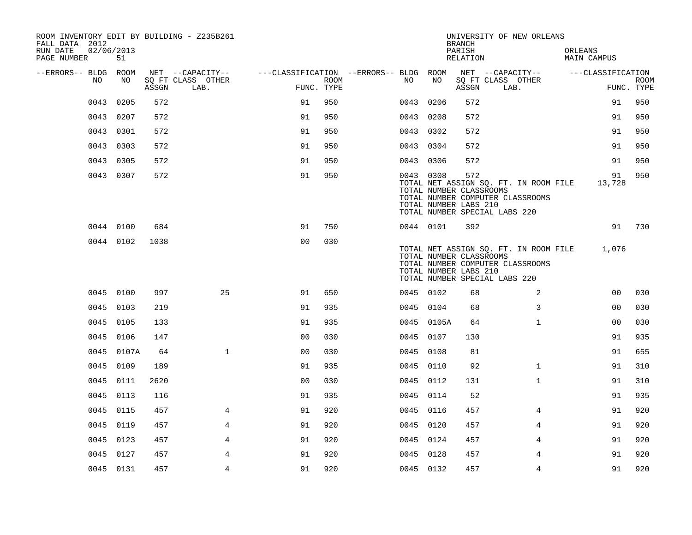| ROOM INVENTORY EDIT BY BUILDING - Z235B261<br>FALL DATA 2012 |                  |       |                           |                                        |      |           |                                                  | <b>BRANCH</b>      | UNIVERSITY OF NEW ORLEANS                                                                                        |                        |                           |
|--------------------------------------------------------------|------------------|-------|---------------------------|----------------------------------------|------|-----------|--------------------------------------------------|--------------------|------------------------------------------------------------------------------------------------------------------|------------------------|---------------------------|
| RUN DATE<br>PAGE NUMBER                                      | 02/06/2013<br>51 |       |                           |                                        |      |           |                                                  | PARISH<br>RELATION |                                                                                                                  | ORLEANS<br>MAIN CAMPUS |                           |
| --ERRORS-- BLDG ROOM                                         |                  |       | NET --CAPACITY--          | ---CLASSIFICATION --ERRORS-- BLDG ROOM |      |           |                                                  |                    | NET --CAPACITY--                                                                                                 | ---CLASSIFICATION      |                           |
| NO                                                           | NO               | ASSGN | SQ FT CLASS OTHER<br>LAB. | FUNC. TYPE                             | ROOM | NO        | NO                                               | ASSGN              | SQ FT CLASS OTHER<br>LAB.                                                                                        |                        | <b>ROOM</b><br>FUNC. TYPE |
| 0043                                                         | 0205             | 572   |                           | 91                                     | 950  | 0043 0206 |                                                  | 572                |                                                                                                                  | 91                     | 950                       |
|                                                              | 0043 0207        | 572   |                           | 91                                     | 950  | 0043 0208 |                                                  | 572                |                                                                                                                  | 91                     | 950                       |
|                                                              | 0043 0301        | 572   |                           | 91                                     | 950  | 0043 0302 |                                                  | 572                |                                                                                                                  | 91                     | 950                       |
|                                                              | 0043 0303        | 572   |                           | 91                                     | 950  | 0043 0304 |                                                  | 572                |                                                                                                                  | 91                     | 950                       |
|                                                              | 0043 0305        | 572   |                           | 91                                     | 950  | 0043 0306 |                                                  | 572                |                                                                                                                  | 91                     | 950                       |
|                                                              | 0043 0307        | 572   |                           | 91                                     | 950  | 0043 0308 | TOTAL NUMBER CLASSROOMS<br>TOTAL NUMBER LABS 210 | 572                | TOTAL NET ASSIGN SQ. FT. IN ROOM FILE<br>TOTAL NUMBER COMPUTER CLASSROOMS<br>TOTAL NUMBER SPECIAL LABS 220       | 91<br>13,728           | 950                       |
|                                                              | 0044 0100        | 684   |                           | 91                                     | 750  | 0044 0101 |                                                  | 392                |                                                                                                                  |                        | 91 730                    |
|                                                              | 0044 0102        | 1038  |                           | 0 <sub>0</sub>                         | 030  |           | TOTAL NUMBER CLASSROOMS<br>TOTAL NUMBER LABS 210 |                    | TOTAL NET ASSIGN SQ. FT. IN ROOM FILE 1,076<br>TOTAL NUMBER COMPUTER CLASSROOMS<br>TOTAL NUMBER SPECIAL LABS 220 |                        |                           |
|                                                              | 0045 0100        | 997   | 25                        | 91                                     | 650  | 0045 0102 |                                                  | 68                 | 2                                                                                                                | 00                     | 030                       |
|                                                              | 0045 0103        | 219   |                           | 91                                     | 935  | 0045 0104 |                                                  | 68                 | 3                                                                                                                | 0 <sub>0</sub>         | 030                       |
|                                                              | 0045 0105        | 133   |                           | 91                                     | 935  |           | 0045 0105A                                       | 64                 | $\mathbf{1}$                                                                                                     | 0 <sub>0</sub>         | 030                       |
|                                                              | 0045 0106        | 147   |                           | 0 <sub>0</sub>                         | 030  | 0045 0107 |                                                  | 130                |                                                                                                                  | 91                     | 935                       |
|                                                              | 0045 0107A       | 64    | $\mathbf{1}$              | 0 <sub>0</sub>                         | 030  | 0045 0108 |                                                  | 81                 |                                                                                                                  | 91                     | 655                       |
|                                                              | 0045 0109        | 189   |                           | 91                                     | 935  | 0045 0110 |                                                  | 92                 | $\mathbf{1}$                                                                                                     | 91                     | 310                       |
|                                                              | 0045 0111        | 2620  |                           | 0 <sub>0</sub>                         | 030  | 0045 0112 |                                                  | 131                | $\mathbf{1}$                                                                                                     | 91                     | 310                       |
|                                                              | 0045 0113        | 116   |                           | 91                                     | 935  | 0045 0114 |                                                  | 52                 |                                                                                                                  | 91                     | 935                       |
|                                                              | 0045 0115        | 457   | 4                         | 91                                     | 920  | 0045 0116 |                                                  | 457                | 4                                                                                                                | 91                     | 920                       |
|                                                              | 0045 0119        | 457   | 4                         | 91                                     | 920  | 0045 0120 |                                                  | 457                | 4                                                                                                                | 91                     | 920                       |
| 0045                                                         | 0123             | 457   | 4                         | 91                                     | 920  | 0045 0124 |                                                  | 457                | 4                                                                                                                | 91                     | 920                       |
|                                                              | 0045 0127        | 457   | 4                         | 91                                     | 920  | 0045 0128 |                                                  | 457                | 4                                                                                                                | 91                     | 920                       |
|                                                              | 0045 0131        | 457   | $\overline{4}$            | 91                                     | 920  | 0045 0132 |                                                  | 457                | $\overline{4}$                                                                                                   | 91                     | 920                       |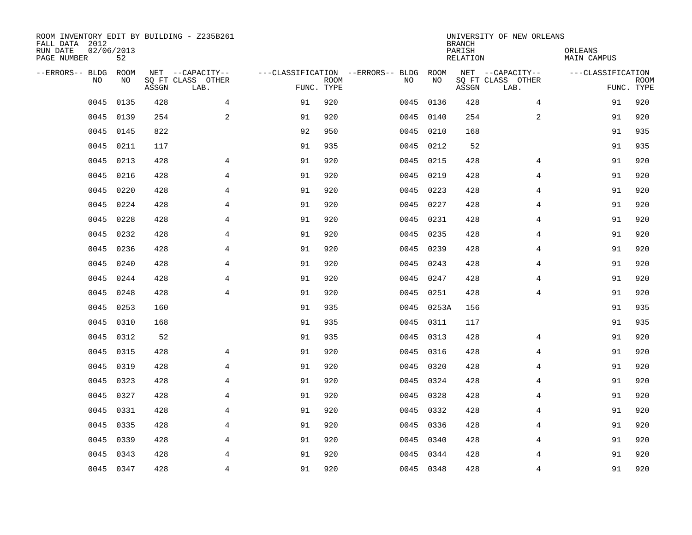| ROOM INVENTORY EDIT BY BUILDING - Z235B261<br>FALL DATA 2012<br>RUN DATE<br>PAGE NUMBER | 02/06/2013<br>52 |       |                           |            |             |                                   |           | <b>BRANCH</b><br>PARISH<br>RELATION | UNIVERSITY OF NEW ORLEANS | ORLEANS<br>MAIN CAMPUS |                           |
|-----------------------------------------------------------------------------------------|------------------|-------|---------------------------|------------|-------------|-----------------------------------|-----------|-------------------------------------|---------------------------|------------------------|---------------------------|
| --ERRORS-- BLDG                                                                         | <b>ROOM</b>      |       | NET --CAPACITY--          |            |             | ---CLASSIFICATION --ERRORS-- BLDG | ROOM      |                                     | NET --CAPACITY--          | ---CLASSIFICATION      |                           |
| N <sub>O</sub>                                                                          | NO.              | ASSGN | SO FT CLASS OTHER<br>LAB. | FUNC. TYPE | <b>ROOM</b> | NO.                               | NO        | ASSGN                               | SQ FT CLASS OTHER<br>LAB. |                        | <b>ROOM</b><br>FUNC. TYPE |
| 0045                                                                                    | 0135             | 428   | 4                         | 91         | 920         | 0045                              | 0136      | 428                                 | $\overline{4}$            | 91                     | 920                       |
| 0045                                                                                    | 0139             | 254   | 2                         | 91         | 920         |                                   | 0045 0140 | 254                                 | 2                         | 91                     | 920                       |
| 0045                                                                                    | 0145             | 822   |                           | 92         | 950         | 0045                              | 0210      | 168                                 |                           | 91                     | 935                       |
| 0045                                                                                    | 0211             | 117   |                           | 91         | 935         |                                   | 0045 0212 | 52                                  |                           | 91                     | 935                       |
| 0045                                                                                    | 0213             | 428   | 4                         | 91         | 920         | 0045                              | 0215      | 428                                 | 4                         | 91                     | 920                       |
| 0045                                                                                    | 0216             | 428   | $\overline{4}$            | 91         | 920         |                                   | 0045 0219 | 428                                 | 4                         | 91                     | 920                       |
| 0045                                                                                    | 0220             | 428   | 4                         | 91         | 920         | 0045                              | 0223      | 428                                 | 4                         | 91                     | 920                       |
| 0045                                                                                    | 0224             | 428   | $\overline{4}$            | 91         | 920         | 0045                              | 0227      | 428                                 | 4                         | 91                     | 920                       |
| 0045                                                                                    | 0228             | 428   | $\overline{4}$            | 91         | 920         | 0045                              | 0231      | 428                                 | $\overline{4}$            | 91                     | 920                       |
| 0045                                                                                    | 0232             | 428   | 4                         | 91         | 920         |                                   | 0045 0235 | 428                                 | 4                         | 91                     | 920                       |
| 0045                                                                                    | 0236             | 428   | 4                         | 91         | 920         | 0045                              | 0239      | 428                                 | 4                         | 91                     | 920                       |
| 0045                                                                                    | 0240             | 428   | $\overline{4}$            | 91         | 920         |                                   | 0045 0243 | 428                                 | 4                         | 91                     | 920                       |
| 0045                                                                                    | 0244             | 428   | $\overline{4}$            | 91         | 920         | 0045                              | 0247      | 428                                 | $\overline{4}$            | 91                     | 920                       |
| 0045                                                                                    | 0248             | 428   | $\overline{4}$            | 91         | 920         | 0045                              | 0251      | 428                                 | $\overline{4}$            | 91                     | 920                       |
| 0045                                                                                    | 0253             | 160   |                           | 91         | 935         | 0045                              | 0253A     | 156                                 |                           | 91                     | 935                       |
| 0045                                                                                    | 0310             | 168   |                           | 91         | 935         | 0045                              | 0311      | 117                                 |                           | 91                     | 935                       |
| 0045                                                                                    | 0312             | 52    |                           | 91         | 935         | 0045                              | 0313      | 428                                 | 4                         | 91                     | 920                       |
| 0045                                                                                    | 0315             | 428   | 4                         | 91         | 920         | 0045                              | 0316      | 428                                 | 4                         | 91                     | 920                       |
| 0045                                                                                    | 0319             | 428   | $\overline{4}$            | 91         | 920         |                                   | 0045 0320 | 428                                 | 4                         | 91                     | 920                       |
| 0045                                                                                    | 0323             | 428   | $\overline{4}$            | 91         | 920         |                                   | 0045 0324 | 428                                 | $\overline{4}$            | 91                     | 920                       |
| 0045                                                                                    | 0327             | 428   | 4                         | 91         | 920         |                                   | 0045 0328 | 428                                 | 4                         | 91                     | 920                       |
| 0045                                                                                    | 0331             | 428   | 4                         | 91         | 920         | 0045                              | 0332      | 428                                 | 4                         | 91                     | 920                       |
| 0045                                                                                    | 0335             | 428   | $\overline{4}$            | 91         | 920         |                                   | 0045 0336 | 428                                 | 4                         | 91                     | 920                       |
| 0045                                                                                    | 0339             | 428   | 4                         | 91         | 920         | 0045                              | 0340      | 428                                 | 4                         | 91                     | 920                       |
| 0045                                                                                    | 0343             | 428   | 4                         | 91         | 920         | 0045                              | 0344      | 428                                 | 4                         | 91                     | 920                       |
|                                                                                         | 0045 0347        | 428   | $\overline{4}$            | 91         | 920         |                                   | 0045 0348 | 428                                 | $\overline{4}$            | 91                     | 920                       |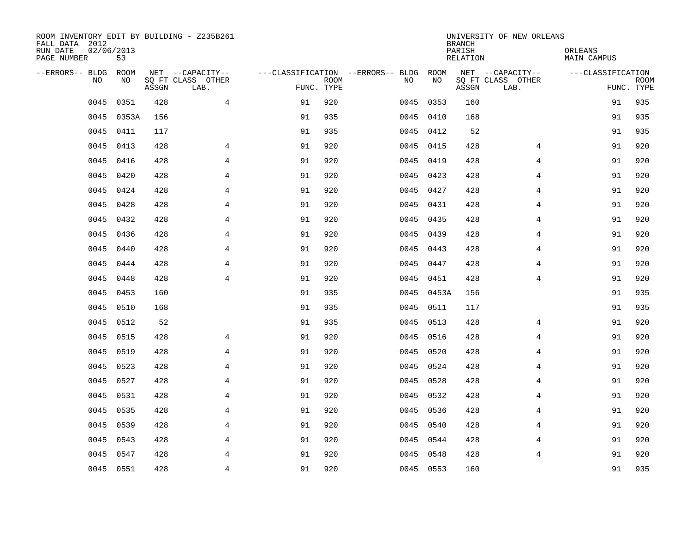| ROOM INVENTORY EDIT BY BUILDING - Z235B261<br>FALL DATA 2012<br>RUN DATE | 02/06/2013         |       |                                       |            |             |                                          |            | <b>BRANCH</b><br>PARISH | UNIVERSITY OF NEW ORLEANS             | ORLEANS           |             |
|--------------------------------------------------------------------------|--------------------|-------|---------------------------------------|------------|-------------|------------------------------------------|------------|-------------------------|---------------------------------------|-------------------|-------------|
| PAGE NUMBER                                                              | 53                 |       |                                       |            |             |                                          |            | RELATION                |                                       | MAIN CAMPUS       |             |
| --ERRORS-- BLDG<br>N <sub>O</sub>                                        | <b>ROOM</b><br>NO. |       | NET --CAPACITY--<br>SO FT CLASS OTHER |            | <b>ROOM</b> | ---CLASSIFICATION --ERRORS-- BLDG<br>NO. | ROOM<br>NO |                         | NET --CAPACITY--<br>SQ FT CLASS OTHER | ---CLASSIFICATION | <b>ROOM</b> |
|                                                                          |                    | ASSGN | LAB.                                  | FUNC. TYPE |             |                                          |            | ASSGN                   | LAB.                                  |                   | FUNC. TYPE  |
| 0045                                                                     | 0351               | 428   | $\overline{4}$                        | 91         | 920         | 0045                                     | 0353       | 160                     |                                       | 91                | 935         |
| 0045                                                                     | 0353A              | 156   |                                       | 91         | 935         |                                          | 0045 0410  | 168                     |                                       | 91                | 935         |
| 0045                                                                     | 0411               | 117   |                                       | 91         | 935         |                                          | 0045 0412  | 52                      |                                       | 91                | 935         |
| 0045                                                                     | 0413               | 428   | 4                                     | 91         | 920         |                                          | 0045 0415  | 428                     | 4                                     | 91                | 920         |
| 0045                                                                     | 0416               | 428   | 4                                     | 91         | 920         | 0045                                     | 0419       | 428                     | 4                                     | 91                | 920         |
| 0045                                                                     | 0420               | 428   | 4                                     | 91         | 920         |                                          | 0045 0423  | 428                     | 4                                     | 91                | 920         |
| 0045                                                                     | 0424               | 428   | $\overline{4}$                        | 91         | 920         |                                          | 0045 0427  | 428                     | 4                                     | 91                | 920         |
| 0045                                                                     | 0428               | 428   | $\overline{4}$                        | 91         | 920         |                                          | 0045 0431  | 428                     | 4                                     | 91                | 920         |
| 0045                                                                     | 0432               | 428   | $\overline{4}$                        | 91         | 920         | 0045                                     | 0435       | 428                     | $\overline{4}$                        | 91                | 920         |
| 0045                                                                     | 0436               | 428   | 4                                     | 91         | 920         |                                          | 0045 0439  | 428                     | 4                                     | 91                | 920         |
| 0045                                                                     | 0440               | 428   | 4                                     | 91         | 920         |                                          | 0045 0443  | 428                     | 4                                     | 91                | 920         |
| 0045                                                                     | 0444               | 428   | $\overline{4}$                        | 91         | 920         |                                          | 0045 0447  | 428                     | 4                                     | 91                | 920         |
| 0045                                                                     | 0448               | 428   | $\overline{4}$                        | 91         | 920         | 0045                                     | 0451       | 428                     | $\overline{4}$                        | 91                | 920         |
| 0045                                                                     | 0453               | 160   |                                       | 91         | 935         |                                          | 0045 0453A | 156                     |                                       | 91                | 935         |
| 0045                                                                     | 0510               | 168   |                                       | 91         | 935         | 0045                                     | 0511       | 117                     |                                       | 91                | 935         |
| 0045                                                                     | 0512               | 52    |                                       | 91         | 935         | 0045                                     | 0513       | 428                     | 4                                     | 91                | 920         |
| 0045                                                                     | 0515               | 428   | 4                                     | 91         | 920         | 0045                                     | 0516       | 428                     | 4                                     | 91                | 920         |
| 0045                                                                     | 0519               | 428   | $\overline{4}$                        | 91         | 920         | 0045                                     | 0520       | 428                     | 4                                     | 91                | 920         |
| 0045                                                                     | 0523               | 428   | $\overline{4}$                        | 91         | 920         |                                          | 0045 0524  | 428                     | 4                                     | 91                | 920         |
| 0045                                                                     | 0527               | 428   | $\overline{4}$                        | 91         | 920         |                                          | 0045 0528  | 428                     | $\overline{4}$                        | 91                | 920         |
| 0045                                                                     | 0531               | 428   | 4                                     | 91         | 920         |                                          | 0045 0532  | 428                     | 4                                     | 91                | 920         |
| 0045                                                                     | 0535               | 428   | $\overline{4}$                        | 91         | 920         | 0045                                     | 0536       | 428                     | 4                                     | 91                | 920         |
| 0045                                                                     | 0539               | 428   | $\overline{4}$                        | 91         | 920         |                                          | 0045 0540  | 428                     | 4                                     | 91                | 920         |
| 0045                                                                     | 0543               | 428   | 4                                     | 91         | 920         | 0045                                     | 0544       | 428                     | 4                                     | 91                | 920         |
| 0045                                                                     | 0547               | 428   | 4                                     | 91         | 920         |                                          | 0045 0548  | 428                     | 4                                     | 91                | 920         |
|                                                                          | 0045 0551          | 428   | $\overline{4}$                        | 91         | 920         |                                          | 0045 0553  | 160                     |                                       | 91                | 935         |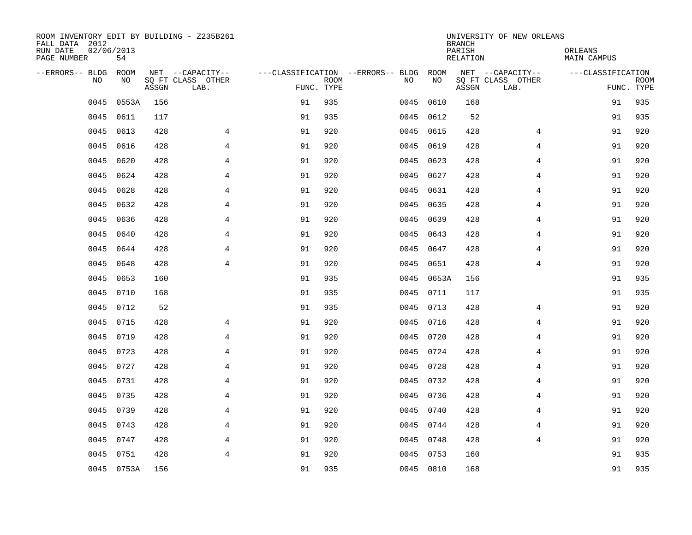| ROOM INVENTORY EDIT BY BUILDING - Z235B261<br>FALL DATA 2012<br>RUN DATE | 02/06/2013  |       |                                       |            |             |                                          |            | <b>BRANCH</b><br>PARISH | UNIVERSITY OF NEW ORLEANS             | ORLEANS           |             |
|--------------------------------------------------------------------------|-------------|-------|---------------------------------------|------------|-------------|------------------------------------------|------------|-------------------------|---------------------------------------|-------------------|-------------|
| PAGE NUMBER                                                              | 54          |       |                                       |            |             |                                          |            | RELATION                |                                       | MAIN CAMPUS       |             |
| --ERRORS-- BLDG<br>N <sub>O</sub>                                        | ROOM<br>NO. |       | NET --CAPACITY--<br>SO FT CLASS OTHER |            | <b>ROOM</b> | ---CLASSIFICATION --ERRORS-- BLDG<br>NO. | ROOM<br>NO |                         | NET --CAPACITY--<br>SQ FT CLASS OTHER | ---CLASSIFICATION | <b>ROOM</b> |
|                                                                          |             | ASSGN | LAB.                                  | FUNC. TYPE |             |                                          |            | ASSGN                   | LAB.                                  |                   | FUNC. TYPE  |
| 0045                                                                     | 0553A       | 156   |                                       | 91         | 935         | 0045                                     | 0610       | 168                     |                                       | 91                | 935         |
| 0045                                                                     | 0611        | 117   |                                       | 91         | 935         |                                          | 0045 0612  | 52                      |                                       | 91                | 935         |
| 0045                                                                     | 0613        | 428   | $\overline{4}$                        | 91         | 920         | 0045                                     | 0615       | 428                     | 4                                     | 91                | 920         |
| 0045                                                                     | 0616        | 428   | $\overline{4}$                        | 91         | 920         | 0045                                     | 0619       | 428                     | $\overline{4}$                        | 91                | 920         |
| 0045                                                                     | 0620        | 428   | 4                                     | 91         | 920         | 0045                                     | 0623       | 428                     | 4                                     | 91                | 920         |
| 0045                                                                     | 0624        | 428   | 4                                     | 91         | 920         |                                          | 0045 0627  | 428                     | 4                                     | 91                | 920         |
| 0045                                                                     | 0628        | 428   | 4                                     | 91         | 920         |                                          | 0045 0631  | 428                     | 4                                     | 91                | 920         |
| 0045                                                                     | 0632        | 428   | $\overline{4}$                        | 91         | 920         |                                          | 0045 0635  | 428                     | 4                                     | 91                | 920         |
| 0045                                                                     | 0636        | 428   | $\overline{4}$                        | 91         | 920         | 0045                                     | 0639       | 428                     | $\overline{4}$                        | 91                | 920         |
| 0045                                                                     | 0640        | 428   | 4                                     | 91         | 920         |                                          | 0045 0643  | 428                     | 4                                     | 91                | 920         |
| 0045                                                                     | 0644        | 428   | 4                                     | 91         | 920         | 0045                                     | 0647       | 428                     | 4                                     | 91                | 920         |
| 0045                                                                     | 0648        | 428   | $\overline{4}$                        | 91         | 920         | 0045                                     | 0651       | 428                     | $\overline{4}$                        | 91                | 920         |
| 0045                                                                     | 0653        | 160   |                                       | 91         | 935         | 0045                                     | 0653A      | 156                     |                                       | 91                | 935         |
| 0045                                                                     | 0710        | 168   |                                       | 91         | 935         |                                          | 0045 0711  | 117                     |                                       | 91                | 935         |
| 0045                                                                     | 0712        | 52    |                                       | 91         | 935         | 0045                                     | 0713       | 428                     | 4                                     | 91                | 920         |
| 0045                                                                     | 0715        | 428   | 4                                     | 91         | 920         |                                          | 0045 0716  | 428                     | 4                                     | 91                | 920         |
| 0045                                                                     | 0719        | 428   | 4                                     | 91         | 920         | 0045                                     | 0720       | 428                     | 4                                     | 91                | 920         |
| 0045                                                                     | 0723        | 428   | $\overline{4}$                        | 91         | 920         |                                          | 0045 0724  | 428                     | 4                                     | 91                | 920         |
| 0045                                                                     | 0727        | 428   | $\overline{4}$                        | 91         | 920         |                                          | 0045 0728  | 428                     | 4                                     | 91                | 920         |
| 0045                                                                     | 0731        | 428   | $\overline{4}$                        | 91         | 920         |                                          | 0045 0732  | 428                     | $\overline{4}$                        | 91                | 920         |
| 0045                                                                     | 0735        | 428   | 4                                     | 91         | 920         |                                          | 0045 0736  | 428                     | 4                                     | 91                | 920         |
| 0045                                                                     | 0739        | 428   | 4                                     | 91         | 920         |                                          | 0045 0740  | 428                     | 4                                     | 91                | 920         |
| 0045                                                                     | 0743        | 428   | $\overline{4}$                        | 91         | 920         |                                          | 0045 0744  | 428                     | 4                                     | 91                | 920         |
| 0045                                                                     | 0747        | 428   | 4                                     | 91         | 920         |                                          | 0045 0748  | 428                     | $\overline{4}$                        | 91                | 920         |
| 0045                                                                     | 0751        | 428   | $\overline{4}$                        | 91         | 920         |                                          | 0045 0753  | 160                     |                                       | 91                | 935         |
|                                                                          | 0045 0753A  | 156   |                                       | 91         | 935         |                                          | 0045 0810  | 168                     |                                       | 91                | 935         |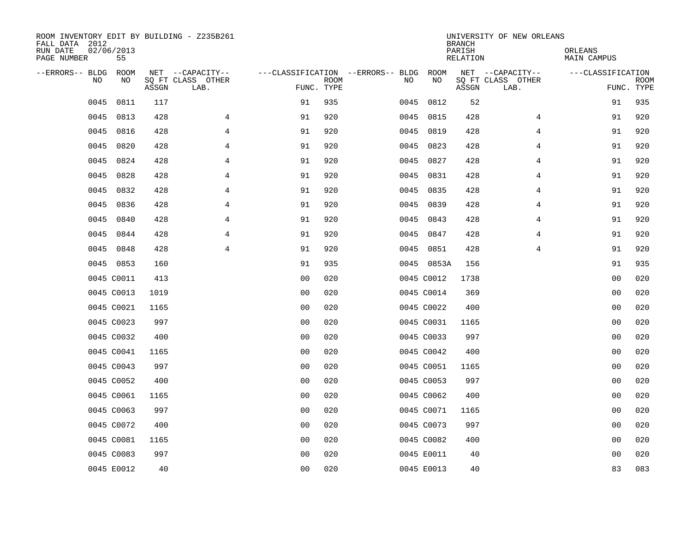| ROOM INVENTORY EDIT BY BUILDING - Z235B261<br>FALL DATA 2012<br>RUN DATE<br>PAGE NUMBER | 02/06/2013<br>55 |       |                           |                                   |             |      |            | <b>BRANCH</b><br>PARISH<br>RELATION | UNIVERSITY OF NEW ORLEANS | ORLEANS<br>MAIN CAMPUS |                           |
|-----------------------------------------------------------------------------------------|------------------|-------|---------------------------|-----------------------------------|-------------|------|------------|-------------------------------------|---------------------------|------------------------|---------------------------|
| --ERRORS-- BLDG                                                                         | ROOM             |       | NET --CAPACITY--          | ---CLASSIFICATION --ERRORS-- BLDG |             |      | ROOM       |                                     | NET --CAPACITY--          | ---CLASSIFICATION      |                           |
| <b>NO</b>                                                                               | NO.              | ASSGN | SO FT CLASS OTHER<br>LAB. | FUNC. TYPE                        | <b>ROOM</b> | NO.  | NO         | ASSGN                               | SQ FT CLASS OTHER<br>LAB. |                        | <b>ROOM</b><br>FUNC. TYPE |
| 0045                                                                                    | 0811             | 117   |                           | 91                                | 935         | 0045 | 0812       | 52                                  |                           | 91                     | 935                       |
| 0045                                                                                    | 0813             | 428   | $\overline{4}$            | 91                                | 920         |      | 0045 0815  | 428                                 | 4                         | 91                     | 920                       |
| 0045                                                                                    | 0816             | 428   | $\overline{4}$            | 91                                | 920         | 0045 | 0819       | 428                                 | $\overline{4}$            | 91                     | 920                       |
| 0045                                                                                    | 0820             | 428   | 4                         | 91                                | 920         | 0045 | 0823       | 428                                 | 4                         | 91                     | 920                       |
| 0045                                                                                    | 0824             | 428   | 4                         | 91                                | 920         | 0045 | 0827       | 428                                 | 4                         | 91                     | 920                       |
| 0045                                                                                    | 0828             | 428   | 4                         | 91                                | 920         |      | 0045 0831  | 428                                 | 4                         | 91                     | 920                       |
| 0045                                                                                    | 0832             | 428   | 4                         | 91                                | 920         | 0045 | 0835       | 428                                 | 4                         | 91                     | 920                       |
| 0045                                                                                    | 0836             | 428   | $\overline{4}$            | 91                                | 920         |      | 0045 0839  | 428                                 | 4                         | 91                     | 920                       |
| 0045                                                                                    | 0840             | 428   | $\overline{4}$            | 91                                | 920         | 0045 | 0843       | 428                                 | $\overline{4}$            | 91                     | 920                       |
| 0045                                                                                    | 0844             | 428   | 4                         | 91                                | 920         |      | 0045 0847  | 428                                 | 4                         | 91                     | 920                       |
| 0045                                                                                    | 0848             | 428   | 4                         | 91                                | 920         | 0045 | 0851       | 428                                 | 4                         | 91                     | 920                       |
|                                                                                         | 0045 0853        | 160   |                           | 91                                | 935         |      | 0045 0853A | 156                                 |                           | 91                     | 935                       |
|                                                                                         | 0045 C0011       | 413   |                           | 0 <sub>0</sub>                    | 020         |      | 0045 C0012 | 1738                                |                           | 0 <sub>0</sub>         | 020                       |
|                                                                                         | 0045 C0013       | 1019  |                           | 0 <sub>0</sub>                    | 020         |      | 0045 C0014 | 369                                 |                           | 00                     | 020                       |
|                                                                                         | 0045 C0021       | 1165  |                           | 00                                | 020         |      | 0045 C0022 | 400                                 |                           | 00                     | 020                       |
|                                                                                         | 0045 C0023       | 997   |                           | 0 <sub>0</sub>                    | 020         |      | 0045 C0031 | 1165                                |                           | 0 <sub>0</sub>         | 020                       |
|                                                                                         | 0045 C0032       | 400   |                           | 0 <sub>0</sub>                    | 020         |      | 0045 C0033 | 997                                 |                           | 0 <sub>0</sub>         | 020                       |
|                                                                                         | 0045 C0041       | 1165  |                           | 0 <sub>0</sub>                    | 020         |      | 0045 C0042 | 400                                 |                           | 00                     | 020                       |
|                                                                                         | 0045 C0043       | 997   |                           | 0 <sup>0</sup>                    | 020         |      | 0045 C0051 | 1165                                |                           | 0 <sub>0</sub>         | 020                       |
|                                                                                         | 0045 C0052       | 400   |                           | 0 <sub>0</sub>                    | 020         |      | 0045 C0053 | 997                                 |                           | 0 <sub>0</sub>         | 020                       |
|                                                                                         | 0045 C0061       | 1165  |                           | 0 <sub>0</sub>                    | 020         |      | 0045 C0062 | 400                                 |                           | 00                     | 020                       |
|                                                                                         | 0045 C0063       | 997   |                           | 0 <sub>0</sub>                    | 020         |      | 0045 C0071 | 1165                                |                           | 00                     | 020                       |
|                                                                                         | 0045 C0072       | 400   |                           | 0 <sub>0</sub>                    | 020         |      | 0045 C0073 | 997                                 |                           | 00                     | 020                       |
|                                                                                         | 0045 C0081       | 1165  |                           | 0 <sub>0</sub>                    | 020         |      | 0045 C0082 | 400                                 |                           | 00                     | 020                       |
|                                                                                         | 0045 C0083       | 997   |                           | 0 <sub>0</sub>                    | 020         |      | 0045 E0011 | 40                                  |                           | 00                     | 020                       |
|                                                                                         | 0045 E0012       | 40    |                           | 0 <sub>0</sub>                    | 020         |      | 0045 E0013 | 40                                  |                           | 83                     | 083                       |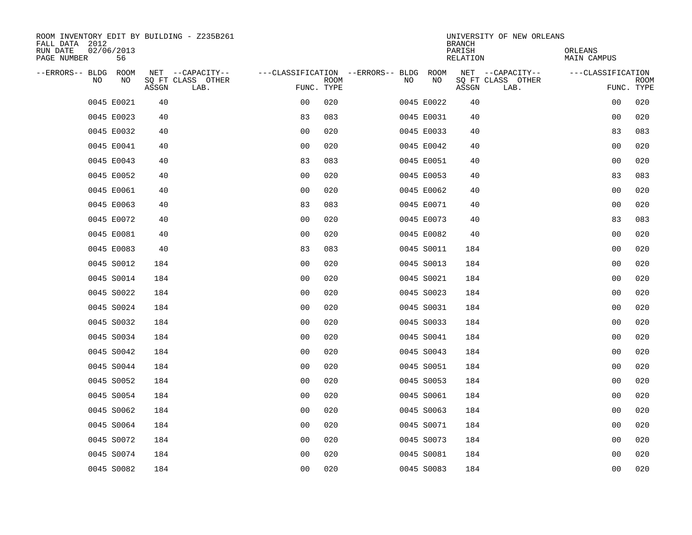| ROOM INVENTORY EDIT BY BUILDING - Z235B261<br>FALL DATA 2012 |                                    |                |                                        |            | UNIVERSITY OF NEW ORLEANS<br><b>BRANCH</b> |                               |
|--------------------------------------------------------------|------------------------------------|----------------|----------------------------------------|------------|--------------------------------------------|-------------------------------|
| RUN DATE<br>02/06/2013<br>PAGE NUMBER<br>56                  |                                    |                |                                        |            | PARISH<br>RELATION                         | ORLEANS<br><b>MAIN CAMPUS</b> |
| --ERRORS-- BLDG ROOM                                         | NET --CAPACITY--                   |                | ---CLASSIFICATION --ERRORS-- BLDG ROOM |            | NET --CAPACITY--                           | ---CLASSIFICATION             |
| NO<br>NO                                                     | SQ FT CLASS OTHER<br>ASSGN<br>LAB. | FUNC. TYPE     | <b>ROOM</b>                            | NO<br>NO   | SQ FT CLASS OTHER<br>ASSGN<br>LAB.         | <b>ROOM</b><br>FUNC. TYPE     |
| 0045 E0021                                                   | 40                                 | 0 <sub>0</sub> | 020                                    | 0045 E0022 | 40                                         | 00<br>020                     |
| 0045 E0023                                                   | 40                                 | 83             | 083                                    | 0045 E0031 | 40                                         | 00<br>020                     |
| 0045 E0032                                                   | 40                                 | 0 <sub>0</sub> | 020                                    | 0045 E0033 | 40                                         | 83<br>083                     |
| 0045 E0041                                                   | 40                                 | 0 <sub>0</sub> | 020                                    | 0045 E0042 | 40                                         | 020<br>00                     |
| 0045 E0043                                                   | 40                                 | 83             | 083                                    | 0045 E0051 | 40                                         | 0 <sub>0</sub><br>020         |
| 0045 E0052                                                   | 40                                 | 0 <sub>0</sub> | 020                                    | 0045 E0053 | 40                                         | 83<br>083                     |
| 0045 E0061                                                   | 40                                 | 0 <sub>0</sub> | 020                                    | 0045 E0062 | 40                                         | 00<br>020                     |
| 0045 E0063                                                   | 40                                 | 83             | 083                                    | 0045 E0071 | 40                                         | 0 <sub>0</sub><br>020         |
| 0045 E0072                                                   | 40                                 | 0 <sub>0</sub> | 020                                    | 0045 E0073 | 40                                         | 83<br>083                     |
| 0045 E0081                                                   | 40                                 | 0 <sub>0</sub> | 020                                    | 0045 E0082 | 40                                         | 0 <sub>0</sub><br>020         |
| 0045 E0083                                                   | 40                                 | 83             | 083                                    | 0045 S0011 | 184                                        | 0 <sub>0</sub><br>020         |
| 0045 S0012                                                   | 184                                | 0 <sub>0</sub> | 020                                    | 0045 S0013 | 184                                        | 0 <sub>0</sub><br>020         |
| 0045 S0014                                                   | 184                                | 0 <sub>0</sub> | 020                                    | 0045 S0021 | 184                                        | 0 <sub>0</sub><br>020         |
| 0045 S0022                                                   | 184                                | 00             | 020                                    | 0045 S0023 | 184                                        | 020<br>00                     |
| 0045 S0024                                                   | 184                                | 00             | 020                                    | 0045 S0031 | 184                                        | 0 <sub>0</sub><br>020         |
| 0045 S0032                                                   | 184                                | 0 <sub>0</sub> | 020                                    | 0045 S0033 | 184                                        | 020<br>0 <sub>0</sub>         |
| 0045 S0034                                                   | 184                                | 0 <sub>0</sub> | 020                                    | 0045 S0041 | 184                                        | 020<br>0 <sub>0</sub>         |
| 0045 S0042                                                   | 184                                | 0 <sub>0</sub> | 020                                    | 0045 S0043 | 184                                        | 0 <sub>0</sub><br>020         |
| 0045 S0044                                                   | 184                                | 0 <sub>0</sub> | 020                                    | 0045 S0051 | 184                                        | 0 <sub>0</sub><br>020         |
| 0045 S0052                                                   | 184                                | 0 <sub>0</sub> | 020                                    | 0045 S0053 | 184                                        | 0 <sub>0</sub><br>020         |
| 0045 S0054                                                   | 184                                | 0 <sub>0</sub> | 020                                    | 0045 S0061 | 184                                        | 0 <sub>0</sub><br>020         |
| 0045 S0062                                                   | 184                                | 0 <sub>0</sub> | 020                                    | 0045 S0063 | 184                                        | 020<br>00                     |
| 0045 S0064                                                   | 184                                | 0 <sub>0</sub> | 020                                    | 0045 S0071 | 184                                        | 020<br>00                     |
| 0045 S0072                                                   | 184                                | 0 <sub>0</sub> | 020                                    | 0045 S0073 | 184                                        | 00<br>020                     |
| 0045 S0074                                                   | 184                                | 0 <sub>0</sub> | 020                                    | 0045 S0081 | 184                                        | 00<br>020                     |
| 0045 S0082                                                   | 184                                | 0 <sub>0</sub> | 020                                    | 0045 S0083 | 184                                        | 0 <sub>0</sub><br>020         |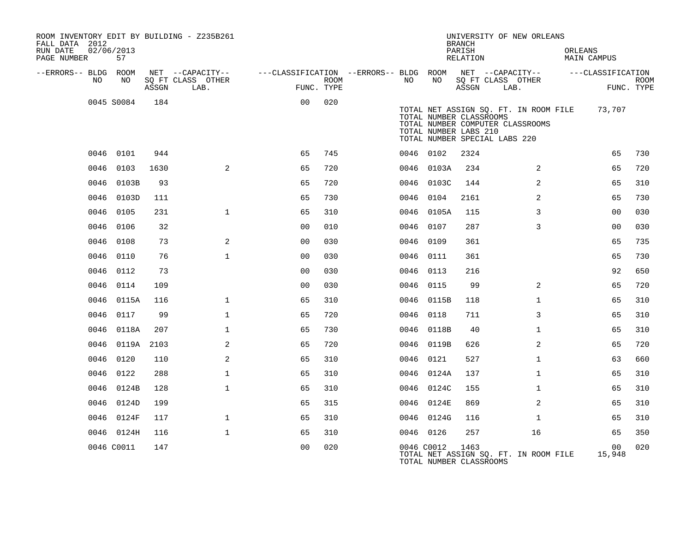| ROOM INVENTORY EDIT BY BUILDING - Z235B261<br>FALL DATA 2012<br>RUN DATE<br>PAGE NUMBER | 02/06/2013<br>57 |       |                                               |                |      |           |                 | <b>BRANCH</b><br>PARISH<br>RELATION              | UNIVERSITY OF NEW ORLEANS                                                                                         | ORLEANS<br>MAIN CAMPUS |                           |
|-----------------------------------------------------------------------------------------|------------------|-------|-----------------------------------------------|----------------|------|-----------|-----------------|--------------------------------------------------|-------------------------------------------------------------------------------------------------------------------|------------------------|---------------------------|
| --ERRORS-- BLDG ROOM<br>NO                                                              | NO               | ASSGN | NET --CAPACITY--<br>SQ FT CLASS OTHER<br>LAB. | FUNC. TYPE     | ROOM | NO        | NO              | ASSGN                                            | ---CLASSIFICATION --ERRORS-- BLDG ROOM NET --CAPACITY-- -----CLASSIFICATION<br>SQ FT CLASS OTHER<br>LAB.          |                        | <b>ROOM</b><br>FUNC. TYPE |
|                                                                                         | 0045 S0084       | 184   |                                               | 0 <sub>0</sub> | 020  |           |                 | TOTAL NUMBER CLASSROOMS<br>TOTAL NUMBER LABS 210 | TOTAL NET ASSIGN SQ. FT. IN ROOM FILE 73,707<br>TOTAL NUMBER COMPUTER CLASSROOMS<br>TOTAL NUMBER SPECIAL LABS 220 |                        |                           |
|                                                                                         | 0046 0101        | 944   |                                               | 65             | 745  | 0046 0102 |                 | 2324                                             |                                                                                                                   | 65                     | 730                       |
| 0046                                                                                    | 0103             | 1630  | $\overline{2}$                                | 65             | 720  |           | 0046 0103A      | 234                                              | 2                                                                                                                 | 65                     | 720                       |
|                                                                                         | 0046 0103B       | 93    |                                               | 65             | 720  |           | 0046 0103C      | 144                                              | 2                                                                                                                 | 65                     | 310                       |
|                                                                                         | 0046 0103D       | 111   |                                               | 65             | 730  | 0046 0104 |                 | 2161                                             | $\overline{2}$                                                                                                    | 65                     | 730                       |
|                                                                                         | 0046 0105        | 231   | $\mathbf{1}$                                  | 65             | 310  |           | 0046 0105A      | 115                                              | 3                                                                                                                 | 0 <sub>0</sub>         | 030                       |
| 0046                                                                                    | 0106             | 32    |                                               | 00             | 010  | 0046 0107 |                 | 287                                              | 3                                                                                                                 | 0 <sub>0</sub>         | 030                       |
|                                                                                         | 0046 0108        | 73    | 2                                             | 0 <sub>0</sub> | 030  | 0046 0109 |                 | 361                                              |                                                                                                                   | 65                     | 735                       |
|                                                                                         | 0046 0110        | 76    | $\mathbf{1}$                                  | 0 <sub>0</sub> | 030  | 0046 0111 |                 | 361                                              |                                                                                                                   | 65                     | 730                       |
|                                                                                         | 0046 0112        | 73    |                                               | 0 <sub>0</sub> | 030  | 0046 0113 |                 | 216                                              |                                                                                                                   | 92                     | 650                       |
| 0046                                                                                    | 0114             | 109   |                                               | 0 <sub>0</sub> | 030  | 0046 0115 |                 | 99                                               | $\overline{2}$                                                                                                    | 65                     | 720                       |
|                                                                                         | 0046 0115A       | 116   | $\mathbf{1}$                                  | 65             | 310  |           | 0046 0115B      | 118                                              | $\mathbf{1}$                                                                                                      | 65                     | 310                       |
|                                                                                         | 0046 0117        | 99    | $\mathbf{1}$                                  | 65             | 720  | 0046 0118 |                 | 711                                              | 3                                                                                                                 | 65                     | 310                       |
|                                                                                         | 0046 0118A       | 207   | $\mathbf{1}$                                  | 65             | 730  |           | 0046 0118B      | 40                                               | $\mathbf{1}$                                                                                                      | 65                     | 310                       |
|                                                                                         | 0046 0119A       | 2103  | 2                                             | 65             | 720  |           | 0046 0119B      | 626                                              | 2                                                                                                                 | 65                     | 720                       |
|                                                                                         | 0046 0120        | 110   | 2                                             | 65             | 310  | 0046 0121 |                 | 527                                              | $\mathbf{1}$                                                                                                      | 63                     | 660                       |
|                                                                                         | 0046 0122        | 288   | $\mathbf{1}$                                  | 65             | 310  |           | 0046 0124A      | 137                                              | $\mathbf{1}$                                                                                                      | 65                     | 310                       |
|                                                                                         | 0046 0124B       | 128   | $\mathbf 1$                                   | 65             | 310  |           | 0046 0124C      | 155                                              | $\mathbf{1}$                                                                                                      | 65                     | 310                       |
|                                                                                         | 0046 0124D       | 199   |                                               | 65             | 315  |           | 0046 0124E      | 869                                              | 2                                                                                                                 | 65                     | 310                       |
|                                                                                         | 0046 0124F       | 117   | $\mathbf{1}$                                  | 65             | 310  |           | 0046 0124G      | 116                                              | $\mathbf{1}$                                                                                                      | 65                     | 310                       |
|                                                                                         | 0046 0124H       | 116   | $\mathbf{1}$                                  | 65             | 310  | 0046 0126 |                 | 257                                              | 16                                                                                                                | 65                     | 350                       |
|                                                                                         | 0046 C0011       | 147   |                                               | 0 <sub>0</sub> | 020  |           | 0046 C0012 1463 | TOTAL NUMBER CLASSROOMS                          | TOTAL NET ASSIGN SO. FT. IN ROOM FILE                                                                             | 00<br>15,948           | 020                       |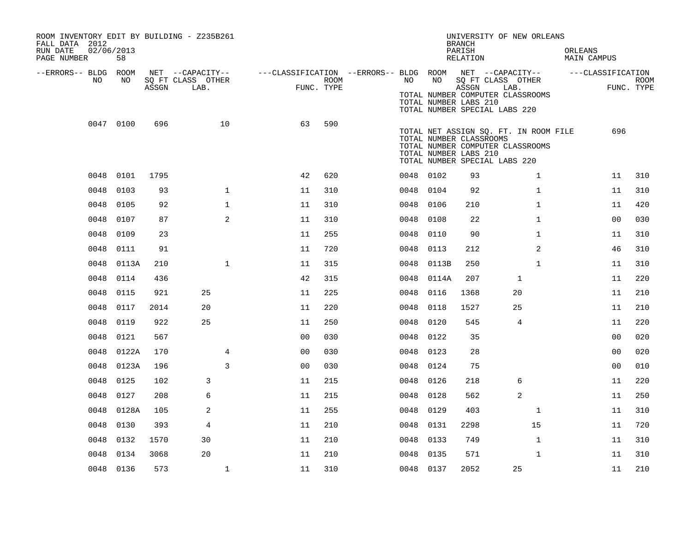| ROOM INVENTORY EDIT BY BUILDING - Z235B261<br>FALL DATA 2012<br>RUN DATE<br>PAGE NUMBER | 02/06/2013<br>58 |       |                                               |                                                         |                    |           |       | <b>BRANCH</b><br>PARISH<br>RELATION              | UNIVERSITY OF NEW ORLEANS                                                                                  | ORLEANS<br>MAIN CAMPUS |                |                           |
|-----------------------------------------------------------------------------------------|------------------|-------|-----------------------------------------------|---------------------------------------------------------|--------------------|-----------|-------|--------------------------------------------------|------------------------------------------------------------------------------------------------------------|------------------------|----------------|---------------------------|
| --ERRORS-- BLDG ROOM<br>NO                                                              | NO               | ASSGN | NET --CAPACITY--<br>SQ FT CLASS OTHER<br>LAB. | ---CLASSIFICATION --ERRORS-- BLDG ROOM NET --CAPACITY-- | ROOM<br>FUNC. TYPE | NO        | NO    | ASSGN<br>TOTAL NUMBER LABS 210                   | SQ FT CLASS OTHER<br>LAB.<br>TOTAL NUMBER COMPUTER CLASSROOMS<br>TOTAL NUMBER SPECIAL LABS 220             | ---CLASSIFICATION      |                | <b>ROOM</b><br>FUNC. TYPE |
|                                                                                         | 0047 0100        | 696   | 10                                            | 63                                                      | 590                |           |       | TOTAL NUMBER CLASSROOMS<br>TOTAL NUMBER LABS 210 | TOTAL NET ASSIGN SQ. FT. IN ROOM FILE<br>TOTAL NUMBER COMPUTER CLASSROOMS<br>TOTAL NUMBER SPECIAL LABS 220 |                        | 696            |                           |
|                                                                                         | 0048 0101        | 1795  |                                               | 42                                                      | 620                | 0048 0102 |       | 93                                               | $\mathbf{1}$                                                                                               |                        | 11             | 310                       |
| 0048                                                                                    | 0103             | 93    | $\mathbf 1$                                   | 11                                                      | 310                | 0048 0104 |       | 92                                               | $\mathbf{1}$                                                                                               |                        | 11             | 310                       |
| 0048                                                                                    | 0105             | 92    | $\mathbf 1$                                   | 11                                                      | 310                | 0048      | 0106  | 210                                              | $\mathbf{1}$                                                                                               |                        | 11             | 420                       |
| 0048                                                                                    | 0107             | 87    | 2                                             | 11                                                      | 310                | 0048      | 0108  | 22                                               | $\mathbf{1}$                                                                                               |                        | 0 <sub>0</sub> | 030                       |
| 0048                                                                                    | 0109             | 23    |                                               | 11                                                      | 255                | 0048 0110 |       | 90                                               | $\mathbf{1}$                                                                                               |                        | 11             | 310                       |
| 0048                                                                                    | 0111             | 91    |                                               | 11                                                      | 720                | 0048      | 0113  | 212                                              | $\overline{2}$                                                                                             |                        | 46             | 310                       |
| 0048                                                                                    | 0113A            | 210   | $\mathbf{1}$                                  | 11                                                      | 315                | 0048      | 0113B | 250                                              | $\mathbf{1}$                                                                                               |                        | 11             | 310                       |
| 0048                                                                                    | 0114             | 436   |                                               | 42                                                      | 315                | 0048      | 0114A | 207                                              | 1                                                                                                          |                        | 11             | 220                       |
| 0048                                                                                    | 0115             | 921   | 25                                            | 11                                                      | 225                | 0048      | 0116  | 1368                                             | 20                                                                                                         |                        | 11             | 210                       |
| 0048                                                                                    | 0117             | 2014  | 20                                            | 11                                                      | 220                | 0048      | 0118  | 1527                                             | 25                                                                                                         |                        | 11             | 210                       |
| 0048                                                                                    | 0119             | 922   | 25                                            | 11                                                      | 250                | 0048      | 0120  | 545                                              | 4                                                                                                          |                        | 11             | 220                       |
| 0048                                                                                    | 0121             | 567   |                                               | 0 <sup>0</sup>                                          | 030                | 0048      | 0122  | 35                                               |                                                                                                            |                        | 0 <sub>0</sub> | 020                       |
| 0048                                                                                    | 0122A            | 170   | 4                                             | 00                                                      | 030                | 0048      | 0123  | 28                                               |                                                                                                            |                        | 00             | 020                       |
|                                                                                         | 0048 0123A       | 196   | 3                                             | 00                                                      | 030                | 0048      | 0124  | 75                                               |                                                                                                            |                        | 00             | 010                       |
| 0048                                                                                    | 0125             | 102   | 3                                             | 11                                                      | 215                | 0048 0126 |       | 218                                              | 6                                                                                                          |                        | 11             | 220                       |
|                                                                                         | 0048 0127        | 208   | 6                                             | 11                                                      | 215                | 0048 0128 |       | 562                                              | $\overline{a}$                                                                                             |                        | 11             | 250                       |
| 0048                                                                                    | 0128A            | 105   | 2                                             | 11                                                      | 255                | 0048 0129 |       | 403                                              | $\mathbf{1}$                                                                                               |                        | 11             | 310                       |
| 0048                                                                                    | 0130             | 393   | 4                                             | 11                                                      | 210                | 0048 0131 |       | 2298                                             | 15                                                                                                         |                        | 11             | 720                       |
| 0048                                                                                    | 0132             | 1570  | 30                                            | 11                                                      | 210                | 0048 0133 |       | 749                                              | $\mathbf{1}$                                                                                               |                        | 11             | 310                       |
| 0048                                                                                    | 0134             | 3068  | 20                                            | 11                                                      | 210                | 0048 0135 |       | 571                                              | $\mathbf{1}$                                                                                               |                        | 11             | 310                       |
|                                                                                         | 0048 0136        | 573   | $\mathbf{1}$                                  | 11                                                      | 310                | 0048 0137 |       | 2052                                             | 25                                                                                                         |                        | 11             | 210                       |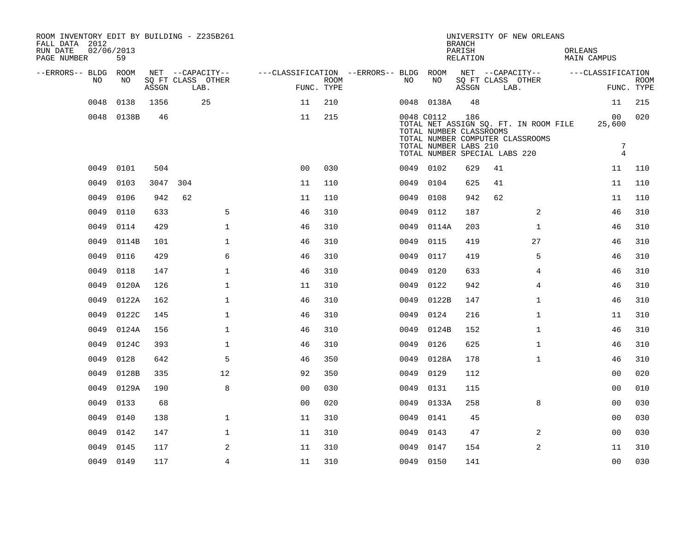| ROOM INVENTORY EDIT BY BUILDING - Z235B261<br>FALL DATA 2012<br>RUN DATE<br>PAGE NUMBER | 02/06/2013<br>59 |       |                           |                                                                              |             |      |                                                                | <b>BRANCH</b><br>PARISH<br>RELATION |                               | UNIVERSITY OF NEW ORLEANS                                                 | ORLEANS | <b>MAIN CAMPUS</b>                               |                           |
|-----------------------------------------------------------------------------------------|------------------|-------|---------------------------|------------------------------------------------------------------------------|-------------|------|----------------------------------------------------------------|-------------------------------------|-------------------------------|---------------------------------------------------------------------------|---------|--------------------------------------------------|---------------------------|
| --ERRORS-- BLDG ROOM                                                                    |                  |       | NET --CAPACITY--          | ---CLASSIFICATION --ERRORS-- BLDG ROOM NET --CAPACITY--    ---CLASSIFICATION |             |      |                                                                |                                     |                               |                                                                           |         |                                                  |                           |
| NO.                                                                                     | NO               | ASSGN | SQ FT CLASS OTHER<br>LAB. | FUNC. TYPE                                                                   | <b>ROOM</b> | NO   | NO                                                             | ASSGN                               |                               | SQ FT CLASS OTHER<br>LAB.                                                 |         |                                                  | <b>ROOM</b><br>FUNC. TYPE |
| 0048                                                                                    | 0138             | 1356  | 25                        | 11                                                                           | 210         |      | 0048 0138A                                                     | 48                                  |                               |                                                                           |         | 11                                               | 215                       |
|                                                                                         | 0048 0138B       | 46    |                           | 11                                                                           | 215         |      | 0048 C0112<br>TOTAL NUMBER CLASSROOMS<br>TOTAL NUMBER LABS 210 | 186                                 | TOTAL NUMBER SPECIAL LABS 220 | TOTAL NET ASSIGN SQ. FT. IN ROOM FILE<br>TOTAL NUMBER COMPUTER CLASSROOMS |         | 00<br>25,600<br>$\overline{7}$<br>$\overline{4}$ | 020                       |
|                                                                                         | 0049 0101        | 504   |                           | 0 <sub>0</sub>                                                               | 030         |      | 0049 0102                                                      | 629                                 | 41                            |                                                                           |         | 11                                               | 110                       |
| 0049                                                                                    | 0103             | 3047  | 304                       | 11                                                                           | 110         |      | 0049 0104                                                      | 625                                 | 41                            |                                                                           |         | 11                                               | 110                       |
| 0049                                                                                    | 0106             | 942   | 62                        | 11                                                                           | 110         |      | 0049 0108                                                      | 942                                 | 62                            |                                                                           |         | 11                                               | 110                       |
| 0049                                                                                    | 0110             | 633   | 5                         | 46                                                                           | 310         | 0049 | 0112                                                           | 187                                 |                               | 2                                                                         |         | 46                                               | 310                       |
| 0049                                                                                    | 0114             | 429   | $\mathbf{1}$              | 46                                                                           | 310         | 0049 | 0114A                                                          | 203                                 |                               | $\mathbf{1}$                                                              |         | 46                                               | 310                       |
| 0049                                                                                    | 0114B            | 101   | $\mathbf{1}$              | 46                                                                           | 310         | 0049 | 0115                                                           | 419                                 |                               | 27                                                                        |         | 46                                               | 310                       |
| 0049                                                                                    | 0116             | 429   | 6                         | 46                                                                           | 310         | 0049 | 0117                                                           | 419                                 |                               | 5                                                                         |         | 46                                               | 310                       |
| 0049                                                                                    | 0118             | 147   | $\mathbf{1}$              | 46                                                                           | 310         | 0049 | 0120                                                           | 633                                 |                               | 4                                                                         |         | 46                                               | 310                       |
| 0049                                                                                    | 0120A            | 126   | $\mathbf{1}$              | 11                                                                           | 310         | 0049 | 0122                                                           | 942                                 |                               | 4                                                                         |         | 46                                               | 310                       |
| 0049                                                                                    | 0122A            | 162   | $\mathbf{1}$              | 46                                                                           | 310         |      | 0049 0122B                                                     | 147                                 |                               | $\mathbf{1}$                                                              |         | 46                                               | 310                       |
| 0049                                                                                    | 0122C            | 145   | $\mathbf 1$               | 46                                                                           | 310         | 0049 | 0124                                                           | 216                                 |                               | $\mathbf{1}$                                                              |         | 11                                               | 310                       |
| 0049                                                                                    | 0124A            | 156   | $\mathbf{1}$              | 46                                                                           | 310         |      | 0049 0124B                                                     | 152                                 |                               | $\mathbf{1}$                                                              |         | 46                                               | 310                       |
| 0049                                                                                    | 0124C            | 393   | $\mathbf{1}$              | 46                                                                           | 310         | 0049 | 0126                                                           | 625                                 |                               | $\mathbf{1}$                                                              |         | 46                                               | 310                       |
| 0049                                                                                    | 0128             | 642   | 5                         | 46                                                                           | 350         |      | 0049 0128A                                                     | 178                                 |                               | $\mathbf{1}$                                                              |         | 46                                               | 310                       |
| 0049                                                                                    | 0128B            | 335   | 12                        | 92                                                                           | 350         | 0049 | 0129                                                           | 112                                 |                               |                                                                           |         | 0 <sub>0</sub>                                   | 020                       |
| 0049                                                                                    | 0129A            | 190   | 8                         | 0 <sub>0</sub>                                                               | 030         | 0049 | 0131                                                           | 115                                 |                               |                                                                           |         | 00                                               | 010                       |
| 0049                                                                                    | 0133             | 68    |                           | 0 <sub>0</sub>                                                               | 020         | 0049 | 0133A                                                          | 258                                 |                               | 8                                                                         |         | 0 <sub>0</sub>                                   | 030                       |
| 0049                                                                                    | 0140             | 138   | $\mathbf 1$               | 11                                                                           | 310         |      | 0049 0141                                                      | 45                                  |                               |                                                                           |         | 00                                               | 030                       |
| 0049                                                                                    | 0142             | 147   | $\mathbf 1$               | 11                                                                           | 310         | 0049 | 0143                                                           | 47                                  |                               | 2                                                                         |         | 0 <sub>0</sub>                                   | 030                       |
| 0049                                                                                    | 0145             | 117   | 2                         | 11                                                                           | 310         | 0049 | 0147                                                           | 154                                 |                               | 2                                                                         |         | 11                                               | 310                       |
|                                                                                         | 0049 0149        | 117   | $\overline{4}$            | 11                                                                           | 310         |      | 0049 0150                                                      | 141                                 |                               |                                                                           |         | 0 <sub>0</sub>                                   | 030                       |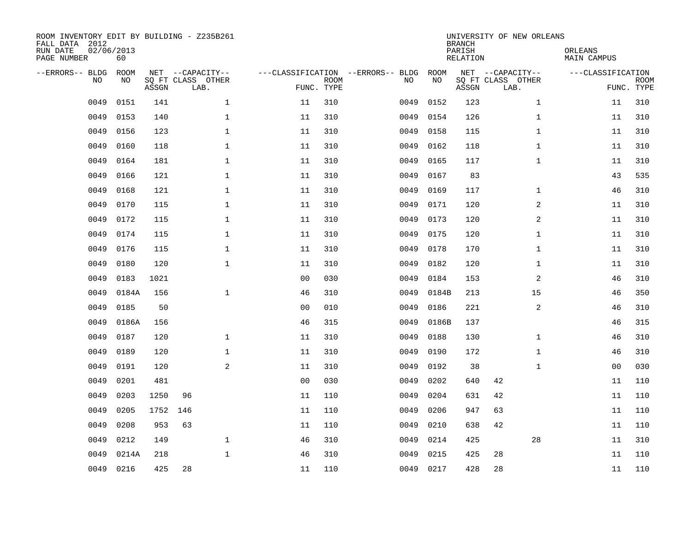| ROOM INVENTORY EDIT BY BUILDING - Z235B261<br>FALL DATA 2012<br>RUN DATE<br>PAGE NUMBER | 02/06/2013<br>60  |       |                                       |                |             |                                         |            | <b>BRANCH</b><br>PARISH<br><b>RELATION</b> | UNIVERSITY OF NEW ORLEANS             | ORLEANS<br>MAIN CAMPUS |             |
|-----------------------------------------------------------------------------------------|-------------------|-------|---------------------------------------|----------------|-------------|-----------------------------------------|------------|--------------------------------------------|---------------------------------------|------------------------|-------------|
| --ERRORS-- BLDG<br>NO                                                                   | <b>ROOM</b><br>NO |       | NET --CAPACITY--<br>SQ FT CLASS OTHER |                | <b>ROOM</b> | ---CLASSIFICATION --ERRORS-- BLDG<br>NO | ROOM<br>NO |                                            | NET --CAPACITY--<br>SQ FT CLASS OTHER | ---CLASSIFICATION      | <b>ROOM</b> |
|                                                                                         |                   | ASSGN | LAB.                                  |                | FUNC. TYPE  |                                         |            | ASSGN                                      | LAB.                                  |                        | FUNC. TYPE  |
| 0049                                                                                    | 0151              | 141   | $\mathbf{1}$                          | 11             | 310         | 0049                                    | 0152       | 123                                        | $\mathbf{1}$                          | 11                     | 310         |
| 0049                                                                                    | 0153              | 140   | $\mathbf 1$                           | 11             | 310         | 0049                                    | 0154       | 126                                        | $\mathbf{1}$                          | 11                     | 310         |
| 0049                                                                                    | 0156              | 123   | $\mathbf{1}$                          | 11             | 310         | 0049                                    | 0158       | 115                                        | $\mathbf{1}$                          | 11                     | 310         |
| 0049                                                                                    | 0160              | 118   | $\mathbf 1$                           | 11             | 310         | 0049                                    | 0162       | 118                                        | $\mathbf{1}$                          | 11                     | 310         |
| 0049                                                                                    | 0164              | 181   | $\mathbf 1$                           | 11             | 310         | 0049                                    | 0165       | 117                                        | $\mathbf{1}$                          | 11                     | 310         |
| 0049                                                                                    | 0166              | 121   | $\mathbf{1}$                          | 11             | 310         | 0049                                    | 0167       | 83                                         |                                       | 43                     | 535         |
| 0049                                                                                    | 0168              | 121   | $\mathbf{1}$                          | 11             | 310         | 0049                                    | 0169       | 117                                        | $\mathbf{1}$                          | 46                     | 310         |
| 0049                                                                                    | 0170              | 115   | $\mathbf 1$                           | 11             | 310         | 0049                                    | 0171       | 120                                        | 2                                     | 11                     | 310         |
| 0049                                                                                    | 0172              | 115   | $\mathbf{1}$                          | 11             | 310         | 0049                                    | 0173       | 120                                        | 2                                     | 11                     | 310         |
| 0049                                                                                    | 0174              | 115   | $\mathbf 1$                           | 11             | 310         | 0049                                    | 0175       | 120                                        | $\mathbf{1}$                          | 11                     | 310         |
| 0049                                                                                    | 0176              | 115   | $\mathbf{1}$                          | 11             | 310         | 0049                                    | 0178       | 170                                        | $\mathbf{1}$                          | 11                     | 310         |
| 0049                                                                                    | 0180              | 120   | $\mathbf 1$                           | 11             | 310         | 0049                                    | 0182       | 120                                        | $\mathbf{1}$                          | 11                     | 310         |
| 0049                                                                                    | 0183              | 1021  |                                       | 0 <sub>0</sub> | 030         | 0049                                    | 0184       | 153                                        | 2                                     | 46                     | 310         |
| 0049                                                                                    | 0184A             | 156   | $\mathbf{1}$                          | 46             | 310         | 0049                                    | 0184B      | 213                                        | 15                                    | 46                     | 350         |
| 0049                                                                                    | 0185              | 50    |                                       | 0 <sub>0</sub> | 010         | 0049                                    | 0186       | 221                                        | $\overline{a}$                        | 46                     | 310         |
| 0049                                                                                    | 0186A             | 156   |                                       | 46             | 315         | 0049                                    | 0186B      | 137                                        |                                       | 46                     | 315         |
| 0049                                                                                    | 0187              | 120   | $\mathbf 1$                           | 11             | 310         | 0049                                    | 0188       | 130                                        | $\mathbf{1}$                          | 46                     | 310         |
| 0049                                                                                    | 0189              | 120   | $\mathbf 1$                           | 11             | 310         | 0049                                    | 0190       | 172                                        | $\mathbf{1}$                          | 46                     | 310         |
| 0049                                                                                    | 0191              | 120   | 2                                     | 11             | 310         | 0049                                    | 0192       | 38                                         | $\mathbf{1}$                          | 00                     | 030         |
| 0049                                                                                    | 0201              | 481   |                                       | 0 <sub>0</sub> | 030         | 0049                                    | 0202       | 640                                        | 42                                    | 11                     | 110         |
| 0049                                                                                    | 0203              | 1250  | 96                                    | 11             | 110         | 0049                                    | 0204       | 631                                        | 42                                    | 11                     | 110         |
| 0049                                                                                    | 0205              | 1752  | 146                                   | 11             | 110         | 0049                                    | 0206       | 947                                        | 63                                    | 11                     | 110         |
| 0049                                                                                    | 0208              | 953   | 63                                    | 11             | 110         | 0049                                    | 0210       | 638                                        | 42                                    | 11                     | 110         |
| 0049                                                                                    | 0212              | 149   | $\mathbf{1}$                          | 46             | 310         | 0049                                    | 0214       | 425                                        | 28                                    | 11                     | 310         |
| 0049                                                                                    | 0214A             | 218   | $\mathbf 1$                           | 46             | 310         | 0049                                    | 0215       | 425                                        | 28                                    | 11                     | 110         |
| 0049                                                                                    | 0216              | 425   | 28                                    | 11             | 110         |                                         | 0049 0217  | 428                                        | 28                                    | 11                     | 110         |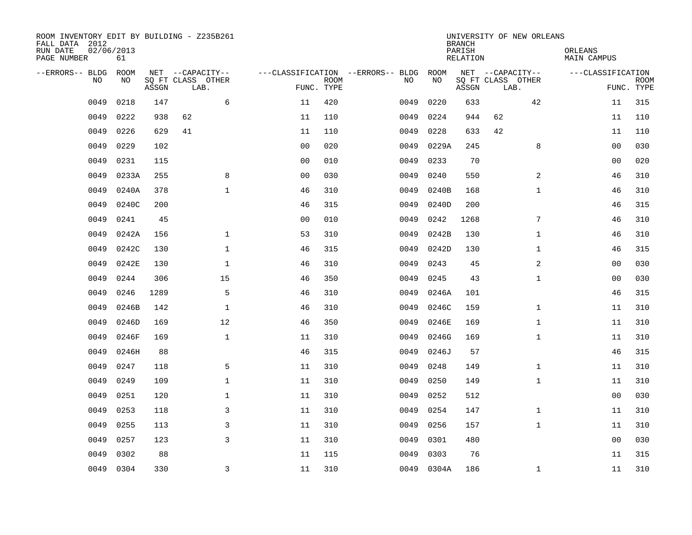| ROOM INVENTORY EDIT BY BUILDING - Z235B261<br>FALL DATA 2012<br>RUN DATE<br>PAGE NUMBER | 02/06/2013<br>61 |       |                           |                |             |                                        |            | <b>BRANCH</b><br>PARISH<br>RELATION | UNIVERSITY OF NEW ORLEANS | ORLEANS<br>MAIN CAMPUS |                           |
|-----------------------------------------------------------------------------------------|------------------|-------|---------------------------|----------------|-------------|----------------------------------------|------------|-------------------------------------|---------------------------|------------------------|---------------------------|
| --ERRORS-- BLDG ROOM                                                                    |                  |       | NET --CAPACITY--          |                |             | ---CLASSIFICATION --ERRORS-- BLDG ROOM |            |                                     | NET --CAPACITY--          | ---CLASSIFICATION      |                           |
| NO.                                                                                     | NO.              | ASSGN | SQ FT CLASS OTHER<br>LAB. | FUNC. TYPE     | <b>ROOM</b> | NO.                                    | NO         | ASSGN                               | SQ FT CLASS OTHER<br>LAB. |                        | <b>ROOM</b><br>FUNC. TYPE |
| 0049                                                                                    | 0218             | 147   | 6                         | 11             | 420         | 0049                                   | 0220       | 633                                 | 42                        | 11                     | 315                       |
| 0049                                                                                    | 0222             | 938   | 62                        | 11             | 110         | 0049                                   | 0224       | 944                                 | 62                        | 11                     | 110                       |
| 0049                                                                                    | 0226             | 629   | 41                        | 11             | 110         | 0049                                   | 0228       | 633                                 | 42                        | 11                     | 110                       |
| 0049                                                                                    | 0229             | 102   |                           | 0 <sub>0</sub> | 020         | 0049                                   | 0229A      | 245                                 | 8                         | 00                     | 030                       |
| 0049                                                                                    | 0231             | 115   |                           | 00             | 010         | 0049                                   | 0233       | 70                                  |                           | 00                     | 020                       |
| 0049                                                                                    | 0233A            | 255   | 8                         | 0 <sub>0</sub> | 030         | 0049                                   | 0240       | 550                                 | 2                         | 46                     | 310                       |
| 0049                                                                                    | 0240A            | 378   | $\mathbf{1}$              | 46             | 310         | 0049                                   | 0240B      | 168                                 | $\mathbf{1}$              | 46                     | 310                       |
| 0049                                                                                    | 0240C            | 200   |                           | 46             | 315         | 0049                                   | 0240D      | 200                                 |                           | 46                     | 315                       |
| 0049                                                                                    | 0241             | 45    |                           | 0 <sub>0</sub> | 010         | 0049                                   | 0242       | 1268                                | 7                         | 46                     | 310                       |
| 0049                                                                                    | 0242A            | 156   | $\mathbf{1}$              | 53             | 310         | 0049                                   | 0242B      | 130                                 | $\mathbf{1}$              | 46                     | 310                       |
| 0049                                                                                    | 0242C            | 130   | $\mathbf{1}$              | 46             | 315         | 0049                                   | 0242D      | 130                                 | $\mathbf{1}$              | 46                     | 315                       |
| 0049                                                                                    | 0242E            | 130   | $\mathbf{1}$              | 46             | 310         | 0049                                   | 0243       | 45                                  | $\overline{a}$            | 00                     | 030                       |
| 0049                                                                                    | 0244             | 306   | 15                        | 46             | 350         | 0049                                   | 0245       | 43                                  | $\mathbf{1}$              | 00                     | 030                       |
| 0049                                                                                    | 0246             | 1289  | 5                         | 46             | 310         | 0049                                   | 0246A      | 101                                 |                           | 46                     | 315                       |
| 0049                                                                                    | 0246B            | 142   | $\mathbf{1}$              | 46             | 310         | 0049                                   | 0246C      | 159                                 | $\mathbf{1}$              | 11                     | 310                       |
| 0049                                                                                    | 0246D            | 169   | 12                        | 46             | 350         | 0049                                   | 0246E      | 169                                 | $\mathbf{1}$              | 11                     | 310                       |
| 0049                                                                                    | 0246F            | 169   | $\mathbf{1}$              | 11             | 310         | 0049                                   | 0246G      | 169                                 | $\mathbf{1}$              | 11                     | 310                       |
| 0049                                                                                    | 0246H            | 88    |                           | 46             | 315         | 0049                                   | 0246J      | 57                                  |                           | 46                     | 315                       |
| 0049                                                                                    | 0247             | 118   | 5                         | 11             | 310         | 0049                                   | 0248       | 149                                 | $\mathbf{1}$              | 11                     | 310                       |
| 0049                                                                                    | 0249             | 109   | $\mathbf{1}$              | 11             | 310         | 0049                                   | 0250       | 149                                 | $\mathbf{1}$              | 11                     | 310                       |
| 0049                                                                                    | 0251             | 120   | $\mathbf{1}$              | 11             | 310         | 0049                                   | 0252       | 512                                 |                           | 0 <sub>0</sub>         | 030                       |
| 0049                                                                                    | 0253             | 118   | 3                         | 11             | 310         | 0049                                   | 0254       | 147                                 | $\mathbf{1}$              | 11                     | 310                       |
| 0049                                                                                    | 0255             | 113   | 3                         | 11             | 310         | 0049                                   | 0256       | 157                                 | $\mathbf{1}$              | 11                     | 310                       |
| 0049                                                                                    | 0257             | 123   | 3                         | 11             | 310         | 0049                                   | 0301       | 480                                 |                           | 00                     | 030                       |
| 0049                                                                                    | 0302             | 88    |                           | 11             | 115         | 0049                                   | 0303       | 76                                  |                           | 11                     | 315                       |
| 0049                                                                                    | 0304             | 330   | $\overline{3}$            | 11             | 310         |                                        | 0049 0304A | 186                                 | $\mathbf{1}$              | 11                     | 310                       |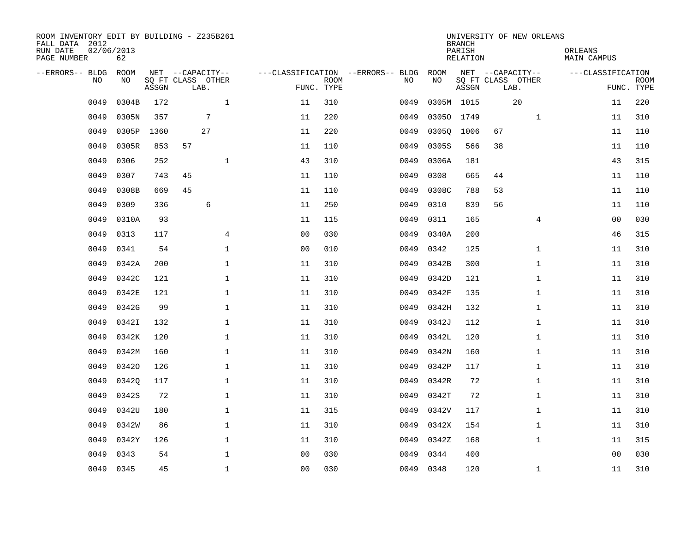| ROOM INVENTORY EDIT BY BUILDING - Z235B261<br>FALL DATA 2012<br>RUN DATE<br>PAGE NUMBER | 02/06/2013<br>62 |       |                   |                |             |                                   |           | <b>BRANCH</b><br>PARISH<br>RELATION |                   | UNIVERSITY OF NEW ORLEANS | ORLEANS<br>MAIN CAMPUS |             |
|-----------------------------------------------------------------------------------------|------------------|-------|-------------------|----------------|-------------|-----------------------------------|-----------|-------------------------------------|-------------------|---------------------------|------------------------|-------------|
| --ERRORS-- BLDG                                                                         | ROOM             |       | NET --CAPACITY--  |                |             | ---CLASSIFICATION --ERRORS-- BLDG | ROOM      |                                     | NET --CAPACITY--  |                           | ---CLASSIFICATION      |             |
| NO.                                                                                     | NO.              |       | SQ FT CLASS OTHER |                | <b>ROOM</b> | NO.                               | NO        |                                     | SQ FT CLASS OTHER |                           |                        | <b>ROOM</b> |
|                                                                                         |                  | ASSGN | LAB.              | FUNC. TYPE     |             |                                   |           | ASSGN                               | LAB.              |                           |                        | FUNC. TYPE  |
| 0049                                                                                    | 0304B            | 172   | $\mathbf{1}$      | 11             | 310         | 0049                              |           | 0305M 1015                          |                   | 20                        | 11                     | 220         |
| 0049                                                                                    | 0305N            | 357   | $7\phantom{.0}$   | 11             | 220         | 0049                              |           | 03050 1749                          |                   | $\mathbf{1}$              | 11                     | 310         |
| 0049                                                                                    | 0305P            | 1360  | 27                | 11             | 220         | 0049                              | 03050     | 1006                                | 67                |                           | 11                     | 110         |
| 0049                                                                                    | 0305R            | 853   | 57                | 11             | 110         | 0049                              | 0305S     | 566                                 | 38                |                           | 11                     | 110         |
| 0049                                                                                    | 0306             | 252   | $\mathbf{1}$      | 43             | 310         | 0049                              | 0306A     | 181                                 |                   |                           | 43                     | 315         |
| 0049                                                                                    | 0307             | 743   | 45                | 11             | 110         | 0049                              | 0308      | 665                                 | 44                |                           | 11                     | 110         |
| 0049                                                                                    | 0308B            | 669   | 45                | 11             | 110         | 0049                              | 0308C     | 788                                 | 53                |                           | 11                     | 110         |
| 0049                                                                                    | 0309             | 336   | 6                 | 11             | 250         | 0049                              | 0310      | 839                                 | 56                |                           | 11                     | 110         |
| 0049                                                                                    | 0310A            | 93    |                   | 11             | 115         | 0049                              | 0311      | 165                                 |                   | 4                         | 0 <sub>0</sub>         | 030         |
| 0049                                                                                    | 0313             | 117   | 4                 | 0 <sub>0</sub> | 030         | 0049                              | 0340A     | 200                                 |                   |                           | 46                     | 315         |
| 0049                                                                                    | 0341             | 54    | $\mathbf{1}$      | 0 <sub>0</sub> | 010         | 0049                              | 0342      | 125                                 |                   | $\mathbf{1}$              | 11                     | 310         |
| 0049                                                                                    | 0342A            | 200   | $\mathbf 1$       | 11             | 310         | 0049                              | 0342B     | 300                                 |                   | $\mathbf{1}$              | 11                     | 310         |
| 0049                                                                                    | 0342C            | 121   | $\mathbf{1}$      | 11             | 310         | 0049                              | 0342D     | 121                                 |                   | $\mathbf{1}$              | 11                     | 310         |
| 0049                                                                                    | 0342E            | 121   | $\mathbf 1$       | 11             | 310         | 0049                              | 0342F     | 135                                 |                   | $\mathbf{1}$              | 11                     | 310         |
| 0049                                                                                    | 0342G            | 99    | $\mathbf 1$       | 11             | 310         | 0049                              | 0342H     | 132                                 |                   | $\mathbf{1}$              | 11                     | 310         |
| 0049                                                                                    | 0342I            | 132   | $\mathbf{1}$      | 11             | 310         | 0049                              | 0342J     | 112                                 |                   | $\mathbf{1}$              | 11                     | 310         |
| 0049                                                                                    | 0342K            | 120   | $\mathbf 1$       | 11             | 310         | 0049                              | 0342L     | 120                                 |                   | $\mathbf{1}$              | 11                     | 310         |
| 0049                                                                                    | 0342M            | 160   | 1                 | 11             | 310         | 0049                              | 0342N     | 160                                 |                   | $\mathbf{1}$              | 11                     | 310         |
| 0049                                                                                    | 03420            | 126   | $\mathbf 1$       | 11             | 310         | 0049                              | 0342P     | 117                                 |                   | $\mathbf{1}$              | 11                     | 310         |
| 0049                                                                                    | 03420            | 117   | $\mathbf{1}$      | 11             | 310         | 0049                              | 0342R     | 72                                  |                   | $\mathbf{1}$              | 11                     | 310         |
| 0049                                                                                    | 0342S            | 72    | $\mathbf{1}$      | 11             | 310         | 0049                              | 0342T     | 72                                  |                   | $\mathbf{1}$              | 11                     | 310         |
| 0049                                                                                    | 0342U            | 180   | $\mathbf 1$       | 11             | 315         | 0049                              | 0342V     | 117                                 |                   | $\mathbf{1}$              | 11                     | 310         |
| 0049                                                                                    | 0342W            | 86    | $\mathbf 1$       | 11             | 310         | 0049                              | 0342X     | 154                                 |                   | $\mathbf{1}$              | 11                     | 310         |
| 0049                                                                                    | 0342Y            | 126   | $\mathbf 1$       | 11             | 310         | 0049                              | 0342Z     | 168                                 |                   | $\mathbf{1}$              | 11                     | 315         |
| 0049                                                                                    | 0343             | 54    | $\mathbf 1$       | 0 <sub>0</sub> | 030         | 0049                              | 0344      | 400                                 |                   |                           | 00                     | 030         |
| 0049                                                                                    | 0345             | 45    | $\mathbf{1}$      | 0 <sub>0</sub> | 030         |                                   | 0049 0348 | 120                                 |                   | $\mathbf{1}$              | 11                     | 310         |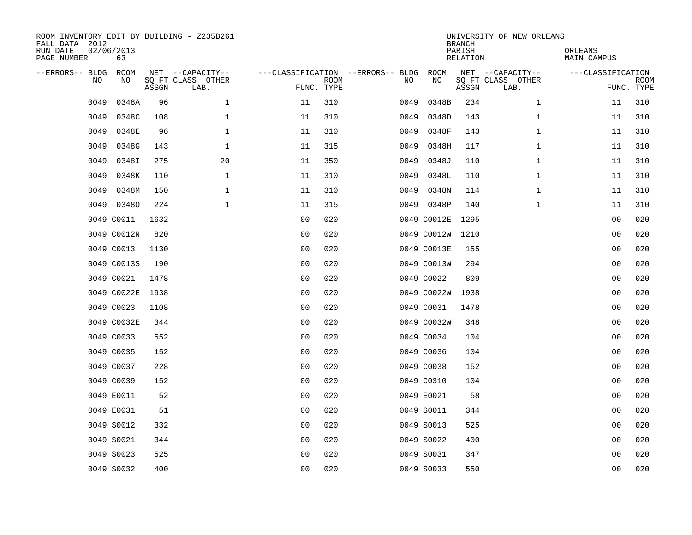| ROOM INVENTORY EDIT BY BUILDING - Z235B261<br>FALL DATA 2012<br>RUN DATE<br>PAGE NUMBER | 02/06/2013<br>63 |       |                                               |                                   |                           |      |             | <b>BRANCH</b><br>PARISH<br><b>RELATION</b> | UNIVERSITY OF NEW ORLEANS                     | ORLEANS<br><b>MAIN CAMPUS</b> |                           |
|-----------------------------------------------------------------------------------------|------------------|-------|-----------------------------------------------|-----------------------------------|---------------------------|------|-------------|--------------------------------------------|-----------------------------------------------|-------------------------------|---------------------------|
| --ERRORS-- BLDG<br>NO                                                                   | ROOM<br>NO       | ASSGN | NET --CAPACITY--<br>SQ FT CLASS OTHER<br>LAB. | ---CLASSIFICATION --ERRORS-- BLDG | <b>ROOM</b><br>FUNC. TYPE | NO   | ROOM<br>NO  | ASSGN                                      | NET --CAPACITY--<br>SQ FT CLASS OTHER<br>LAB. | ---CLASSIFICATION             | <b>ROOM</b><br>FUNC. TYPE |
| 0049                                                                                    | 0348A            | 96    | $\mathbf 1$                                   | 11                                | 310                       | 0049 | 0348B       | 234                                        | $\mathbf{1}$                                  | 11                            | 310                       |
| 0049                                                                                    | 0348C            | 108   | 1                                             | 11                                | 310                       | 0049 | 0348D       | 143                                        | $\mathbf{1}$                                  | 11                            | 310                       |
| 0049                                                                                    | 0348E            | 96    | $\mathbf 1$                                   | 11                                | 310                       | 0049 | 0348F       | 143                                        | $\mathbf{1}$                                  | 11                            | 310                       |
| 0049                                                                                    | 0348G            | 143   | 1                                             | 11                                | 315                       | 0049 | 0348H       | 117                                        | $\mathbf{1}$                                  | 11                            | 310                       |
| 0049                                                                                    | 0348I            | 275   | 20                                            | 11                                | 350                       | 0049 | 0348J       | 110                                        | $\mathbf{1}$                                  | 11                            | 310                       |
| 0049                                                                                    | 0348K            | 110   | 1                                             | 11                                | 310                       | 0049 | 0348L       | 110                                        | $\mathbf{1}$                                  | 11                            | 310                       |
| 0049                                                                                    | 0348M            | 150   | $\mathbf{1}$                                  | 11                                | 310                       | 0049 | 0348N       | 114                                        | $\mathbf{1}$                                  | 11                            | 310                       |
|                                                                                         | 0049 03480       | 224   | $\mathbf{1}$                                  | 11                                | 315                       |      | 0049 0348P  | 140                                        | $\mathbf{1}$                                  | 11                            | 310                       |
|                                                                                         | 0049 C0011       | 1632  |                                               | 0 <sub>0</sub>                    | 020                       |      | 0049 C0012E | 1295                                       |                                               | 0 <sub>0</sub>                | 020                       |
|                                                                                         | 0049 C0012N      | 820   |                                               | 0 <sub>0</sub>                    | 020                       |      | 0049 C0012W | 1210                                       |                                               | 00                            | 020                       |
|                                                                                         | 0049 C0013       | 1130  |                                               | 0 <sub>0</sub>                    | 020                       |      | 0049 C0013E | 155                                        |                                               | 0 <sub>0</sub>                | 020                       |
|                                                                                         | 0049 C0013S      | 190   |                                               | 0 <sub>0</sub>                    | 020                       |      | 0049 C0013W | 294                                        |                                               | 0 <sub>0</sub>                | 020                       |
|                                                                                         | 0049 C0021       | 1478  |                                               | 0 <sub>0</sub>                    | 020                       |      | 0049 C0022  | 809                                        |                                               | 0 <sub>0</sub>                | 020                       |
|                                                                                         | 0049 C0022E      | 1938  |                                               | 0 <sub>0</sub>                    | 020                       |      | 0049 C0022W | 1938                                       |                                               | 00                            | 020                       |
|                                                                                         | 0049 C0023       | 1108  |                                               | 0 <sub>0</sub>                    | 020                       |      | 0049 C0031  | 1478                                       |                                               | 0 <sub>0</sub>                | 020                       |
|                                                                                         | 0049 C0032E      | 344   |                                               | 00                                | 020                       |      | 0049 C0032W | 348                                        |                                               | 00                            | 020                       |
|                                                                                         | 0049 C0033       | 552   |                                               | 00                                | 020                       |      | 0049 C0034  | 104                                        |                                               | 0 <sub>0</sub>                | 020                       |
|                                                                                         | 0049 C0035       | 152   |                                               | 0 <sub>0</sub>                    | 020                       |      | 0049 C0036  | 104                                        |                                               | 00                            | 020                       |
|                                                                                         | 0049 C0037       | 228   |                                               | 0 <sub>0</sub>                    | 020                       |      | 0049 C0038  | 152                                        |                                               | 00                            | 020                       |
|                                                                                         | 0049 C0039       | 152   |                                               | 0 <sub>0</sub>                    | 020                       |      | 0049 C0310  | 104                                        |                                               | 00                            | 020                       |
|                                                                                         | 0049 E0011       | 52    |                                               | 0 <sub>0</sub>                    | 020                       |      | 0049 E0021  | 58                                         |                                               | 00                            | 020                       |
|                                                                                         | 0049 E0031       | 51    |                                               | 0 <sub>0</sub>                    | 020                       |      | 0049 S0011  | 344                                        |                                               | 00                            | 020                       |
|                                                                                         | 0049 S0012       | 332   |                                               | 0 <sub>0</sub>                    | 020                       |      | 0049 S0013  | 525                                        |                                               | 0 <sub>0</sub>                | 020                       |
|                                                                                         | 0049 S0021       | 344   |                                               | 00                                | 020                       |      | 0049 S0022  | 400                                        |                                               | 00                            | 020                       |
|                                                                                         | 0049 S0023       | 525   |                                               | 0 <sub>0</sub>                    | 020                       |      | 0049 S0031  | 347                                        |                                               | 0 <sub>0</sub>                | 020                       |
|                                                                                         | 0049 S0032       | 400   |                                               | 00                                | 020                       |      | 0049 S0033  | 550                                        |                                               | 0 <sub>0</sub>                | 020                       |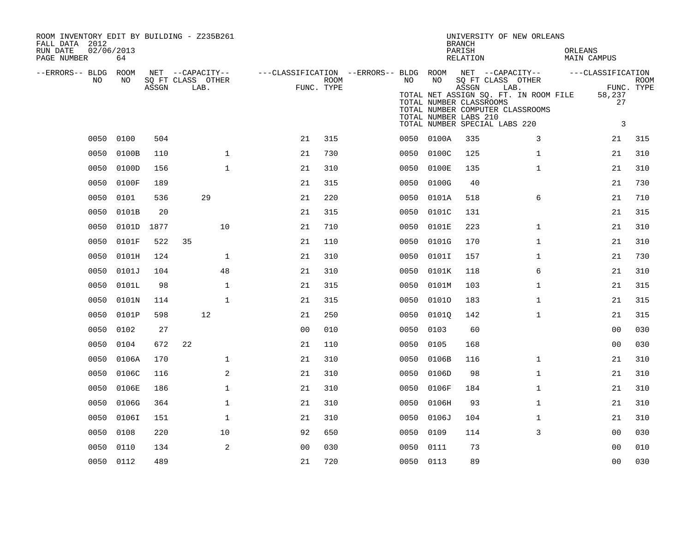| ROOM INVENTORY EDIT BY BUILDING - Z235B261<br>FALL DATA 2012<br>02/06/2013<br>RUN DATE<br>PAGE NUMBER | 64         |       |                                       |                                                         |      |      |              | <b>BRANCH</b><br>PARISH<br>RELATION                       | UNIVERSITY OF NEW ORLEANS                                                                                          | ORLEANS<br><b>MAIN CAMPUS</b>  |             |
|-------------------------------------------------------------------------------------------------------|------------|-------|---------------------------------------|---------------------------------------------------------|------|------|--------------|-----------------------------------------------------------|--------------------------------------------------------------------------------------------------------------------|--------------------------------|-------------|
| --ERRORS-- BLDG ROOM<br>NO.                                                                           | NO.        |       | NET --CAPACITY--<br>SQ FT CLASS OTHER | ---CLASSIFICATION --ERRORS-- BLDG ROOM NET --CAPACITY-- | ROOM | NO   | NO           |                                                           | SQ FT CLASS OTHER                                                                                                  | ---CLASSIFICATION              | <b>ROOM</b> |
|                                                                                                       |            | ASSGN | LAB.                                  | FUNC. TYPE                                              |      |      |              | ASSGN<br>TOTAL NUMBER CLASSROOMS<br>TOTAL NUMBER LABS 210 | LAB.<br>TOTAL NET ASSIGN SQ. FT. IN ROOM FILE<br>TOTAL NUMBER COMPUTER CLASSROOMS<br>TOTAL NUMBER SPECIAL LABS 220 | 58,237<br>27<br>$\overline{3}$ | FUNC. TYPE  |
|                                                                                                       | 0050 0100  | 504   |                                       | 21                                                      | 315  |      | 0050 0100A   | 335                                                       | 3                                                                                                                  | 21                             | 315         |
| 0050                                                                                                  | 0100B      | 110   | $\mathbf 1$                           | 21                                                      | 730  |      | 0050 0100C   | 125                                                       | $\mathbf{1}$                                                                                                       | 21                             | 310         |
| 0050                                                                                                  | 0100D      | 156   | $\mathbf{1}$                          | 21                                                      | 310  | 0050 | 0100E        | 135                                                       | $\mathbf{1}$                                                                                                       | 21                             | 310         |
| 0050                                                                                                  | 0100F      | 189   |                                       | 21                                                      | 315  | 0050 | 0100G        | 40                                                        |                                                                                                                    | 21                             | 730         |
| 0050                                                                                                  | 0101       | 536   | 29                                    | 21                                                      | 220  | 0050 | 0101A        | 518                                                       | 6                                                                                                                  | 21                             | 710         |
| 0050                                                                                                  | 0101B      | 20    |                                       | 21                                                      | 315  | 0050 | 0101C        | 131                                                       |                                                                                                                    | 21                             | 315         |
| 0050                                                                                                  | 0101D      | 1877  | 10                                    | 21                                                      | 710  | 0050 | 0101E        | 223                                                       | $\mathbf{1}$                                                                                                       | 21                             | 310         |
| 0050                                                                                                  | 0101F      | 522   | 35                                    | 21                                                      | 110  | 0050 | 0101G        | 170                                                       | $\mathbf{1}$                                                                                                       | 21                             | 310         |
| 0050                                                                                                  | 0101H      | 124   | $\mathbf{1}$                          | 21                                                      | 310  | 0050 | 0101I        | 157                                                       | $\mathbf{1}$                                                                                                       | 21                             | 730         |
| 0050                                                                                                  | 0101J      | 104   | 48                                    | 21                                                      | 310  | 0050 | 0101K        | 118                                                       | 6                                                                                                                  | 21                             | 310         |
| 0050                                                                                                  | 0101L      | 98    | $\mathbf 1$                           | 21                                                      | 315  | 0050 | 0101M        | 103                                                       | $\mathbf{1}$                                                                                                       | 21                             | 315         |
| 0050                                                                                                  | 0101N      | 114   | $\mathbf{1}$                          | 21                                                      | 315  | 0050 | 01010        | 183                                                       | $\mathbf{1}$                                                                                                       | 21                             | 315         |
| 0050                                                                                                  | 0101P      | 598   | 12                                    | 21                                                      | 250  | 0050 | 01010        | 142                                                       | $\mathbf{1}$                                                                                                       | 21                             | 315         |
| 0050                                                                                                  | 0102       | 27    |                                       | 0 <sub>0</sub>                                          | 010  | 0050 | 0103         | 60                                                        |                                                                                                                    | 0 <sub>0</sub>                 | 030         |
| 0050                                                                                                  | 0104       | 672   | 22                                    | 21                                                      | 110  | 0050 | 0105         | 168                                                       |                                                                                                                    | 00                             | 030         |
| 0050                                                                                                  | 0106A      | 170   | $\mathbf 1$                           | 21                                                      | 310  | 0050 | 0106B        | 116                                                       | $\mathbf{1}$                                                                                                       | 21                             | 310         |
| 0050                                                                                                  | 0106C      | 116   | 2                                     | 21                                                      | 310  | 0050 | 0106D        | 98                                                        | $\mathbf{1}$                                                                                                       | 21                             | 310         |
|                                                                                                       | 0050 0106E | 186   | $\mathbf{1}$                          | 21                                                      | 310  |      | 0050 0106F   | 184                                                       | $\mathbf{1}$                                                                                                       | 21                             | 310         |
| 0050                                                                                                  | 0106G      | 364   | $\mathbf 1$                           | 21                                                      | 310  | 0050 | 0106H        | 93                                                        | $\mathbf{1}$                                                                                                       | 21                             | 310         |
|                                                                                                       | 0050 0106I | 151   | $\mathbf{1}$                          | 21                                                      | 310  |      | 0050 0106J   | 104                                                       | $\mathbf{1}$                                                                                                       | 21                             | 310         |
|                                                                                                       | 0050 0108  | 220   | 10                                    | 92                                                      | 650  |      | 0050<br>0109 | 114                                                       | 3                                                                                                                  | 0 <sub>0</sub>                 | 030         |
| 0050                                                                                                  | 0110       | 134   | 2                                     | 0 <sub>0</sub>                                          | 030  |      | 0050 0111    | 73                                                        |                                                                                                                    | 00                             | 010         |
|                                                                                                       | 0050 0112  | 489   |                                       | 21                                                      | 720  |      | 0050 0113    | 89                                                        |                                                                                                                    | 0 <sub>0</sub>                 | 030         |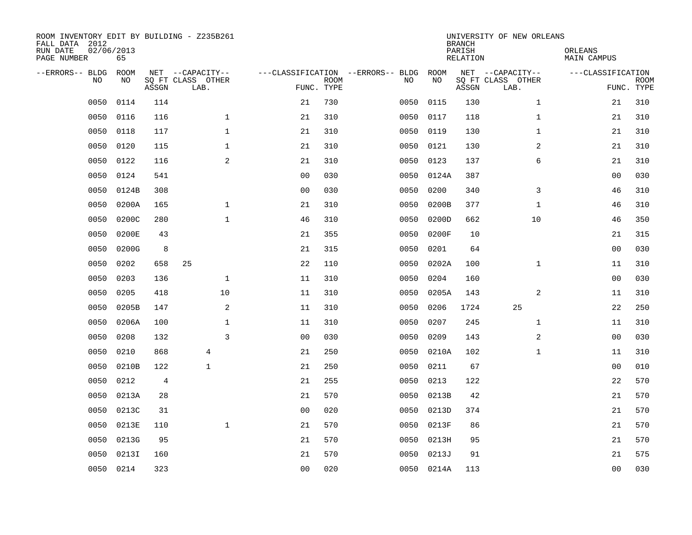| ROOM INVENTORY EDIT BY BUILDING - Z235B261<br>FALL DATA 2012<br>RUN DATE<br>PAGE NUMBER | 02/06/2013<br>65 |       |                                               |                |             |                                         |            |            | <b>BRANCH</b><br>PARISH<br><b>RELATION</b> | UNIVERSITY OF NEW ORLEANS                     | ORLEANS<br><b>MAIN CAMPUS</b> |                           |
|-----------------------------------------------------------------------------------------|------------------|-------|-----------------------------------------------|----------------|-------------|-----------------------------------------|------------|------------|--------------------------------------------|-----------------------------------------------|-------------------------------|---------------------------|
| --ERRORS-- BLDG<br>NO                                                                   | ROOM<br>NO       | ASSGN | NET --CAPACITY--<br>SQ FT CLASS OTHER<br>LAB. | FUNC. TYPE     | <b>ROOM</b> | ---CLASSIFICATION --ERRORS-- BLDG<br>NO |            | ROOM<br>NO | ASSGN                                      | NET --CAPACITY--<br>SQ FT CLASS OTHER<br>LAB. | ---CLASSIFICATION             | <b>ROOM</b><br>FUNC. TYPE |
| 0050                                                                                    | 0114             | 114   |                                               | 21             | 730         | 0050                                    |            | 0115       | 130                                        | $\mathbf{1}$                                  | 21                            | 310                       |
| 0050                                                                                    | 0116             | 116   | $\mathbf 1$                                   | 21             | 310         | 0050                                    |            | 0117       | 118                                        | $\mathbf{1}$                                  | 21                            | 310                       |
| 0050                                                                                    | 0118             | 117   | $\mathbf 1$                                   | 21             | 310         | 0050                                    |            | 0119       | 130                                        | $\mathbf{1}$                                  | 21                            | 310                       |
| 0050                                                                                    | 0120             | 115   | $\mathbf 1$                                   | 21             | 310         |                                         | 0050       | 0121       | 130                                        | 2                                             | 21                            | 310                       |
| 0050                                                                                    | 0122             | 116   | 2                                             | 21             | 310         | 0050                                    |            | 0123       | 137                                        | 6                                             | 21                            | 310                       |
| 0050                                                                                    | 0124             | 541   |                                               | 0 <sub>0</sub> | 030         |                                         | 0050 0124A |            | 387                                        |                                               | 0 <sub>0</sub>                | 030                       |
| 0050                                                                                    | 0124B            | 308   |                                               | 0 <sub>0</sub> | 030         | 0050                                    |            | 0200       | 340                                        | 3                                             | 46                            | 310                       |
| 0050                                                                                    | 0200A            | 165   | $\mathbf{1}$                                  | 21             | 310         | 0050                                    |            | 0200B      | 377                                        | $\mathbf{1}$                                  | 46                            | 310                       |
| 0050                                                                                    | 0200C            | 280   | $\mathbf{1}$                                  | 46             | 310         | 0050                                    |            | 0200D      | 662                                        | 10                                            | 46                            | 350                       |
| 0050                                                                                    | 0200E            | 43    |                                               | 21             | 355         | 0050                                    |            | 0200F      | 10                                         |                                               | 21                            | 315                       |
| 0050                                                                                    | 0200G            | 8     |                                               | 21             | 315         | 0050                                    |            | 0201       | 64                                         |                                               | 0 <sub>0</sub>                | 030                       |
| 0050                                                                                    | 0202             | 658   | 25                                            | 22             | 110         | 0050                                    |            | 0202A      | 100                                        | $\mathbf{1}$                                  | 11                            | 310                       |
| 0050                                                                                    | 0203             | 136   | $\mathbf 1$                                   | 11             | 310         | 0050                                    |            | 0204       | 160                                        |                                               | 00                            | 030                       |
| 0050                                                                                    | 0205             | 418   | 10                                            | 11             | 310         | 0050                                    |            | 0205A      | 143                                        | 2                                             | 11                            | 310                       |
| 0050                                                                                    | 0205B            | 147   | 2                                             | 11             | 310         | 0050                                    |            | 0206       | 1724                                       | 25                                            | 22                            | 250                       |
| 0050                                                                                    | 0206A            | 100   | $\mathbf{1}$                                  | 11             | 310         | 0050                                    |            | 0207       | 245                                        | $\mathbf{1}$                                  | 11                            | 310                       |
| 0050                                                                                    | 0208             | 132   | $\overline{3}$                                | 0 <sub>0</sub> | 030         | 0050                                    |            | 0209       | 143                                        | 2                                             | 00                            | 030                       |
| 0050                                                                                    | 0210             | 868   | 4                                             | 21             | 250         | 0050                                    |            | 0210A      | 102                                        | $\mathbf{1}$                                  | 11                            | 310                       |
| 0050                                                                                    | 0210B            | 122   | $\mathbf{1}$                                  | 21             | 250         | 0050                                    |            | 0211       | 67                                         |                                               | 0 <sub>0</sub>                | 010                       |
| 0050                                                                                    | 0212             | 4     |                                               | 21             | 255         | 0050                                    |            | 0213       | 122                                        |                                               | 22                            | 570                       |
| 0050                                                                                    | 0213A            | 28    |                                               | 21             | 570         | 0050                                    |            | 0213B      | 42                                         |                                               | 21                            | 570                       |
| 0050                                                                                    | 0213C            | 31    |                                               | 0 <sub>0</sub> | 020         | 0050                                    |            | 0213D      | 374                                        |                                               | 21                            | 570                       |
| 0050                                                                                    | 0213E            | 110   | $\mathbf{1}$                                  | 21             | 570         | 0050                                    |            | 0213F      | 86                                         |                                               | 21                            | 570                       |
| 0050                                                                                    | 0213G            | 95    |                                               | 21             | 570         | 0050                                    |            | 0213H      | 95                                         |                                               | 21                            | 570                       |
| 0050                                                                                    | 0213I            | 160   |                                               | 21             | 570         | 0050                                    |            | 0213J      | 91                                         |                                               | 21                            | 575                       |
|                                                                                         | 0050 0214        | 323   |                                               | 0 <sub>0</sub> | 020         |                                         | 0050 0214A |            | 113                                        |                                               | 0 <sub>0</sub>                | 030                       |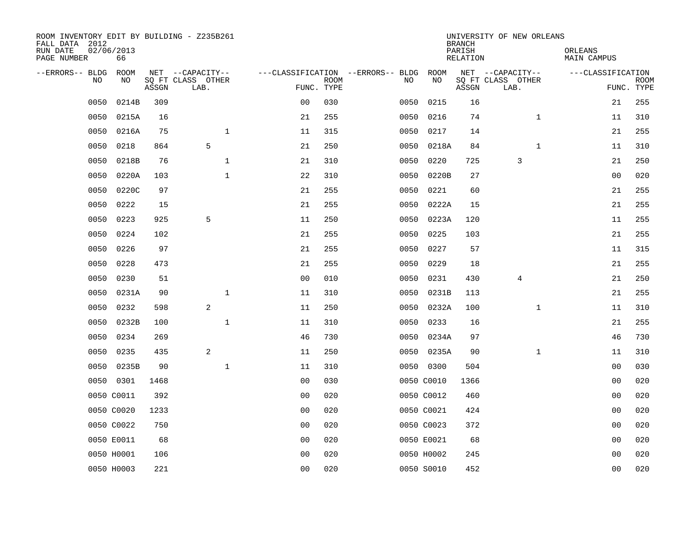| ROOM INVENTORY EDIT BY BUILDING - Z235B261<br>FALL DATA 2012<br>RUN DATE | 02/06/2013 |       |                                       |              |                                   |             |      |            | <b>BRANCH</b><br>PARISH | UNIVERSITY OF NEW ORLEANS             | ORLEANS           |             |
|--------------------------------------------------------------------------|------------|-------|---------------------------------------|--------------|-----------------------------------|-------------|------|------------|-------------------------|---------------------------------------|-------------------|-------------|
| PAGE NUMBER                                                              | 66         |       |                                       |              |                                   |             |      |            | RELATION                |                                       | MAIN CAMPUS       |             |
| --ERRORS-- BLDG ROOM<br>NO.                                              | NO.        |       | NET --CAPACITY--<br>SQ FT CLASS OTHER |              | ---CLASSIFICATION --ERRORS-- BLDG | <b>ROOM</b> | NO.  | ROOM<br>NO |                         | NET --CAPACITY--<br>SQ FT CLASS OTHER | ---CLASSIFICATION | <b>ROOM</b> |
|                                                                          |            | ASSGN | LAB.                                  |              | FUNC. TYPE                        |             |      |            | ASSGN                   | LAB.                                  |                   | FUNC. TYPE  |
| 0050                                                                     | 0214B      | 309   |                                       |              | 0 <sub>0</sub>                    | 030         | 0050 | 0215       | 16                      |                                       | 21                | 255         |
| 0050                                                                     | 0215A      | 16    |                                       |              | 21                                | 255         | 0050 | 0216       | 74                      | $\mathbf{1}$                          | 11                | 310         |
| 0050                                                                     | 0216A      | 75    |                                       | $\mathbf 1$  | 11                                | 315         | 0050 | 0217       | 14                      |                                       | 21                | 255         |
| 0050                                                                     | 0218       | 864   | 5                                     |              | 21                                | 250         | 0050 | 0218A      | 84                      | $\mathbf{1}$                          | 11                | 310         |
| 0050                                                                     | 0218B      | 76    |                                       | $\mathbf 1$  | 21                                | 310         | 0050 | 0220       | 725                     | 3                                     | 21                | 250         |
| 0050                                                                     | 0220A      | 103   |                                       | $\mathbf{1}$ | 22                                | 310         | 0050 | 0220B      | 27                      |                                       | 00                | 020         |
| 0050                                                                     | 0220C      | 97    |                                       |              | 21                                | 255         | 0050 | 0221       | 60                      |                                       | 21                | 255         |
| 0050                                                                     | 0222       | 15    |                                       |              | 21                                | 255         | 0050 | 0222A      | 15                      |                                       | 21                | 255         |
| 0050                                                                     | 0223       | 925   | 5                                     |              | 11                                | 250         | 0050 | 0223A      | 120                     |                                       | 11                | 255         |
| 0050                                                                     | 0224       | 102   |                                       |              | 21                                | 255         | 0050 | 0225       | 103                     |                                       | 21                | 255         |
| 0050                                                                     | 0226       | 97    |                                       |              | 21                                | 255         | 0050 | 0227       | 57                      |                                       | 11                | 315         |
| 0050                                                                     | 0228       | 473   |                                       |              | 21                                | 255         | 0050 | 0229       | 18                      |                                       | 21                | 255         |
| 0050                                                                     | 0230       | 51    |                                       |              | 0 <sub>0</sub>                    | 010         | 0050 | 0231       | 430                     | 4                                     | 21                | 250         |
| 0050                                                                     | 0231A      | 90    |                                       | $\mathbf 1$  | 11                                | 310         | 0050 | 0231B      | 113                     |                                       | 21                | 255         |
| 0050                                                                     | 0232       | 598   | 2                                     |              | 11                                | 250         | 0050 | 0232A      | 100                     | $\mathbf{1}$                          | 11                | 310         |
| 0050                                                                     | 0232B      | 100   |                                       | $\mathbf{1}$ | 11                                | 310         | 0050 | 0233       | 16                      |                                       | 21                | 255         |
| 0050                                                                     | 0234       | 269   |                                       |              | 46                                | 730         | 0050 | 0234A      | 97                      |                                       | 46                | 730         |
| 0050                                                                     | 0235       | 435   | 2                                     |              | 11                                | 250         | 0050 | 0235A      | 90                      | $\mathbf{1}$                          | 11                | 310         |
| 0050                                                                     | 0235B      | 90    |                                       | $\mathbf{1}$ | 11                                | 310         |      | 0050 0300  | 504                     |                                       | 00                | 030         |
|                                                                          | 0050 0301  | 1468  |                                       |              | 0 <sub>0</sub>                    | 030         |      | 0050 C0010 | 1366                    |                                       | 0 <sub>0</sub>    | 020         |
|                                                                          | 0050 C0011 | 392   |                                       |              | 0 <sub>0</sub>                    | 020         |      | 0050 C0012 | 460                     |                                       | 0 <sub>0</sub>    | 020         |
|                                                                          | 0050 C0020 | 1233  |                                       |              | 0 <sub>0</sub>                    | 020         |      | 0050 C0021 | 424                     |                                       | 00                | 020         |
|                                                                          | 0050 C0022 | 750   |                                       |              | 0 <sub>0</sub>                    | 020         |      | 0050 C0023 | 372                     |                                       | 00                | 020         |
|                                                                          | 0050 E0011 | 68    |                                       |              | 0 <sub>0</sub>                    | 020         |      | 0050 E0021 | 68                      |                                       | 00                | 020         |
|                                                                          | 0050 H0001 | 106   |                                       |              | 0 <sub>0</sub>                    | 020         |      | 0050 H0002 | 245                     |                                       | 00                | 020         |
|                                                                          | 0050 H0003 | 221   |                                       |              | 0 <sub>0</sub>                    | 020         |      | 0050 S0010 | 452                     |                                       | 0 <sub>0</sub>    | 020         |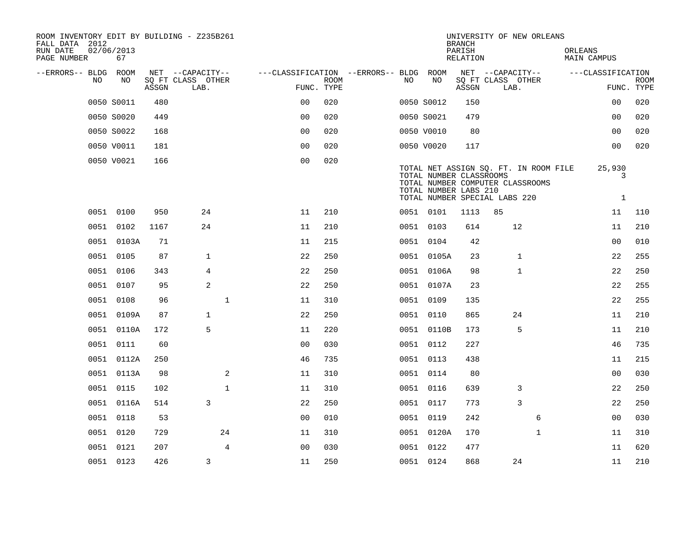| ROOM INVENTORY EDIT BY BUILDING - Z235B261<br>FALL DATA 2012 |                  |       |                           |              |                                        |                           |    |                                                                                   | <b>BRANCH</b>      |                           | UNIVERSITY OF NEW ORLEANS                                                 |         |                             |                           |
|--------------------------------------------------------------|------------------|-------|---------------------------|--------------|----------------------------------------|---------------------------|----|-----------------------------------------------------------------------------------|--------------------|---------------------------|---------------------------------------------------------------------------|---------|-----------------------------|---------------------------|
| RUN DATE<br>PAGE NUMBER                                      | 02/06/2013<br>67 |       |                           |              |                                        |                           |    |                                                                                   | PARISH<br>RELATION |                           |                                                                           | ORLEANS | MAIN CAMPUS                 |                           |
| --ERRORS-- BLDG ROOM                                         |                  |       | NET --CAPACITY--          |              | ---CLASSIFICATION --ERRORS-- BLDG ROOM |                           |    |                                                                                   |                    | NET --CAPACITY--          |                                                                           |         | ---CLASSIFICATION           |                           |
| NO                                                           | NO               | ASSGN | SQ FT CLASS OTHER<br>LAB. |              |                                        | <b>ROOM</b><br>FUNC. TYPE | NO | NO                                                                                | ASSGN              | SQ FT CLASS OTHER<br>LAB. |                                                                           |         |                             | <b>ROOM</b><br>FUNC. TYPE |
|                                                              | 0050 S0011       | 480   |                           |              | 0 <sub>0</sub>                         | 020                       |    | 0050 S0012                                                                        | 150                |                           |                                                                           |         | 0 <sub>0</sub>              | 020                       |
|                                                              | 0050 S0020       | 449   |                           |              | 0 <sub>0</sub>                         | 020                       |    | 0050 S0021                                                                        | 479                |                           |                                                                           |         | 0 <sub>0</sub>              | 020                       |
|                                                              | 0050 S0022       | 168   |                           |              | 0 <sub>0</sub>                         | 020                       |    | 0050 V0010                                                                        | 80                 |                           |                                                                           |         | 0 <sub>0</sub>              | 020                       |
|                                                              | 0050 V0011       | 181   |                           |              | 0 <sub>0</sub>                         | 020                       |    | 0050 V0020                                                                        | 117                |                           |                                                                           |         | 0 <sub>0</sub>              | 020                       |
|                                                              | 0050 V0021       | 166   |                           |              | 0 <sub>0</sub>                         | 020                       |    | TOTAL NUMBER CLASSROOMS<br>TOTAL NUMBER LABS 210<br>TOTAL NUMBER SPECIAL LABS 220 |                    |                           | TOTAL NET ASSIGN SQ. FT. IN ROOM FILE<br>TOTAL NUMBER COMPUTER CLASSROOMS |         | 25,930<br>3<br>$\mathbf{1}$ |                           |
|                                                              | 0051 0100        | 950   | 24                        |              | 11                                     | 210                       |    | 0051 0101                                                                         | 1113               | 85                        |                                                                           |         | 11                          | 110                       |
|                                                              | 0051 0102        | 1167  | 24                        |              | 11                                     | 210                       |    | 0051 0103                                                                         | 614                |                           | 12                                                                        |         | 11                          | 210                       |
|                                                              | 0051 0103A       | 71    |                           |              | 11                                     | 215                       |    | 0051 0104                                                                         | 42                 |                           |                                                                           |         | 00                          | 010                       |
|                                                              | 0051 0105        | 87    | $\mathbf{1}$              |              | 22                                     | 250                       |    | 0051 0105A                                                                        | 23                 |                           | $\mathbf 1$                                                               |         | 22                          | 255                       |
|                                                              | 0051 0106        | 343   | 4                         |              | 22                                     | 250                       |    | 0051 0106A                                                                        | 98                 |                           | 1                                                                         |         | 22                          | 250                       |
|                                                              | 0051 0107        | 95    | 2                         |              | 22                                     | 250                       |    | 0051 0107A                                                                        | 23                 |                           |                                                                           |         | 22                          | 255                       |
|                                                              | 0051 0108        | 96    |                           | $\mathbf{1}$ | 11                                     | 310                       |    | 0051 0109                                                                         | 135                |                           |                                                                           |         | 22                          | 255                       |
|                                                              | 0051 0109A       | 87    | $\mathbf{1}$              |              | 22                                     | 250                       |    | 0051 0110                                                                         | 865                |                           | 24                                                                        |         | 11                          | 210                       |
|                                                              | 0051 0110A       | 172   | 5                         |              | 11                                     | 220                       |    | 0051 0110B                                                                        | 173                |                           | 5                                                                         |         | 11                          | 210                       |
|                                                              | 0051 0111        | 60    |                           |              | 0 <sub>0</sub>                         | 030                       |    | 0051 0112                                                                         | 227                |                           |                                                                           |         | 46                          | 735                       |
|                                                              | 0051 0112A       | 250   |                           |              | 46                                     | 735                       |    | 0051 0113                                                                         | 438                |                           |                                                                           |         | 11                          | 215                       |
|                                                              | 0051 0113A       | 98    |                           | 2            | 11                                     | 310                       |    | 0051 0114                                                                         | 80                 |                           |                                                                           |         | 0 <sub>0</sub>              | 030                       |
|                                                              | 0051 0115        | 102   |                           | $\mathbf{1}$ | 11                                     | 310                       |    | 0051 0116                                                                         | 639                |                           | 3                                                                         |         | 22                          | 250                       |
|                                                              | 0051 0116A       | 514   | 3                         |              | 22                                     | 250                       |    | 0051 0117                                                                         | 773                |                           | 3                                                                         |         | 22                          | 250                       |
|                                                              | 0051 0118        | 53    |                           |              | 0 <sub>0</sub>                         | 010                       |    | 0051 0119                                                                         | 242                |                           | 6                                                                         |         | 00                          | 030                       |
|                                                              | 0051 0120        | 729   |                           | 24           | 11                                     | 310                       |    | 0051 0120A                                                                        | 170                |                           | $\mathbf{1}$                                                              |         | 11                          | 310                       |
|                                                              | 0051 0121        | 207   |                           | 4            | 0 <sub>0</sub>                         | 030                       |    | 0051 0122                                                                         | 477                |                           |                                                                           |         | 11                          | 620                       |
|                                                              | 0051 0123        | 426   | 3                         |              | 11                                     | 250                       |    | 0051 0124                                                                         | 868                |                           | 24                                                                        |         | 11                          | 210                       |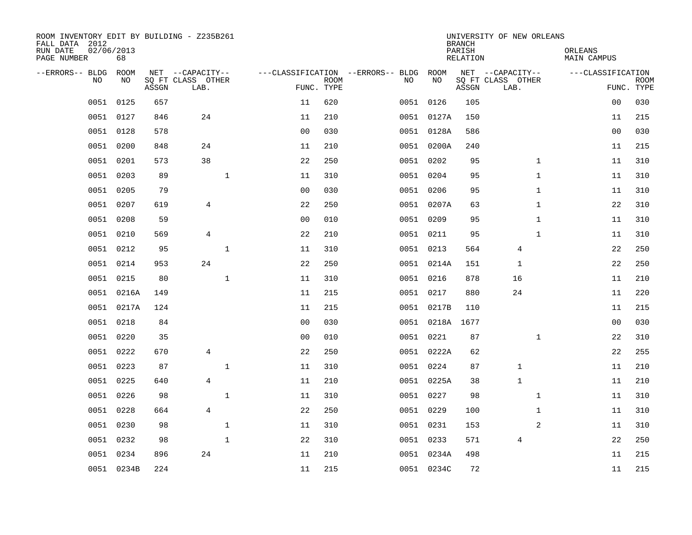| ROOM INVENTORY EDIT BY BUILDING - Z235B261<br>FALL DATA 2012<br>RUN DATE<br>PAGE NUMBER | 02/06/2013<br>68 |       |                                               |              |                |                           |                                         |                 | <b>BRANCH</b><br>PARISH<br><b>RELATION</b> | UNIVERSITY OF NEW ORLEANS                     |              | ORLEANS<br><b>MAIN CAMPUS</b> |                           |
|-----------------------------------------------------------------------------------------|------------------|-------|-----------------------------------------------|--------------|----------------|---------------------------|-----------------------------------------|-----------------|--------------------------------------------|-----------------------------------------------|--------------|-------------------------------|---------------------------|
| --ERRORS-- BLDG<br>NO.                                                                  | ROOM<br>NO       | ASSGN | NET --CAPACITY--<br>SQ FT CLASS OTHER<br>LAB. |              |                | <b>ROOM</b><br>FUNC. TYPE | ---CLASSIFICATION --ERRORS-- BLDG<br>NO | ROOM<br>NO      | ASSGN                                      | NET --CAPACITY--<br>SQ FT CLASS OTHER<br>LAB. |              | ---CLASSIFICATION             | <b>ROOM</b><br>FUNC. TYPE |
| 0051                                                                                    | 0125             | 657   |                                               |              | 11             | 620                       |                                         | 0051 0126       | 105                                        |                                               |              | 0 <sub>0</sub>                | 030                       |
|                                                                                         | 0051 0127        | 846   | 24                                            |              | 11             | 210                       |                                         | 0051 0127A      | 150                                        |                                               |              | 11                            | 215                       |
| 0051                                                                                    | 0128             | 578   |                                               |              | 0 <sub>0</sub> | 030                       |                                         | 0051 0128A      | 586                                        |                                               |              | 00                            | 030                       |
| 0051                                                                                    | 0200             | 848   | 24                                            |              | 11             | 210                       |                                         | 0051 0200A      | 240                                        |                                               |              | 11                            | 215                       |
| 0051                                                                                    | 0201             | 573   | 38                                            |              | 22             | 250                       |                                         | 0051 0202       | 95                                         |                                               | $\mathbf{1}$ | 11                            | 310                       |
| 0051                                                                                    | 0203             | 89    |                                               | $\mathbf{1}$ | 11             | 310                       |                                         | 0051 0204       | 95                                         |                                               | $\mathbf{1}$ | 11                            | 310                       |
| 0051                                                                                    | 0205             | 79    |                                               |              | 0 <sub>0</sub> | 030                       |                                         | 0051 0206       | 95                                         |                                               | $\mathbf{1}$ | 11                            | 310                       |
|                                                                                         | 0051 0207        | 619   | $\overline{4}$                                |              | 22             | 250                       |                                         | 0051 0207A      | 63                                         |                                               | $\mathbf{1}$ | 22                            | 310                       |
| 0051                                                                                    | 0208             | 59    |                                               |              | 0 <sub>0</sub> | 010                       |                                         | 0051 0209       | 95                                         |                                               | $\mathbf{1}$ | 11                            | 310                       |
|                                                                                         | 0051 0210        | 569   | 4                                             |              | 22             | 210                       |                                         | 0051 0211       | 95                                         |                                               | $\mathbf{1}$ | 11                            | 310                       |
| 0051                                                                                    | 0212             | 95    |                                               | $\mathbf{1}$ | 11             | 310                       |                                         | 0051 0213       | 564                                        | 4                                             |              | 22                            | 250                       |
|                                                                                         | 0051 0214        | 953   | 24                                            |              | 22             | 250                       |                                         | 0051 0214A      | 151                                        | 1                                             |              | 22                            | 250                       |
| 0051                                                                                    | 0215             | 80    |                                               | $\mathbf{1}$ | 11             | 310                       |                                         | 0051 0216       | 878                                        | 16                                            |              | 11                            | 210                       |
|                                                                                         | 0051 0216A       | 149   |                                               |              | 11             | 215                       |                                         | 0051 0217       | 880                                        | 24                                            |              | 11                            | 220                       |
|                                                                                         | 0051 0217A       | 124   |                                               |              | 11             | 215                       |                                         | 0051 0217B      | 110                                        |                                               |              | 11                            | 215                       |
|                                                                                         | 0051 0218        | 84    |                                               |              | 00             | 030                       |                                         | 0051 0218A 1677 |                                            |                                               |              | 00                            | 030                       |
| 0051                                                                                    | 0220             | 35    |                                               |              | 0 <sub>0</sub> | 010                       |                                         | 0051 0221       | 87                                         |                                               | $\mathbf{1}$ | 22                            | 310                       |
| 0051                                                                                    | 0222             | 670   | 4                                             |              | 22             | 250                       |                                         | 0051 0222A      | 62                                         |                                               |              | 22                            | 255                       |
|                                                                                         | 0051 0223        | 87    |                                               | $\mathbf 1$  | 11             | 310                       |                                         | 0051 0224       | 87                                         | $\mathbf 1$                                   |              | 11                            | 210                       |
| 0051                                                                                    | 0225             | 640   | $\overline{4}$                                |              | 11             | 210                       |                                         | 0051 0225A      | 38                                         | $\mathbf{1}$                                  |              | 11                            | 210                       |
|                                                                                         | 0051 0226        | 98    |                                               | $\mathbf{1}$ | 11             | 310                       |                                         | 0051 0227       | 98                                         |                                               | $\mathbf{1}$ | 11                            | 310                       |
| 0051                                                                                    | 0228             | 664   | $\overline{4}$                                |              | 22             | 250                       |                                         | 0051 0229       | 100                                        |                                               | $\mathbf{1}$ | 11                            | 310                       |
|                                                                                         | 0051 0230        | 98    |                                               | $\mathbf{1}$ | 11             | 310                       |                                         | 0051 0231       | 153                                        |                                               | 2            | 11                            | 310                       |
| 0051                                                                                    | 0232             | 98    |                                               | $\mathbf{1}$ | 22             | 310                       |                                         | 0051 0233       | 571                                        | 4                                             |              | 22                            | 250                       |
|                                                                                         | 0051 0234        | 896   | 24                                            |              | 11             | 210                       |                                         | 0051 0234A      | 498                                        |                                               |              | 11                            | 215                       |
|                                                                                         | 0051 0234B       | 224   |                                               |              | 11             | 215                       |                                         | 0051 0234C      | 72                                         |                                               |              | 11                            | 215                       |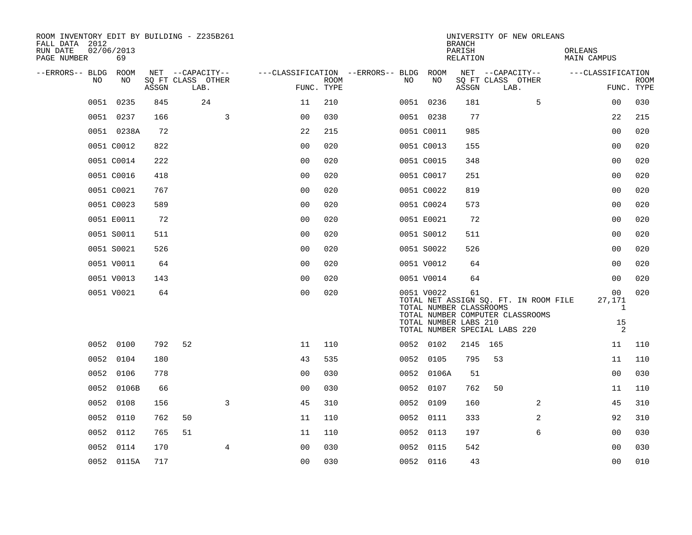| ROOM INVENTORY EDIT BY BUILDING - Z235B261<br>FALL DATA 2012<br>RUN DATE<br>PAGE NUMBER | 02/06/2013<br>69 |       |                                               |                |             |                                          |                                                                | <b>BRANCH</b><br>PARISH<br>RELATION | UNIVERSITY OF NEW ORLEANS                                                                                  |   | ORLEANS<br>MAIN CAMPUS                  |                           |
|-----------------------------------------------------------------------------------------|------------------|-------|-----------------------------------------------|----------------|-------------|------------------------------------------|----------------------------------------------------------------|-------------------------------------|------------------------------------------------------------------------------------------------------------|---|-----------------------------------------|---------------------------|
| --ERRORS-- BLDG<br>NO                                                                   | ROOM<br>NO       | ASSGN | NET --CAPACITY--<br>SQ FT CLASS OTHER<br>LAB. | FUNC. TYPE     | <b>ROOM</b> | ---CLASSIFICATION --ERRORS-- BLDG<br>NO. | ROOM<br>NO                                                     | ASSGN                               | NET --CAPACITY--<br>SQ FT CLASS OTHER<br>LAB.                                                              |   | ---CLASSIFICATION                       | <b>ROOM</b><br>FUNC. TYPE |
|                                                                                         | 0051 0235        | 845   | 24                                            | 11             | 210         |                                          | 0051 0236                                                      | 181                                 |                                                                                                            | 5 | 00                                      | 030                       |
|                                                                                         | 0051 0237        | 166   | 3                                             | 0 <sub>0</sub> | 030         |                                          | 0051 0238                                                      | 77                                  |                                                                                                            |   | 22                                      | 215                       |
|                                                                                         | 0051 0238A       | 72    |                                               | 22             | 215         |                                          | 0051 C0011                                                     | 985                                 |                                                                                                            |   | 0 <sub>0</sub>                          | 020                       |
|                                                                                         | 0051 C0012       | 822   |                                               | 0 <sub>0</sub> | 020         |                                          | 0051 C0013                                                     | 155                                 |                                                                                                            |   | 0 <sub>0</sub>                          | 020                       |
|                                                                                         | 0051 C0014       | 222   |                                               | 0 <sub>0</sub> | 020         |                                          | 0051 C0015                                                     | 348                                 |                                                                                                            |   | 00                                      | 020                       |
|                                                                                         | 0051 C0016       | 418   |                                               | 0 <sub>0</sub> | 020         |                                          | 0051 C0017                                                     | 251                                 |                                                                                                            |   | 0 <sub>0</sub>                          | 020                       |
|                                                                                         | 0051 C0021       | 767   |                                               | 0 <sub>0</sub> | 020         |                                          | 0051 C0022                                                     | 819                                 |                                                                                                            |   | 0 <sub>0</sub>                          | 020                       |
|                                                                                         | 0051 C0023       | 589   |                                               | 0 <sub>0</sub> | 020         |                                          | 0051 C0024                                                     | 573                                 |                                                                                                            |   | 0 <sub>0</sub>                          | 020                       |
|                                                                                         | 0051 E0011       | 72    |                                               | 0 <sub>0</sub> | 020         |                                          | 0051 E0021                                                     | 72                                  |                                                                                                            |   | 0 <sub>0</sub>                          | 020                       |
|                                                                                         | 0051 S0011       | 511   |                                               | 0 <sub>0</sub> | 020         |                                          | 0051 S0012                                                     | 511                                 |                                                                                                            |   | 0 <sub>0</sub>                          | 020                       |
|                                                                                         | 0051 S0021       | 526   |                                               | 0 <sub>0</sub> | 020         |                                          | 0051 S0022                                                     | 526                                 |                                                                                                            |   | 0 <sub>0</sub>                          | 020                       |
|                                                                                         | 0051 V0011       | 64    |                                               | 0 <sub>0</sub> | 020         |                                          | 0051 V0012                                                     | 64                                  |                                                                                                            |   | 0 <sub>0</sub>                          | 020                       |
|                                                                                         | 0051 V0013       | 143   |                                               | 0 <sub>0</sub> | 020         |                                          | 0051 V0014                                                     | 64                                  |                                                                                                            |   | 0 <sub>0</sub>                          | 020                       |
|                                                                                         | 0051 V0021       | 64    |                                               | 0 <sub>0</sub> | 020         |                                          | 0051 V0022<br>TOTAL NUMBER CLASSROOMS<br>TOTAL NUMBER LABS 210 | 61                                  | TOTAL NET ASSIGN SQ. FT. IN ROOM FILE<br>TOTAL NUMBER COMPUTER CLASSROOMS<br>TOTAL NUMBER SPECIAL LABS 220 |   | 00<br>27,171<br>$\mathbf{1}$<br>15<br>2 | 020                       |
|                                                                                         | 0052 0100        | 792   | 52                                            | 11             | 110         |                                          | 0052 0102                                                      | 2145 165                            |                                                                                                            |   | 11                                      | 110                       |
|                                                                                         | 0052 0104        | 180   |                                               | 43             | 535         |                                          | 0052 0105                                                      | 795                                 | 53                                                                                                         |   | 11                                      | 110                       |
|                                                                                         | 0052 0106        | 778   |                                               | 0 <sub>0</sub> | 030         |                                          | 0052 0106A                                                     | 51                                  |                                                                                                            |   | 0 <sub>0</sub>                          | 030                       |
|                                                                                         | 0052 0106B       | 66    |                                               | 0 <sub>0</sub> | 030         |                                          | 0052 0107                                                      | 762                                 | 50                                                                                                         |   | 11                                      | 110                       |
| 0052                                                                                    | 0108             | 156   | 3                                             | 45             | 310         | 0052                                     | 0109                                                           | 160                                 |                                                                                                            | 2 | 45                                      | 310                       |
|                                                                                         | 0052 0110        | 762   | 50                                            | 11             | 110         |                                          | 0052 0111                                                      | 333                                 |                                                                                                            | 2 | 92                                      | 310                       |
| 0052                                                                                    | 0112             | 765   | 51                                            | 11             | 110         |                                          | 0052 0113                                                      | 197                                 |                                                                                                            | 6 | 0 <sub>0</sub>                          | 030                       |
|                                                                                         | 0052 0114        | 170   | $\overline{4}$                                | 0 <sub>0</sub> | 030         |                                          | 0052 0115                                                      | 542                                 |                                                                                                            |   | 0 <sub>0</sub>                          | 030                       |
|                                                                                         | 0052 0115A       | 717   |                                               | 0 <sub>0</sub> | 030         |                                          | 0052 0116                                                      | 43                                  |                                                                                                            |   | 0 <sub>0</sub>                          | 010                       |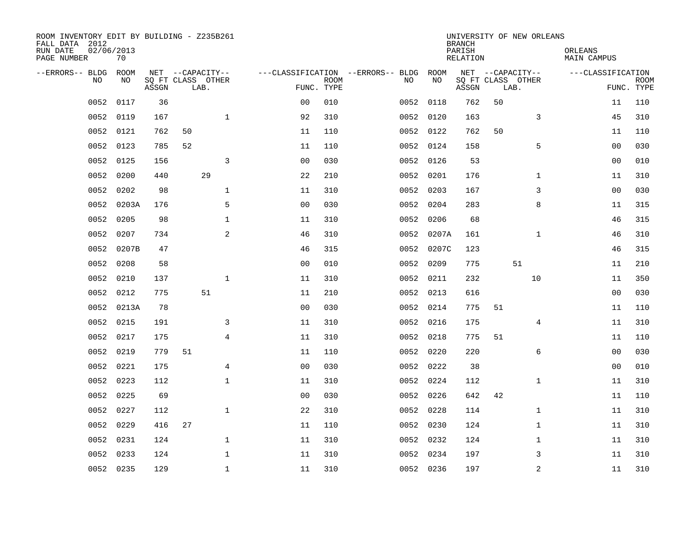| ROOM INVENTORY EDIT BY BUILDING - Z235B261<br>FALL DATA 2012<br>RUN DATE<br>PAGE NUMBER | 02/06/2013<br>70 |       |    |                           |                |             |                                   |            | <b>BRANCH</b><br>PARISH<br>RELATION |    | UNIVERSITY OF NEW ORLEANS | ORLEANS<br>MAIN CAMPUS |                           |
|-----------------------------------------------------------------------------------------|------------------|-------|----|---------------------------|----------------|-------------|-----------------------------------|------------|-------------------------------------|----|---------------------------|------------------------|---------------------------|
| --ERRORS-- BLDG                                                                         | ROOM             |       |    | NET --CAPACITY--          |                |             | ---CLASSIFICATION --ERRORS-- BLDG | ROOM       |                                     |    | NET --CAPACITY--          | ---CLASSIFICATION      |                           |
| N <sub>O</sub>                                                                          | NO.              | ASSGN |    | SO FT CLASS OTHER<br>LAB. | FUNC. TYPE     | <b>ROOM</b> | NO.                               | NO         | ASSGN                               |    | SQ FT CLASS OTHER<br>LAB. |                        | <b>ROOM</b><br>FUNC. TYPE |
| 0052                                                                                    | 0117             | 36    |    |                           | 0 <sub>0</sub> | 010         | 0052                              | 0118       | 762                                 | 50 |                           | 11                     | 110                       |
| 0052                                                                                    | 0119             | 167   |    | $\mathbf{1}$              | 92             | 310         |                                   | 0052 0120  | 163                                 |    | 3                         | 45                     | 310                       |
| 0052                                                                                    | 0121             | 762   | 50 |                           | 11             | 110         |                                   | 0052 0122  | 762                                 | 50 |                           | 11                     | 110                       |
| 0052                                                                                    | 0123             | 785   | 52 |                           | 11             | 110         |                                   | 0052 0124  | 158                                 |    | 5                         | 0 <sub>0</sub>         | 030                       |
| 0052                                                                                    | 0125             | 156   |    | 3                         | 00             | 030         | 0052                              | 0126       | 53                                  |    |                           | 00                     | 010                       |
| 0052                                                                                    | 0200             | 440   |    | 29                        | 22             | 210         |                                   | 0052 0201  | 176                                 |    | $\mathbf{1}$              | 11                     | 310                       |
| 0052                                                                                    | 0202             | 98    |    | $\mathbf{1}$              | 11             | 310         |                                   | 0052 0203  | 167                                 |    | 3                         | 0 <sub>0</sub>         | 030                       |
| 0052                                                                                    | 0203A            | 176   |    | 5                         | 0 <sub>0</sub> | 030         | 0052                              | 0204       | 283                                 |    | 8                         | 11                     | 315                       |
| 0052                                                                                    | 0205             | 98    |    | $\mathbf{1}$              | 11             | 310         | 0052                              | 0206       | 68                                  |    |                           | 46                     | 315                       |
| 0052                                                                                    | 0207             | 734   |    | 2                         | 46             | 310         |                                   | 0052 0207A | 161                                 |    | $\mathbf{1}$              | 46                     | 310                       |
| 0052                                                                                    | 0207B            | 47    |    |                           | 46             | 315         | 0052                              | 0207C      | 123                                 |    |                           | 46                     | 315                       |
| 0052                                                                                    | 0208             | 58    |    |                           | 0 <sub>0</sub> | 010         | 0052                              | 0209       | 775                                 |    | 51                        | 11                     | 210                       |
| 0052                                                                                    | 0210             | 137   |    | $\mathbf{1}$              | 11             | 310         | 0052                              | 0211       | 232                                 |    | 10                        | 11                     | 350                       |
| 0052                                                                                    | 0212             | 775   |    | 51                        | 11             | 210         |                                   | 0052 0213  | 616                                 |    |                           | 00                     | 030                       |
| 0052                                                                                    | 0213A            | 78    |    |                           | 0 <sub>0</sub> | 030         | 0052                              | 0214       | 775                                 | 51 |                           | 11                     | 110                       |
| 0052                                                                                    | 0215             | 191   |    | 3                         | 11             | 310         |                                   | 0052 0216  | 175                                 |    | 4                         | 11                     | 310                       |
| 0052                                                                                    | 0217             | 175   |    | $\overline{4}$            | 11             | 310         | 0052                              | 0218       | 775                                 | 51 |                           | 11                     | 110                       |
| 0052                                                                                    | 0219             | 779   | 51 |                           | 11             | 110         |                                   | 0052 0220  | 220                                 |    | 6                         | 00                     | 030                       |
| 0052                                                                                    | 0221             | 175   |    | $\overline{4}$            | 0 <sub>0</sub> | 030         |                                   | 0052 0222  | 38                                  |    |                           | 0 <sub>0</sub>         | 010                       |
| 0052                                                                                    | 0223             | 112   |    | $\mathbf{1}$              | 11             | 310         |                                   | 0052 0224  | 112                                 |    | $\mathbf{1}$              | 11                     | 310                       |
| 0052                                                                                    | 0225             | 69    |    |                           | 0 <sub>0</sub> | 030         |                                   | 0052 0226  | 642                                 | 42 |                           | 11                     | 110                       |
| 0052                                                                                    | 0227             | 112   |    | $\mathbf 1$               | 22             | 310         |                                   | 0052 0228  | 114                                 |    | $\mathbf{1}$              | 11                     | 310                       |
| 0052                                                                                    | 0229             | 416   | 27 |                           | 11             | 110         |                                   | 0052 0230  | 124                                 |    | $\mathbf{1}$              | 11                     | 310                       |
| 0052                                                                                    | 0231             | 124   |    | $\mathbf{1}$              | 11             | 310         |                                   | 0052 0232  | 124                                 |    | $\mathbf{1}$              | 11                     | 310                       |
| 0052                                                                                    | 0233             | 124   |    | $\mathbf 1$               | 11             | 310         |                                   | 0052 0234  | 197                                 |    | 3                         | 11                     | 310                       |
|                                                                                         | 0052 0235        | 129   |    | $\mathbf{1}$              | 11             | 310         |                                   | 0052 0236  | 197                                 |    | $\mathbf 2$               | 11                     | 310                       |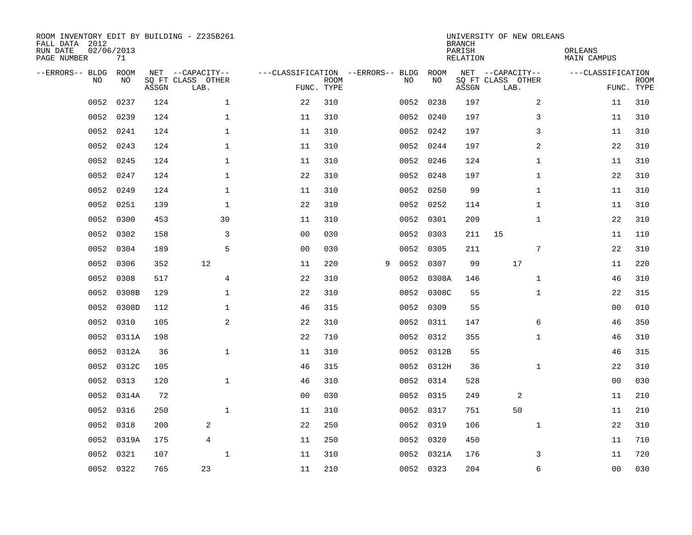| ROOM INVENTORY EDIT BY BUILDING - Z235B261<br>FALL DATA 2012<br>RUN DATE<br>PAGE NUMBER | 02/06/2013<br>71 |       |                                               |                |                           |                                         |            | <b>BRANCH</b><br>PARISH<br><b>RELATION</b> | UNIVERSITY OF NEW ORLEANS                     | ORLEANS<br><b>MAIN CAMPUS</b> |                           |
|-----------------------------------------------------------------------------------------|------------------|-------|-----------------------------------------------|----------------|---------------------------|-----------------------------------------|------------|--------------------------------------------|-----------------------------------------------|-------------------------------|---------------------------|
| --ERRORS-- BLDG<br>NO                                                                   | ROOM<br>NO       | ASSGN | NET --CAPACITY--<br>SQ FT CLASS OTHER<br>LAB. |                | <b>ROOM</b><br>FUNC. TYPE | ---CLASSIFICATION --ERRORS-- BLDG<br>NO | ROOM<br>NO | ASSGN                                      | NET --CAPACITY--<br>SQ FT CLASS OTHER<br>LAB. | ---CLASSIFICATION             | <b>ROOM</b><br>FUNC. TYPE |
| 0052                                                                                    | 0237             | 124   | $\mathbf 1$                                   | 22             | 310                       |                                         | 0052 0238  | 197                                        | 2                                             | 11                            | 310                       |
| 0052                                                                                    | 0239             | 124   | 1                                             | 11             | 310                       |                                         | 0052 0240  | 197                                        | 3                                             | 11                            | 310                       |
| 0052                                                                                    | 0241             | 124   | 1                                             | 11             | 310                       |                                         | 0052 0242  | 197                                        | 3                                             | 11                            | 310                       |
| 0052                                                                                    | 0243             | 124   | 1                                             | 11             | 310                       |                                         | 0052 0244  | 197                                        | 2                                             | 22                            | 310                       |
| 0052                                                                                    | 0245             | 124   | $\mathbf{1}$                                  | 11             | 310                       |                                         | 0052 0246  | 124                                        | $\mathbf{1}$                                  | 11                            | 310                       |
| 0052                                                                                    | 0247             | 124   | $\mathbf 1$                                   | 22             | 310                       |                                         | 0052 0248  | 197                                        | $\mathbf{1}$                                  | 22                            | 310                       |
| 0052                                                                                    | 0249             | 124   | $\mathbf{1}$                                  | 11             | 310                       |                                         | 0052 0250  | 99                                         | $\mathbf{1}$                                  | 11                            | 310                       |
| 0052                                                                                    | 0251             | 139   | $\mathbf{1}$                                  | 22             | 310                       |                                         | 0052 0252  | 114                                        | $\mathbf{1}$                                  | 11                            | 310                       |
| 0052                                                                                    | 0300             | 453   | 30                                            | 11             | 310                       | 0052                                    | 0301       | 209                                        | $\mathbf{1}$                                  | 22                            | 310                       |
| 0052                                                                                    | 0302             | 158   | 3                                             | 0 <sub>0</sub> | 030                       |                                         | 0052 0303  | 211                                        | 15                                            | 11                            | 110                       |
| 0052                                                                                    | 0304             | 189   | 5                                             | 0 <sub>0</sub> | 030                       | 0052                                    | 0305       | 211                                        | 7                                             | 22                            | 310                       |
| 0052                                                                                    | 0306             | 352   | 12                                            | 11             | 220                       | 9                                       | 0052 0307  | 99                                         | 17                                            | 11                            | 220                       |
| 0052                                                                                    | 0308             | 517   | $\overline{4}$                                | 22             | 310                       | 0052                                    | 0308A      | 146                                        | $\mathbf{1}$                                  | 46                            | 310                       |
| 0052                                                                                    | 0308B            | 129   | $\mathbf 1$                                   | 22             | 310                       | 0052                                    | 0308C      | 55                                         | $\mathbf{1}$                                  | 22                            | 315                       |
| 0052                                                                                    | 0308D            | 112   | $\mathbf 1$                                   | 46             | 315                       | 0052                                    | 0309       | 55                                         |                                               | 0 <sub>0</sub>                | 010                       |
| 0052                                                                                    | 0310             | 105   | 2                                             | 22             | 310                       |                                         | 0052 0311  | 147                                        | 6                                             | 46                            | 350                       |
| 0052                                                                                    | 0311A            | 198   |                                               | 22             | 710                       | 0052                                    | 0312       | 355                                        | $\mathbf{1}$                                  | 46                            | 310                       |
| 0052                                                                                    | 0312A            | 36    | $\mathbf 1$                                   | 11             | 310                       |                                         | 0052 0312B | 55                                         |                                               | 46                            | 315                       |
| 0052                                                                                    | 0312C            | 105   |                                               | 46             | 315                       |                                         | 0052 0312H | 36                                         | $\mathbf{1}$                                  | 22                            | 310                       |
| 0052                                                                                    | 0313             | 120   | $\mathbf{1}$                                  | 46             | 310                       |                                         | 0052 0314  | 528                                        |                                               | 0 <sub>0</sub>                | 030                       |
| 0052                                                                                    | 0314A            | 72    |                                               | 0 <sub>0</sub> | 030                       |                                         | 0052 0315  | 249                                        | 2                                             | 11                            | 210                       |
| 0052                                                                                    | 0316             | 250   | $\mathbf{1}$                                  | 11             | 310                       |                                         | 0052 0317  | 751                                        | 50                                            | 11                            | 210                       |
| 0052                                                                                    | 0318             | 200   | 2                                             | 22             | 250                       |                                         | 0052 0319  | 106                                        | $\mathbf{1}$                                  | 22                            | 310                       |
| 0052                                                                                    | 0319A            | 175   | $\overline{4}$                                | 11             | 250                       |                                         | 0052 0320  | 450                                        |                                               | 11                            | 710                       |
| 0052                                                                                    | 0321             | 107   | $\mathbf{1}$                                  | 11             | 310                       |                                         | 0052 0321A | 176                                        | 3                                             | 11                            | 720                       |
|                                                                                         | 0052 0322        | 765   | 23                                            | 11             | 210                       |                                         | 0052 0323  | 204                                        | 6                                             | 00                            | 030                       |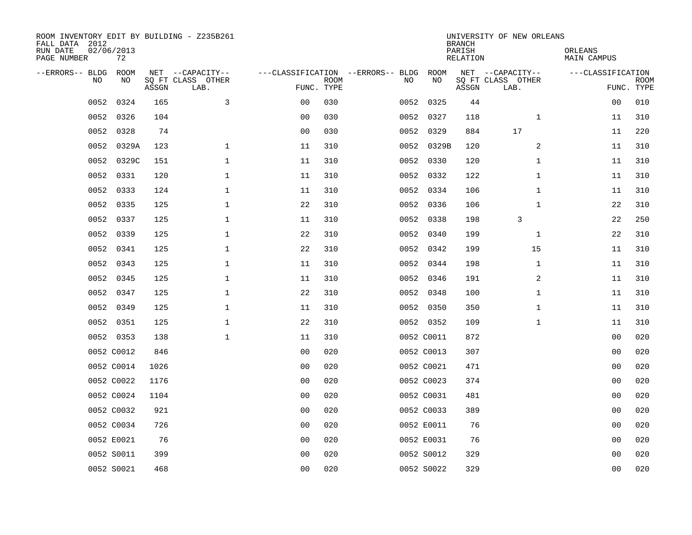| ROOM INVENTORY EDIT BY BUILDING - Z235B261<br>FALL DATA 2012<br>RUN DATE<br>PAGE NUMBER | 02/06/2013<br>72 |       |                                               |                |             |                                         |            | <b>BRANCH</b><br>PARISH<br><b>RELATION</b> | UNIVERSITY OF NEW ORLEANS                     | ORLEANS<br><b>MAIN CAMPUS</b> |                           |
|-----------------------------------------------------------------------------------------|------------------|-------|-----------------------------------------------|----------------|-------------|-----------------------------------------|------------|--------------------------------------------|-----------------------------------------------|-------------------------------|---------------------------|
| --ERRORS-- BLDG<br>NO                                                                   | ROOM<br>NO       | ASSGN | NET --CAPACITY--<br>SQ FT CLASS OTHER<br>LAB. | FUNC. TYPE     | <b>ROOM</b> | ---CLASSIFICATION --ERRORS-- BLDG<br>NO | ROOM<br>NO | ASSGN                                      | NET --CAPACITY--<br>SQ FT CLASS OTHER<br>LAB. | ---CLASSIFICATION             | <b>ROOM</b><br>FUNC. TYPE |
| 0052                                                                                    | 0324             | 165   | 3                                             | 0 <sub>0</sub> | 030         |                                         | 0052 0325  | 44                                         |                                               | 00                            | 010                       |
| 0052                                                                                    | 0326             | 104   |                                               | 0 <sub>0</sub> | 030         |                                         | 0052 0327  | 118                                        | $\mathbf{1}$                                  | 11                            | 310                       |
| 0052                                                                                    | 0328             | 74    |                                               | 0 <sub>0</sub> | 030         |                                         | 0052 0329  | 884                                        | 17                                            | 11                            | 220                       |
| 0052                                                                                    | 0329A            | 123   | $\mathbf 1$                                   | 11             | 310         |                                         | 0052 0329B | 120                                        | 2                                             | 11                            | 310                       |
| 0052                                                                                    | 0329C            | 151   | $\mathbf{1}$                                  | 11             | 310         |                                         | 0052 0330  | 120                                        | $\mathbf{1}$                                  | 11                            | 310                       |
| 0052                                                                                    | 0331             | 120   | $\mathbf{1}$                                  | 11             | 310         |                                         | 0052 0332  | 122                                        | $\mathbf{1}$                                  | 11                            | 310                       |
| 0052                                                                                    | 0333             | 124   | $\mathbf 1$                                   | 11             | 310         |                                         | 0052 0334  | 106                                        | $\mathbf{1}$                                  | 11                            | 310                       |
|                                                                                         | 0052 0335        | 125   | $\mathbf 1$                                   | 22             | 310         |                                         | 0052 0336  | 106                                        | $\mathbf{1}$                                  | 22                            | 310                       |
| 0052                                                                                    | 0337             | 125   | $\mathbf 1$                                   | 11             | 310         |                                         | 0052 0338  | 198                                        | 3                                             | 22                            | 250                       |
|                                                                                         | 0052 0339        | 125   | $\mathbf 1$                                   | 22             | 310         |                                         | 0052 0340  | 199                                        | $\mathbf{1}$                                  | 22                            | 310                       |
| 0052                                                                                    | 0341             | 125   | $\mathbf{1}$                                  | 22             | 310         |                                         | 0052 0342  | 199                                        | 15                                            | 11                            | 310                       |
|                                                                                         | 0052 0343        | 125   | $\mathbf{1}$                                  | 11             | 310         |                                         | 0052 0344  | 198                                        | $\mathbf{1}$                                  | 11                            | 310                       |
| 0052                                                                                    | 0345             | 125   | $\mathbf 1$                                   | 11             | 310         |                                         | 0052 0346  | 191                                        | 2                                             | 11                            | 310                       |
| 0052                                                                                    | 0347             | 125   | $\mathbf 1$                                   | 22             | 310         |                                         | 0052 0348  | 100                                        | $\mathbf{1}$                                  | 11                            | 310                       |
| 0052                                                                                    | 0349             | 125   | $\mathbf 1$                                   | 11             | 310         |                                         | 0052 0350  | 350                                        | $\mathbf{1}$                                  | 11                            | 310                       |
|                                                                                         | 0052 0351        | 125   | $\mathbf 1$                                   | 22             | 310         |                                         | 0052 0352  | 109                                        | $\mathbf{1}$                                  | 11                            | 310                       |
|                                                                                         | 0052 0353        | 138   | $\mathbf{1}$                                  | 11             | 310         |                                         | 0052 C0011 | 872                                        |                                               | 00                            | 020                       |
|                                                                                         | 0052 C0012       | 846   |                                               | 0 <sub>0</sub> | 020         |                                         | 0052 C0013 | 307                                        |                                               | 0 <sub>0</sub>                | 020                       |
|                                                                                         | 0052 C0014       | 1026  |                                               | 0 <sub>0</sub> | 020         |                                         | 0052 C0021 | 471                                        |                                               | 0 <sub>0</sub>                | 020                       |
|                                                                                         | 0052 C0022       | 1176  |                                               | 0 <sub>0</sub> | 020         |                                         | 0052 C0023 | 374                                        |                                               | 0 <sub>0</sub>                | 020                       |
|                                                                                         | 0052 C0024       | 1104  |                                               | 0 <sub>0</sub> | 020         |                                         | 0052 C0031 | 481                                        |                                               | 00                            | 020                       |
|                                                                                         | 0052 C0032       | 921   |                                               | 0 <sub>0</sub> | 020         |                                         | 0052 C0033 | 389                                        |                                               | 00                            | 020                       |
|                                                                                         | 0052 C0034       | 726   |                                               | 0 <sub>0</sub> | 020         |                                         | 0052 E0011 | 76                                         |                                               | 0 <sub>0</sub>                | 020                       |
|                                                                                         | 0052 E0021       | 76    |                                               | 0 <sub>0</sub> | 020         |                                         | 0052 E0031 | 76                                         |                                               | 00                            | 020                       |
|                                                                                         | 0052 S0011       | 399   |                                               | 0 <sub>0</sub> | 020         |                                         | 0052 S0012 | 329                                        |                                               | 00                            | 020                       |
|                                                                                         | 0052 S0021       | 468   |                                               | 0 <sub>0</sub> | 020         |                                         | 0052 S0022 | 329                                        |                                               | 0 <sub>0</sub>                | 020                       |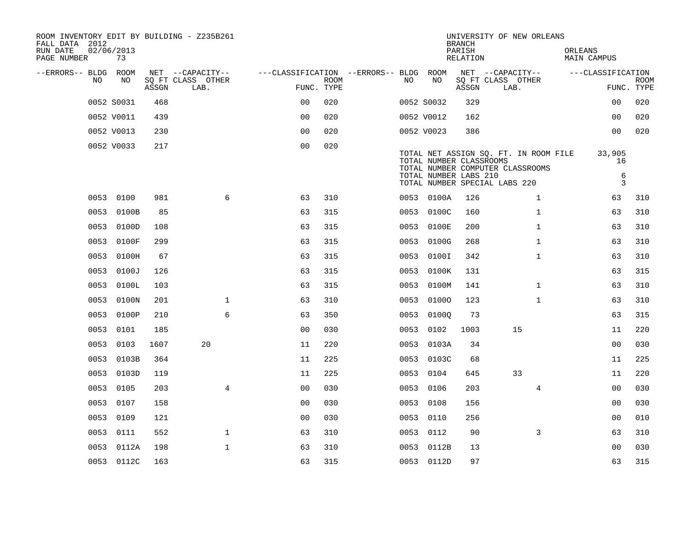| ROOM INVENTORY EDIT BY BUILDING - Z235B261<br>FALL DATA 2012<br>RUN DATE<br>PAGE NUMBER |      | 02/06/2013<br>73 |       |                           |                  |                                        |                           |      |                                                  | <b>BRANCH</b><br>PARISH<br><b>RELATION</b> |                           | UNIVERSITY OF NEW ORLEANS                                                 | ORLEANS | <b>MAIN CAMPUS</b>         |                           |
|-----------------------------------------------------------------------------------------|------|------------------|-------|---------------------------|------------------|----------------------------------------|---------------------------|------|--------------------------------------------------|--------------------------------------------|---------------------------|---------------------------------------------------------------------------|---------|----------------------------|---------------------------|
| --ERRORS-- BLDG ROOM                                                                    |      |                  |       |                           | NET --CAPACITY-- | ---CLASSIFICATION --ERRORS-- BLDG ROOM |                           |      |                                                  |                                            |                           | NET --CAPACITY--                                                          |         | ---CLASSIFICATION          |                           |
|                                                                                         | NO.  | NO               | ASSGN | SQ FT CLASS OTHER<br>LAB. |                  |                                        | <b>ROOM</b><br>FUNC. TYPE | NO.  | NO                                               | ASSGN                                      | SQ FT CLASS OTHER<br>LAB. |                                                                           |         |                            | <b>ROOM</b><br>FUNC. TYPE |
|                                                                                         |      | 0052 S0031       | 468   |                           |                  | 0 <sub>0</sub>                         | 020                       |      | 0052 S0032                                       | 329                                        |                           |                                                                           |         | 00                         | 020                       |
|                                                                                         |      | 0052 V0011       | 439   |                           |                  | 0 <sub>0</sub>                         | 020                       |      | 0052 V0012                                       | 162                                        |                           |                                                                           |         | 0 <sub>0</sub>             | 020                       |
|                                                                                         |      | 0052 V0013       | 230   |                           |                  | 0 <sub>0</sub>                         | 020                       |      | 0052 V0023                                       | 386                                        |                           |                                                                           |         | 0 <sub>0</sub>             | 020                       |
|                                                                                         |      | 0052 V0033       | 217   |                           |                  | 0 <sub>0</sub>                         | 020                       |      | TOTAL NUMBER CLASSROOMS<br>TOTAL NUMBER LABS 210 |                                            |                           | TOTAL NET ASSIGN SQ. FT. IN ROOM FILE<br>TOTAL NUMBER COMPUTER CLASSROOMS |         | 33,905<br>16<br>$\epsilon$ |                           |
|                                                                                         |      |                  |       |                           |                  |                                        |                           |      | TOTAL NUMBER SPECIAL LABS 220                    |                                            |                           |                                                                           |         | $\mathbf{3}$               |                           |
|                                                                                         |      | 0053 0100        | 981   |                           | 6                | 63                                     | 310                       |      | 0053 0100A                                       | 126                                        |                           | $\mathbf{1}$                                                              |         | 63                         | 310                       |
|                                                                                         |      | 0053 0100B       | 85    |                           |                  | 63                                     | 315                       |      | 0053 0100C                                       | 160                                        |                           | $\mathbf{1}$                                                              |         | 63                         | 310                       |
|                                                                                         |      | 0053 0100D       | 108   |                           |                  | 63                                     | 315                       | 0053 | 0100E                                            | 200                                        |                           | $\mathbf{1}$                                                              |         | 63                         | 310                       |
|                                                                                         | 0053 | 0100F            | 299   |                           |                  | 63                                     | 315                       |      | 0053 0100G                                       | 268                                        |                           | $\mathbf{1}$                                                              |         | 63                         | 310                       |
|                                                                                         |      | 0053 0100H       | 67    |                           |                  | 63                                     | 315                       | 0053 | 0100I                                            | 342                                        |                           | $\mathbf{1}$                                                              |         | 63                         | 310                       |
|                                                                                         |      | 0053 0100J       | 126   |                           |                  | 63                                     | 315                       |      | 0053 0100K                                       | 131                                        |                           |                                                                           |         | 63                         | 315                       |
|                                                                                         | 0053 | 0100L            | 103   |                           |                  | 63                                     | 315                       | 0053 | 0100M                                            | 141                                        |                           | $\mathbf{1}$                                                              |         | 63                         | 310                       |
|                                                                                         |      | 0053 0100N       | 201   |                           | $\mathbf{1}$     | 63                                     | 310                       |      | 0053 01000                                       | 123                                        |                           | $\mathbf{1}$                                                              |         | 63                         | 310                       |
|                                                                                         |      | 0053 0100P       | 210   |                           | 6                | 63                                     | 350                       | 0053 | 01000                                            | 73                                         |                           |                                                                           |         | 63                         | 315                       |
|                                                                                         |      | 0053 0101        | 185   |                           |                  | 0 <sub>0</sub>                         | 030                       |      | 0053 0102                                        | 1003                                       |                           | 15                                                                        |         | 11                         | 220                       |
|                                                                                         | 0053 | 0103             | 1607  |                           | 20               | 11                                     | 220                       | 0053 | 0103A                                            | 34                                         |                           |                                                                           |         | 0 <sub>0</sub>             | 030                       |
|                                                                                         | 0053 | 0103B            | 364   |                           |                  | 11                                     | 225                       |      | 0053 0103C                                       | 68                                         |                           |                                                                           |         | 11                         | 225                       |
|                                                                                         | 0053 | 0103D            | 119   |                           |                  | 11                                     | 225                       | 0053 | 0104                                             | 645                                        |                           | 33                                                                        |         | 11                         | 220                       |
|                                                                                         | 0053 | 0105             | 203   |                           | 4                | 0 <sub>0</sub>                         | 030                       | 0053 | 0106                                             | 203                                        |                           | 4                                                                         |         | 0 <sub>0</sub>             | 030                       |
|                                                                                         | 0053 | 0107             | 158   |                           |                  | 00                                     | 030                       | 0053 | 0108                                             | 156                                        |                           |                                                                           |         | 00                         | 030                       |
|                                                                                         | 0053 | 0109             | 121   |                           |                  | 0 <sub>0</sub>                         | 030                       |      | 0053 0110                                        | 256                                        |                           |                                                                           |         | 00                         | 010                       |
|                                                                                         | 0053 | 0111             | 552   |                           | $\mathbf 1$      | 63                                     | 310                       |      | 0053 0112                                        | 90                                         |                           | 3                                                                         |         | 63                         | 310                       |
|                                                                                         |      | 0053 0112A       | 198   |                           | $\mathbf{1}$     | 63                                     | 310                       |      | 0053 0112B                                       | 13                                         |                           |                                                                           |         | 0 <sub>0</sub>             | 030                       |
|                                                                                         |      | 0053 0112C       | 163   |                           |                  | 63                                     | 315                       |      | 0053 0112D                                       | 97                                         |                           |                                                                           |         | 63                         | 315                       |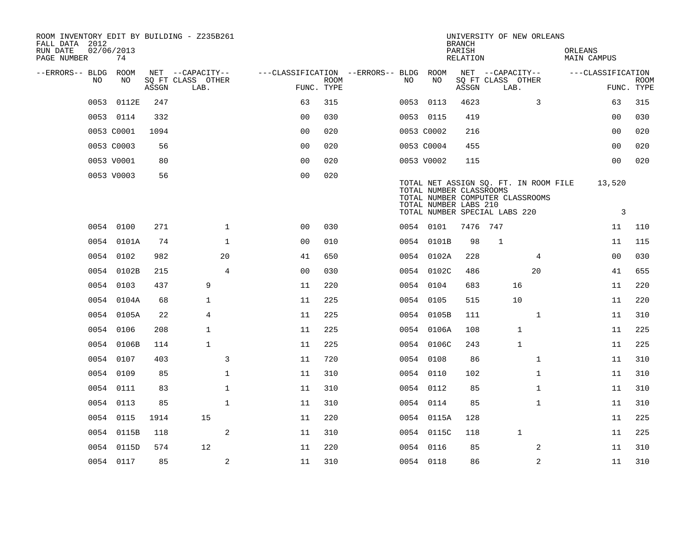| ROOM INVENTORY EDIT BY BUILDING - Z235B261<br>FALL DATA 2012<br>RUN DATE<br>PAGE NUMBER |    | 02/06/2013<br>74 |       |                                       |              |                                                      |             |     |                                                                                   | <b>BRANCH</b><br>PARISH<br><b>RELATION</b> |              | UNIVERSITY OF NEW ORLEANS                                                 | ORLEANS<br>MAIN CAMPUS |                   |             |
|-----------------------------------------------------------------------------------------|----|------------------|-------|---------------------------------------|--------------|------------------------------------------------------|-------------|-----|-----------------------------------------------------------------------------------|--------------------------------------------|--------------|---------------------------------------------------------------------------|------------------------|-------------------|-------------|
| --ERRORS-- BLDG ROOM                                                                    | NO | NO               |       | NET --CAPACITY--<br>SQ FT CLASS OTHER |              | ---CLASSIFICATION --ERRORS-- BLDG ROOM<br>FUNC. TYPE | <b>ROOM</b> | NO. | NO                                                                                |                                            |              | NET --CAPACITY--<br>SQ FT CLASS OTHER                                     |                        | ---CLASSIFICATION | <b>ROOM</b> |
|                                                                                         |    |                  | ASSGN | LAB.                                  |              |                                                      |             |     |                                                                                   | ASSGN                                      | LAB.         |                                                                           |                        |                   | FUNC. TYPE  |
|                                                                                         |    | 0053 0112E       | 247   |                                       |              | 63                                                   | 315         |     | 0053 0113                                                                         | 4623                                       |              | 3                                                                         |                        | 63                | 315         |
|                                                                                         |    | 0053 0114        | 332   |                                       |              | 0 <sub>0</sub>                                       | 030         |     | 0053 0115                                                                         | 419                                        |              |                                                                           |                        | 0 <sub>0</sub>    | 030         |
|                                                                                         |    | 0053 C0001       | 1094  |                                       |              | 0 <sub>0</sub>                                       | 020         |     | 0053 C0002                                                                        | 216                                        |              |                                                                           |                        | 00                | 020         |
|                                                                                         |    | 0053 C0003       | 56    |                                       |              | 0 <sub>0</sub>                                       | 020         |     | 0053 C0004                                                                        | 455                                        |              |                                                                           |                        | 0 <sub>0</sub>    | 020         |
|                                                                                         |    | 0053 V0001       | 80    |                                       |              | 0 <sub>0</sub>                                       | 020         |     | 0053 V0002                                                                        | 115                                        |              |                                                                           |                        | 0 <sub>0</sub>    | 020         |
|                                                                                         |    | 0053 V0003       | 56    |                                       |              | 0 <sub>0</sub>                                       | 020         |     | TOTAL NUMBER CLASSROOMS<br>TOTAL NUMBER LABS 210<br>TOTAL NUMBER SPECIAL LABS 220 |                                            |              | TOTAL NET ASSIGN SQ. FT. IN ROOM FILE<br>TOTAL NUMBER COMPUTER CLASSROOMS |                        | 13,520<br>3       |             |
|                                                                                         |    | 0054 0100        | 271   |                                       | $\mathbf{1}$ | 0 <sub>0</sub>                                       | 030         |     | 0054 0101                                                                         | 7476                                       | 747          |                                                                           |                        | 11                | 110         |
|                                                                                         |    | 0054 0101A       | 74    |                                       | $\mathbf{1}$ | 0 <sub>0</sub>                                       | 010         |     | 0054 0101B                                                                        | 98                                         | $\mathbf{1}$ |                                                                           |                        | 11                | 115         |
|                                                                                         |    | 0054 0102        | 982   |                                       | 20           | 41                                                   | 650         |     | 0054 0102A                                                                        | 228                                        |              | $\overline{4}$                                                            |                        | 0 <sub>0</sub>    | 030         |
|                                                                                         |    | 0054 0102B       | 215   |                                       | 4            | 0 <sub>0</sub>                                       | 030         |     | 0054 0102C                                                                        | 486                                        |              | 20                                                                        |                        | 41                | 655         |
|                                                                                         |    | 0054 0103        | 437   | 9                                     |              | 11                                                   | 220         |     | 0054 0104                                                                         | 683                                        |              | 16                                                                        |                        | 11                | 220         |
|                                                                                         |    | 0054 0104A       | 68    | $\mathbf{1}$                          |              | 11                                                   | 225         |     | 0054 0105                                                                         | 515                                        |              | 10                                                                        |                        | 11                | 220         |
|                                                                                         |    | 0054 0105A       | 22    | $\overline{4}$                        |              | 11                                                   | 225         |     | 0054 0105B                                                                        | 111                                        |              | $\mathbf{1}$                                                              |                        | 11                | 310         |
|                                                                                         |    | 0054 0106        | 208   | $\mathbf 1$                           |              | 11                                                   | 225         |     | 0054 0106A                                                                        | 108                                        |              | $\mathbf{1}$                                                              |                        | 11                | 225         |
|                                                                                         |    | 0054 0106B       | 114   | $\mathbf{1}$                          |              | 11                                                   | 225         |     | 0054 0106C                                                                        | 243                                        |              | $\mathbf{1}$                                                              |                        | 11                | 225         |
|                                                                                         |    | 0054 0107        | 403   |                                       | 3            | 11                                                   | 720         |     | 0054 0108                                                                         | 86                                         |              | $\mathbf{1}$                                                              |                        | 11                | 310         |
|                                                                                         |    | 0054 0109        | 85    |                                       | 1            | 11                                                   | 310         |     | 0054 0110                                                                         | 102                                        |              | $\mathbf{1}$                                                              |                        | 11                | 310         |
|                                                                                         |    | 0054 0111        | 83    |                                       | $\mathbf 1$  | 11                                                   | 310         |     | 0054 0112                                                                         | 85                                         |              | $\mathbf{1}$                                                              |                        | 11                | 310         |
|                                                                                         |    | 0054 0113        | 85    |                                       | $\mathbf{1}$ | 11                                                   | 310         |     | 0054 0114                                                                         | 85                                         |              | $\mathbf{1}$                                                              |                        | 11                | 310         |
|                                                                                         |    | 0054 0115        | 1914  | 15                                    |              | 11                                                   | 220         |     | 0054 0115A                                                                        | 128                                        |              |                                                                           |                        | 11                | 225         |
|                                                                                         |    | 0054 0115B       | 118   |                                       | 2            | 11                                                   | 310         |     | 0054 0115C                                                                        | 118                                        |              | $\mathbf 1$                                                               |                        | 11                | 225         |
|                                                                                         |    | 0054 0115D       | 574   | $12 \overline{ }$                     |              | 11                                                   | 220         |     | 0054 0116                                                                         | 85                                         |              | 2                                                                         |                        | 11                | 310         |
|                                                                                         |    | 0054 0117        | 85    |                                       | 2            | 11                                                   | 310         |     | 0054 0118                                                                         | 86                                         |              | 2                                                                         |                        | 11                | 310         |
|                                                                                         |    |                  |       |                                       |              |                                                      |             |     |                                                                                   |                                            |              |                                                                           |                        |                   |             |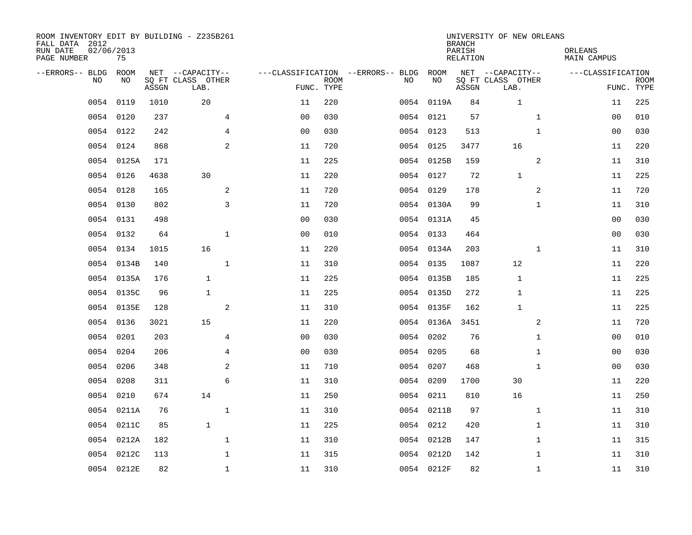| ROOM INVENTORY EDIT BY BUILDING - Z235B261<br>FALL DATA 2012<br>RUN DATE<br>PAGE NUMBER | 02/06/2013<br>75 |       |                                               |                                                 |             |           |            | <b>BRANCH</b><br>PARISH<br><b>RELATION</b> | UNIVERSITY OF NEW ORLEANS                     | ORLEANS<br><b>MAIN CAMPUS</b> |                           |
|-----------------------------------------------------------------------------------------|------------------|-------|-----------------------------------------------|-------------------------------------------------|-------------|-----------|------------|--------------------------------------------|-----------------------------------------------|-------------------------------|---------------------------|
| --ERRORS-- BLDG<br>NO                                                                   | ROOM<br>NO       | ASSGN | NET --CAPACITY--<br>SQ FT CLASS OTHER<br>LAB. | ---CLASSIFICATION --ERRORS-- BLDG<br>FUNC. TYPE | <b>ROOM</b> | NO        | ROOM<br>NO | ASSGN                                      | NET --CAPACITY--<br>SQ FT CLASS OTHER<br>LAB. | ---CLASSIFICATION             | <b>ROOM</b><br>FUNC. TYPE |
| 0054                                                                                    | 0119             | 1010  | 20                                            | 11                                              | 220         |           | 0054 0119A | 84                                         | $\mathbf 1$                                   | 11                            | 225                       |
| 0054                                                                                    | 0120             | 237   | 4                                             | 0 <sub>0</sub>                                  | 030         | 0054 0121 |            | 57                                         | $\mathbf{1}$                                  | 00                            | 010                       |
| 0054                                                                                    | 0122             | 242   | 4                                             | 0 <sub>0</sub>                                  | 030         | 0054 0123 |            | 513                                        | $\mathbf{1}$                                  | 00                            | 030                       |
| 0054                                                                                    | 0124             | 868   | 2                                             | 11                                              | 720         | 0054 0125 |            | 3477                                       | 16                                            | 11                            | 220                       |
| 0054                                                                                    | 0125A            | 171   |                                               | 11                                              | 225         |           | 0054 0125B | 159                                        | 2                                             | 11                            | 310                       |
|                                                                                         | 0054 0126        | 4638  | 30                                            | 11                                              | 220         | 0054 0127 |            | 72                                         | $\mathbf{1}$                                  | 11                            | 225                       |
| 0054                                                                                    | 0128             | 165   | $\overline{a}$                                | 11                                              | 720         | 0054 0129 |            | 178                                        | $\overline{a}$                                | 11                            | 720                       |
|                                                                                         | 0054 0130        | 802   | 3                                             | 11                                              | 720         |           | 0054 0130A | 99                                         | $\mathbf{1}$                                  | 11                            | 310                       |
|                                                                                         | 0054 0131        | 498   |                                               | 0 <sub>0</sub>                                  | 030         |           | 0054 0131A | 45                                         |                                               | 0 <sub>0</sub>                | 030                       |
|                                                                                         | 0054 0132        | 64    | $\mathbf{1}$                                  | 0 <sub>0</sub>                                  | 010         | 0054 0133 |            | 464                                        |                                               | 0 <sub>0</sub>                | 030                       |
|                                                                                         | 0054 0134        | 1015  | 16                                            | 11                                              | 220         |           | 0054 0134A | 203                                        | $\mathbf{1}$                                  | 11                            | 310                       |
|                                                                                         | 0054 0134B       | 140   | $\mathbf{1}$                                  | 11                                              | 310         | 0054 0135 |            | 1087                                       | 12                                            | 11                            | 220                       |
| 0054                                                                                    | 0135A            | 176   | $\mathbf{1}$                                  | 11                                              | 225         |           | 0054 0135B | 185                                        | 1                                             | 11                            | 225                       |
| 0054                                                                                    | 0135C            | 96    | $\mathbf{1}$                                  | 11                                              | 225         |           | 0054 0135D | 272                                        | 1                                             | 11                            | 225                       |
| 0054                                                                                    | 0135E            | 128   | 2                                             | 11                                              | 310         |           | 0054 0135F | 162                                        | $\mathbf{1}$                                  | 11                            | 225                       |
| 0054                                                                                    | 0136             | 3021  | 15                                            | 11                                              | 220         |           | 0054 0136A | 3451                                       | 2                                             | 11                            | 720                       |
| 0054                                                                                    | 0201             | 203   | $\overline{4}$                                | 0 <sub>0</sub>                                  | 030         | 0054      | 0202       | 76                                         | $\mathbf{1}$                                  | 00                            | 010                       |
| 0054                                                                                    | 0204             | 206   | $\overline{4}$                                | 0 <sub>0</sub>                                  | 030         | 0054      | 0205       | 68                                         | $\mathbf{1}$                                  | 00                            | 030                       |
| 0054                                                                                    | 0206             | 348   | 2                                             | 11                                              | 710         | 0054 0207 |            | 468                                        | $\mathbf{1}$                                  | 0 <sub>0</sub>                | 030                       |
| 0054                                                                                    | 0208             | 311   | 6                                             | 11                                              | 310         | 0054 0209 |            | 1700                                       | 30                                            | 11                            | 220                       |
| 0054                                                                                    | 0210             | 674   | 14                                            | 11                                              | 250         | 0054 0211 |            | 810                                        | 16                                            | 11                            | 250                       |
| 0054                                                                                    | 0211A            | 76    | $\mathbf 1$                                   | 11                                              | 310         |           | 0054 0211B | 97                                         | $\mathbf{1}$                                  | 11                            | 310                       |
| 0054                                                                                    | 0211C            | 85    | $\mathbf{1}$                                  | 11                                              | 225         | 0054 0212 |            | 420                                        | $\mathbf{1}$                                  | 11                            | 310                       |
| 0054                                                                                    | 0212A            | 182   | $\mathbf 1$                                   | 11                                              | 310         |           | 0054 0212B | 147                                        | $\mathbf{1}$                                  | 11                            | 315                       |
| 0054                                                                                    | 0212C            | 113   | $\mathbf 1$                                   | 11                                              | 315         |           | 0054 0212D | 142                                        | $\mathbf{1}$                                  | 11                            | 310                       |
|                                                                                         | 0054 0212E       | 82    | $\mathbf{1}$                                  | 11                                              | 310         |           | 0054 0212F | 82                                         | $\mathbf{1}$                                  | 11                            | 310                       |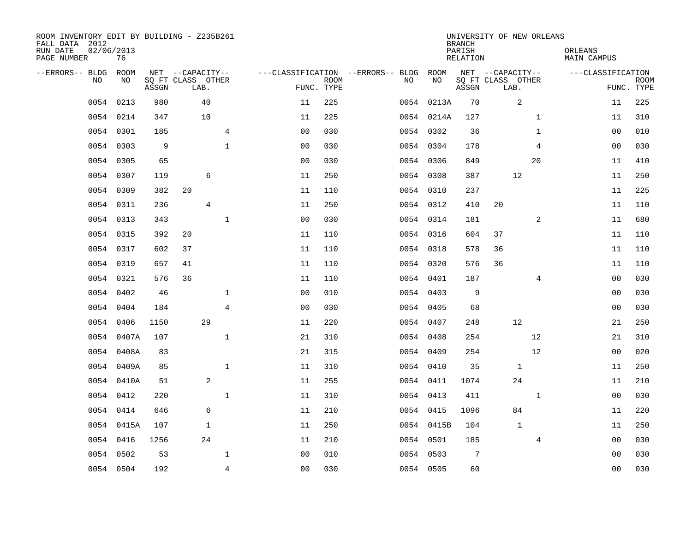| ROOM INVENTORY EDIT BY BUILDING - Z235B261<br>FALL DATA 2012<br>RUN DATE<br>PAGE NUMBER | 02/06/2013<br>76 |       |                           |                |                                        |             |      |            | <b>BRANCH</b><br>PARISH<br>RELATION | UNIVERSITY OF NEW ORLEANS |                | ORLEANS<br>MAIN CAMPUS |                           |
|-----------------------------------------------------------------------------------------|------------------|-------|---------------------------|----------------|----------------------------------------|-------------|------|------------|-------------------------------------|---------------------------|----------------|------------------------|---------------------------|
| --ERRORS-- BLDG ROOM                                                                    |                  |       | NET --CAPACITY--          |                | ---CLASSIFICATION --ERRORS-- BLDG ROOM |             |      |            |                                     | NET --CAPACITY--          |                | ---CLASSIFICATION      |                           |
| NO.                                                                                     | NO.              | ASSGN | SQ FT CLASS OTHER<br>LAB. |                | FUNC. TYPE                             | <b>ROOM</b> | NO.  | NO         | ASSGN                               | SQ FT CLASS OTHER<br>LAB. |                |                        | <b>ROOM</b><br>FUNC. TYPE |
| 0054                                                                                    | 0213             | 980   | 40                        |                | 11                                     | 225         |      | 0054 0213A | 70                                  | 2                         |                | 11                     | 225                       |
| 0054                                                                                    | 0214             | 347   | 10                        |                | 11                                     | 225         |      | 0054 0214A | 127                                 |                           | $\mathbf{1}$   | 11                     | 310                       |
|                                                                                         | 0054 0301        | 185   |                           | $\overline{4}$ | 0 <sub>0</sub>                         | 030         |      | 0054 0302  | 36                                  |                           | $\mathbf{1}$   | 0 <sub>0</sub>         | 010                       |
| 0054                                                                                    | 0303             | 9     |                           | $\mathbf 1$    | 00                                     | 030         |      | 0054 0304  | 178                                 |                           | 4              | 00                     | 030                       |
| 0054                                                                                    | 0305             | 65    |                           |                | 00                                     | 030         |      | 0054 0306  | 849                                 |                           | 20             | 11                     | 410                       |
| 0054                                                                                    | 0307             | 119   | 6                         |                | 11                                     | 250         |      | 0054 0308  | 387                                 | 12                        |                | 11                     | 250                       |
| 0054                                                                                    | 0309             | 382   | 20                        |                | 11                                     | 110         |      | 0054 0310  | 237                                 |                           |                | 11                     | 225                       |
| 0054                                                                                    | 0311             | 236   | 4                         |                | 11                                     | 250         |      | 0054 0312  | 410                                 | 20                        |                | 11                     | 110                       |
| 0054                                                                                    | 0313             | 343   |                           | $\mathbf 1$    | 0 <sub>0</sub>                         | 030         |      | 0054 0314  | 181                                 |                           | 2              | 11                     | 680                       |
|                                                                                         | 0054 0315        | 392   | 20                        |                | 11                                     | 110         |      | 0054 0316  | 604                                 | 37                        |                | 11                     | 110                       |
|                                                                                         | 0054 0317        | 602   | 37                        |                | 11                                     | 110         |      | 0054 0318  | 578                                 | 36                        |                | 11                     | 110                       |
|                                                                                         | 0054 0319        | 657   | 41                        |                | 11                                     | 110         |      | 0054 0320  | 576                                 | 36                        |                | 11                     | 110                       |
| 0054                                                                                    | 0321             | 576   | 36                        |                | 11                                     | 110         |      | 0054 0401  | 187                                 |                           | 4              | 00                     | 030                       |
|                                                                                         | 0054 0402        | 46    |                           | $\mathbf 1$    | 0 <sub>0</sub>                         | 010         |      | 0054 0403  | 9                                   |                           |                | 00                     | 030                       |
| 0054                                                                                    | 0404             | 184   |                           | 4              | 0 <sub>0</sub>                         | 030         |      | 0054 0405  | 68                                  |                           |                | 00                     | 030                       |
| 0054                                                                                    | 0406             | 1150  | 29                        |                | 11                                     | 220         |      | 0054 0407  | 248                                 | 12                        |                | 21                     | 250                       |
| 0054                                                                                    | 0407A            | 107   |                           | $\mathbf{1}$   | 21                                     | 310         | 0054 | 0408       | 254                                 |                           | 12             | 21                     | 310                       |
| 0054                                                                                    | 0408A            | 83    |                           |                | 21                                     | 315         |      | 0054 0409  | 254                                 |                           | 12             | 00                     | 020                       |
|                                                                                         | 0054 0409A       | 85    |                           | $\mathbf{1}$   | 11                                     | 310         |      | 0054 0410  | 35                                  | $\mathbf 1$               |                | 11                     | 250                       |
|                                                                                         | 0054 0410A       | 51    | 2                         |                | 11                                     | 255         |      | 0054 0411  | 1074                                | 24                        |                | 11                     | 210                       |
|                                                                                         | 0054 0412        | 220   |                           | $\mathbf{1}$   | 11                                     | 310         |      | 0054 0413  | 411                                 |                           | $\mathbf{1}$   | 0 <sub>0</sub>         | 030                       |
| 0054                                                                                    | 0414             | 646   | 6                         |                | 11                                     | 210         |      | 0054 0415  | 1096                                | 84                        |                | 11                     | 220                       |
|                                                                                         | 0054 0415A       | 107   | $\mathbf{1}$              |                | 11                                     | 250         |      | 0054 0415B | 104                                 | $\mathbf{1}$              |                | 11                     | 250                       |
|                                                                                         | 0054 0416        | 1256  | 24                        |                | 11                                     | 210         |      | 0054 0501  | 185                                 |                           | $\overline{4}$ | 00                     | 030                       |
| 0054                                                                                    | 0502             | 53    |                           | $\mathbf 1$    | 0 <sub>0</sub>                         | 010         |      | 0054 0503  | $7\phantom{.0}$                     |                           |                | 00                     | 030                       |
|                                                                                         | 0054 0504        | 192   |                           | $\overline{4}$ | 0 <sub>0</sub>                         | 030         |      | 0054 0505  | 60                                  |                           |                | 0 <sub>0</sub>         | 030                       |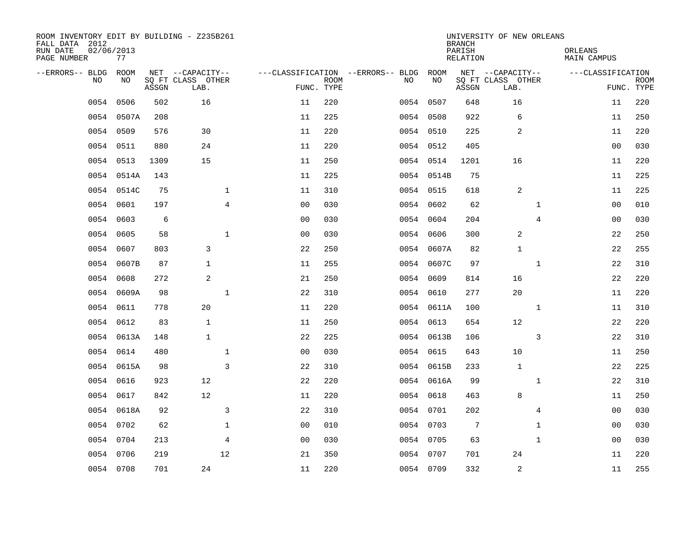| ROOM INVENTORY EDIT BY BUILDING - Z235B261<br>FALL DATA 2012<br>RUN DATE<br>PAGE NUMBER | 02/06/2013<br>77 |       |                           |                |                           |                                   |            | <b>BRANCH</b><br>PARISH<br><b>RELATION</b> | UNIVERSITY OF NEW ORLEANS | ORLEANS<br><b>MAIN CAMPUS</b> |                           |
|-----------------------------------------------------------------------------------------|------------------|-------|---------------------------|----------------|---------------------------|-----------------------------------|------------|--------------------------------------------|---------------------------|-------------------------------|---------------------------|
| --ERRORS-- BLDG                                                                         | ROOM             |       | NET --CAPACITY--          |                |                           | ---CLASSIFICATION --ERRORS-- BLDG | ROOM       |                                            | NET --CAPACITY--          | ---CLASSIFICATION             |                           |
| N <sub>O</sub>                                                                          | NO.              | ASSGN | SO FT CLASS OTHER<br>LAB. |                | <b>ROOM</b><br>FUNC. TYPE | NO.                               | NO         | ASSGN                                      | SQ FT CLASS OTHER<br>LAB. |                               | <b>ROOM</b><br>FUNC. TYPE |
| 0054                                                                                    | 0506             | 502   | 16                        | 11             | 220                       |                                   | 0054 0507  | 648                                        | 16                        | 11                            | 220                       |
|                                                                                         | 0054 0507A       | 208   |                           | 11             | 225                       |                                   | 0054 0508  | 922                                        | 6                         | 11                            | 250                       |
|                                                                                         | 0054 0509        | 576   | 30                        | 11             | 220                       |                                   | 0054 0510  | 225                                        | 2                         | 11                            | 220                       |
| 0054                                                                                    | 0511             | 880   | 24                        | 11             | 220                       |                                   | 0054 0512  | 405                                        |                           | 0 <sub>0</sub>                | 030                       |
| 0054                                                                                    | 0513             | 1309  | 15                        | 11             | 250                       |                                   | 0054 0514  | 1201                                       | 16                        | 11                            | 220                       |
| 0054                                                                                    | 0514A            | 143   |                           | 11             | 225                       |                                   | 0054 0514B | 75                                         |                           | 11                            | 225                       |
| 0054                                                                                    | 0514C            | 75    | $\mathbf 1$               | 11             | 310                       |                                   | 0054 0515  | 618                                        | 2                         | 11                            | 225                       |
| 0054                                                                                    | 0601             | 197   | $\overline{4}$            | 0 <sub>0</sub> | 030                       |                                   | 0054 0602  | 62                                         | $\mathbf{1}$              | 00                            | 010                       |
| 0054                                                                                    | 0603             | 6     |                           | 0 <sub>0</sub> | 030                       |                                   | 0054 0604  | 204                                        | $\overline{4}$            | 00                            | 030                       |
| 0054                                                                                    | 0605             | 58    | $\mathbf{1}$              | 0 <sub>0</sub> | 030                       |                                   | 0054 0606  | 300                                        | 2                         | 22                            | 250                       |
| 0054                                                                                    | 0607             | 803   | 3                         | 22             | 250                       |                                   | 0054 0607A | 82                                         | $\mathbf{1}$              | 22                            | 255                       |
|                                                                                         | 0054 0607B       | 87    | $\mathbf{1}$              | 11             | 255                       |                                   | 0054 0607C | 97                                         | $\mathbf{1}$              | 22                            | 310                       |
| 0054                                                                                    | 0608             | 272   | 2                         | 21             | 250                       | 0054                              | 0609       | 814                                        | 16                        | 22                            | 220                       |
|                                                                                         | 0054 0609A       | 98    | $\mathbf 1$               | 22             | 310                       |                                   | 0054 0610  | 277                                        | 20                        | 11                            | 220                       |
| 0054                                                                                    | 0611             | 778   | 20                        | 11             | 220                       |                                   | 0054 0611A | 100                                        | $\mathbf{1}$              | 11                            | 310                       |
|                                                                                         | 0054 0612        | 83    | $\mathbf{1}$              | 11             | 250                       |                                   | 0054 0613  | 654                                        | 12                        | 22                            | 220                       |
| 0054                                                                                    | 0613A            | 148   | $\mathbf{1}$              | 22             | 225                       |                                   | 0054 0613B | 106                                        | 3                         | 22                            | 310                       |
| 0054                                                                                    | 0614             | 480   | $\mathbf 1$               | 00             | 030                       |                                   | 0054 0615  | 643                                        | 10                        | 11                            | 250                       |
|                                                                                         | 0054 0615A       | 98    | $\overline{3}$            | 22             | 310                       |                                   | 0054 0615B | 233                                        | $\mathbf{1}$              | 22                            | 225                       |
| 0054                                                                                    | 0616             | 923   | 12                        | 22             | 220                       |                                   | 0054 0616A | 99                                         | $\mathbf{1}$              | 22                            | 310                       |
| 0054                                                                                    | 0617             | 842   | 12                        | 11             | 220                       |                                   | 0054 0618  | 463                                        | 8                         | 11                            | 250                       |
| 0054                                                                                    | 0618A            | 92    | 3                         | 22             | 310                       |                                   | 0054 0701  | 202                                        | $\overline{4}$            | 00                            | 030                       |
|                                                                                         | 0054 0702        | 62    | $\mathbf{1}$              | 0 <sub>0</sub> | 010                       |                                   | 0054 0703  | 7                                          | $\mathbf{1}$              | 0 <sub>0</sub>                | 030                       |
|                                                                                         | 0054 0704        | 213   | $\overline{4}$            | 0 <sub>0</sub> | 030                       |                                   | 0054 0705  | 63                                         | $\mathbf{1}$              | 00                            | 030                       |
|                                                                                         | 0054 0706        | 219   | 12                        | 21             | 350                       |                                   | 0054 0707  | 701                                        | 24                        | 11                            | 220                       |
|                                                                                         | 0054 0708        | 701   | 24                        | 11             | 220                       |                                   | 0054 0709  | 332                                        | 2                         | 11                            | 255                       |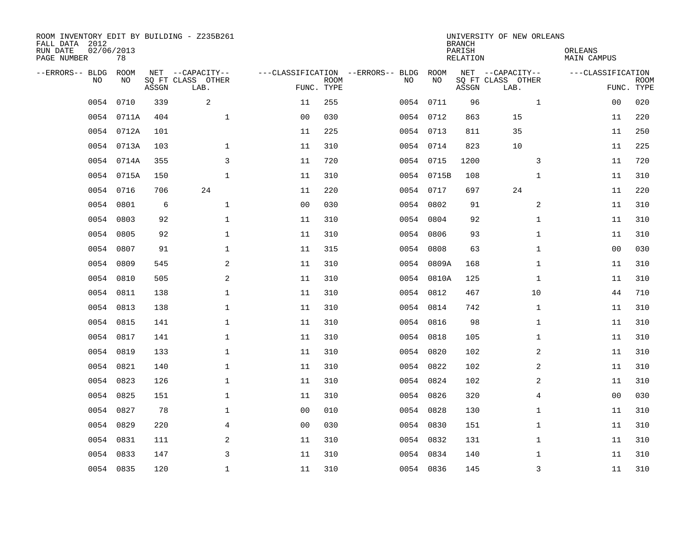| ROOM INVENTORY EDIT BY BUILDING - Z235B261<br>FALL DATA 2012<br>RUN DATE<br>PAGE NUMBER | 02/06/2013<br>78 |       |                                               |                |             |                                         |            | <b>BRANCH</b><br>PARISH<br><b>RELATION</b> | UNIVERSITY OF NEW ORLEANS                     | ORLEANS<br><b>MAIN CAMPUS</b> |                           |
|-----------------------------------------------------------------------------------------|------------------|-------|-----------------------------------------------|----------------|-------------|-----------------------------------------|------------|--------------------------------------------|-----------------------------------------------|-------------------------------|---------------------------|
| --ERRORS-- BLDG<br>NO                                                                   | ROOM<br>NO       | ASSGN | NET --CAPACITY--<br>SQ FT CLASS OTHER<br>LAB. | FUNC. TYPE     | <b>ROOM</b> | ---CLASSIFICATION --ERRORS-- BLDG<br>NO | ROOM<br>NO | ASSGN                                      | NET --CAPACITY--<br>SQ FT CLASS OTHER<br>LAB. | ---CLASSIFICATION             | <b>ROOM</b><br>FUNC. TYPE |
| 0054                                                                                    | 0710             | 339   | $\overline{a}$                                | 11             | 255         |                                         | 0054 0711  | 96                                         | $\mathbf{1}$                                  | 0 <sub>0</sub>                | 020                       |
|                                                                                         | 0054 0711A       | 404   | $\mathbf{1}$                                  | 0 <sub>0</sub> | 030         |                                         | 0054 0712  | 863                                        | 15                                            | 11                            | 220                       |
|                                                                                         | 0054 0712A       | 101   |                                               | 11             | 225         |                                         | 0054 0713  | 811                                        | 35                                            | 11                            | 250                       |
|                                                                                         | 0054 0713A       | 103   | $\mathbf{1}$                                  | 11             | 310         |                                         | 0054 0714  | 823                                        | 10                                            | 11                            | 225                       |
|                                                                                         | 0054 0714A       | 355   | 3                                             | 11             | 720         |                                         | 0054 0715  | 1200                                       | 3                                             | 11                            | 720                       |
|                                                                                         | 0054 0715A       | 150   | $\mathbf 1$                                   | 11             | 310         |                                         | 0054 0715B | 108                                        | $\mathbf{1}$                                  | 11                            | 310                       |
| 0054                                                                                    | 0716             | 706   | 24                                            | 11             | 220         |                                         | 0054 0717  | 697                                        | 24                                            | 11                            | 220                       |
| 0054                                                                                    | 0801             | 6     | $\mathbf{1}$                                  | 0 <sub>0</sub> | 030         |                                         | 0054 0802  | 91                                         | 2                                             | 11                            | 310                       |
| 0054                                                                                    | 0803             | 92    | $\mathbf{1}$                                  | 11             | 310         | 0054                                    | 0804       | 92                                         | $\mathbf{1}$                                  | 11                            | 310                       |
|                                                                                         | 0054 0805        | 92    | $\mathbf{1}$                                  | 11             | 310         |                                         | 0054 0806  | 93                                         | $\mathbf{1}$                                  | 11                            | 310                       |
| 0054                                                                                    | 0807             | 91    | $\mathbf 1$                                   | 11             | 315         | 0054                                    | 0808       | 63                                         | $\mathbf{1}$                                  | 0 <sub>0</sub>                | 030                       |
|                                                                                         | 0054 0809        | 545   | 2                                             | 11             | 310         |                                         | 0054 0809A | 168                                        | $\mathbf{1}$                                  | 11                            | 310                       |
| 0054                                                                                    | 0810             | 505   | 2                                             | 11             | 310         |                                         | 0054 0810A | 125                                        | $\mathbf{1}$                                  | 11                            | 310                       |
| 0054                                                                                    | 0811             | 138   | $\mathbf 1$                                   | 11             | 310         |                                         | 0054 0812  | 467                                        | 10                                            | 44                            | 710                       |
| 0054                                                                                    | 0813             | 138   | $\mathbf{1}$                                  | 11             | 310         |                                         | 0054 0814  | 742                                        | $\mathbf{1}$                                  | 11                            | 310                       |
|                                                                                         | 0054 0815        | 141   | 1                                             | 11             | 310         |                                         | 0054 0816  | 98                                         | $\mathbf{1}$                                  | 11                            | 310                       |
| 0054                                                                                    | 0817             | 141   | $\mathbf{1}$                                  | 11             | 310         | 0054                                    | 0818       | 105                                        | $\mathbf{1}$                                  | 11                            | 310                       |
| 0054                                                                                    | 0819             | 133   | $\mathbf 1$                                   | 11             | 310         |                                         | 0054 0820  | 102                                        | 2                                             | 11                            | 310                       |
| 0054                                                                                    | 0821             | 140   | $\mathbf 1$                                   | 11             | 310         |                                         | 0054 0822  | 102                                        | 2                                             | 11                            | 310                       |
| 0054                                                                                    | 0823             | 126   | $\mathbf 1$                                   | 11             | 310         |                                         | 0054 0824  | 102                                        | 2                                             | 11                            | 310                       |
| 0054                                                                                    | 0825             | 151   | $\mathbf{1}$                                  | 11             | 310         |                                         | 0054 0826  | 320                                        | 4                                             | 0 <sub>0</sub>                | 030                       |
| 0054                                                                                    | 0827             | 78    | $\mathbf{1}$                                  | 0 <sub>0</sub> | 010         |                                         | 0054 0828  | 130                                        | $\mathbf{1}$                                  | 11                            | 310                       |
| 0054                                                                                    | 0829             | 220   | $\overline{4}$                                | 0 <sub>0</sub> | 030         |                                         | 0054 0830  | 151                                        | $\mathbf{1}$                                  | 11                            | 310                       |
|                                                                                         | 0054 0831        | 111   | 2                                             | 11             | 310         |                                         | 0054 0832  | 131                                        | $\mathbf{1}$                                  | 11                            | 310                       |
| 0054                                                                                    | 0833             | 147   | 3                                             | 11             | 310         |                                         | 0054 0834  | 140                                        | 1                                             | 11                            | 310                       |
|                                                                                         | 0054 0835        | 120   | $\mathbf 1$                                   | 11             | 310         |                                         | 0054 0836  | 145                                        | 3                                             | 11                            | 310                       |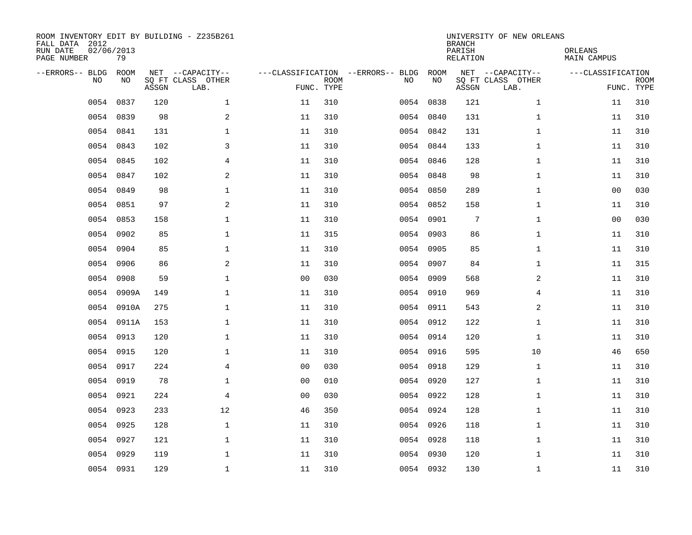| ROOM INVENTORY EDIT BY BUILDING - Z235B261<br>FALL DATA 2012<br>RUN DATE<br>PAGE NUMBER | 02/06/2013<br>79 |       |                                               |                |             |                                         |            | <b>BRANCH</b><br>PARISH<br><b>RELATION</b> | UNIVERSITY OF NEW ORLEANS                     | ORLEANS<br><b>MAIN CAMPUS</b> |                           |
|-----------------------------------------------------------------------------------------|------------------|-------|-----------------------------------------------|----------------|-------------|-----------------------------------------|------------|--------------------------------------------|-----------------------------------------------|-------------------------------|---------------------------|
| --ERRORS-- BLDG<br>NO                                                                   | ROOM<br>NO       | ASSGN | NET --CAPACITY--<br>SQ FT CLASS OTHER<br>LAB. | FUNC. TYPE     | <b>ROOM</b> | ---CLASSIFICATION --ERRORS-- BLDG<br>NO | ROOM<br>NO | ASSGN                                      | NET --CAPACITY--<br>SQ FT CLASS OTHER<br>LAB. | ---CLASSIFICATION             | <b>ROOM</b><br>FUNC. TYPE |
| 0054                                                                                    | 0837             | 120   | $\mathbf{1}$                                  | 11             | 310         | 0054                                    | 0838       | 121                                        | $\mathbf{1}$                                  | 11                            | 310                       |
| 0054                                                                                    | 0839             | 98    | $\overline{a}$                                | 11             | 310         | 0054                                    | 0840       | 131                                        | $\mathbf{1}$                                  | 11                            | 310                       |
| 0054                                                                                    | 0841             | 131   | $\mathbf{1}$                                  | 11             | 310         |                                         | 0054 0842  | 131                                        | $\mathbf{1}$                                  | 11                            | 310                       |
|                                                                                         | 0054 0843        | 102   | 3                                             | 11             | 310         |                                         | 0054 0844  | 133                                        | $\mathbf{1}$                                  | 11                            | 310                       |
| 0054                                                                                    | 0845             | 102   | 4                                             | 11             | 310         |                                         | 0054 0846  | 128                                        | $\mathbf{1}$                                  | 11                            | 310                       |
|                                                                                         | 0054 0847        | 102   | 2                                             | 11             | 310         |                                         | 0054 0848  | 98                                         | $\mathbf{1}$                                  | 11                            | 310                       |
| 0054                                                                                    | 0849             | 98    | $\mathbf 1$                                   | 11             | 310         |                                         | 0054 0850  | 289                                        | $\mathbf{1}$                                  | 00                            | 030                       |
|                                                                                         | 0054 0851        | 97    | 2                                             | 11             | 310         |                                         | 0054 0852  | 158                                        | $\mathbf{1}$                                  | 11                            | 310                       |
| 0054                                                                                    | 0853             | 158   | $\mathbf 1$                                   | 11             | 310         | 0054                                    | 0901       | $7\phantom{.0}$                            | $\mathbf{1}$                                  | 0 <sub>0</sub>                | 030                       |
|                                                                                         | 0054 0902        | 85    | $\mathbf 1$                                   | 11             | 315         |                                         | 0054 0903  | 86                                         | $\mathbf{1}$                                  | 11                            | 310                       |
| 0054                                                                                    | 0904             | 85    | $\mathbf{1}$                                  | 11             | 310         |                                         | 0054 0905  | 85                                         | $\mathbf{1}$                                  | 11                            | 310                       |
|                                                                                         | 0054 0906        | 86    | 2                                             | 11             | 310         |                                         | 0054 0907  | 84                                         | $\mathbf{1}$                                  | 11                            | 315                       |
| 0054                                                                                    | 0908             | 59    | $\mathbf{1}$                                  | 00             | 030         | 0054                                    | 0909       | 568                                        | 2                                             | 11                            | 310                       |
| 0054                                                                                    | 0909A            | 149   | $\mathbf 1$                                   | 11             | 310         |                                         | 0054 0910  | 969                                        | 4                                             | 11                            | 310                       |
| 0054                                                                                    | 0910A            | 275   | 1                                             | 11             | 310         | 0054                                    | 0911       | 543                                        | 2                                             | 11                            | 310                       |
| 0054                                                                                    | 0911A            | 153   | $\mathbf 1$                                   | 11             | 310         |                                         | 0054 0912  | 122                                        | $\mathbf{1}$                                  | 11                            | 310                       |
| 0054                                                                                    | 0913             | 120   | $\mathbf 1$                                   | 11             | 310         | 0054                                    | 0914       | 120                                        | $\mathbf{1}$                                  | 11                            | 310                       |
| 0054                                                                                    | 0915             | 120   | $\mathbf 1$                                   | 11             | 310         |                                         | 0054 0916  | 595                                        | 10                                            | 46                            | 650                       |
| 0054                                                                                    | 0917             | 224   | $\overline{4}$                                | 0 <sub>0</sub> | 030         |                                         | 0054 0918  | 129                                        | $\mathbf{1}$                                  | 11                            | 310                       |
| 0054                                                                                    | 0919             | 78    | $\mathbf 1$                                   | 0 <sub>0</sub> | 010         |                                         | 0054 0920  | 127                                        | $\mathbf{1}$                                  | 11                            | 310                       |
| 0054                                                                                    | 0921             | 224   | 4                                             | 0 <sub>0</sub> | 030         |                                         | 0054 0922  | 128                                        | $\mathbf{1}$                                  | 11                            | 310                       |
| 0054                                                                                    | 0923             | 233   | 12                                            | 46             | 350         |                                         | 0054 0924  | 128                                        | $\mathbf{1}$                                  | 11                            | 310                       |
| 0054                                                                                    | 0925             | 128   | $\mathbf{1}$                                  | 11             | 310         |                                         | 0054 0926  | 118                                        | $\mathbf{1}$                                  | 11                            | 310                       |
| 0054                                                                                    | 0927             | 121   | $\mathbf 1$                                   | 11             | 310         |                                         | 0054 0928  | 118                                        | $\mathbf{1}$                                  | 11                            | 310                       |
| 0054                                                                                    | 0929             | 119   | $\mathbf 1$                                   | 11             | 310         |                                         | 0054 0930  | 120                                        | $\mathbf{1}$                                  | 11                            | 310                       |
|                                                                                         | 0054 0931        | 129   | $\mathbf 1$                                   | 11             | 310         |                                         | 0054 0932  | 130                                        | $\mathbf{1}$                                  | 11                            | 310                       |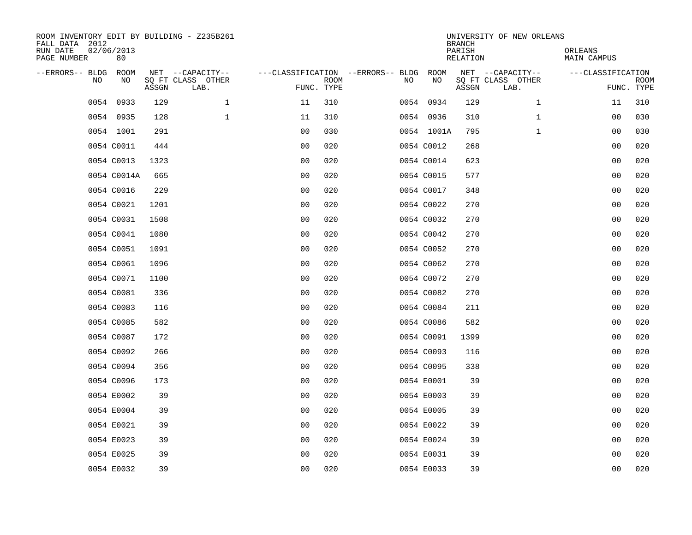| ROOM INVENTORY EDIT BY BUILDING - Z235B261<br>FALL DATA 2012<br>RUN DATE<br>PAGE NUMBER | 02/06/2013<br>80 |       |                                               |                                        |                           |    |            | <b>BRANCH</b><br>PARISH<br><b>RELATION</b> | UNIVERSITY OF NEW ORLEANS                     | ORLEANS<br><b>MAIN CAMPUS</b> |                           |
|-----------------------------------------------------------------------------------------|------------------|-------|-----------------------------------------------|----------------------------------------|---------------------------|----|------------|--------------------------------------------|-----------------------------------------------|-------------------------------|---------------------------|
| --ERRORS-- BLDG<br>NO                                                                   | ROOM<br>NO       | ASSGN | NET --CAPACITY--<br>SQ FT CLASS OTHER<br>LAB. | ---CLASSIFICATION --ERRORS-- BLDG ROOM | <b>ROOM</b><br>FUNC. TYPE | NO | NO         | ASSGN                                      | NET --CAPACITY--<br>SQ FT CLASS OTHER<br>LAB. | ---CLASSIFICATION             | <b>ROOM</b><br>FUNC. TYPE |
| 0054                                                                                    | 0933             | 129   | $\mathbf 1$                                   | 11                                     | 310                       |    | 0054 0934  | 129                                        | $\mathbf{1}$                                  | 11                            | 310                       |
|                                                                                         | 0054 0935        | 128   | $\mathbf{1}$                                  | 11                                     | 310                       |    | 0054 0936  | 310                                        | $\mathbf{1}$                                  | 00                            | 030                       |
|                                                                                         | 0054 1001        | 291   |                                               | 0 <sub>0</sub>                         | 030                       |    | 0054 1001A | 795                                        | $\mathbf{1}$                                  | 00                            | 030                       |
|                                                                                         | 0054 C0011       | 444   |                                               | 0 <sub>0</sub>                         | 020                       |    | 0054 C0012 | 268                                        |                                               | 00                            | 020                       |
|                                                                                         | 0054 C0013       | 1323  |                                               | 0 <sub>0</sub>                         | 020                       |    | 0054 C0014 | 623                                        |                                               | 0 <sub>0</sub>                | 020                       |
|                                                                                         | 0054 C0014A      | 665   |                                               | 0 <sub>0</sub>                         | 020                       |    | 0054 C0015 | 577                                        |                                               | 0 <sub>0</sub>                | 020                       |
|                                                                                         | 0054 C0016       | 229   |                                               | 0 <sub>0</sub>                         | 020                       |    | 0054 C0017 | 348                                        |                                               | 00                            | 020                       |
|                                                                                         | 0054 C0021       | 1201  |                                               | 0 <sub>0</sub>                         | 020                       |    | 0054 C0022 | 270                                        |                                               | 0 <sub>0</sub>                | 020                       |
|                                                                                         | 0054 C0031       | 1508  |                                               | 0 <sub>0</sub>                         | 020                       |    | 0054 C0032 | 270                                        |                                               | 0 <sub>0</sub>                | 020                       |
|                                                                                         | 0054 C0041       | 1080  |                                               | 0 <sub>0</sub>                         | 020                       |    | 0054 C0042 | 270                                        |                                               | 00                            | 020                       |
|                                                                                         | 0054 C0051       | 1091  |                                               | 0 <sub>0</sub>                         | 020                       |    | 0054 C0052 | 270                                        |                                               | 0 <sub>0</sub>                | 020                       |
|                                                                                         | 0054 C0061       | 1096  |                                               | 0 <sub>0</sub>                         | 020                       |    | 0054 C0062 | 270                                        |                                               | 0 <sub>0</sub>                | 020                       |
|                                                                                         | 0054 C0071       | 1100  |                                               | 0 <sub>0</sub>                         | 020                       |    | 0054 C0072 | 270                                        |                                               | 0 <sub>0</sub>                | 020                       |
|                                                                                         | 0054 C0081       | 336   |                                               | 0 <sub>0</sub>                         | 020                       |    | 0054 C0082 | 270                                        |                                               | 00                            | 020                       |
|                                                                                         | 0054 C0083       | 116   |                                               | 00                                     | 020                       |    | 0054 C0084 | 211                                        |                                               | 0 <sub>0</sub>                | 020                       |
|                                                                                         | 0054 C0085       | 582   |                                               | 0 <sub>0</sub>                         | 020                       |    | 0054 C0086 | 582                                        |                                               | 0 <sub>0</sub>                | 020                       |
|                                                                                         | 0054 C0087       | 172   |                                               | 0 <sub>0</sub>                         | 020                       |    | 0054 C0091 | 1399                                       |                                               | 00                            | 020                       |
|                                                                                         | 0054 C0092       | 266   |                                               | 0 <sub>0</sub>                         | 020                       |    | 0054 C0093 | 116                                        |                                               | 0 <sub>0</sub>                | 020                       |
|                                                                                         | 0054 C0094       | 356   |                                               | 0 <sub>0</sub>                         | 020                       |    | 0054 C0095 | 338                                        |                                               | 0 <sub>0</sub>                | 020                       |
|                                                                                         | 0054 C0096       | 173   |                                               | 0 <sub>0</sub>                         | 020                       |    | 0054 E0001 | 39                                         |                                               | 0 <sub>0</sub>                | 020                       |
|                                                                                         | 0054 E0002       | 39    |                                               | 0 <sub>0</sub>                         | 020                       |    | 0054 E0003 | 39                                         |                                               | 00                            | 020                       |
|                                                                                         | 0054 E0004       | 39    |                                               | 0 <sub>0</sub>                         | 020                       |    | 0054 E0005 | 39                                         |                                               | 00                            | 020                       |
|                                                                                         | 0054 E0021       | 39    |                                               | 0 <sub>0</sub>                         | 020                       |    | 0054 E0022 | 39                                         |                                               | 00                            | 020                       |
|                                                                                         | 0054 E0023       | 39    |                                               | 0 <sub>0</sub>                         | 020                       |    | 0054 E0024 | 39                                         |                                               | 00                            | 020                       |
|                                                                                         | 0054 E0025       | 39    |                                               | 0 <sub>0</sub>                         | 020                       |    | 0054 E0031 | 39                                         |                                               | 00                            | 020                       |
|                                                                                         | 0054 E0032       | 39    |                                               | 0 <sub>0</sub>                         | 020                       |    | 0054 E0033 | 39                                         |                                               | 0 <sub>0</sub>                | 020                       |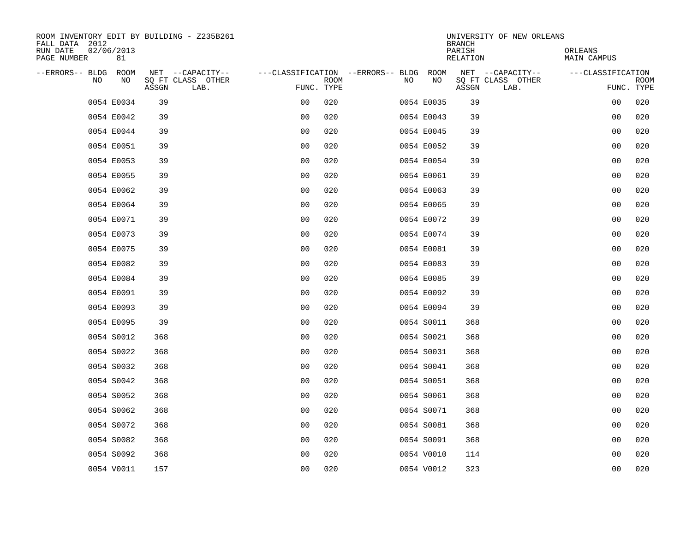| ROOM INVENTORY EDIT BY BUILDING - Z235B261<br>FALL DATA 2012 |                                    |                           |                                        | UNIVERSITY OF NEW ORLEANS<br><b>BRANCH</b> |                               |
|--------------------------------------------------------------|------------------------------------|---------------------------|----------------------------------------|--------------------------------------------|-------------------------------|
| RUN DATE<br>02/06/2013<br>PAGE NUMBER<br>81                  |                                    |                           |                                        | PARISH<br><b>RELATION</b>                  | ORLEANS<br><b>MAIN CAMPUS</b> |
| --ERRORS-- BLDG ROOM                                         | NET --CAPACITY--                   |                           | ---CLASSIFICATION --ERRORS-- BLDG ROOM | NET --CAPACITY--                           | ---CLASSIFICATION             |
| NO<br>NO                                                     | SQ FT CLASS OTHER<br>ASSGN<br>LAB. | <b>ROOM</b><br>FUNC. TYPE | NO<br>NO                               | SQ FT CLASS OTHER<br>ASSGN<br>LAB.         | <b>ROOM</b><br>FUNC. TYPE     |
| 0054 E0034                                                   | 39                                 | 020<br>00                 | 0054 E0035                             | 39                                         | 00<br>020                     |
| 0054 E0042                                                   | 39                                 | 0 <sub>0</sub><br>020     | 0054 E0043                             | 39                                         | 00<br>020                     |
| 0054 E0044                                                   | 39                                 | 0 <sub>0</sub><br>020     | 0054 E0045                             | 39                                         | 00<br>020                     |
| 0054 E0051                                                   | 39                                 | 0 <sub>0</sub><br>020     | 0054 E0052                             | 39                                         | 020<br>00                     |
| 0054 E0053                                                   | 39                                 | 0 <sub>0</sub><br>020     | 0054 E0054                             | 39                                         | 0 <sub>0</sub><br>020         |
| 0054 E0055                                                   | 39                                 | 0 <sub>0</sub><br>020     | 0054 E0061                             | 39                                         | 0 <sub>0</sub><br>020         |
| 0054 E0062                                                   | 39                                 | 0 <sub>0</sub><br>020     | 0054 E0063                             | 39                                         | 00<br>020                     |
| 0054 E0064                                                   | 39                                 | 0 <sub>0</sub><br>020     | 0054 E0065                             | 39                                         | 0 <sub>0</sub><br>020         |
| 0054 E0071                                                   | 39                                 | 0 <sub>0</sub><br>020     | 0054 E0072                             | 39                                         | 020<br>0 <sub>0</sub>         |
| 0054 E0073                                                   | 39                                 | 0 <sub>0</sub><br>020     | 0054 E0074                             | 39                                         | 020<br>00                     |
| 0054 E0075                                                   | 39                                 | 0 <sub>0</sub><br>020     | 0054 E0081                             | 39                                         | 020<br>0 <sub>0</sub>         |
| 0054 E0082                                                   | 39                                 | 0 <sub>0</sub><br>020     | 0054 E0083                             | 39                                         | 0 <sub>0</sub><br>020         |
| 0054 E0084                                                   | 39                                 | 0 <sub>0</sub><br>020     | 0054 E0085                             | 39                                         | 0 <sub>0</sub><br>020         |
| 0054 E0091                                                   | 39                                 | 00<br>020                 | 0054 E0092                             | 39                                         | 020<br>00                     |
| 0054 E0093                                                   | 39                                 | 00<br>020                 | 0054 E0094                             | 39                                         | 0 <sub>0</sub><br>020         |
| 0054 E0095                                                   | 39                                 | 0 <sub>0</sub><br>020     | 0054 S0011                             | 368                                        | 0 <sub>0</sub><br>020         |
| 0054 S0012                                                   | 368                                | 0 <sub>0</sub><br>020     | 0054 S0021                             | 368                                        | 020<br>0 <sub>0</sub>         |
| 0054 S0022                                                   | 368                                | 020<br>0 <sub>0</sub>     | 0054 S0031                             | 368                                        | 020<br>0 <sub>0</sub>         |
| 0054 S0032                                                   | 368                                | 0 <sub>0</sub><br>020     | 0054 S0041                             | 368                                        | 00<br>020                     |
| 0054 S0042                                                   | 368                                | 0 <sub>0</sub><br>020     | 0054 S0051                             | 368                                        | 0 <sub>0</sub><br>020         |
| 0054 S0052                                                   | 368                                | 0 <sub>0</sub><br>020     | 0054 S0061                             | 368                                        | 0 <sub>0</sub><br>020         |
| 0054 S0062                                                   | 368                                | 0 <sub>0</sub><br>020     | 0054 S0071                             | 368                                        | 020<br>00                     |
| 0054 S0072                                                   | 368                                | 0 <sub>0</sub><br>020     | 0054 S0081                             | 368                                        | 020<br>00                     |
| 0054 S0082                                                   | 368                                | 0 <sub>0</sub><br>020     | 0054 S0091                             | 368                                        | 00<br>020                     |
| 0054 S0092                                                   | 368                                | 0 <sub>0</sub><br>020     | 0054 V0010                             | 114                                        | 00<br>020                     |
| 0054 V0011                                                   | 157                                | 0 <sub>0</sub><br>020     | 0054 V0012                             | 323                                        | 0 <sub>0</sub><br>020         |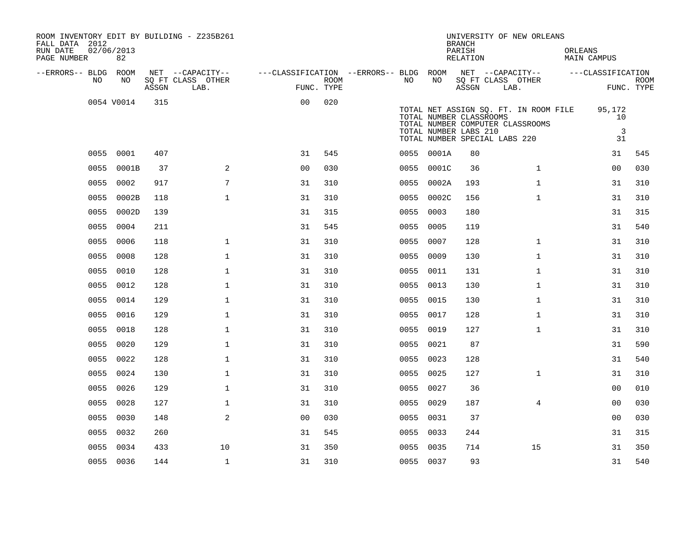| ROOM INVENTORY EDIT BY BUILDING - Z235B261<br>FALL DATA 2012<br>RUN DATE<br>PAGE NUMBER | 02/06/2013<br>82 |       |                                       |                                        |            |           |            | <b>BRANCH</b><br>PARISH<br>RELATION              | UNIVERSITY OF NEW ORLEANS                                                                                  | ORLEANS<br>MAIN CAMPUS |                                      |             |
|-----------------------------------------------------------------------------------------|------------------|-------|---------------------------------------|----------------------------------------|------------|-----------|------------|--------------------------------------------------|------------------------------------------------------------------------------------------------------------|------------------------|--------------------------------------|-------------|
|                                                                                         |                  |       |                                       |                                        |            |           |            |                                                  |                                                                                                            |                        |                                      |             |
| --ERRORS-- BLDG ROOM<br>NO                                                              | NO               |       | NET --CAPACITY--<br>SQ FT CLASS OTHER | ---CLASSIFICATION --ERRORS-- BLDG ROOM | ROOM       | NO        | NO         |                                                  | NET --CAPACITY--<br>SQ FT CLASS OTHER                                                                      | ---CLASSIFICATION      |                                      | <b>ROOM</b> |
|                                                                                         |                  | ASSGN | LAB.                                  |                                        | FUNC. TYPE |           |            | ASSGN                                            | LAB.                                                                                                       |                        |                                      | FUNC. TYPE  |
|                                                                                         | 0054 V0014       | 315   |                                       | 0 <sub>0</sub>                         | 020        |           |            | TOTAL NUMBER CLASSROOMS<br>TOTAL NUMBER LABS 210 | TOTAL NET ASSIGN SQ. FT. IN ROOM FILE<br>TOTAL NUMBER COMPUTER CLASSROOMS<br>TOTAL NUMBER SPECIAL LABS 220 |                        | 95,172<br>10<br>$\overline{3}$<br>31 |             |
|                                                                                         | 0055 0001        | 407   |                                       | 31                                     | 545        |           | 0055 0001A | 80                                               |                                                                                                            |                        | 31                                   | 545         |
| 0055                                                                                    | 0001B            | 37    | $\overline{a}$                        | 0 <sub>0</sub>                         | 030        | 0055      | 0001C      | 36                                               | $\mathbf{1}$                                                                                               |                        | 00                                   | 030         |
| 0055                                                                                    | 0002             | 917   | 7                                     | 31                                     | 310        |           | 0055 0002A | 193                                              | $\mathbf{1}$                                                                                               |                        | 31                                   | 310         |
| 0055                                                                                    | 0002B            | 118   | $\mathbf{1}$                          | 31                                     | 310        | 0055      | 0002C      | 156                                              | $\mathbf{1}$                                                                                               |                        | 31                                   | 310         |
|                                                                                         | 0055 0002D       | 139   |                                       | 31                                     | 315        | 0055 0003 |            | 180                                              |                                                                                                            |                        | 31                                   | 315         |
| 0055                                                                                    | 0004             | 211   |                                       | 31                                     | 545        | 0055      | 0005       | 119                                              |                                                                                                            |                        | 31                                   | 540         |
|                                                                                         | 0055 0006        | 118   | $\mathbf 1$                           | 31                                     | 310        | 0055 0007 |            | 128                                              | $\mathbf{1}$                                                                                               |                        | 31                                   | 310         |
| 0055                                                                                    | 0008             | 128   | $\mathbf 1$                           | 31                                     | 310        | 0055      | 0009       | 130                                              | $\mathbf{1}$                                                                                               |                        | 31                                   | 310         |
|                                                                                         | 0055 0010        | 128   | $\mathbf{1}$                          | 31                                     | 310        |           | 0055 0011  | 131                                              | $\mathbf{1}$                                                                                               |                        | 31                                   | 310         |
| 0055                                                                                    | 0012             | 128   | $\mathbf{1}$                          | 31                                     | 310        | 0055      | 0013       | 130                                              | $\mathbf{1}$                                                                                               |                        | 31                                   | 310         |
|                                                                                         | 0055 0014        | 129   | $\mathbf{1}$                          | 31                                     | 310        | 0055 0015 |            | 130                                              | $\mathbf{1}$                                                                                               |                        | 31                                   | 310         |
| 0055                                                                                    | 0016             | 129   | $\mathbf{1}$                          | 31                                     | 310        | 0055 0017 |            | 128                                              | $\mathbf{1}$                                                                                               |                        | 31                                   | 310         |
|                                                                                         | 0055 0018        | 128   | $\mathbf{1}$                          | 31                                     | 310        | 0055 0019 |            | 127                                              | $\mathbf{1}$                                                                                               |                        | 31                                   | 310         |
| 0055                                                                                    | 0020             | 129   | $\mathbf{1}$                          | 31                                     | 310        | 0055 0021 |            | 87                                               |                                                                                                            |                        | 31                                   | 590         |
|                                                                                         | 0055 0022        | 128   | $\mathbf 1$                           | 31                                     | 310        | 0055 0023 |            | 128                                              |                                                                                                            |                        | 31                                   | 540         |
| 0055                                                                                    | 0024             | 130   | $\mathbf{1}$                          | 31                                     | 310        | 0055 0025 |            | 127                                              | $\mathbf{1}$                                                                                               |                        | 31                                   | 310         |
| 0055                                                                                    | 0026             | 129   | $\mathbf{1}$                          | 31                                     | 310        | 0055 0027 |            | 36                                               |                                                                                                            |                        | 0 <sub>0</sub>                       | 010         |
| 0055                                                                                    | 0028             | 127   | $\mathbf 1$                           | 31                                     | 310        | 0055      | 0029       | 187                                              | $\overline{4}$                                                                                             |                        | 00                                   | 030         |
| 0055                                                                                    | 0030             | 148   | 2                                     | 0 <sub>0</sub>                         | 030        | 0055 0031 |            | 37                                               |                                                                                                            |                        | 00                                   | 030         |
| 0055                                                                                    | 0032             | 260   |                                       | 31                                     | 545        | 0055 0033 |            | 244                                              |                                                                                                            |                        | 31                                   | 315         |
| 0055                                                                                    | 0034             | 433   | 10                                    | 31                                     | 350        | 0055 0035 |            | 714                                              | 15                                                                                                         |                        | 31                                   | 350         |
|                                                                                         | 0055 0036        | 144   | $\mathbf{1}$                          | 31                                     | 310        | 0055 0037 |            | 93                                               |                                                                                                            |                        | 31                                   | 540         |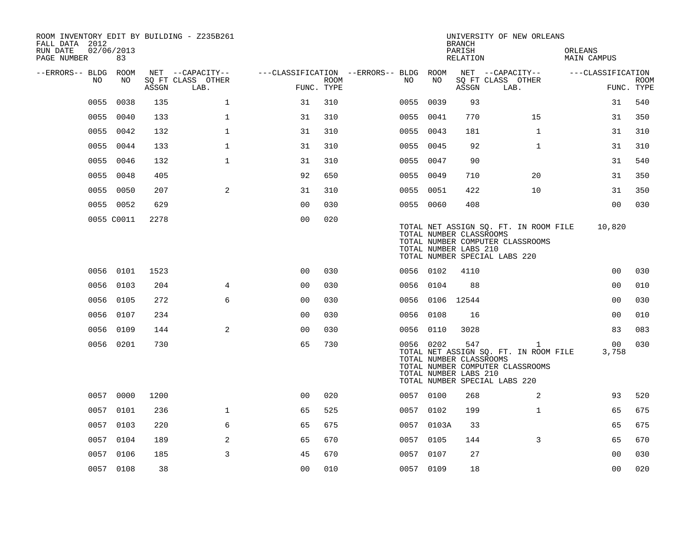| ROOM INVENTORY EDIT BY BUILDING - Z235B261<br>FALL DATA 2012<br>RUN DATE |                  |       |                                       |                                        |      |    |            | <b>BRANCH</b>                                           | UNIVERSITY OF NEW ORLEANS                                                                                                  |                          |             |
|--------------------------------------------------------------------------|------------------|-------|---------------------------------------|----------------------------------------|------|----|------------|---------------------------------------------------------|----------------------------------------------------------------------------------------------------------------------------|--------------------------|-------------|
| PAGE NUMBER                                                              | 02/06/2013<br>83 |       |                                       |                                        |      |    |            | PARISH<br>RELATION                                      |                                                                                                                            | ORLEANS<br>MAIN CAMPUS   |             |
| --ERRORS-- BLDG ROOM<br>NO                                               | NO               |       | NET --CAPACITY--<br>SQ FT CLASS OTHER | ---CLASSIFICATION --ERRORS-- BLDG ROOM | ROOM | NO | NO         |                                                         | NET --CAPACITY--<br>SQ FT CLASS OTHER                                                                                      | ---CLASSIFICATION        | <b>ROOM</b> |
|                                                                          |                  | ASSGN | LAB.                                  | FUNC. TYPE                             |      |    |            | ASSGN                                                   | LAB.                                                                                                                       |                          | FUNC. TYPE  |
| 0055                                                                     | 0038             | 135   | $\mathbf 1$                           | 31                                     | 310  |    | 0055 0039  | 93                                                      |                                                                                                                            | 31                       | 540         |
| 0055                                                                     | 0040             | 133   | $\mathbf{1}$                          | 31                                     | 310  |    | 0055 0041  | 770                                                     | 15                                                                                                                         | 31                       | 350         |
|                                                                          | 0055 0042        | 132   | $\mathbf 1$                           | 31                                     | 310  |    | 0055 0043  | 181                                                     | $\mathbf{1}$                                                                                                               | 31                       | 310         |
|                                                                          | 0055 0044        | 133   | $\mathbf 1$                           | 31                                     | 310  |    | 0055 0045  | 92                                                      | $\mathbf{1}$                                                                                                               | 31                       | 310         |
| 0055                                                                     | 0046             | 132   | $\mathbf{1}$                          | 31                                     | 310  |    | 0055 0047  | 90                                                      |                                                                                                                            | 31                       | 540         |
| 0055                                                                     | 0048             | 405   |                                       | 92                                     | 650  |    | 0055 0049  | 710                                                     | 20                                                                                                                         | 31                       | 350         |
|                                                                          | 0055 0050        | 207   | 2                                     | 31                                     | 310  |    | 0055 0051  | 422                                                     | 10                                                                                                                         | 31                       | 350         |
|                                                                          | 0055 0052        | 629   |                                       | 0 <sub>0</sub>                         | 030  |    | 0055 0060  | 408                                                     |                                                                                                                            | 0 <sub>0</sub>           | 030         |
|                                                                          | 0055 C0011       | 2278  |                                       | 0 <sub>0</sub>                         | 020  |    |            | TOTAL NUMBER CLASSROOMS<br>TOTAL NUMBER LABS 210        | TOTAL NET ASSIGN SQ. FT. IN ROOM FILE<br>TOTAL NUMBER COMPUTER CLASSROOMS<br>TOTAL NUMBER SPECIAL LABS 220                 | 10,820                   |             |
|                                                                          | 0056 0101        | 1523  |                                       | 0 <sub>0</sub>                         | 030  |    | 0056 0102  | 4110                                                    |                                                                                                                            | 0 <sub>0</sub>           | 030         |
|                                                                          | 0056 0103        | 204   | $\overline{4}$                        | 00                                     | 030  |    | 0056 0104  | 88                                                      |                                                                                                                            | 0 <sub>0</sub>           | 010         |
|                                                                          | 0056 0105        | 272   | 6                                     | 0 <sub>0</sub>                         | 030  |    |            | 0056 0106 12544                                         |                                                                                                                            | 0 <sub>0</sub>           | 030         |
| 0056                                                                     | 0107             | 234   |                                       | 0 <sub>0</sub>                         | 030  |    | 0056 0108  | 16                                                      |                                                                                                                            | 0 <sub>0</sub>           | 010         |
|                                                                          | 0056 0109        | 144   | 2                                     | 0 <sub>0</sub>                         | 030  |    | 0056 0110  | 3028                                                    |                                                                                                                            | 83                       | 083         |
|                                                                          | 0056 0201        | 730   |                                       | 65                                     | 730  |    | 0056 0202  | 547<br>TOTAL NUMBER CLASSROOMS<br>TOTAL NUMBER LABS 210 | $\mathbf{1}$<br>TOTAL NET ASSIGN SQ. FT. IN ROOM FILE<br>TOTAL NUMBER COMPUTER CLASSROOMS<br>TOTAL NUMBER SPECIAL LABS 220 | 00 <sub>o</sub><br>3,758 | 030         |
|                                                                          | 0057 0000        | 1200  |                                       | 0 <sub>0</sub>                         | 020  |    | 0057 0100  | 268                                                     | 2                                                                                                                          | 93                       | 520         |
|                                                                          | 0057 0101        | 236   | $\mathbf 1$                           | 65                                     | 525  |    | 0057 0102  | 199                                                     | $\mathbf{1}$                                                                                                               | 65                       | 675         |
|                                                                          | 0057 0103        | 220   | 6                                     | 65                                     | 675  |    | 0057 0103A | 33                                                      |                                                                                                                            | 65                       | 675         |
|                                                                          | 0057 0104        | 189   | $\overline{2}$                        | 65                                     | 670  |    | 0057 0105  | 144                                                     | 3                                                                                                                          | 65                       | 670         |
|                                                                          | 0057 0106        | 185   | 3                                     | 45                                     | 670  |    | 0057 0107  | 27                                                      |                                                                                                                            | 00                       | 030         |
|                                                                          | 0057 0108        | 38    |                                       | 0 <sub>0</sub>                         | 010  |    | 0057 0109  | 18                                                      |                                                                                                                            | 0 <sub>0</sub>           | 020         |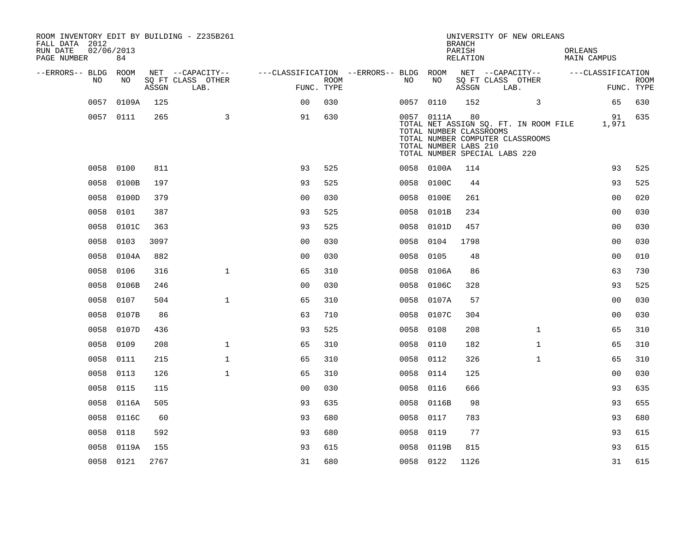| ROOM INVENTORY EDIT BY BUILDING - Z235B261<br>FALL DATA 2012<br>RUN DATE<br>PAGE NUMBER | 02/06/2013<br>84 |       |                           |                                        |                           |           |                                                                                                 | <b>BRANCH</b><br>PARISH<br>RELATION | UNIVERSITY OF NEW ORLEANS        | ORLEANS<br><b>MAIN CAMPUS</b>                     |                           |
|-----------------------------------------------------------------------------------------|------------------|-------|---------------------------|----------------------------------------|---------------------------|-----------|-------------------------------------------------------------------------------------------------|-------------------------------------|----------------------------------|---------------------------------------------------|---------------------------|
| --ERRORS-- BLDG ROOM                                                                    |                  |       | NET --CAPACITY--          | ---CLASSIFICATION --ERRORS-- BLDG ROOM |                           |           |                                                                                                 |                                     | NET --CAPACITY--                 | ---CLASSIFICATION                                 |                           |
| NO.                                                                                     | NO               | ASSGN | SQ FT CLASS OTHER<br>LAB. |                                        | <b>ROOM</b><br>FUNC. TYPE | NO.       | NO                                                                                              | ASSGN                               | SQ FT CLASS OTHER<br>LAB.        |                                                   | <b>ROOM</b><br>FUNC. TYPE |
|                                                                                         | 0057 0109A       | 125   |                           | 0 <sup>0</sup>                         | 030                       |           | 0057 0110                                                                                       | 152                                 | 3                                | 65                                                | 630                       |
|                                                                                         | 0057 0111        | 265   | $\overline{3}$            | 91                                     | 630                       |           | 0057 0111A<br>TOTAL NUMBER CLASSROOMS<br>TOTAL NUMBER LABS 210<br>TOTAL NUMBER SPECIAL LABS 220 | 80                                  | TOTAL NUMBER COMPUTER CLASSROOMS | 91<br>TOTAL NET ASSIGN SQ. FT. IN ROOM FILE 1,971 | 635                       |
|                                                                                         | 0058 0100        | 811   |                           | 93                                     | 525                       |           | 0058 0100A                                                                                      | 114                                 |                                  | 93                                                | 525                       |
| 0058                                                                                    | 0100B            | 197   |                           | 93                                     | 525                       | 0058      | 0100C                                                                                           | 44                                  |                                  | 93                                                | 525                       |
|                                                                                         | 0058 0100D       | 379   |                           | 0 <sub>0</sub>                         | 030                       |           | 0058 0100E                                                                                      | 261                                 |                                  | 0 <sub>0</sub>                                    | 020                       |
|                                                                                         | 0058 0101        | 387   |                           | 93                                     | 525                       |           | 0058 0101B                                                                                      | 234                                 |                                  | 0 <sub>0</sub>                                    | 030                       |
|                                                                                         | 0058 0101C       | 363   |                           | 93                                     | 525                       | 0058      | 0101D                                                                                           | 457                                 |                                  | 0 <sub>0</sub>                                    | 030                       |
|                                                                                         | 0058 0103        | 3097  |                           | 0 <sub>0</sub>                         | 030                       | 0058 0104 |                                                                                                 | 1798                                |                                  | 0 <sub>0</sub>                                    | 030                       |
|                                                                                         | 0058 0104A       | 882   |                           | 0 <sub>0</sub>                         | 030                       | 0058      | 0105                                                                                            | 48                                  |                                  | 0 <sub>0</sub>                                    | 010                       |
|                                                                                         | 0058 0106        | 316   | $\mathbf{1}$              | 65                                     | 310                       |           | 0058 0106A                                                                                      | 86                                  |                                  | 63                                                | 730                       |
| 0058                                                                                    | 0106B            | 246   |                           | 0 <sub>0</sub>                         | 030                       | 0058      | 0106C                                                                                           | 328                                 |                                  | 93                                                | 525                       |
| 0058                                                                                    | 0107             | 504   | $\mathbf{1}$              | 65                                     | 310                       |           | 0058 0107A                                                                                      | 57                                  |                                  | 0 <sub>0</sub>                                    | 030                       |
| 0058                                                                                    | 0107B            | 86    |                           | 63                                     | 710                       |           | 0058 0107C                                                                                      | 304                                 |                                  | 0 <sub>0</sub>                                    | 030                       |
| 0058                                                                                    | 0107D            | 436   |                           | 93                                     | 525                       | 0058 0108 |                                                                                                 | 208                                 | $\mathbf{1}$                     | 65                                                | 310                       |
| 0058                                                                                    | 0109             | 208   | $\mathbf{1}$              | 65                                     | 310                       | 0058      | 0110                                                                                            | 182                                 | $\mathbf{1}$                     | 65                                                | 310                       |
| 0058                                                                                    | 0111             | 215   | $\mathbf{1}$              | 65                                     | 310                       | 0058 0112 |                                                                                                 | 326                                 | $\mathbf{1}$                     | 65                                                | 310                       |
| 0058                                                                                    | 0113             | 126   | $\mathbf{1}$              | 65                                     | 310                       | 0058 0114 |                                                                                                 | 125                                 |                                  | 00                                                | 030                       |
| 0058                                                                                    | 0115             | 115   |                           | 0 <sub>0</sub>                         | 030                       | 0058 0116 |                                                                                                 | 666                                 |                                  | 93                                                | 635                       |
| 0058                                                                                    | 0116A            | 505   |                           | 93                                     | 635                       |           | 0058 0116B                                                                                      | 98                                  |                                  | 93                                                | 655                       |
| 0058                                                                                    | 0116C            | 60    |                           | 93                                     | 680                       | 0058 0117 |                                                                                                 | 783                                 |                                  | 93                                                | 680                       |
| 0058                                                                                    | 0118             | 592   |                           | 93                                     | 680                       | 0058      | 0119                                                                                            | 77                                  |                                  | 93                                                | 615                       |
| 0058                                                                                    | 0119A            | 155   |                           | 93                                     | 615                       | 0058      | 0119B                                                                                           | 815                                 |                                  | 93                                                | 615                       |
|                                                                                         | 0058 0121        | 2767  |                           | 31                                     | 680                       | 0058 0122 |                                                                                                 | 1126                                |                                  | 31                                                | 615                       |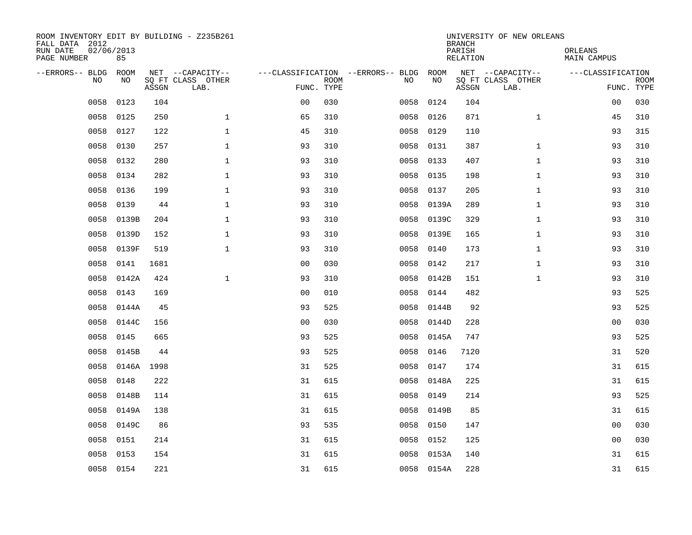| ROOM INVENTORY EDIT BY BUILDING - Z235B261<br>FALL DATA 2012<br>RUN DATE<br>PAGE NUMBER | 02/06/2013<br>85 |       |                                               |                                                 |             |      |            | <b>BRANCH</b><br>PARISH<br><b>RELATION</b> | UNIVERSITY OF NEW ORLEANS                     | ORLEANS<br><b>MAIN CAMPUS</b> |                           |
|-----------------------------------------------------------------------------------------|------------------|-------|-----------------------------------------------|-------------------------------------------------|-------------|------|------------|--------------------------------------------|-----------------------------------------------|-------------------------------|---------------------------|
| --ERRORS-- BLDG<br>NO.                                                                  | ROOM<br>NO       | ASSGN | NET --CAPACITY--<br>SQ FT CLASS OTHER<br>LAB. | ---CLASSIFICATION --ERRORS-- BLDG<br>FUNC. TYPE | <b>ROOM</b> | NO   | ROOM<br>NO | ASSGN                                      | NET --CAPACITY--<br>SQ FT CLASS OTHER<br>LAB. | ---CLASSIFICATION             | <b>ROOM</b><br>FUNC. TYPE |
| 0058                                                                                    | 0123             | 104   |                                               | 0 <sub>0</sub>                                  | 030         | 0058 | 0124       | 104                                        |                                               | 0 <sub>0</sub>                | 030                       |
| 0058                                                                                    | 0125             | 250   | $\mathbf 1$                                   | 65                                              | 310         | 0058 | 0126       | 871                                        | $\mathbf{1}$                                  | 45                            | 310                       |
| 0058                                                                                    | 0127             | 122   | $\mathbf 1$                                   | 45                                              | 310         | 0058 | 0129       | 110                                        |                                               | 93                            | 315                       |
| 0058                                                                                    | 0130             | 257   | $\mathbf{1}$                                  | 93                                              | 310         | 0058 | 0131       | 387                                        | $\mathbf{1}$                                  | 93                            | 310                       |
| 0058                                                                                    | 0132             | 280   | $\mathbf{1}$                                  | 93                                              | 310         | 0058 | 0133       | 407                                        | $\mathbf{1}$                                  | 93                            | 310                       |
| 0058                                                                                    | 0134             | 282   | $\mathbf{1}$                                  | 93                                              | 310         |      | 0058 0135  | 198                                        | $\mathbf{1}$                                  | 93                            | 310                       |
| 0058                                                                                    | 0136             | 199   | $\mathbf{1}$                                  | 93                                              | 310         | 0058 | 0137       | 205                                        | $\mathbf{1}$                                  | 93                            | 310                       |
| 0058                                                                                    | 0139             | 44    | $\mathbf{1}$                                  | 93                                              | 310         | 0058 | 0139A      | 289                                        | $\mathbf{1}$                                  | 93                            | 310                       |
| 0058                                                                                    | 0139B            | 204   | $\mathbf{1}$                                  | 93                                              | 310         | 0058 | 0139C      | 329                                        | $\mathbf{1}$                                  | 93                            | 310                       |
| 0058                                                                                    | 0139D            | 152   | $\mathbf{1}$                                  | 93                                              | 310         |      | 0058 0139E | 165                                        | $\mathbf{1}$                                  | 93                            | 310                       |
| 0058                                                                                    | 0139F            | 519   | $\mathbf 1$                                   | 93                                              | 310         | 0058 | 0140       | 173                                        | $\mathbf{1}$                                  | 93                            | 310                       |
| 0058                                                                                    | 0141             | 1681  |                                               | 0 <sub>0</sub>                                  | 030         | 0058 | 0142       | 217                                        | $\mathbf{1}$                                  | 93                            | 310                       |
| 0058                                                                                    | 0142A            | 424   | $\mathbf{1}$                                  | 93                                              | 310         | 0058 | 0142B      | 151                                        | $\mathbf{1}$                                  | 93                            | 310                       |
| 0058                                                                                    | 0143             | 169   |                                               | 0 <sub>0</sub>                                  | 010         | 0058 | 0144       | 482                                        |                                               | 93                            | 525                       |
| 0058                                                                                    | 0144A            | 45    |                                               | 93                                              | 525         | 0058 | 0144B      | 92                                         |                                               | 93                            | 525                       |
| 0058                                                                                    | 0144C            | 156   |                                               | 0 <sub>0</sub>                                  | 030         | 0058 | 0144D      | 228                                        |                                               | 0 <sub>0</sub>                | 030                       |
| 0058                                                                                    | 0145             | 665   |                                               | 93                                              | 525         | 0058 | 0145A      | 747                                        |                                               | 93                            | 525                       |
| 0058                                                                                    | 0145B            | 44    |                                               | 93                                              | 525         | 0058 | 0146       | 7120                                       |                                               | 31                            | 520                       |
| 0058                                                                                    | 0146A 1998       |       |                                               | 31                                              | 525         | 0058 | 0147       | 174                                        |                                               | 31                            | 615                       |
| 0058                                                                                    | 0148             | 222   |                                               | 31                                              | 615         | 0058 | 0148A      | 225                                        |                                               | 31                            | 615                       |
| 0058                                                                                    | 0148B            | 114   |                                               | 31                                              | 615         | 0058 | 0149       | 214                                        |                                               | 93                            | 525                       |
| 0058                                                                                    | 0149A            | 138   |                                               | 31                                              | 615         | 0058 | 0149B      | 85                                         |                                               | 31                            | 615                       |
| 0058                                                                                    | 0149C            | 86    |                                               | 93                                              | 535         | 0058 | 0150       | 147                                        |                                               | 0 <sub>0</sub>                | 030                       |
| 0058                                                                                    | 0151             | 214   |                                               | 31                                              | 615         | 0058 | 0152       | 125                                        |                                               | 0 <sub>0</sub>                | 030                       |
| 0058                                                                                    | 0153             | 154   |                                               | 31                                              | 615         | 0058 | 0153A      | 140                                        |                                               | 31                            | 615                       |
|                                                                                         | 0058 0154        | 221   |                                               | 31                                              | 615         |      | 0058 0154A | 228                                        |                                               | 31                            | 615                       |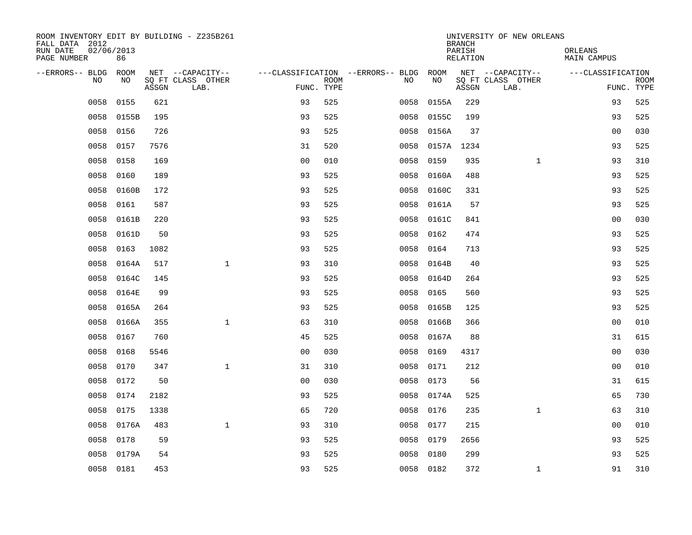| ROOM INVENTORY EDIT BY BUILDING - Z235B261<br>FALL DATA 2012 |                  |       |                           |                                   |             |      |            | <b>BRANCH</b>      | UNIVERSITY OF NEW ORLEANS |                        |                           |
|--------------------------------------------------------------|------------------|-------|---------------------------|-----------------------------------|-------------|------|------------|--------------------|---------------------------|------------------------|---------------------------|
| RUN DATE<br>PAGE NUMBER                                      | 02/06/2013<br>86 |       |                           |                                   |             |      |            | PARISH<br>RELATION |                           | ORLEANS<br>MAIN CAMPUS |                           |
| --ERRORS-- BLDG                                              | <b>ROOM</b>      |       | NET --CAPACITY--          | ---CLASSIFICATION --ERRORS-- BLDG |             |      | ROOM       |                    | NET --CAPACITY--          | ---CLASSIFICATION      |                           |
| N <sub>O</sub>                                               | NO.              | ASSGN | SO FT CLASS OTHER<br>LAB. | FUNC. TYPE                        | <b>ROOM</b> | NO.  | <b>NO</b>  | ASSGN              | SQ FT CLASS OTHER<br>LAB. |                        | <b>ROOM</b><br>FUNC. TYPE |
| 0058                                                         | 0155             | 621   |                           | 93                                | 525         | 0058 | 0155A      | 229                |                           | 93                     | 525                       |
| 0058                                                         | 0155B            | 195   |                           | 93                                | 525         | 0058 | 0155C      | 199                |                           | 93                     | 525                       |
| 0058                                                         | 0156             | 726   |                           | 93                                | 525         | 0058 | 0156A      | 37                 |                           | 0 <sub>0</sub>         | 030                       |
| 0058                                                         | 0157             | 7576  |                           | 31                                | 520         | 0058 | 0157A 1234 |                    |                           | 93                     | 525                       |
| 0058                                                         | 0158             | 169   |                           | 0 <sub>0</sub>                    | 010         | 0058 | 0159       | 935                | $\mathbf{1}$              | 93                     | 310                       |
| 0058                                                         | 0160             | 189   |                           | 93                                | 525         | 0058 | 0160A      | 488                |                           | 93                     | 525                       |
| 0058                                                         | 0160B            | 172   |                           | 93                                | 525         | 0058 | 0160C      | 331                |                           | 93                     | 525                       |
| 0058                                                         | 0161             | 587   |                           | 93                                | 525         | 0058 | 0161A      | 57                 |                           | 93                     | 525                       |
| 0058                                                         | 0161B            | 220   |                           | 93                                | 525         | 0058 | 0161C      | 841                |                           | 0 <sub>0</sub>         | 030                       |
| 0058                                                         | 0161D            | 50    |                           | 93                                | 525         | 0058 | 0162       | 474                |                           | 93                     | 525                       |
| 0058                                                         | 0163             | 1082  |                           | 93                                | 525         | 0058 | 0164       | 713                |                           | 93                     | 525                       |
| 0058                                                         | 0164A            | 517   | $\mathbf{1}$              | 93                                | 310         | 0058 | 0164B      | 40                 |                           | 93                     | 525                       |
| 0058                                                         | 0164C            | 145   |                           | 93                                | 525         | 0058 | 0164D      | 264                |                           | 93                     | 525                       |
| 0058                                                         | 0164E            | 99    |                           | 93                                | 525         | 0058 | 0165       | 560                |                           | 93                     | 525                       |
| 0058                                                         | 0165A            | 264   |                           | 93                                | 525         | 0058 | 0165B      | 125                |                           | 93                     | 525                       |
| 0058                                                         | 0166A            | 355   | $\mathbf 1$               | 63                                | 310         | 0058 | 0166B      | 366                |                           | 0 <sub>0</sub>         | 010                       |
| 0058                                                         | 0167             | 760   |                           | 45                                | 525         | 0058 | 0167A      | 88                 |                           | 31                     | 615                       |
| 0058                                                         | 0168             | 5546  |                           | 0 <sub>0</sub>                    | 030         | 0058 | 0169       | 4317               |                           | 00                     | 030                       |
| 0058                                                         | 0170             | 347   | $\mathbf{1}$              | 31                                | 310         | 0058 | 0171       | 212                |                           | 0 <sub>0</sub>         | 010                       |
| 0058                                                         | 0172             | 50    |                           | 0 <sub>0</sub>                    | 030         | 0058 | 0173       | 56                 |                           | 31                     | 615                       |
| 0058                                                         | 0174             | 2182  |                           | 93                                | 525         | 0058 | 0174A      | 525                |                           | 65                     | 730                       |
| 0058                                                         | 0175             | 1338  |                           | 65                                | 720         | 0058 | 0176       | 235                | $\mathbf{1}$              | 63                     | 310                       |
| 0058                                                         | 0176A            | 483   | $\mathbf{1}$              | 93                                | 310         | 0058 | 0177       | 215                |                           | 00                     | 010                       |
| 0058                                                         | 0178             | 59    |                           | 93                                | 525         | 0058 | 0179       | 2656               |                           | 93                     | 525                       |
| 0058                                                         | 0179A            | 54    |                           | 93                                | 525         | 0058 | 0180       | 299                |                           | 93                     | 525                       |
|                                                              | 0058 0181        | 453   |                           | 93                                | 525         |      | 0058 0182  | 372                | $\mathbf{1}$              | 91                     | 310                       |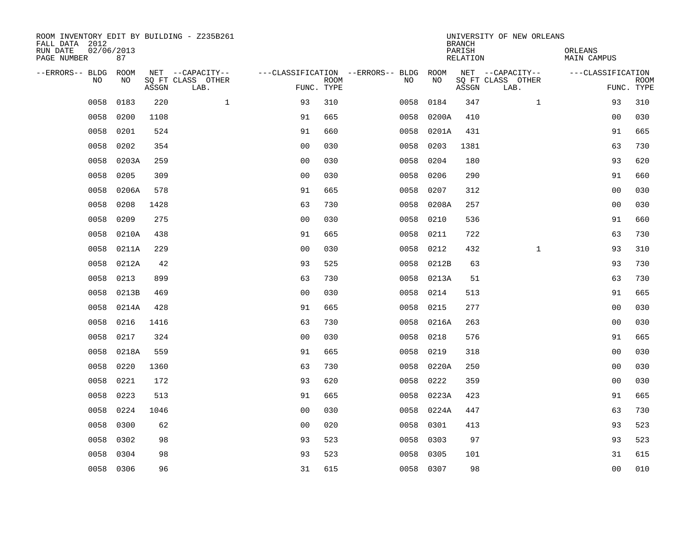| ROOM INVENTORY EDIT BY BUILDING - Z235B261<br>FALL DATA 2012<br>RUN DATE<br>PAGE NUMBER | 02/06/2013<br>87 |       |                                               |                |             |                                              |           |            | <b>BRANCH</b><br>PARISH<br><b>RELATION</b> | UNIVERSITY OF NEW ORLEANS                     | ORLEANS<br><b>MAIN CAMPUS</b> |                           |
|-----------------------------------------------------------------------------------------|------------------|-------|-----------------------------------------------|----------------|-------------|----------------------------------------------|-----------|------------|--------------------------------------------|-----------------------------------------------|-------------------------------|---------------------------|
| --ERRORS-- BLDG ROOM<br>NO                                                              | NO               | ASSGN | NET --CAPACITY--<br>SQ FT CLASS OTHER<br>LAB. | FUNC. TYPE     | <b>ROOM</b> | ---CLASSIFICATION --ERRORS-- BLDG ROOM<br>NO |           | NO         | ASSGN                                      | NET --CAPACITY--<br>SQ FT CLASS OTHER<br>LAB. | ---CLASSIFICATION             | <b>ROOM</b><br>FUNC. TYPE |
| 0058                                                                                    | 0183             | 220   | $\mathbf{1}$                                  | 93             | 310         | 0058                                         |           | 0184       | 347                                        | $\mathbf{1}$                                  | 93                            | 310                       |
| 0058                                                                                    | 0200             | 1108  |                                               | 91             | 665         | 0058                                         |           | 0200A      | 410                                        |                                               | 0 <sub>0</sub>                | 030                       |
| 0058                                                                                    | 0201             | 524   |                                               | 91             | 660         | 0058                                         |           | 0201A      | 431                                        |                                               | 91                            | 665                       |
| 0058                                                                                    | 0202             | 354   |                                               | 0 <sub>0</sub> | 030         | 0058                                         |           | 0203       | 1381                                       |                                               | 63                            | 730                       |
| 0058                                                                                    | 0203A            | 259   |                                               | 0 <sub>0</sub> | 030         | 0058                                         |           | 0204       | 180                                        |                                               | 93                            | 620                       |
| 0058                                                                                    | 0205             | 309   |                                               | 0 <sub>0</sub> | 030         |                                              | 0058      | 0206       | 290                                        |                                               | 91                            | 660                       |
| 0058                                                                                    | 0206A            | 578   |                                               | 91             | 665         |                                              | 0058      | 0207       | 312                                        |                                               | 0 <sub>0</sub>                | 030                       |
| 0058                                                                                    | 0208             | 1428  |                                               | 63             | 730         |                                              |           | 0058 0208A | 257                                        |                                               | 0 <sub>0</sub>                | 030                       |
| 0058                                                                                    | 0209             | 275   |                                               | 0 <sub>0</sub> | 030         | 0058                                         |           | 0210       | 536                                        |                                               | 91                            | 660                       |
| 0058                                                                                    | 0210A            | 438   |                                               | 91             | 665         |                                              | 0058      | 0211       | 722                                        |                                               | 63                            | 730                       |
| 0058                                                                                    | 0211A            | 229   |                                               | 0 <sub>0</sub> | 030         |                                              | 0058      | 0212       | 432                                        | $\mathbf{1}$                                  | 93                            | 310                       |
| 0058                                                                                    | 0212A            | 42    |                                               | 93             | 525         |                                              | 0058      | 0212B      | 63                                         |                                               | 93                            | 730                       |
| 0058                                                                                    | 0213             | 899   |                                               | 63             | 730         |                                              | 0058      | 0213A      | 51                                         |                                               | 63                            | 730                       |
| 0058                                                                                    | 0213B            | 469   |                                               | 0 <sub>0</sub> | 030         | 0058                                         |           | 0214       | 513                                        |                                               | 91                            | 665                       |
|                                                                                         | 0058 0214A       | 428   |                                               | 91             | 665         |                                              | 0058 0215 |            | 277                                        |                                               | 0 <sub>0</sub>                | 030                       |
| 0058                                                                                    | 0216             | 1416  |                                               | 63             | 730         |                                              | 0058      | 0216A      | 263                                        |                                               | 0 <sub>0</sub>                | 030                       |
| 0058                                                                                    | 0217             | 324   |                                               | 0 <sub>0</sub> | 030         |                                              | 0058      | 0218       | 576                                        |                                               | 91                            | 665                       |
| 0058                                                                                    | 0218A            | 559   |                                               | 91             | 665         | 0058                                         |           | 0219       | 318                                        |                                               | 00                            | 030                       |
| 0058                                                                                    | 0220             | 1360  |                                               | 63             | 730         |                                              |           | 0058 0220A | 250                                        |                                               | 00                            | 030                       |
| 0058                                                                                    | 0221             | 172   |                                               | 93             | 620         | 0058                                         |           | 0222       | 359                                        |                                               | 00                            | 030                       |
| 0058                                                                                    | 0223             | 513   |                                               | 91             | 665         | 0058                                         |           | 0223A      | 423                                        |                                               | 91                            | 665                       |
| 0058                                                                                    | 0224             | 1046  |                                               | 0 <sub>0</sub> | 030         | 0058                                         |           | 0224A      | 447                                        |                                               | 63                            | 730                       |
| 0058                                                                                    | 0300             | 62    |                                               | 0 <sub>0</sub> | 020         |                                              | 0058      | 0301       | 413                                        |                                               | 93                            | 523                       |
| 0058                                                                                    | 0302             | 98    |                                               | 93             | 523         |                                              | 0058      | 0303       | 97                                         |                                               | 93                            | 523                       |
| 0058                                                                                    | 0304             | 98    |                                               | 93             | 523         | 0058                                         |           | 0305       | 101                                        |                                               | 31                            | 615                       |
|                                                                                         | 0058 0306        | 96    |                                               | 31             | 615         |                                              | 0058 0307 |            | 98                                         |                                               | 0 <sub>0</sub>                | 010                       |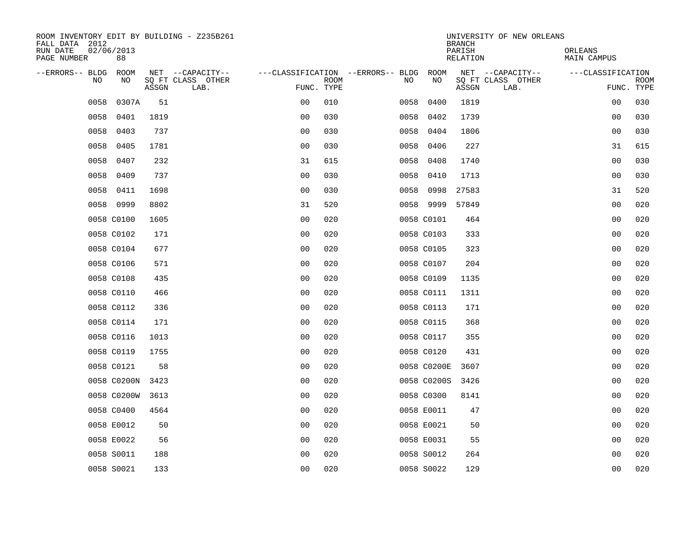| ROOM INVENTORY EDIT BY BUILDING - Z235B261<br>FALL DATA 2012 |                  |       |                           |                                   |             |      |             | <b>BRANCH</b>      | UNIVERSITY OF NEW ORLEANS |                        |             |
|--------------------------------------------------------------|------------------|-------|---------------------------|-----------------------------------|-------------|------|-------------|--------------------|---------------------------|------------------------|-------------|
| RUN DATE<br>PAGE NUMBER                                      | 02/06/2013<br>88 |       |                           |                                   |             |      |             | PARISH<br>RELATION |                           | ORLEANS<br>MAIN CAMPUS |             |
| --ERRORS-- BLDG                                              | ROOM             |       | NET --CAPACITY--          | ---CLASSIFICATION --ERRORS-- BLDG |             |      | ROOM        |                    | NET --CAPACITY--          | ---CLASSIFICATION      |             |
| N <sub>O</sub>                                               | NO.              | ASSGN | SO FT CLASS OTHER<br>LAB. | FUNC. TYPE                        | <b>ROOM</b> | NO.  | NO          | ASSGN              | SQ FT CLASS OTHER<br>LAB. | FUNC. TYPE             | <b>ROOM</b> |
| 0058                                                         | 0307A            | 51    |                           | 0 <sub>0</sub>                    | 010         | 0058 | 0400        | 1819               |                           | 00                     | 030         |
| 0058                                                         | 0401             | 1819  |                           | 0 <sub>0</sub>                    | 030         | 0058 | 0402        | 1739               |                           | 0 <sub>0</sub>         | 030         |
| 0058                                                         | 0403             | 737   |                           | 0 <sub>0</sub>                    | 030         | 0058 | 0404        | 1806               |                           | 0 <sub>0</sub>         | 030         |
| 0058                                                         | 0405             | 1781  |                           | 0 <sub>0</sub>                    | 030         | 0058 | 0406        | 227                |                           | 31                     | 615         |
| 0058                                                         | 0407             | 232   |                           | 31                                | 615         | 0058 | 0408        | 1740               |                           | 0 <sub>0</sub>         | 030         |
| 0058                                                         | 0409             | 737   |                           | 0 <sub>0</sub>                    | 030         | 0058 | 0410        | 1713               |                           | 0 <sub>0</sub>         | 030         |
| 0058                                                         | 0411             | 1698  |                           | 0 <sub>0</sub>                    | 030         | 0058 | 0998        | 27583              |                           | 31                     | 520         |
|                                                              | 0058 0999        | 8802  |                           | 31                                | 520         |      | 0058 9999   | 57849              |                           | 0 <sub>0</sub>         | 020         |
|                                                              | 0058 C0100       | 1605  |                           | 0 <sub>0</sub>                    | 020         |      | 0058 C0101  | 464                |                           | 00                     | 020         |
|                                                              | 0058 C0102       | 171   |                           | 0 <sub>0</sub>                    | 020         |      | 0058 C0103  | 333                |                           | 00                     | 020         |
|                                                              | 0058 C0104       | 677   |                           | 0 <sub>0</sub>                    | 020         |      | 0058 C0105  | 323                |                           | 0 <sub>0</sub>         | 020         |
|                                                              | 0058 C0106       | 571   |                           | 0 <sub>0</sub>                    | 020         |      | 0058 C0107  | 204                |                           | 0 <sub>0</sub>         | 020         |
|                                                              | 0058 C0108       | 435   |                           | 0 <sub>0</sub>                    | 020         |      | 0058 C0109  | 1135               |                           | 00                     | 020         |
|                                                              | 0058 C0110       | 466   |                           | 0 <sub>0</sub>                    | 020         |      | 0058 C0111  | 1311               |                           | 00                     | 020         |
|                                                              | 0058 C0112       | 336   |                           | 0 <sub>0</sub>                    | 020         |      | 0058 C0113  | 171                |                           | 0 <sub>0</sub>         | 020         |
|                                                              | 0058 C0114       | 171   |                           | 0 <sub>0</sub>                    | 020         |      | 0058 C0115  | 368                |                           | 0 <sub>0</sub>         | 020         |
|                                                              | 0058 C0116       | 1013  |                           | 00                                | 020         |      | 0058 C0117  | 355                |                           | 0 <sub>0</sub>         | 020         |
|                                                              | 0058 C0119       | 1755  |                           | 0 <sub>0</sub>                    | 020         |      | 0058 C0120  | 431                |                           | 00                     | 020         |
|                                                              | 0058 C0121       | 58    |                           | 0 <sub>0</sub>                    | 020         |      | 0058 C0200E | 3607               |                           | 0 <sub>0</sub>         | 020         |
|                                                              | 0058 C0200N      | 3423  |                           | 0 <sub>0</sub>                    | 020         |      | 0058 C0200S | 3426               |                           | 00                     | 020         |
|                                                              | 0058 C0200W      | 3613  |                           | 0 <sub>0</sub>                    | 020         |      | 0058 C0300  | 8141               |                           | 0 <sub>0</sub>         | 020         |
|                                                              | 0058 C0400       | 4564  |                           | 0 <sub>0</sub>                    | 020         |      | 0058 E0011  | 47                 |                           | 00                     | 020         |
|                                                              | 0058 E0012       | 50    |                           | 0 <sub>0</sub>                    | 020         |      | 0058 E0021  | 50                 |                           | 00                     | 020         |
|                                                              | 0058 E0022       | 56    |                           | 0 <sub>0</sub>                    | 020         |      | 0058 E0031  | 55                 |                           | 00                     | 020         |
|                                                              | 0058 S0011       | 188   |                           | 0 <sub>0</sub>                    | 020         |      | 0058 S0012  | 264                |                           | 0 <sub>0</sub>         | 020         |
|                                                              | 0058 S0021       | 133   |                           | 0 <sub>0</sub>                    | 020         |      | 0058 S0022  | 129                |                           | 0 <sub>0</sub>         | 020         |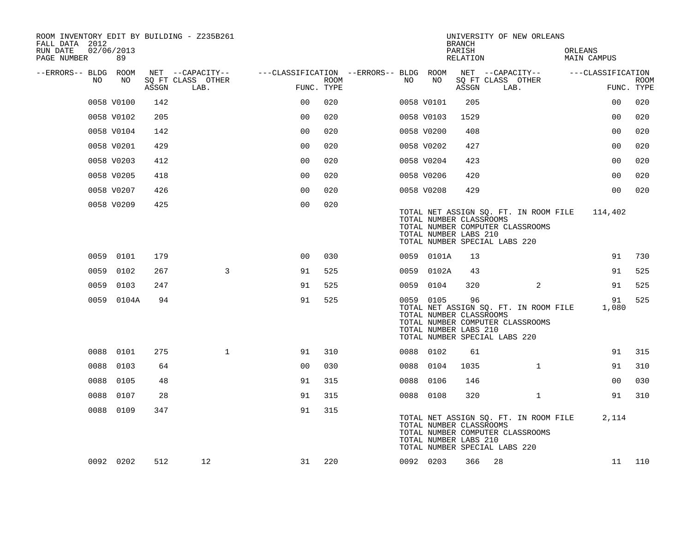| ROOM INVENTORY EDIT BY BUILDING - Z235B261<br>FALL DATA 2012 |                  |       |                           |                                        |      |      |            | <b>BRANCH</b>                                                                           |      | UNIVERSITY OF NEW ORLEANS                                                 |         |                   |                           |
|--------------------------------------------------------------|------------------|-------|---------------------------|----------------------------------------|------|------|------------|-----------------------------------------------------------------------------------------|------|---------------------------------------------------------------------------|---------|-------------------|---------------------------|
| RUN DATE<br>PAGE NUMBER                                      | 02/06/2013<br>89 |       |                           |                                        |      |      |            | PARISH<br>RELATION                                                                      |      |                                                                           | ORLEANS | MAIN CAMPUS       |                           |
| --ERRORS-- BLDG ROOM                                         |                  |       | NET --CAPACITY--          | ---CLASSIFICATION --ERRORS-- BLDG ROOM |      |      |            |                                                                                         |      | NET --CAPACITY--                                                          |         | ---CLASSIFICATION |                           |
| NO                                                           | NO               | ASSGN | SQ FT CLASS OTHER<br>LAB. | FUNC. TYPE                             | ROOM | NO   | NO         | ASSGN                                                                                   | LAB. | SQ FT CLASS OTHER                                                         |         |                   | <b>ROOM</b><br>FUNC. TYPE |
|                                                              | 0058 V0100       | 142   |                           | 0 <sup>0</sup>                         | 020  |      | 0058 V0101 | 205                                                                                     |      |                                                                           |         | 0 <sub>0</sub>    | 020                       |
|                                                              | 0058 V0102       | 205   |                           | 0 <sub>0</sub>                         | 020  |      | 0058 V0103 | 1529                                                                                    |      |                                                                           |         | 0 <sub>0</sub>    | 020                       |
|                                                              | 0058 V0104       | 142   |                           | 0 <sub>0</sub>                         | 020  |      | 0058 V0200 | 408                                                                                     |      |                                                                           |         | 0 <sub>0</sub>    | 020                       |
|                                                              | 0058 V0201       | 429   |                           | 0 <sub>0</sub>                         | 020  |      | 0058 V0202 | 427                                                                                     |      |                                                                           |         | 0 <sub>0</sub>    | 020                       |
|                                                              | 0058 V0203       | 412   |                           | 0 <sub>0</sub>                         | 020  |      | 0058 V0204 | 423                                                                                     |      |                                                                           |         | 0 <sub>0</sub>    | 020                       |
|                                                              | 0058 V0205       | 418   |                           | 0 <sub>0</sub>                         | 020  |      | 0058 V0206 | 420                                                                                     |      |                                                                           |         | 0 <sub>0</sub>    | 020                       |
|                                                              | 0058 V0207       | 426   |                           | 0 <sub>0</sub>                         | 020  |      | 0058 V0208 | 429                                                                                     |      |                                                                           |         | 0 <sub>0</sub>    | 020                       |
|                                                              | 0058 V0209       | 425   |                           | 0 <sub>0</sub>                         | 020  |      |            | TOTAL NUMBER CLASSROOMS<br>TOTAL NUMBER LABS 210<br>TOTAL NUMBER SPECIAL LABS 220       |      | TOTAL NET ASSIGN SQ. FT. IN ROOM FILE<br>TOTAL NUMBER COMPUTER CLASSROOMS |         | 114,402           |                           |
|                                                              | 0059 0101        | 179   |                           | 00                                     | 030  |      | 0059 0101A | 13                                                                                      |      |                                                                           |         | 91                | 730                       |
|                                                              | 0059 0102        | 267   | 3                         | 91                                     | 525  |      | 0059 0102A | 43                                                                                      |      |                                                                           |         | 91                | 525                       |
|                                                              | 0059 0103        | 247   |                           | 91                                     | 525  | 0059 | 0104       | 320                                                                                     |      | 2                                                                         |         | 91                | 525                       |
|                                                              | 0059 0104A       | 94    |                           | 91                                     | 525  |      | 0059 0105  | 96<br>TOTAL NUMBER CLASSROOMS<br>TOTAL NUMBER LABS 210<br>TOTAL NUMBER SPECIAL LABS 220 |      | TOTAL NET ASSIGN SQ. FT. IN ROOM FILE<br>TOTAL NUMBER COMPUTER CLASSROOMS |         | 91<br>1,080       | 525                       |
|                                                              | 0088 0101        | 275   | $\mathbf{1}$              | 91                                     | 310  |      | 0088 0102  | 61                                                                                      |      |                                                                           |         | 91                | 315                       |
| 0088                                                         | 0103             | 64    |                           | 0 <sub>0</sub>                         | 030  |      | 0088 0104  | 1035                                                                                    |      | $\mathbf{1}$                                                              |         | 91                | 310                       |
| 0088                                                         | 0105             | 48    |                           | 91                                     | 315  |      | 0088 0106  | 146                                                                                     |      |                                                                           |         | 00                | 030                       |
| 0088                                                         | 0107             | 28    |                           | 91                                     | 315  |      | 0088 0108  | 320                                                                                     |      | $\mathbf{1}$                                                              |         | 91                | 310                       |
|                                                              | 0088 0109        | 347   |                           | 91                                     | 315  |      |            | TOTAL NUMBER CLASSROOMS<br>TOTAL NUMBER LABS 210<br>TOTAL NUMBER SPECIAL LABS 220       |      | TOTAL NET ASSIGN SQ. FT. IN ROOM FILE<br>TOTAL NUMBER COMPUTER CLASSROOMS |         | 2,114             |                           |
|                                                              | 0092 0202        | 512   | 12                        | 31                                     | 220  |      | 0092 0203  | 366                                                                                     | 28   |                                                                           |         | 11                | 110                       |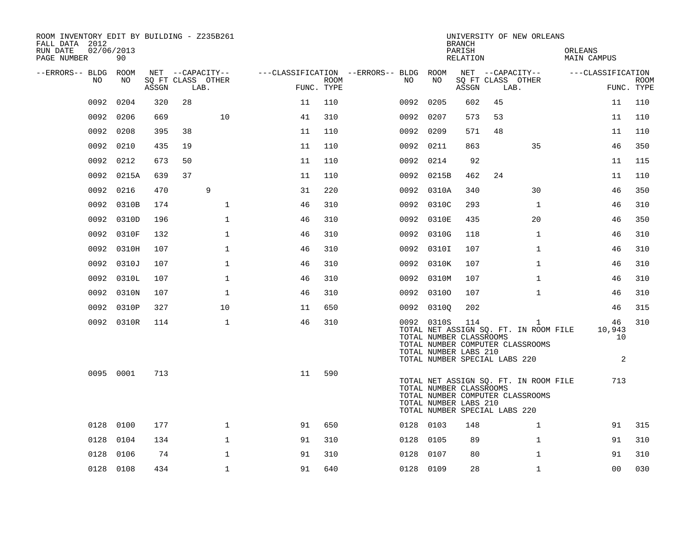| ROOM INVENTORY EDIT BY BUILDING - Z235B261<br>FALL DATA 2012<br>RUN DATE<br>PAGE NUMBER | 02/06/2013<br>90 |       |                           |    |                    |                                        |                                                                                                 | <b>BRANCH</b><br>PARISH<br>RELATION |      | UNIVERSITY OF NEW ORLEANS                                                      | ORLEANS<br>MAIN CAMPUS  |                           |
|-----------------------------------------------------------------------------------------|------------------|-------|---------------------------|----|--------------------|----------------------------------------|-------------------------------------------------------------------------------------------------|-------------------------------------|------|--------------------------------------------------------------------------------|-------------------------|---------------------------|
| --ERRORS-- BLDG ROOM                                                                    |                  |       | NET --CAPACITY--          |    |                    | ---CLASSIFICATION --ERRORS-- BLDG ROOM |                                                                                                 |                                     |      | NET --CAPACITY--                                                               | ---CLASSIFICATION       |                           |
| NO.                                                                                     | NO.              | ASSGN | SQ FT CLASS OTHER<br>LAB. |    | ROOM<br>FUNC. TYPE | NO                                     | NO                                                                                              | ASSGN                               | LAB. | SQ FT CLASS OTHER                                                              |                         | <b>ROOM</b><br>FUNC. TYPE |
| 0092                                                                                    | 0204             | 320   | 28                        | 11 | 110                |                                        | 0092 0205                                                                                       | 602                                 | 45   |                                                                                | 11                      | 110                       |
|                                                                                         | 0092 0206        | 669   | 10                        | 41 | 310                |                                        | 0092 0207                                                                                       | 573                                 | 53   |                                                                                | 11                      | 110                       |
|                                                                                         | 0092 0208        | 395   | 38                        | 11 | 110                |                                        | 0092 0209                                                                                       | 571                                 | 48   |                                                                                | 11                      | 110                       |
|                                                                                         | 0092 0210        | 435   | 19                        | 11 | 110                |                                        | 0092 0211                                                                                       | 863                                 |      | 35                                                                             | 46                      | 350                       |
| 0092                                                                                    | 0212             | 673   | 50                        | 11 | 110                |                                        | 0092 0214                                                                                       | 92                                  |      |                                                                                | 11                      | 115                       |
|                                                                                         | 0092 0215A       | 639   | 37                        | 11 | 110                |                                        | 0092 0215B                                                                                      | 462                                 | 24   |                                                                                | 11                      | 110                       |
| 0092                                                                                    | 0216             | 470   | 9                         | 31 | 220                |                                        | 0092 0310A                                                                                      | 340                                 |      | 30                                                                             | 46                      | 350                       |
| 0092                                                                                    | 0310B            | 174   | $\mathbf 1$               | 46 | 310                |                                        | 0092 0310C                                                                                      | 293                                 |      | $\mathbf{1}$                                                                   | 46                      | 310                       |
| 0092                                                                                    | 0310D            | 196   | $\mathbf 1$               | 46 | 310                |                                        | 0092 0310E                                                                                      | 435                                 |      | 20                                                                             | 46                      | 350                       |
| 0092                                                                                    | 0310F            | 132   | $\mathbf 1$               | 46 | 310                |                                        | 0092 0310G                                                                                      | 118                                 |      | $\mathbf{1}$                                                                   | 46                      | 310                       |
| 0092                                                                                    | 0310H            | 107   | $\mathbf{1}$              | 46 | 310                |                                        | 0092 03101                                                                                      | 107                                 |      | $\mathbf{1}$                                                                   | 46                      | 310                       |
| 0092                                                                                    | 0310J            | 107   | $\mathbf{1}$              | 46 | 310                |                                        | 0092 0310K                                                                                      | 107                                 |      | $\mathbf{1}$                                                                   | 46                      | 310                       |
| 0092                                                                                    | 0310L            | 107   | $\mathbf{1}$              | 46 | 310                |                                        | 0092 0310M                                                                                      | 107                                 |      | $\mathbf{1}$                                                                   | 46                      | 310                       |
| 0092                                                                                    | 0310N            | 107   | $\mathbf{1}$              | 46 | 310                |                                        | 0092 03100                                                                                      | 107                                 |      | $\mathbf{1}$                                                                   | 46                      | 310                       |
|                                                                                         | 0092 0310P       | 327   | 10                        | 11 | 650                |                                        | 0092 03100                                                                                      | 202                                 |      |                                                                                | 46                      | 315                       |
|                                                                                         | 0092 0310R       | 114   | $\mathbf 1$               | 46 | 310                |                                        | 0092 0310S<br>TOTAL NUMBER CLASSROOMS<br>TOTAL NUMBER LABS 210<br>TOTAL NUMBER SPECIAL LABS 220 | 114                                 |      | 1<br>TOTAL NET ASSIGN SQ. FT. IN ROOM FILE<br>TOTAL NUMBER COMPUTER CLASSROOMS | 46<br>10,943<br>10<br>2 | 310                       |
|                                                                                         | 0095 0001        | 713   |                           | 11 | 590                |                                        | TOTAL NUMBER CLASSROOMS<br>TOTAL NUMBER LABS 210<br>TOTAL NUMBER SPECIAL LABS 220               |                                     |      | TOTAL NET ASSIGN SQ. FT. IN ROOM FILE<br>TOTAL NUMBER COMPUTER CLASSROOMS      | 713                     |                           |
|                                                                                         | 0128 0100        | 177   | $\mathbf{1}$              | 91 | 650                |                                        | 0128 0103                                                                                       | 148                                 |      | $\mathbf{1}$                                                                   | 91                      | 315                       |
| 0128                                                                                    | 0104             | 134   | $\mathbf 1$               | 91 | 310                |                                        | 0128 0105                                                                                       | 89                                  |      | $\mathbf{1}$                                                                   | 91                      | 310                       |
|                                                                                         | 0128 0106        | 74    | $\mathbf{1}$              | 91 | 310                | 0128                                   | 0107                                                                                            | 80                                  |      | $\mathbf{1}$                                                                   | 91                      | 310                       |
|                                                                                         | 0128 0108        | 434   | $\mathbf{1}$              | 91 | 640                |                                        | 0128 0109                                                                                       | 28                                  |      | $\mathbf{1}$                                                                   | 0 <sub>0</sub>          | 030                       |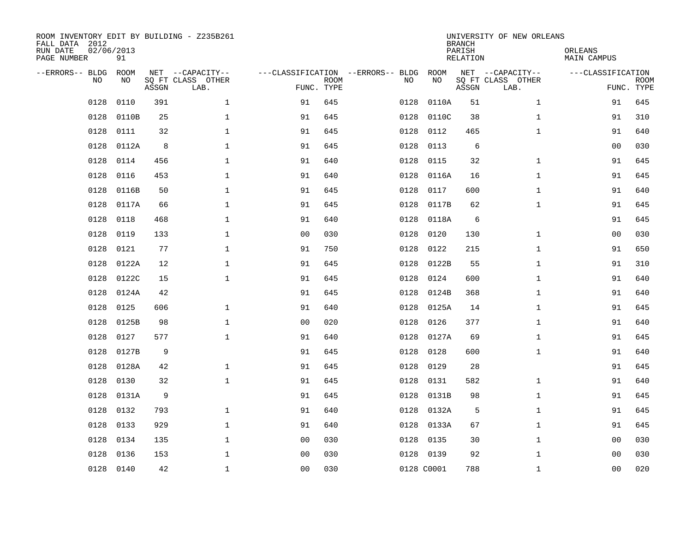| ROOM INVENTORY EDIT BY BUILDING - Z235B261<br>FALL DATA 2012<br>RUN DATE<br>PAGE NUMBER | 02/06/2013<br>91 |       |                                               |                                                 |             |      |            | <b>BRANCH</b><br>PARISH<br><b>RELATION</b> | UNIVERSITY OF NEW ORLEANS                     | ORLEANS<br><b>MAIN CAMPUS</b>   |             |
|-----------------------------------------------------------------------------------------|------------------|-------|-----------------------------------------------|-------------------------------------------------|-------------|------|------------|--------------------------------------------|-----------------------------------------------|---------------------------------|-------------|
| --ERRORS-- BLDG<br>NO.                                                                  | ROOM<br>NO       | ASSGN | NET --CAPACITY--<br>SQ FT CLASS OTHER<br>LAB. | ---CLASSIFICATION --ERRORS-- BLDG<br>FUNC. TYPE | <b>ROOM</b> | NO   | ROOM<br>NO | ASSGN                                      | NET --CAPACITY--<br>SQ FT CLASS OTHER<br>LAB. | ---CLASSIFICATION<br>FUNC. TYPE | <b>ROOM</b> |
| 0128                                                                                    | 0110             | 391   | $\mathbf 1$                                   | 91                                              | 645         | 0128 | 0110A      | 51                                         | $\mathbf{1}$                                  | 91                              | 645         |
| 0128                                                                                    | 0110B            | 25    | 1                                             | 91                                              | 645         | 0128 | 0110C      | 38                                         | $\mathbf{1}$                                  | 91                              | 310         |
| 0128                                                                                    | 0111             | 32    | 1                                             | 91                                              | 645         | 0128 | 0112       | 465                                        | $\mathbf{1}$                                  | 91                              | 640         |
| 0128                                                                                    | 0112A            | 8     | $\mathbf 1$                                   | 91                                              | 645         | 0128 | 0113       | 6                                          |                                               | 00                              | 030         |
| 0128                                                                                    | 0114             | 456   | $\mathbf{1}$                                  | 91                                              | 640         | 0128 | 0115       | 32                                         | $\mathbf{1}$                                  | 91                              | 645         |
| 0128                                                                                    | 0116             | 453   | $\mathbf 1$                                   | 91                                              | 640         | 0128 | 0116A      | 16                                         | $\mathbf{1}$                                  | 91                              | 645         |
| 0128                                                                                    | 0116B            | 50    | $\mathbf{1}$                                  | 91                                              | 645         | 0128 | 0117       | 600                                        | $\mathbf{1}$                                  | 91                              | 640         |
| 0128                                                                                    | 0117A            | 66    | $\mathbf{1}$                                  | 91                                              | 645         | 0128 | 0117B      | 62                                         | $\mathbf{1}$                                  | 91                              | 645         |
| 0128                                                                                    | 0118             | 468   | $\mathbf{1}$                                  | 91                                              | 640         | 0128 | 0118A      | 6                                          |                                               | 91                              | 645         |
| 0128                                                                                    | 0119             | 133   | 1                                             | 0 <sub>0</sub>                                  | 030         | 0128 | 0120       | 130                                        | $\mathbf{1}$                                  | 0 <sub>0</sub>                  | 030         |
| 0128                                                                                    | 0121             | 77    | $\mathbf 1$                                   | 91                                              | 750         | 0128 | 0122       | 215                                        | $\mathbf{1}$                                  | 91                              | 650         |
| 0128                                                                                    | 0122A            | 12    | $\mathbf 1$                                   | 91                                              | 645         | 0128 | 0122B      | 55                                         | $\mathbf{1}$                                  | 91                              | 310         |
| 0128                                                                                    | 0122C            | 15    | $\mathbf{1}$                                  | 91                                              | 645         | 0128 | 0124       | 600                                        | $\mathbf{1}$                                  | 91                              | 640         |
| 0128                                                                                    | 0124A            | 42    |                                               | 91                                              | 645         | 0128 | 0124B      | 368                                        | $\mathbf{1}$                                  | 91                              | 640         |
| 0128                                                                                    | 0125             | 606   | $\mathbf 1$                                   | 91                                              | 640         | 0128 | 0125A      | 14                                         | $\mathbf{1}$                                  | 91                              | 645         |
| 0128                                                                                    | 0125B            | 98    | $\mathbf 1$                                   | 00                                              | 020         | 0128 | 0126       | 377                                        | $\mathbf{1}$                                  | 91                              | 640         |
| 0128                                                                                    | 0127             | 577   | $\mathbf 1$                                   | 91                                              | 640         | 0128 | 0127A      | 69                                         | $\mathbf{1}$                                  | 91                              | 645         |
| 0128                                                                                    | 0127B            | 9     |                                               | 91                                              | 645         | 0128 | 0128       | 600                                        | $\mathbf{1}$                                  | 91                              | 640         |
| 0128                                                                                    | 0128A            | 42    | $\mathbf 1$                                   | 91                                              | 645         | 0128 | 0129       | 28                                         |                                               | 91                              | 645         |
| 0128                                                                                    | 0130             | 32    | $\mathbf{1}$                                  | 91                                              | 645         | 0128 | 0131       | 582                                        | $\mathbf{1}$                                  | 91                              | 640         |
| 0128                                                                                    | 0131A            | 9     |                                               | 91                                              | 645         | 0128 | 0131B      | 98                                         | $\mathbf{1}$                                  | 91                              | 645         |
| 0128                                                                                    | 0132             | 793   | $\mathbf{1}$                                  | 91                                              | 640         | 0128 | 0132A      | 5                                          | $\mathbf{1}$                                  | 91                              | 645         |
| 0128                                                                                    | 0133             | 929   | $\mathbf{1}$                                  | 91                                              | 640         |      | 0128 0133A | 67                                         | $\mathbf{1}$                                  | 91                              | 645         |
| 0128                                                                                    | 0134             | 135   | $\mathbf 1$                                   | 00                                              | 030         | 0128 | 0135       | 30                                         | $\mathbf{1}$                                  | 00                              | 030         |
| 0128                                                                                    | 0136             | 153   | $\mathbf{1}$                                  | 0 <sub>0</sub>                                  | 030         |      | 0128 0139  | 92                                         | $\mathbf{1}$                                  | 0 <sub>0</sub>                  | 030         |
|                                                                                         | 0128 0140        | 42    | $\mathbf 1$                                   | 00                                              | 030         |      | 0128 C0001 | 788                                        | $\mathbf{1}$                                  | 00                              | 020         |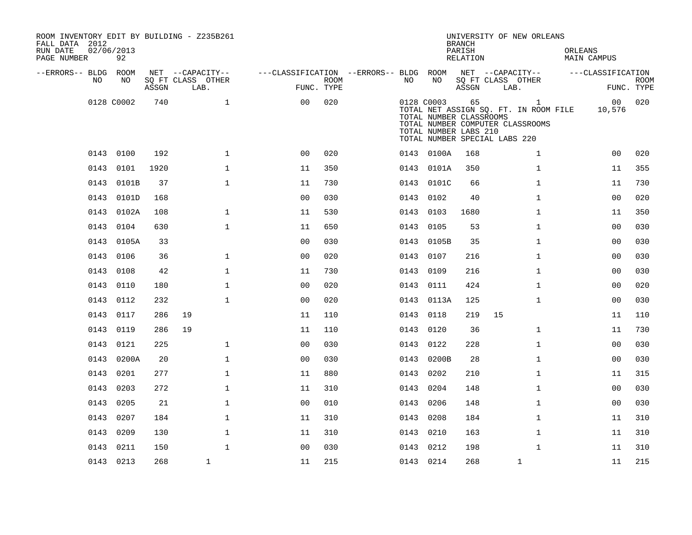| ROOM INVENTORY EDIT BY BUILDING - Z235B261<br>FALL DATA 2012<br>RUN DATE<br>PAGE NUMBER | 02/06/2013<br>92 |       |                           |                                        |                    |      |                                                                | <b>BRANCH</b><br>PARISH<br>RELATION | UNIVERSITY OF NEW ORLEANS                                                                                                  | ORLEANS<br><b>MAIN CAMPUS</b> |                           |
|-----------------------------------------------------------------------------------------|------------------|-------|---------------------------|----------------------------------------|--------------------|------|----------------------------------------------------------------|-------------------------------------|----------------------------------------------------------------------------------------------------------------------------|-------------------------------|---------------------------|
| --ERRORS-- BLDG ROOM                                                                    |                  |       | NET --CAPACITY--          | ---CLASSIFICATION --ERRORS-- BLDG ROOM |                    |      |                                                                |                                     | NET --CAPACITY--                                                                                                           | ---CLASSIFICATION             |                           |
| NO                                                                                      | NO               | ASSGN | SQ FT CLASS OTHER<br>LAB. |                                        | ROOM<br>FUNC. TYPE | NO   | NO                                                             | ASSGN                               | SQ FT CLASS OTHER<br>LAB.                                                                                                  |                               | <b>ROOM</b><br>FUNC. TYPE |
|                                                                                         | 0128 C0002       | 740   | $\mathbf{1}$              | 00                                     | 020                |      | 0128 C0003<br>TOTAL NUMBER CLASSROOMS<br>TOTAL NUMBER LABS 210 | 65                                  | $\mathbf{1}$<br>TOTAL NET ASSIGN SQ. FT. IN ROOM FILE<br>TOTAL NUMBER COMPUTER CLASSROOMS<br>TOTAL NUMBER SPECIAL LABS 220 | 10,576                        | 00 020                    |
|                                                                                         | 0143 0100        | 192   | $\mathbf{1}$              | 0 <sub>0</sub>                         | 020                |      | 0143 0100A                                                     | 168                                 | $\mathbf{1}$                                                                                                               | 0 <sub>0</sub>                | 020                       |
|                                                                                         | 0143 0101        | 1920  | $\mathbf{1}$              | 11                                     | 350                |      | 0143 0101A                                                     | 350                                 | $\mathbf{1}$                                                                                                               | 11                            | 355                       |
|                                                                                         | 0143 0101B       | 37    | $\mathbf{1}$              | 11                                     | 730                |      | 0143 0101C                                                     | 66                                  | $\mathbf{1}$                                                                                                               | 11                            | 730                       |
|                                                                                         | 0143 0101D       | 168   |                           | 0 <sub>0</sub>                         | 030                |      | 0143 0102                                                      | 40                                  | $\mathbf{1}$                                                                                                               | 0 <sub>0</sub>                | 020                       |
|                                                                                         | 0143 0102A       | 108   | $\mathbf{1}$              | 11                                     | 530                |      | 0143 0103                                                      | 1680                                | $\mathbf{1}$                                                                                                               | 11                            | 350                       |
|                                                                                         | 0143 0104        | 630   | $\mathbf{1}$              | 11                                     | 650                | 0143 | 0105                                                           | 53                                  | $\mathbf{1}$                                                                                                               | 00                            | 030                       |
|                                                                                         | 0143 0105A       | 33    |                           | 0 <sub>0</sub>                         | 030                |      | 0143 0105B                                                     | 35                                  | $\mathbf{1}$                                                                                                               | 00                            | 030                       |
|                                                                                         | 0143 0106        | 36    | $\mathbf 1$               | 0 <sub>0</sub>                         | 020                | 0143 | 0107                                                           | 216                                 | $\mathbf{1}$                                                                                                               | 00                            | 030                       |
|                                                                                         | 0143 0108        | 42    | $\mathbf{1}$              | 11                                     | 730                |      | 0143 0109                                                      | 216                                 | $\mathbf{1}$                                                                                                               | 00                            | 030                       |
|                                                                                         | 0143 0110        | 180   | $\mathbf 1$               | 0 <sub>0</sub>                         | 020                | 0143 | 0111                                                           | 424                                 | $\mathbf{1}$                                                                                                               | 00                            | 020                       |
|                                                                                         | 0143 0112        | 232   | $\mathbf{1}$              | 0 <sub>0</sub>                         | 020                |      | 0143 0113A                                                     | 125                                 | $\mathbf{1}$                                                                                                               | 0 <sub>0</sub>                | 030                       |
|                                                                                         | 0143 0117        | 286   | 19                        | 11                                     | 110                |      | 0143 0118                                                      | 219                                 | 15                                                                                                                         | 11                            | 110                       |
|                                                                                         | 0143 0119        | 286   | 19                        | 11                                     | 110                |      | 0143 0120                                                      | 36                                  | $\mathbf{1}$                                                                                                               | 11                            | 730                       |
|                                                                                         | 0143 0121        | 225   | $\mathbf{1}$              | 0 <sub>0</sub>                         | 030                | 0143 | 0122                                                           | 228                                 | $\mathbf{1}$                                                                                                               | 00                            | 030                       |
|                                                                                         | 0143 0200A       | 20    | $\mathbf{1}$              | 0 <sub>0</sub>                         | 030                |      | 0143 0200B                                                     | 28                                  | $\mathbf{1}$                                                                                                               | 0 <sub>0</sub>                | 030                       |
|                                                                                         | 0143 0201        | 277   | $\mathbf{1}$              | 11                                     | 880                |      | 0143 0202                                                      | 210                                 | $\mathbf{1}$                                                                                                               | 11                            | 315                       |
|                                                                                         | 0143 0203        | 272   | $\mathbf{1}$              | 11                                     | 310                |      | 0143 0204                                                      | 148                                 | $\mathbf{1}$                                                                                                               | 0 <sub>0</sub>                | 030                       |
|                                                                                         | 0143 0205        | 21    | $\mathbf{1}$              | 0 <sub>0</sub>                         | 010                |      | 0143 0206                                                      | 148                                 | $\mathbf{1}$                                                                                                               | 0 <sub>0</sub>                | 030                       |
|                                                                                         | 0143 0207        | 184   | $\mathbf{1}$              | 11                                     | 310                |      | 0143 0208                                                      | 184                                 | $\mathbf{1}$                                                                                                               | 11                            | 310                       |
| 0143                                                                                    | 0209             | 130   | $\mathbf{1}$              | 11                                     | 310                |      | 0143 0210                                                      | 163                                 | $\mathbf{1}$                                                                                                               | 11                            | 310                       |
|                                                                                         | 0143 0211        | 150   | $\mathbf{1}$              | 0 <sub>0</sub>                         | 030                |      | 0143 0212                                                      | 198                                 | $\mathbf{1}$                                                                                                               | 11                            | 310                       |
|                                                                                         | 0143 0213        | 268   | $\mathbf{1}$              | 11                                     | 215                |      | 0143 0214                                                      | 268                                 | $\mathbf 1$                                                                                                                | 11                            | 215                       |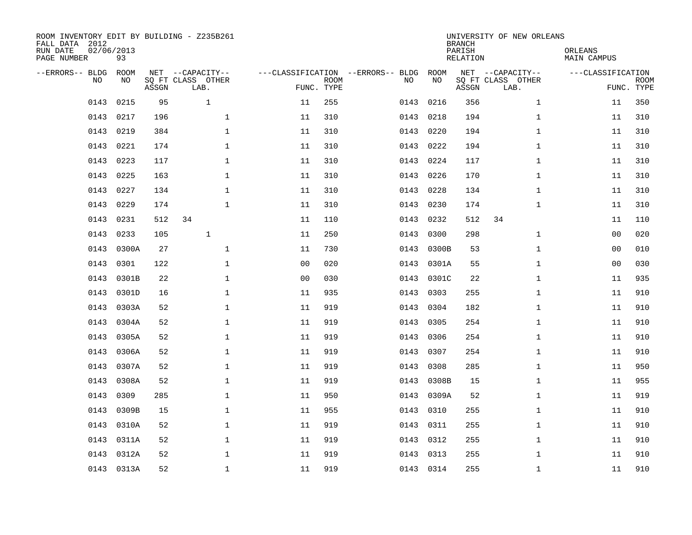| ROOM INVENTORY EDIT BY BUILDING - Z235B261<br>FALL DATA 2012<br>RUN DATE<br>PAGE NUMBER | 02/06/2013<br>93  |       |                                               |                |                           |                                         |            | <b>BRANCH</b><br>PARISH<br><b>RELATION</b> | UNIVERSITY OF NEW ORLEANS                     | ORLEANS<br><b>MAIN CAMPUS</b> |                           |
|-----------------------------------------------------------------------------------------|-------------------|-------|-----------------------------------------------|----------------|---------------------------|-----------------------------------------|------------|--------------------------------------------|-----------------------------------------------|-------------------------------|---------------------------|
| --ERRORS-- BLDG<br>NO                                                                   | <b>ROOM</b><br>NO | ASSGN | NET --CAPACITY--<br>SQ FT CLASS OTHER<br>LAB. |                | <b>ROOM</b><br>FUNC. TYPE | ---CLASSIFICATION --ERRORS-- BLDG<br>NO | ROOM<br>NO | ASSGN                                      | NET --CAPACITY--<br>SQ FT CLASS OTHER<br>LAB. | ---CLASSIFICATION             | <b>ROOM</b><br>FUNC. TYPE |
| 0143                                                                                    | 0215              | 95    | $\mathbf{1}$                                  | 11             | 255                       | 0143                                    | 0216       | 356                                        | $\mathbf{1}$                                  | 11                            | 350                       |
| 0143                                                                                    | 0217              | 196   | $\mathbf{1}$                                  | 11             | 310                       | 0143                                    | 0218       | 194                                        | $\mathbf{1}$                                  | 11                            | 310                       |
| 0143                                                                                    | 0219              | 384   | $\mathbf 1$                                   | 11             | 310                       | 0143                                    | 0220       | 194                                        | $\mathbf{1}$                                  | 11                            | 310                       |
| 0143                                                                                    | 0221              | 174   | $\mathbf 1$                                   | 11             | 310                       | 0143                                    | 0222       | 194                                        | $\mathbf{1}$                                  | 11                            | 310                       |
| 0143                                                                                    | 0223              | 117   | $\mathbf{1}$                                  | 11             | 310                       | 0143                                    | 0224       | 117                                        | $\mathbf{1}$                                  | 11                            | 310                       |
| 0143                                                                                    | 0225              | 163   | $\mathbf{1}$                                  | 11             | 310                       |                                         | 0143 0226  | 170                                        | $\mathbf{1}$                                  | 11                            | 310                       |
| 0143                                                                                    | 0227              | 134   | $\mathbf{1}$                                  | 11             | 310                       | 0143                                    | 0228       | 134                                        | $\mathbf{1}$                                  | 11                            | 310                       |
| 0143                                                                                    | 0229              | 174   | $\mathbf{1}$                                  | 11             | 310                       | 0143                                    | 0230       | 174                                        | $\mathbf{1}$                                  | 11                            | 310                       |
| 0143                                                                                    | 0231              | 512   | 34                                            | 11             | 110                       | 0143                                    | 0232       | 512                                        | 34                                            | 11                            | 110                       |
| 0143                                                                                    | 0233              | 105   | $\mathbf{1}$                                  | 11             | 250                       | 0143                                    | 0300       | 298                                        | $\mathbf{1}$                                  | 0 <sub>0</sub>                | 020                       |
| 0143                                                                                    | 0300A             | 27    | $\mathbf 1$                                   | 11             | 730                       | 0143                                    | 0300B      | 53                                         | $\mathbf{1}$                                  | 0 <sub>0</sub>                | 010                       |
| 0143                                                                                    | 0301              | 122   | $\mathbf 1$                                   | 0 <sub>0</sub> | 020                       | 0143                                    | 0301A      | 55                                         | $\mathbf{1}$                                  | 0 <sub>0</sub>                | 030                       |
| 0143                                                                                    | 0301B             | 22    | $\mathbf 1$                                   | 0 <sub>0</sub> | 030                       | 0143                                    | 0301C      | 22                                         | $\mathbf{1}$                                  | 11                            | 935                       |
| 0143                                                                                    | 0301D             | 16    | $\mathbf 1$                                   | 11             | 935                       | 0143                                    | 0303       | 255                                        | $\mathbf{1}$                                  | 11                            | 910                       |
| 0143                                                                                    | 0303A             | 52    | $\mathbf 1$                                   | 11             | 919                       | 0143                                    | 0304       | 182                                        | $\mathbf{1}$                                  | 11                            | 910                       |
| 0143                                                                                    | 0304A             | 52    | $\mathbf{1}$                                  | 11             | 919                       | 0143                                    | 0305       | 254                                        | $\mathbf{1}$                                  | 11                            | 910                       |
| 0143                                                                                    | 0305A             | 52    | $\mathbf{1}$                                  | 11             | 919                       | 0143                                    | 0306       | 254                                        | $\mathbf{1}$                                  | 11                            | 910                       |
| 0143                                                                                    | 0306A             | 52    | $\mathbf 1$                                   | 11             | 919                       | 0143                                    | 0307       | 254                                        | $\mathbf{1}$                                  | 11                            | 910                       |
| 0143                                                                                    | 0307A             | 52    | 1                                             | 11             | 919                       | 0143                                    | 0308       | 285                                        | $\mathbf{1}$                                  | 11                            | 950                       |
| 0143                                                                                    | 0308A             | 52    | 1                                             | 11             | 919                       | 0143                                    | 0308B      | 15                                         | $\mathbf{1}$                                  | 11                            | 955                       |
| 0143                                                                                    | 0309              | 285   | $\mathbf 1$                                   | 11             | 950                       | 0143                                    | 0309A      | 52                                         | $\mathbf{1}$                                  | 11                            | 919                       |
| 0143                                                                                    | 0309B             | 15    | $\mathbf 1$                                   | 11             | 955                       | 0143                                    | 0310       | 255                                        | $\mathbf{1}$                                  | 11                            | 910                       |
| 0143                                                                                    | 0310A             | 52    | $\mathbf 1$                                   | 11             | 919                       | 0143                                    | 0311       | 255                                        | $\mathbf{1}$                                  | 11                            | 910                       |
| 0143                                                                                    | 0311A             | 52    | $\mathbf 1$                                   | 11             | 919                       | 0143                                    | 0312       | 255                                        | $\mathbf{1}$                                  | 11                            | 910                       |
| 0143                                                                                    | 0312A             | 52    | $\mathbf 1$                                   | 11             | 919                       | 0143                                    | 0313       | 255                                        | $\mathbf{1}$                                  | 11                            | 910                       |
|                                                                                         | 0143 0313A        | 52    | $\mathbf{1}$                                  | 11             | 919                       |                                         | 0143 0314  | 255                                        | $\mathbf{1}$                                  | 11                            | 910                       |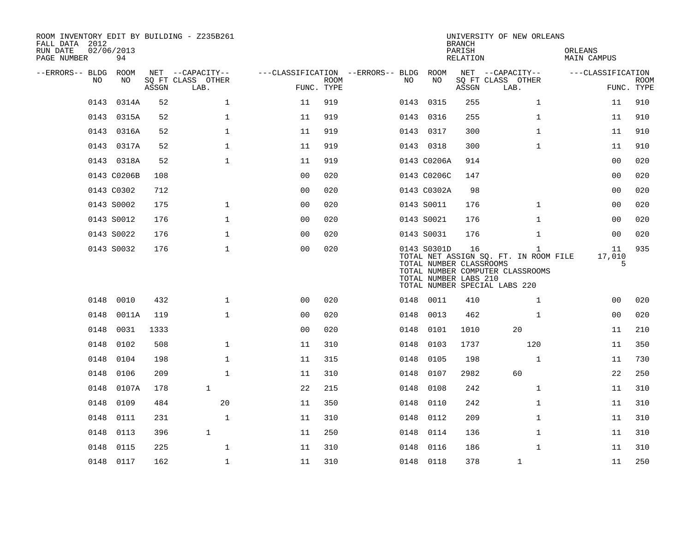| ROOM INVENTORY EDIT BY BUILDING - Z235B261<br>FALL DATA 2012<br>RUN DATE<br>PAGE NUMBER | 02/06/2013<br>94 |       |                                               |                |             |                                        |      |                                                                 | <b>BRANCH</b><br>PARISH<br>RELATION | UNIVERSITY OF NEW ORLEANS                                                                                                  | ORLEANS<br><b>MAIN CAMPUS</b> |                           |
|-----------------------------------------------------------------------------------------|------------------|-------|-----------------------------------------------|----------------|-------------|----------------------------------------|------|-----------------------------------------------------------------|-------------------------------------|----------------------------------------------------------------------------------------------------------------------------|-------------------------------|---------------------------|
| --ERRORS-- BLDG ROOM<br>NO                                                              | NO               | ASSGN | NET --CAPACITY--<br>SQ FT CLASS OTHER<br>LAB. | FUNC. TYPE     | <b>ROOM</b> | ---CLASSIFICATION --ERRORS-- BLDG ROOM | NO.  | NO                                                              | ASSGN                               | NET --CAPACITY--<br>SQ FT CLASS OTHER<br>LAB.                                                                              | ---CLASSIFICATION             | <b>ROOM</b><br>FUNC. TYPE |
| 0143                                                                                    | 0314A            | 52    | $\mathbf{1}$                                  | 11             | 919         |                                        |      | 0143 0315                                                       | 255                                 | $\mathbf{1}$                                                                                                               | 11                            | 910                       |
|                                                                                         | 0143 0315A       | 52    | $\mathbf{1}$                                  | 11             | 919         |                                        |      | 0143 0316                                                       | 255                                 | $\mathbf{1}$                                                                                                               | 11                            | 910                       |
|                                                                                         | 0143 0316A       | 52    | $\mathbf 1$                                   | 11             | 919         |                                        |      | 0143 0317                                                       | 300                                 | $\mathbf{1}$                                                                                                               | 11                            | 910                       |
|                                                                                         | 0143 0317A       | 52    | $\mathbf 1$                                   | 11             | 919         |                                        |      | 0143 0318                                                       | 300                                 | $\mathbf{1}$                                                                                                               | 11                            | 910                       |
|                                                                                         | 0143 0318A       | 52    | $\mathbf 1$                                   | 11             | 919         |                                        |      | 0143 C0206A                                                     | 914                                 |                                                                                                                            | 00                            | 020                       |
|                                                                                         | 0143 C0206B      | 108   |                                               | 0 <sub>0</sub> | 020         |                                        |      | 0143 C0206C                                                     | 147                                 |                                                                                                                            | 0 <sub>0</sub>                | 020                       |
|                                                                                         | 0143 C0302       | 712   |                                               | 0 <sub>0</sub> | 020         |                                        |      | 0143 C0302A                                                     | 98                                  |                                                                                                                            | 00                            | 020                       |
|                                                                                         | 0143 S0002       | 175   | $\mathbf 1$                                   | 00             | 020         |                                        |      | 0143 S0011                                                      | 176                                 | $\mathbf{1}$                                                                                                               | 00                            | 020                       |
|                                                                                         | 0143 S0012       | 176   | $\mathbf 1$                                   | 0 <sub>0</sub> | 020         |                                        |      | 0143 S0021                                                      | 176                                 | $\mathbf{1}$                                                                                                               | 0 <sub>0</sub>                | 020                       |
|                                                                                         | 0143 S0022       | 176   | $\mathbf 1$                                   | 0 <sub>0</sub> | 020         |                                        |      | 0143 S0031                                                      | 176                                 | $\mathbf{1}$                                                                                                               | 00                            | 020                       |
|                                                                                         | 0143 S0032       | 176   | $\mathbf 1$                                   | 0 <sub>0</sub> | 020         |                                        |      | 0143 S0301D<br>TOTAL NUMBER CLASSROOMS<br>TOTAL NUMBER LABS 210 | 16                                  | $\mathbf{1}$<br>TOTAL NET ASSIGN SQ. FT. IN ROOM FILE<br>TOTAL NUMBER COMPUTER CLASSROOMS<br>TOTAL NUMBER SPECIAL LABS 220 | 11<br>17,010<br>5             | 935                       |
| 0148                                                                                    | 0010             | 432   | $\mathbf{1}$                                  | 00             | 020         |                                        |      | 0148 0011                                                       | 410                                 | $\mathbf{1}$                                                                                                               | 0 <sub>0</sub>                | 020                       |
| 0148                                                                                    | 0011A            | 119   | $\mathbf{1}$                                  | 0 <sub>0</sub> | 020         |                                        | 0148 | 0013                                                            | 462                                 | $\mathbf{1}$                                                                                                               | 00                            | 020                       |
| 0148                                                                                    | 0031             | 1333  |                                               | 0 <sub>0</sub> | 020         |                                        | 0148 | 0101                                                            | 1010                                | 20                                                                                                                         | 11                            | 210                       |
| 0148                                                                                    | 0102             | 508   | $\mathbf{1}$                                  | 11             | 310         |                                        | 0148 | 0103                                                            | 1737                                | 120                                                                                                                        | 11                            | 350                       |
| 0148                                                                                    | 0104             | 198   | $\mathbf 1$                                   | 11             | 315         |                                        | 0148 | 0105                                                            | 198                                 | $\mathbf{1}$                                                                                                               | 11                            | 730                       |
| 0148                                                                                    | 0106             | 209   | $\mathbf{1}$                                  | 11             | 310         |                                        | 0148 | 0107                                                            | 2982                                | 60                                                                                                                         | 22                            | 250                       |
| 0148                                                                                    | 0107A            | 178   | $\mathbf{1}$                                  | 22             | 215         |                                        | 0148 | 0108                                                            | 242                                 | $\mathbf{1}$                                                                                                               | 11                            | 310                       |
| 0148                                                                                    | 0109             | 484   | 20                                            | 11             | 350         |                                        | 0148 | 0110                                                            | 242                                 | $\mathbf{1}$                                                                                                               | 11                            | 310                       |
| 0148                                                                                    | 0111             | 231   | $\mathbf{1}$                                  | 11             | 310         |                                        | 0148 | 0112                                                            | 209                                 | $\mathbf{1}$                                                                                                               | 11                            | 310                       |
| 0148                                                                                    | 0113             | 396   | $\mathbf{1}$                                  | 11             | 250         |                                        | 0148 | 0114                                                            | 136                                 | $\mathbf{1}$                                                                                                               | 11                            | 310                       |
| 0148                                                                                    | 0115             | 225   | $\mathbf{1}$                                  | 11             | 310         |                                        | 0148 | 0116                                                            | 186                                 | $\mathbf{1}$                                                                                                               | 11                            | 310                       |
|                                                                                         | 0148 0117        | 162   | $\mathbf{1}$                                  | 11             | 310         |                                        |      | 0148 0118                                                       | 378                                 | $\mathbf{1}$                                                                                                               | 11                            | 250                       |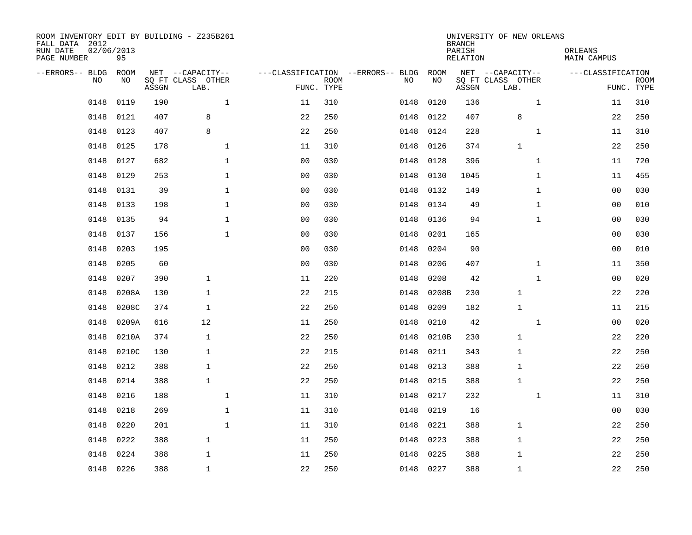| ROOM INVENTORY EDIT BY BUILDING - Z235B261<br>FALL DATA 2012<br>RUN DATE<br>PAGE NUMBER | 02/06/2013<br>95 |       |                                               |                |                           |                                         |            | <b>BRANCH</b><br>PARISH<br><b>RELATION</b> | UNIVERSITY OF NEW ORLEANS                     | ORLEANS<br><b>MAIN CAMPUS</b> |                           |
|-----------------------------------------------------------------------------------------|------------------|-------|-----------------------------------------------|----------------|---------------------------|-----------------------------------------|------------|--------------------------------------------|-----------------------------------------------|-------------------------------|---------------------------|
| --ERRORS-- BLDG<br>NO                                                                   | ROOM<br>NO       | ASSGN | NET --CAPACITY--<br>SQ FT CLASS OTHER<br>LAB. |                | <b>ROOM</b><br>FUNC. TYPE | ---CLASSIFICATION --ERRORS-- BLDG<br>NO | ROOM<br>NO | ASSGN                                      | NET --CAPACITY--<br>SQ FT CLASS OTHER<br>LAB. | ---CLASSIFICATION             | <b>ROOM</b><br>FUNC. TYPE |
| 0148                                                                                    | 0119             | 190   | $\mathbf{1}$                                  | 11             | 310                       | 0148                                    | 0120       | 136                                        | $\mathbf{1}$                                  | 11                            | 310                       |
| 0148                                                                                    | 0121             | 407   | 8                                             | 22             | 250                       | 0148                                    | 0122       | 407                                        | 8                                             | 22                            | 250                       |
| 0148                                                                                    | 0123             | 407   | 8                                             | 22             | 250                       | 0148                                    | 0124       | 228                                        | $\mathbf{1}$                                  | 11                            | 310                       |
| 0148                                                                                    | 0125             | 178   | $\mathbf{1}$                                  | 11             | 310                       | 0148                                    | 0126       | 374                                        | $\mathbf 1$                                   | 22                            | 250                       |
| 0148                                                                                    | 0127             | 682   | $\mathbf{1}$                                  | 0 <sub>0</sub> | 030                       | 0148                                    | 0128       | 396                                        | $\mathbf{1}$                                  | 11                            | 720                       |
| 0148                                                                                    | 0129             | 253   | $\mathbf{1}$                                  | 0 <sub>0</sub> | 030                       | 0148                                    | 0130       | 1045                                       | $\mathbf{1}$                                  | 11                            | 455                       |
| 0148                                                                                    | 0131             | 39    | $\mathbf{1}$                                  | 0 <sub>0</sub> | 030                       | 0148                                    | 0132       | 149                                        | $\mathbf{1}$                                  | 0 <sub>0</sub>                | 030                       |
| 0148                                                                                    | 0133             | 198   | $\mathbf{1}$                                  | 0 <sub>0</sub> | 030                       | 0148                                    | 0134       | 49                                         | $\mathbf{1}$                                  | 0 <sub>0</sub>                | 010                       |
| 0148                                                                                    | 0135             | 94    | $\mathbf{1}$                                  | 0 <sub>0</sub> | 030                       | 0148                                    | 0136       | 94                                         | $\mathbf{1}$                                  | 0 <sub>0</sub>                | 030                       |
| 0148                                                                                    | 0137             | 156   | $\mathbf{1}$                                  | 0 <sub>0</sub> | 030                       | 0148                                    | 0201       | 165                                        |                                               | 0 <sub>0</sub>                | 030                       |
| 0148                                                                                    | 0203             | 195   |                                               | 0 <sub>0</sub> | 030                       | 0148                                    | 0204       | 90                                         |                                               | 00                            | 010                       |
| 0148                                                                                    | 0205             | 60    |                                               | 0 <sub>0</sub> | 030                       | 0148                                    | 0206       | 407                                        | $\mathbf{1}$                                  | 11                            | 350                       |
| 0148                                                                                    | 0207             | 390   | $\mathbf{1}$                                  | 11             | 220                       | 0148                                    | 0208       | 42                                         | $\mathbf{1}$                                  | 00                            | 020                       |
| 0148                                                                                    | 0208A            | 130   | $\mathbf{1}$                                  | 22             | 215                       | 0148                                    | 0208B      | 230                                        | 1                                             | 22                            | 220                       |
| 0148                                                                                    | 0208C            | 374   | $\mathbf{1}$                                  | 22             | 250                       | 0148                                    | 0209       | 182                                        | $\mathbf{1}$                                  | 11                            | 215                       |
| 0148                                                                                    | 0209A            | 616   | 12                                            | 11             | 250                       | 0148                                    | 0210       | 42                                         | $\mathbf{1}$                                  | 00                            | 020                       |
| 0148                                                                                    | 0210A            | 374   | $\mathbf{1}$                                  | 22             | 250                       | 0148                                    | 0210B      | 230                                        | $\mathbf{1}$                                  | 22                            | 220                       |
| 0148                                                                                    | 0210C            | 130   | $\mathbf{1}$                                  | 22             | 215                       | 0148                                    | 0211       | 343                                        | 1                                             | 22                            | 250                       |
| 0148                                                                                    | 0212             | 388   | $\mathbf{1}$                                  | 22             | 250                       | 0148                                    | 0213       | 388                                        | 1                                             | 22                            | 250                       |
| 0148                                                                                    | 0214             | 388   | $\mathbf{1}$                                  | 22             | 250                       | 0148                                    | 0215       | 388                                        | 1                                             | 22                            | 250                       |
| 0148                                                                                    | 0216             | 188   | $\mathbf{1}$                                  | 11             | 310                       | 0148                                    | 0217       | 232                                        | $\mathbf{1}$                                  | 11                            | 310                       |
| 0148                                                                                    | 0218             | 269   | $\mathbf 1$                                   | 11             | 310                       | 0148                                    | 0219       | 16                                         |                                               | 00                            | 030                       |
| 0148                                                                                    | 0220             | 201   | $\mathbf{1}$                                  | 11             | 310                       | 0148                                    | 0221       | 388                                        | $\mathbf 1$                                   | 22                            | 250                       |
| 0148                                                                                    | 0222             | 388   | $\mathbf{1}$                                  | 11             | 250                       | 0148                                    | 0223       | 388                                        | $\mathbf{1}$                                  | 22                            | 250                       |
| 0148                                                                                    | 0224             | 388   | $\mathbf{1}$                                  | 11             | 250                       | 0148                                    | 0225       | 388                                        | 1                                             | 22                            | 250                       |
| 0148                                                                                    | 0226             | 388   | $\mathbf{1}$                                  | 22             | 250                       |                                         | 0148 0227  | 388                                        | $\mathbf{1}$                                  | 22                            | 250                       |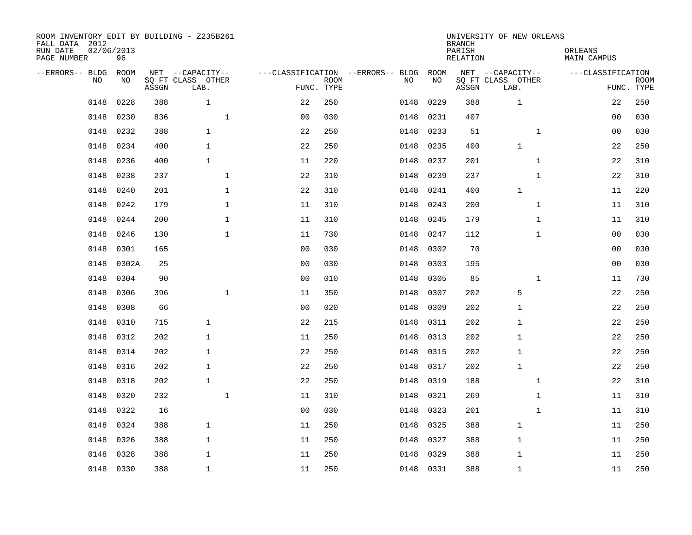| ROOM INVENTORY EDIT BY BUILDING - Z235B261<br>FALL DATA 2012<br>RUN DATE<br>PAGE NUMBER | 02/06/2013<br>96 |       |                                               |                |                           |                                         |            | <b>BRANCH</b><br>PARISH<br><b>RELATION</b> | UNIVERSITY OF NEW ORLEANS                     | ORLEANS<br><b>MAIN CAMPUS</b> |                           |
|-----------------------------------------------------------------------------------------|------------------|-------|-----------------------------------------------|----------------|---------------------------|-----------------------------------------|------------|--------------------------------------------|-----------------------------------------------|-------------------------------|---------------------------|
| --ERRORS-- BLDG<br>NO                                                                   | ROOM<br>NO       | ASSGN | NET --CAPACITY--<br>SQ FT CLASS OTHER<br>LAB. |                | <b>ROOM</b><br>FUNC. TYPE | ---CLASSIFICATION --ERRORS-- BLDG<br>NO | ROOM<br>NO | ASSGN                                      | NET --CAPACITY--<br>SQ FT CLASS OTHER<br>LAB. | ---CLASSIFICATION             | <b>ROOM</b><br>FUNC. TYPE |
| 0148                                                                                    | 0228             | 388   | $\mathbf{1}$                                  | 22             | 250                       | 0148                                    | 0229       | 388                                        | 1                                             | 22                            | 250                       |
| 0148                                                                                    | 0230             | 836   | $\mathbf 1$                                   | 0 <sub>0</sub> | 030                       | 0148                                    | 0231       | 407                                        |                                               | 00                            | 030                       |
| 0148                                                                                    | 0232             | 388   | $\mathbf{1}$                                  | 22             | 250                       | 0148                                    | 0233       | 51                                         | $\mathbf{1}$                                  | 00                            | 030                       |
| 0148                                                                                    | 0234             | 400   | $\mathbf{1}$                                  | 22             | 250                       | 0148                                    | 0235       | 400                                        | $\mathbf{1}$                                  | 22                            | 250                       |
| 0148                                                                                    | 0236             | 400   | $\mathbf{1}$                                  | 11             | 220                       | 0148                                    | 0237       | 201                                        | $\mathbf{1}$                                  | 22                            | 310                       |
| 0148                                                                                    | 0238             | 237   | $\mathbf 1$                                   | 22             | 310                       | 0148                                    | 0239       | 237                                        | $\mathbf{1}$                                  | 22                            | 310                       |
| 0148                                                                                    | 0240             | 201   | $\mathbf{1}$                                  | 22             | 310                       | 0148                                    | 0241       | 400                                        | $\mathbf{1}$                                  | 11                            | 220                       |
| 0148                                                                                    | 0242             | 179   | $\mathbf{1}$                                  | 11             | 310                       | 0148                                    | 0243       | 200                                        | $\mathbf{1}$                                  | 11                            | 310                       |
| 0148                                                                                    | 0244             | 200   | $\mathbf{1}$                                  | 11             | 310                       | 0148                                    | 0245       | 179                                        | $\mathbf{1}$                                  | 11                            | 310                       |
| 0148                                                                                    | 0246             | 130   | $\mathbf{1}$                                  | 11             | 730                       | 0148                                    | 0247       | 112                                        | $\mathbf{1}$                                  | 00                            | 030                       |
| 0148                                                                                    | 0301             | 165   |                                               | 0 <sub>0</sub> | 030                       | 0148                                    | 0302       | 70                                         |                                               | 00                            | 030                       |
| 0148                                                                                    | 0302A            | 25    |                                               | 0 <sub>0</sub> | 030                       | 0148                                    | 0303       | 195                                        |                                               | 0 <sub>0</sub>                | 030                       |
| 0148                                                                                    | 0304             | 90    |                                               | 0 <sub>0</sub> | 010                       | 0148                                    | 0305       | 85                                         | $\mathbf{1}$                                  | 11                            | 730                       |
| 0148                                                                                    | 0306             | 396   | $\mathbf 1$                                   | 11             | 350                       | 0148                                    | 0307       | 202                                        | 5                                             | 22                            | 250                       |
| 0148                                                                                    | 0308             | 66    |                                               | 0 <sub>0</sub> | 020                       | 0148                                    | 0309       | 202                                        | $\mathbf{1}$                                  | 22                            | 250                       |
| 0148                                                                                    | 0310             | 715   | $\mathbf{1}$                                  | 22             | 215                       | 0148                                    | 0311       | 202                                        | 1                                             | 22                            | 250                       |
| 0148                                                                                    | 0312             | 202   | $\mathbf 1$                                   | 11             | 250                       | 0148                                    | 0313       | 202                                        | $\mathbf{1}$                                  | 22                            | 250                       |
| 0148                                                                                    | 0314             | 202   | $\mathbf{1}$                                  | 22             | 250                       | 0148                                    | 0315       | 202                                        | $\mathbf{1}$                                  | 22                            | 250                       |
| 0148                                                                                    | 0316             | 202   | $\mathbf{1}$                                  | 22             | 250                       | 0148                                    | 0317       | 202                                        | $\mathbf{1}$                                  | 22                            | 250                       |
| 0148                                                                                    | 0318             | 202   | $\mathbf{1}$                                  | 22             | 250                       | 0148                                    | 0319       | 188                                        | $\mathbf{1}$                                  | 22                            | 310                       |
| 0148                                                                                    | 0320             | 232   | $\mathbf 1$                                   | 11             | 310                       | 0148                                    | 0321       | 269                                        | $\mathbf{1}$                                  | 11                            | 310                       |
| 0148                                                                                    | 0322             | 16    |                                               | 0 <sub>0</sub> | 030                       | 0148                                    | 0323       | 201                                        | $\mathbf{1}$                                  | 11                            | 310                       |
| 0148                                                                                    | 0324             | 388   | $\mathbf{1}$                                  | 11             | 250                       | 0148                                    | 0325       | 388                                        | $\mathbf 1$                                   | 11                            | 250                       |
| 0148                                                                                    | 0326             | 388   | $\mathbf{1}$                                  | 11             | 250                       | 0148                                    | 0327       | 388                                        | $\mathbf{1}$                                  | 11                            | 250                       |
| 0148                                                                                    | 0328             | 388   | $\mathbf 1$                                   | 11             | 250                       | 0148                                    | 0329       | 388                                        | 1                                             | 11                            | 250                       |
|                                                                                         | 0148 0330        | 388   | $\mathbf{1}$                                  | 11             | 250                       |                                         | 0148 0331  | 388                                        | $\mathbf{1}$                                  | 11                            | 250                       |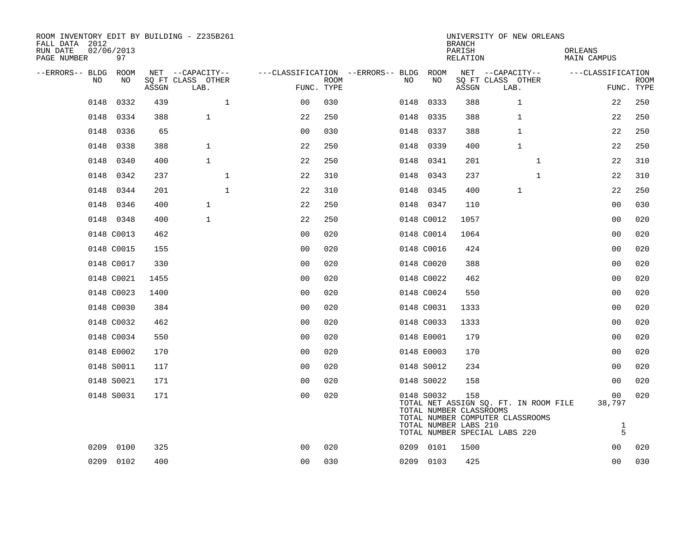| ROOM INVENTORY EDIT BY BUILDING - Z235B261<br>FALL DATA 2012<br>RUN DATE<br>PAGE NUMBER | 02/06/2013<br>97 |       |                           |                                        |                           |      |                                                                | <b>BRANCH</b><br>PARISH<br>RELATION | UNIVERSITY OF NEW ORLEANS                                                                                  | ORLEANS<br>MAIN CAMPUS                         |                           |
|-----------------------------------------------------------------------------------------|------------------|-------|---------------------------|----------------------------------------|---------------------------|------|----------------------------------------------------------------|-------------------------------------|------------------------------------------------------------------------------------------------------------|------------------------------------------------|---------------------------|
| --ERRORS-- BLDG ROOM                                                                    |                  |       | NET --CAPACITY--          | ---CLASSIFICATION --ERRORS-- BLDG ROOM |                           |      |                                                                |                                     | NET --CAPACITY--                                                                                           | ---CLASSIFICATION                              |                           |
| NO                                                                                      | NO               | ASSGN | SQ FT CLASS OTHER<br>LAB. |                                        | <b>ROOM</b><br>FUNC. TYPE | NO.  | NO                                                             | ASSGN                               | SQ FT CLASS OTHER<br>LAB.                                                                                  |                                                | <b>ROOM</b><br>FUNC. TYPE |
| 0148                                                                                    | 0332             | 439   | $\mathbf{1}$              | 0 <sub>0</sub>                         | 030                       |      | 0148 0333                                                      | 388                                 | $\mathbf 1$                                                                                                | 22                                             | 250                       |
| 0148                                                                                    | 0334             | 388   | $\mathbf{1}$              | 22                                     | 250                       | 0148 | 0335                                                           | 388                                 | $\mathbf{1}$                                                                                               | 22                                             | 250                       |
|                                                                                         | 0148 0336        | 65    |                           | 0 <sub>0</sub>                         | 030                       |      | 0148 0337                                                      | 388                                 | $\mathbf 1$                                                                                                | 22                                             | 250                       |
| 0148                                                                                    | 0338             | 388   | $\mathbf{1}$              | 22                                     | 250                       | 0148 | 0339                                                           | 400                                 | $\mathbf{1}$                                                                                               | 22                                             | 250                       |
| 0148                                                                                    | 0340             | 400   | $\mathbf{1}$              | 22                                     | 250                       |      | 0148 0341                                                      | 201                                 | $\mathbf{1}$                                                                                               | 22                                             | 310                       |
|                                                                                         | 0148 0342        | 237   | $\mathbf{1}$              | 22                                     | 310                       |      | 0148 0343                                                      | 237                                 | $\mathbf{1}$                                                                                               | 22                                             | 310                       |
|                                                                                         | 0148 0344        | 201   | $\mathbf{1}$              | 22                                     | 310                       |      | 0148 0345                                                      | 400                                 | $\mathbf{1}$                                                                                               | 22                                             | 250                       |
| 0148                                                                                    | 0346             | 400   | $\mathbf{1}$              | 22                                     | 250                       |      | 0148 0347                                                      | 110                                 |                                                                                                            | 0 <sub>0</sub>                                 | 030                       |
|                                                                                         | 0148 0348        | 400   | $\mathbf{1}$              | 22                                     | 250                       |      | 0148 C0012                                                     | 1057                                |                                                                                                            | 0 <sub>0</sub>                                 | 020                       |
|                                                                                         | 0148 C0013       | 462   |                           | 0 <sub>0</sub>                         | 020                       |      | 0148 C0014                                                     | 1064                                |                                                                                                            | 00                                             | 020                       |
|                                                                                         | 0148 C0015       | 155   |                           | 0 <sub>0</sub>                         | 020                       |      | 0148 C0016                                                     | 424                                 |                                                                                                            | 0 <sub>0</sub>                                 | 020                       |
|                                                                                         | 0148 C0017       | 330   |                           | 0 <sub>0</sub>                         | 020                       |      | 0148 C0020                                                     | 388                                 |                                                                                                            | 0 <sub>0</sub>                                 | 020                       |
|                                                                                         | 0148 C0021       | 1455  |                           | 0 <sub>0</sub>                         | 020                       |      | 0148 C0022                                                     | 462                                 |                                                                                                            | 0 <sub>0</sub>                                 | 020                       |
|                                                                                         | 0148 C0023       | 1400  |                           | 0 <sub>0</sub>                         | 020                       |      | 0148 C0024                                                     | 550                                 |                                                                                                            | 0 <sub>0</sub>                                 | 020                       |
|                                                                                         | 0148 C0030       | 384   |                           | 0 <sub>0</sub>                         | 020                       |      | 0148 C0031                                                     | 1333                                |                                                                                                            | 0 <sub>0</sub>                                 | 020                       |
|                                                                                         | 0148 C0032       | 462   |                           | 0 <sub>0</sub>                         | 020                       |      | 0148 C0033                                                     | 1333                                |                                                                                                            | 0 <sub>0</sub>                                 | 020                       |
|                                                                                         | 0148 C0034       | 550   |                           | 0 <sup>0</sup>                         | 020                       |      | 0148 E0001                                                     | 179                                 |                                                                                                            | 0 <sub>0</sub>                                 | 020                       |
|                                                                                         | 0148 E0002       | 170   |                           | 0 <sub>0</sub>                         | 020                       |      | 0148 E0003                                                     | 170                                 |                                                                                                            | 0 <sub>0</sub>                                 | 020                       |
|                                                                                         | 0148 S0011       | 117   |                           | 00                                     | 020                       |      | 0148 S0012                                                     | 234                                 |                                                                                                            | 0 <sub>0</sub>                                 | 020                       |
|                                                                                         | 0148 S0021       | 171   |                           | 0 <sub>0</sub>                         | 020                       |      | 0148 S0022                                                     | 158                                 |                                                                                                            | 0 <sub>0</sub>                                 | 020                       |
|                                                                                         | 0148 S0031       | 171   |                           | 0 <sub>0</sub>                         | 020                       |      | 0148 S0032<br>TOTAL NUMBER CLASSROOMS<br>TOTAL NUMBER LABS 210 | 158                                 | TOTAL NET ASSIGN SQ. FT. IN ROOM FILE<br>TOTAL NUMBER COMPUTER CLASSROOMS<br>TOTAL NUMBER SPECIAL LABS 220 | 00 <sub>o</sub><br>38,797<br>$\mathbf{1}$<br>5 | 020                       |
| 0209                                                                                    | 0100             | 325   |                           | 0 <sub>0</sub>                         | 020                       |      | 0209 0101                                                      | 1500                                |                                                                                                            | 0 <sub>0</sub>                                 | 020                       |
|                                                                                         | 0209 0102        | 400   |                           | 0 <sub>0</sub>                         | 030                       |      | 0209 0103                                                      | 425                                 |                                                                                                            | 0 <sub>0</sub>                                 | 030                       |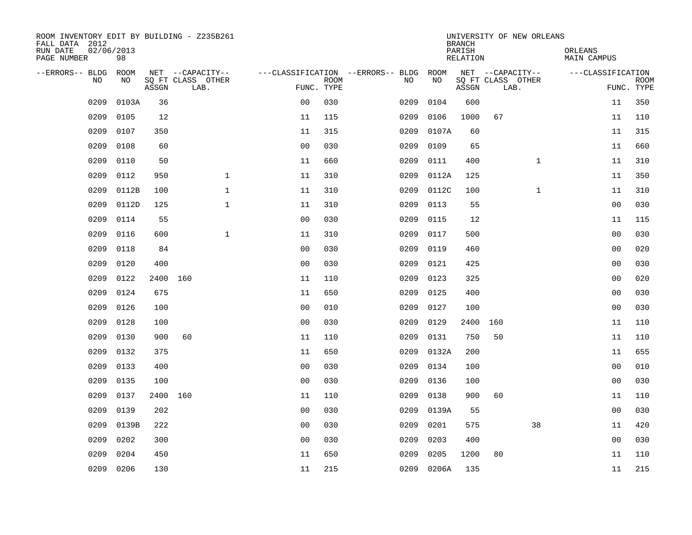| RUN DATE<br>02/06/2013<br>PARISH<br>ORLEANS<br>98<br>PAGE NUMBER<br>RELATION<br>MAIN CAMPUS                                                        |                           |
|----------------------------------------------------------------------------------------------------------------------------------------------------|---------------------------|
| <b>ROOM</b><br>NET --CAPACITY--<br>NET --CAPACITY--<br>--ERRORS-- BLDG<br>---CLASSIFICATION --ERRORS-- BLDG<br>ROOM                                | ---CLASSIFICATION         |
| SO FT CLASS OTHER<br><b>NO</b><br>SQ FT CLASS OTHER<br>N <sub>O</sub><br>NO.<br><b>ROOM</b><br>NO.<br>FUNC. TYPE<br>ASSGN<br>LAB.<br>ASSGN<br>LAB. | <b>ROOM</b><br>FUNC. TYPE |
| 0 <sub>0</sub><br>030<br>0209<br>0103A<br>36<br>0209<br>0104<br>600                                                                                | 350<br>11                 |
| 0209<br>0105<br>12<br>115<br>0106<br>1000<br>67<br>11<br>0209                                                                                      | 110<br>11                 |
| 0209<br>0107<br>350<br>315<br>0107A<br>60<br>11<br>0209                                                                                            | 315<br>11                 |
| 0209<br>0108<br>60<br>0 <sub>0</sub><br>030<br>0209<br>0109<br>65                                                                                  | 660<br>11                 |
| 0209<br>0110<br>50<br>$\mathbf{1}$<br>11<br>660<br>0209<br>0111<br>400                                                                             | 11<br>310                 |
| $\mathbf{1}$<br>0209<br>0112<br>950<br>11<br>310<br>0209<br>125<br>0112A                                                                           | 350<br>11                 |
| $\mathbf{1}$<br>$\mathbf{1}$<br>0209<br>0112B<br>100<br>11<br>310<br>0209<br>0112C<br>100                                                          | 310<br>11                 |
| $\mathbf{1}$<br>55<br>0209<br>0112D<br>125<br>310<br>0209<br>0113<br>11                                                                            | 0 <sub>0</sub><br>030     |
| 0209<br>0114<br>55<br>0 <sub>0</sub><br>030<br>0209<br>0115<br>12                                                                                  | 11<br>115                 |
| $\mathbf{1}$<br>0209<br>0116<br>600<br>11<br>310<br>0209<br>0117<br>500                                                                            | 030<br>00                 |
| 0209<br>0118<br>84<br>0 <sub>0</sub><br>030<br>0209<br>0119<br>460                                                                                 | 020<br>0 <sub>0</sub>     |
| 0209<br>0120<br>0 <sub>0</sub><br>030<br>425<br>400<br>0209<br>0121                                                                                | 0 <sub>0</sub><br>030     |
| 0209<br>0122<br>2400 160<br>0209<br>0123<br>325<br>11<br>110                                                                                       | 0 <sub>0</sub><br>020     |
| 0209<br>0124<br>675<br>650<br>11<br>0209<br>0125<br>400                                                                                            | 0 <sub>0</sub><br>030     |
| 0209<br>0126<br>100<br>0 <sub>0</sub><br>010<br>0209<br>0127<br>100                                                                                | 0 <sub>0</sub><br>030     |
| 0209<br>0128<br>100<br>0 <sub>0</sub><br>030<br>0209<br>0129<br>2400<br>160                                                                        | 110<br>11                 |
| 0209<br>0130<br>60<br>900<br>11<br>110<br>0209<br>0131<br>750<br>50                                                                                | 11<br>110                 |
| 0209<br>0132<br>375<br>11<br>650<br>0209<br>0132A<br>200                                                                                           | 655<br>11                 |
| 0209<br>0133<br>400<br>0 <sub>0</sub><br>0209<br>030<br>0134<br>100                                                                                | 0 <sub>0</sub><br>010     |
| 0209<br>0135<br>100<br>0 <sub>0</sub><br>030<br>0209<br>0136<br>100                                                                                | 0 <sub>0</sub><br>030     |
| 0209<br>0137<br>2400 160<br>110<br>0209<br>0138<br>900<br>60<br>11                                                                                 | 11<br>110                 |
| 0209<br>0139<br>202<br>0 <sub>0</sub><br>030<br>0209<br>0139A<br>55                                                                                | 030<br>00                 |
| 0139B<br>222<br>0 <sub>0</sub><br>38<br>0209<br>030<br>0209<br>0201<br>575                                                                         | 420<br>11                 |
| 0202<br>0 <sub>0</sub><br>0209<br>300<br>030<br>0209<br>0203<br>400                                                                                | 0 <sub>0</sub><br>030     |
| 0209<br>0204<br>0205<br>80<br>450<br>11<br>650<br>0209<br>1200                                                                                     | 11<br>110                 |
| 0209<br>0206<br>130<br>11<br>215<br>0209<br>0206A<br>135                                                                                           | 11<br>215                 |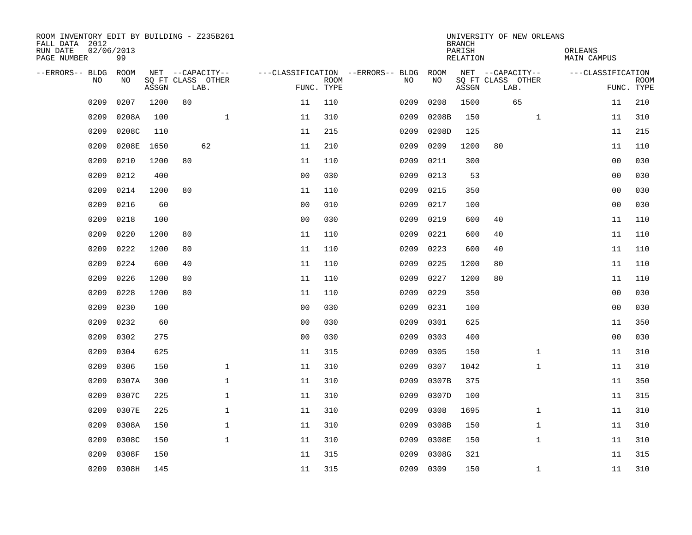| ROOM INVENTORY EDIT BY BUILDING - Z235B261<br>FALL DATA 2012<br>RUN DATE<br>PAGE NUMBER | 02/06/2013<br>99 |       |                           |              |                                   |             |      |       | <b>BRANCH</b><br>PARISH<br>RELATION |                           | UNIVERSITY OF NEW ORLEANS | ORLEANS<br>MAIN CAMPUS |                |             |
|-----------------------------------------------------------------------------------------|------------------|-------|---------------------------|--------------|-----------------------------------|-------------|------|-------|-------------------------------------|---------------------------|---------------------------|------------------------|----------------|-------------|
| --ERRORS-- BLDG ROOM                                                                    |                  |       | NET --CAPACITY--          |              | ---CLASSIFICATION --ERRORS-- BLDG |             |      | ROOM  |                                     | NET --CAPACITY--          |                           | ---CLASSIFICATION      |                |             |
| <b>NO</b>                                                                               | NO.              | ASSGN | SQ FT CLASS OTHER<br>LAB. |              | FUNC. TYPE                        | <b>ROOM</b> | NO.  | NO    | ASSGN                               | SQ FT CLASS OTHER<br>LAB. |                           |                        | FUNC. TYPE     | <b>ROOM</b> |
| 0209                                                                                    | 0207             | 1200  | 80                        |              | 11                                | 110         | 0209 | 0208  | 1500                                |                           | 65                        |                        | 11             | 210         |
| 0209                                                                                    | 0208A            | 100   |                           | $\mathbf 1$  | 11                                | 310         | 0209 | 0208B | 150                                 |                           | $\mathbf{1}$              |                        | 11             | 310         |
| 0209                                                                                    | 0208C            | 110   |                           |              | 11                                | 215         | 0209 | 0208D | 125                                 |                           |                           |                        | 11             | 215         |
| 0209                                                                                    | 0208E            | 1650  |                           | 62           | 11                                | 210         | 0209 | 0209  | 1200                                | 80                        |                           |                        | 11             | 110         |
| 0209                                                                                    | 0210             | 1200  | 80                        |              | 11                                | 110         | 0209 | 0211  | 300                                 |                           |                           |                        | 0 <sub>0</sub> | 030         |
| 0209                                                                                    | 0212             | 400   |                           |              | 0 <sub>0</sub>                    | 030         | 0209 | 0213  | 53                                  |                           |                           |                        | 0 <sub>0</sub> | 030         |
| 0209                                                                                    | 0214             | 1200  | 80                        |              | 11                                | 110         | 0209 | 0215  | 350                                 |                           |                           |                        | 00             | 030         |
| 0209                                                                                    | 0216             | 60    |                           |              | 0 <sub>0</sub>                    | 010         | 0209 | 0217  | 100                                 |                           |                           |                        | 0 <sub>0</sub> | 030         |
| 0209                                                                                    | 0218             | 100   |                           |              | 0 <sub>0</sub>                    | 030         | 0209 | 0219  | 600                                 | 40                        |                           |                        | 11             | 110         |
| 0209                                                                                    | 0220             | 1200  | 80                        |              | 11                                | 110         | 0209 | 0221  | 600                                 | 40                        |                           |                        | 11             | 110         |
| 0209                                                                                    | 0222             | 1200  | 80                        |              | 11                                | 110         | 0209 | 0223  | 600                                 | 40                        |                           |                        | 11             | 110         |
| 0209                                                                                    | 0224             | 600   | 40                        |              | 11                                | 110         | 0209 | 0225  | 1200                                | 80                        |                           |                        | 11             | 110         |
| 0209                                                                                    | 0226             | 1200  | 80                        |              | 11                                | 110         | 0209 | 0227  | 1200                                | 80                        |                           |                        | 11             | 110         |
| 0209                                                                                    | 0228             | 1200  | 80                        |              | 11                                | 110         | 0209 | 0229  | 350                                 |                           |                           |                        | 00             | 030         |
| 0209                                                                                    | 0230             | 100   |                           |              | 0 <sub>0</sub>                    | 030         | 0209 | 0231  | 100                                 |                           |                           |                        | 0 <sub>0</sub> | 030         |
| 0209                                                                                    | 0232             | 60    |                           |              | 0 <sub>0</sub>                    | 030         | 0209 | 0301  | 625                                 |                           |                           |                        | 11             | 350         |
| 0209                                                                                    | 0302             | 275   |                           |              | 0 <sub>0</sub>                    | 030         | 0209 | 0303  | 400                                 |                           |                           |                        | 0 <sub>0</sub> | 030         |
| 0209                                                                                    | 0304             | 625   |                           |              | 11                                | 315         | 0209 | 0305  | 150                                 |                           | $\mathbf{1}$              |                        | 11             | 310         |
| 0209                                                                                    | 0306             | 150   |                           | $\mathbf 1$  | 11                                | 310         | 0209 | 0307  | 1042                                |                           | $\mathbf{1}$              |                        | 11             | 310         |
| 0209                                                                                    | 0307A            | 300   |                           | 1            | 11                                | 310         | 0209 | 0307B | 375                                 |                           |                           |                        | 11             | 350         |
| 0209                                                                                    | 0307C            | 225   |                           | $\mathbf 1$  | 11                                | 310         | 0209 | 0307D | 100                                 |                           |                           |                        | 11             | 315         |
| 0209                                                                                    | 0307E            | 225   |                           | $\mathbf{1}$ | 11                                | 310         | 0209 | 0308  | 1695                                |                           | $\mathbf{1}$              |                        | 11             | 310         |
| 0209                                                                                    | 0308A            | 150   |                           | 1            | 11                                | 310         | 0209 | 0308B | 150                                 |                           | $\mathbf{1}$              |                        | 11             | 310         |
| 0209                                                                                    | 0308C            | 150   |                           | $\mathbf 1$  | 11                                | 310         | 0209 | 0308E | 150                                 |                           | $\mathbf{1}$              |                        | 11             | 310         |
| 0209                                                                                    | 0308F            | 150   |                           |              | 11                                | 315         | 0209 | 0308G | 321                                 |                           |                           |                        | 11             | 315         |
| 0209                                                                                    | 0308H            | 145   |                           |              | 11                                | 315         | 0209 | 0309  | 150                                 |                           | $\mathbf{1}$              |                        | 11             | 310         |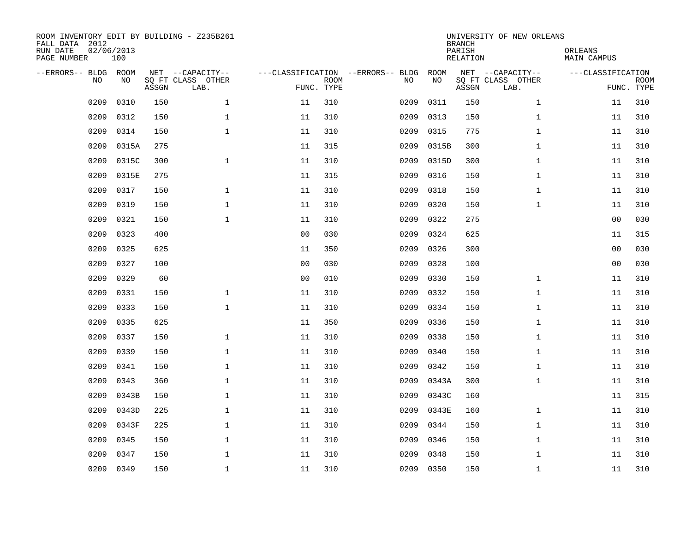| ROOM INVENTORY EDIT BY BUILDING - Z235B261<br>FALL DATA 2012<br>RUN DATE<br>PAGE NUMBER | 02/06/2013<br>100 |       |                                               |                |             |                                         |            | <b>BRANCH</b><br>PARISH<br><b>RELATION</b> | UNIVERSITY OF NEW ORLEANS                     | ORLEANS<br><b>MAIN CAMPUS</b> |                           |
|-----------------------------------------------------------------------------------------|-------------------|-------|-----------------------------------------------|----------------|-------------|-----------------------------------------|------------|--------------------------------------------|-----------------------------------------------|-------------------------------|---------------------------|
| --ERRORS-- BLDG ROOM<br>NO                                                              | NO                | ASSGN | NET --CAPACITY--<br>SQ FT CLASS OTHER<br>LAB. | FUNC. TYPE     | <b>ROOM</b> | ---CLASSIFICATION --ERRORS-- BLDG<br>NO | ROOM<br>NO | ASSGN                                      | NET --CAPACITY--<br>SQ FT CLASS OTHER<br>LAB. | ---CLASSIFICATION             | <b>ROOM</b><br>FUNC. TYPE |
| 0209                                                                                    | 0310              | 150   | $\mathbf 1$                                   | 11             | 310         | 0209                                    | 0311       | 150                                        | $\mathbf{1}$                                  | 11                            | 310                       |
| 0209                                                                                    | 0312              | 150   | 1                                             | 11             | 310         | 0209                                    | 0313       | 150                                        | $\mathbf{1}$                                  | 11                            | 310                       |
| 0209                                                                                    | 0314              | 150   | $\mathbf 1$                                   | 11             | 310         | 0209                                    | 0315       | 775                                        | $\mathbf{1}$                                  | 11                            | 310                       |
| 0209                                                                                    | 0315A             | 275   |                                               | 11             | 315         | 0209                                    | 0315B      | 300                                        | $\mathbf{1}$                                  | 11                            | 310                       |
| 0209                                                                                    | 0315C             | 300   | $\mathbf{1}$                                  | 11             | 310         | 0209                                    | 0315D      | 300                                        | $\mathbf{1}$                                  | 11                            | 310                       |
| 0209                                                                                    | 0315E             | 275   |                                               | 11             | 315         | 0209                                    | 0316       | 150                                        | $\mathbf{1}$                                  | 11                            | 310                       |
| 0209                                                                                    | 0317              | 150   | $\mathbf{1}$                                  | 11             | 310         | 0209                                    | 0318       | 150                                        | $\mathbf{1}$                                  | 11                            | 310                       |
| 0209                                                                                    | 0319              | 150   | $\mathbf{1}$                                  | 11             | 310         | 0209                                    | 0320       | 150                                        | $\mathbf{1}$                                  | 11                            | 310                       |
| 0209                                                                                    | 0321              | 150   | $\mathbf{1}$                                  | 11             | 310         | 0209                                    | 0322       | 275                                        |                                               | 0 <sub>0</sub>                | 030                       |
| 0209                                                                                    | 0323              | 400   |                                               | 0 <sub>0</sub> | 030         | 0209                                    | 0324       | 625                                        |                                               | 11                            | 315                       |
| 0209                                                                                    | 0325              | 625   |                                               | 11             | 350         | 0209                                    | 0326       | 300                                        |                                               | 0 <sub>0</sub>                | 030                       |
| 0209                                                                                    | 0327              | 100   |                                               | 0 <sub>0</sub> | 030         | 0209                                    | 0328       | 100                                        |                                               | 0 <sub>0</sub>                | 030                       |
| 0209                                                                                    | 0329              | 60    |                                               | 0 <sub>0</sub> | 010         | 0209                                    | 0330       | 150                                        | $\mathbf{1}$                                  | 11                            | 310                       |
| 0209                                                                                    | 0331              | 150   | $\mathbf 1$                                   | 11             | 310         | 0209                                    | 0332       | 150                                        | $\mathbf{1}$                                  | 11                            | 310                       |
| 0209                                                                                    | 0333              | 150   | $\mathbf{1}$                                  | 11             | 310         | 0209                                    | 0334       | 150                                        | $\mathbf{1}$                                  | 11                            | 310                       |
| 0209                                                                                    | 0335              | 625   |                                               | 11             | 350         | 0209                                    | 0336       | 150                                        | $\mathbf{1}$                                  | 11                            | 310                       |
| 0209                                                                                    | 0337              | 150   | $\mathbf 1$                                   | 11             | 310         | 0209                                    | 0338       | 150                                        | $\mathbf{1}$                                  | 11                            | 310                       |
| 0209                                                                                    | 0339              | 150   | $\mathbf 1$                                   | 11             | 310         | 0209                                    | 0340       | 150                                        | $\mathbf{1}$                                  | 11                            | 310                       |
| 0209                                                                                    | 0341              | 150   | $\mathbf 1$                                   | 11             | 310         | 0209                                    | 0342       | 150                                        | $\mathbf{1}$                                  | 11                            | 310                       |
| 0209                                                                                    | 0343              | 360   | $\mathbf 1$                                   | 11             | 310         | 0209                                    | 0343A      | 300                                        | $\mathbf{1}$                                  | 11                            | 310                       |
| 0209                                                                                    | 0343B             | 150   | $\mathbf{1}$                                  | 11             | 310         | 0209                                    | 0343C      | 160                                        |                                               | 11                            | 315                       |
| 0209                                                                                    | 0343D             | 225   | $\mathbf{1}$                                  | 11             | 310         | 0209                                    | 0343E      | 160                                        | $\mathbf{1}$                                  | 11                            | 310                       |
| 0209                                                                                    | 0343F             | 225   | $\mathbf{1}$                                  | 11             | 310         | 0209                                    | 0344       | 150                                        | $\mathbf{1}$                                  | 11                            | 310                       |
| 0209                                                                                    | 0345              | 150   | $\mathbf 1$                                   | 11             | 310         | 0209                                    | 0346       | 150                                        | $\mathbf{1}$                                  | 11                            | 310                       |
| 0209                                                                                    | 0347              | 150   | $\mathbf{1}$                                  | 11             | 310         | 0209                                    | 0348       | 150                                        | $\mathbf{1}$                                  | 11                            | 310                       |
| 0209                                                                                    | 0349              | 150   | $\mathbf 1$                                   | 11             | 310         |                                         | 0209 0350  | 150                                        | $\mathbf{1}$                                  | 11                            | 310                       |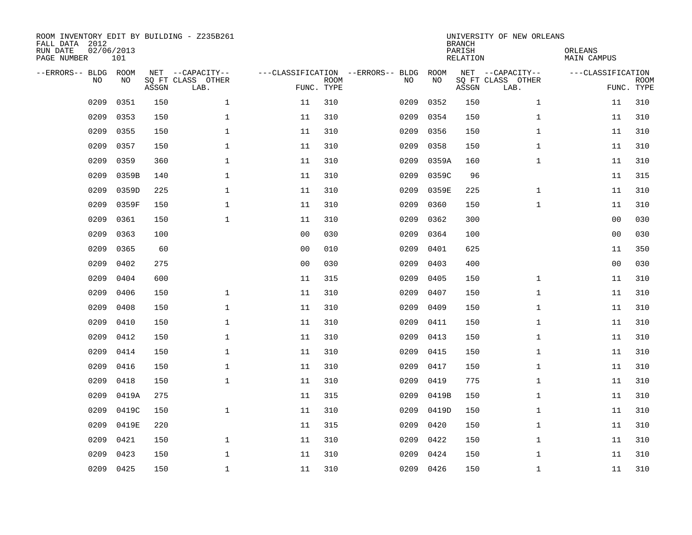| ROOM INVENTORY EDIT BY BUILDING - Z235B261<br>FALL DATA 2012<br>RUN DATE<br>PAGE NUMBER | 02/06/2013<br>101 |       |                                               |                |             |                                         |            | <b>BRANCH</b><br>PARISH<br><b>RELATION</b> | UNIVERSITY OF NEW ORLEANS                     | ORLEANS<br><b>MAIN CAMPUS</b> |                           |
|-----------------------------------------------------------------------------------------|-------------------|-------|-----------------------------------------------|----------------|-------------|-----------------------------------------|------------|--------------------------------------------|-----------------------------------------------|-------------------------------|---------------------------|
| --ERRORS-- BLDG ROOM<br>NO                                                              | NO                | ASSGN | NET --CAPACITY--<br>SQ FT CLASS OTHER<br>LAB. | FUNC. TYPE     | <b>ROOM</b> | ---CLASSIFICATION --ERRORS-- BLDG<br>NO | ROOM<br>NO | ASSGN                                      | NET --CAPACITY--<br>SQ FT CLASS OTHER<br>LAB. | ---CLASSIFICATION             | <b>ROOM</b><br>FUNC. TYPE |
| 0209                                                                                    | 0351              | 150   | $\mathbf 1$                                   | 11             | 310         | 0209                                    | 0352       | 150                                        | $\mathbf{1}$                                  | 11                            | 310                       |
| 0209                                                                                    | 0353              | 150   | 1                                             | 11             | 310         | 0209                                    | 0354       | 150                                        | $\mathbf{1}$                                  | 11                            | 310                       |
| 0209                                                                                    | 0355              | 150   | $\mathbf 1$                                   | 11             | 310         | 0209                                    | 0356       | 150                                        | $\mathbf{1}$                                  | 11                            | 310                       |
| 0209                                                                                    | 0357              | 150   | $\mathbf 1$                                   | 11             | 310         | 0209                                    | 0358       | 150                                        | $\mathbf{1}$                                  | 11                            | 310                       |
| 0209                                                                                    | 0359              | 360   | $\mathbf{1}$                                  | 11             | 310         | 0209                                    | 0359A      | 160                                        | $\mathbf{1}$                                  | 11                            | 310                       |
| 0209                                                                                    | 0359B             | 140   | $\mathbf 1$                                   | 11             | 310         | 0209                                    | 0359C      | 96                                         |                                               | 11                            | 315                       |
| 0209                                                                                    | 0359D             | 225   | $\mathbf{1}$                                  | 11             | 310         | 0209                                    | 0359E      | 225                                        | $\mathbf{1}$                                  | 11                            | 310                       |
| 0209                                                                                    | 0359F             | 150   | $\mathbf{1}$                                  | 11             | 310         | 0209                                    | 0360       | 150                                        | $\mathbf{1}$                                  | 11                            | 310                       |
| 0209                                                                                    | 0361              | 150   | $\mathbf{1}$                                  | 11             | 310         | 0209                                    | 0362       | 300                                        |                                               | 0 <sub>0</sub>                | 030                       |
| 0209                                                                                    | 0363              | 100   |                                               | 0 <sub>0</sub> | 030         | 0209                                    | 0364       | 100                                        |                                               | 0 <sub>0</sub>                | 030                       |
| 0209                                                                                    | 0365              | 60    |                                               | 0 <sub>0</sub> | 010         | 0209                                    | 0401       | 625                                        |                                               | 11                            | 350                       |
| 0209                                                                                    | 0402              | 275   |                                               | 0 <sub>0</sub> | 030         | 0209                                    | 0403       | 400                                        |                                               | 0 <sub>0</sub>                | 030                       |
| 0209                                                                                    | 0404              | 600   |                                               | 11             | 315         | 0209                                    | 0405       | 150                                        | $\mathbf{1}$                                  | 11                            | 310                       |
| 0209                                                                                    | 0406              | 150   | $\mathbf 1$                                   | 11             | 310         | 0209                                    | 0407       | 150                                        | $\mathbf{1}$                                  | 11                            | 310                       |
| 0209                                                                                    | 0408              | 150   | $\mathbf{1}$                                  | 11             | 310         | 0209                                    | 0409       | 150                                        | $\mathbf{1}$                                  | 11                            | 310                       |
| 0209                                                                                    | 0410              | 150   | $\mathbf{1}$                                  | 11             | 310         | 0209                                    | 0411       | 150                                        | $\mathbf{1}$                                  | 11                            | 310                       |
| 0209                                                                                    | 0412              | 150   | $\mathbf{1}$                                  | 11             | 310         | 0209                                    | 0413       | 150                                        | $\mathbf{1}$                                  | 11                            | 310                       |
| 0209                                                                                    | 0414              | 150   | $\mathbf 1$                                   | 11             | 310         | 0209                                    | 0415       | 150                                        | $\mathbf{1}$                                  | 11                            | 310                       |
| 0209                                                                                    | 0416              | 150   | $\mathbf 1$                                   | 11             | 310         | 0209                                    | 0417       | 150                                        | $\mathbf{1}$                                  | 11                            | 310                       |
| 0209                                                                                    | 0418              | 150   | $\mathbf{1}$                                  | 11             | 310         | 0209                                    | 0419       | 775                                        | $\mathbf{1}$                                  | 11                            | 310                       |
| 0209                                                                                    | 0419A             | 275   |                                               | 11             | 315         | 0209                                    | 0419B      | 150                                        | $\mathbf{1}$                                  | 11                            | 310                       |
| 0209                                                                                    | 0419C             | 150   | $\mathbf{1}$                                  | 11             | 310         | 0209                                    | 0419D      | 150                                        | $\mathbf{1}$                                  | 11                            | 310                       |
| 0209                                                                                    | 0419E             | 220   |                                               | 11             | 315         | 0209                                    | 0420       | 150                                        | $\mathbf{1}$                                  | 11                            | 310                       |
| 0209                                                                                    | 0421              | 150   | $\mathbf{1}$                                  | 11             | 310         | 0209                                    | 0422       | 150                                        | $\mathbf{1}$                                  | 11                            | 310                       |
| 0209                                                                                    | 0423              | 150   | $\mathbf{1}$                                  | 11             | 310         | 0209                                    | 0424       | 150                                        | $\mathbf{1}$                                  | 11                            | 310                       |
|                                                                                         | 0209 0425         | 150   | $\mathbf 1$                                   | 11             | 310         |                                         | 0209 0426  | 150                                        | $\mathbf{1}$                                  | 11                            | 310                       |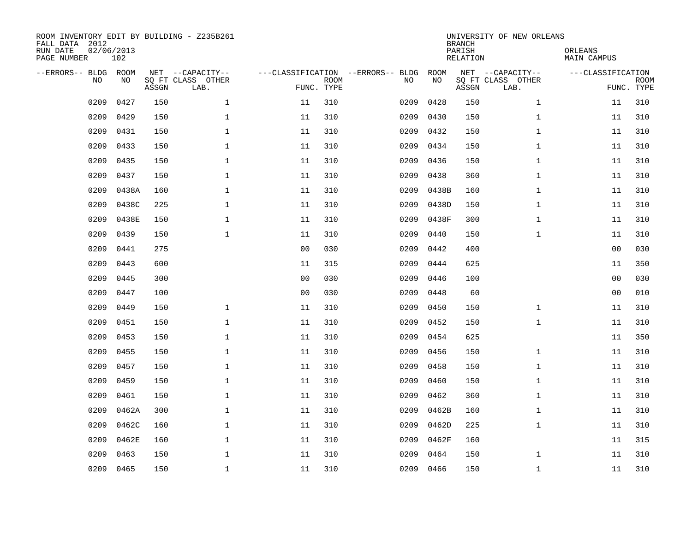| ROOM INVENTORY EDIT BY BUILDING - Z235B261<br>FALL DATA 2012<br>RUN DATE<br>PAGE NUMBER | 02/06/2013<br>102 |       |                                               |                |                           |                                         |            | <b>BRANCH</b><br>PARISH<br><b>RELATION</b> | UNIVERSITY OF NEW ORLEANS                     | ORLEANS<br><b>MAIN CAMPUS</b> |                           |
|-----------------------------------------------------------------------------------------|-------------------|-------|-----------------------------------------------|----------------|---------------------------|-----------------------------------------|------------|--------------------------------------------|-----------------------------------------------|-------------------------------|---------------------------|
| --ERRORS-- BLDG ROOM<br>NO                                                              | NO                | ASSGN | NET --CAPACITY--<br>SQ FT CLASS OTHER<br>LAB. |                | <b>ROOM</b><br>FUNC. TYPE | ---CLASSIFICATION --ERRORS-- BLDG<br>NO | ROOM<br>NO | ASSGN                                      | NET --CAPACITY--<br>SQ FT CLASS OTHER<br>LAB. | ---CLASSIFICATION             | <b>ROOM</b><br>FUNC. TYPE |
| 0209                                                                                    | 0427              | 150   | $\mathbf 1$                                   | 11             | 310                       | 0209                                    | 0428       | 150                                        | $\mathbf{1}$                                  | 11                            | 310                       |
| 0209                                                                                    | 0429              | 150   | $\mathbf 1$                                   | 11             | 310                       | 0209                                    | 0430       | 150                                        | $\mathbf{1}$                                  | 11                            | 310                       |
| 0209                                                                                    | 0431              | 150   | $\mathbf 1$                                   | 11             | 310                       | 0209                                    | 0432       | 150                                        | $\mathbf{1}$                                  | 11                            | 310                       |
| 0209                                                                                    | 0433              | 150   | $\mathbf 1$                                   | 11             | 310                       | 0209                                    | 0434       | 150                                        | $\mathbf{1}$                                  | 11                            | 310                       |
| 0209                                                                                    | 0435              | 150   | $\mathbf{1}$                                  | 11             | 310                       | 0209                                    | 0436       | 150                                        | $\mathbf{1}$                                  | 11                            | 310                       |
| 0209                                                                                    | 0437              | 150   | $\mathbf{1}$                                  | 11             | 310                       | 0209                                    | 0438       | 360                                        | $\mathbf{1}$                                  | 11                            | 310                       |
| 0209                                                                                    | 0438A             | 160   | $\mathbf{1}$                                  | 11             | 310                       | 0209                                    | 0438B      | 160                                        | $\mathbf{1}$                                  | 11                            | 310                       |
| 0209                                                                                    | 0438C             | 225   | $\mathbf 1$                                   | 11             | 310                       | 0209                                    | 0438D      | 150                                        | $\mathbf{1}$                                  | 11                            | 310                       |
| 0209                                                                                    | 0438E             | 150   | $\mathbf{1}$                                  | 11             | 310                       | 0209                                    | 0438F      | 300                                        | $\mathbf{1}$                                  | 11                            | 310                       |
| 0209                                                                                    | 0439              | 150   | $\mathbf{1}$                                  | 11             | 310                       | 0209                                    | 0440       | 150                                        | $\mathbf{1}$                                  | 11                            | 310                       |
| 0209                                                                                    | 0441              | 275   |                                               | 0 <sub>0</sub> | 030                       | 0209                                    | 0442       | 400                                        |                                               | 0 <sub>0</sub>                | 030                       |
| 0209                                                                                    | 0443              | 600   |                                               | 11             | 315                       | 0209                                    | 0444       | 625                                        |                                               | 11                            | 350                       |
| 0209                                                                                    | 0445              | 300   |                                               | 0 <sub>0</sub> | 030                       | 0209                                    | 0446       | 100                                        |                                               | 0 <sub>0</sub>                | 030                       |
| 0209                                                                                    | 0447              | 100   |                                               | 0 <sub>0</sub> | 030                       | 0209                                    | 0448       | 60                                         |                                               | 0 <sub>0</sub>                | 010                       |
| 0209                                                                                    | 0449              | 150   | $\mathbf 1$                                   | 11             | 310                       | 0209                                    | 0450       | 150                                        | $\mathbf{1}$                                  | 11                            | 310                       |
| 0209                                                                                    | 0451              | 150   | $\mathbf{1}$                                  | 11             | 310                       | 0209                                    | 0452       | 150                                        | $\mathbf{1}$                                  | 11                            | 310                       |
| 0209                                                                                    | 0453              | 150   | $\mathbf 1$                                   | 11             | 310                       | 0209                                    | 0454       | 625                                        |                                               | 11                            | 350                       |
| 0209                                                                                    | 0455              | 150   | $\mathbf{1}$                                  | 11             | 310                       | 0209                                    | 0456       | 150                                        | $\mathbf{1}$                                  | 11                            | 310                       |
| 0209                                                                                    | 0457              | 150   | $\mathbf{1}$                                  | 11             | 310                       | 0209                                    | 0458       | 150                                        | $\mathbf{1}$                                  | 11                            | 310                       |
| 0209                                                                                    | 0459              | 150   | $\mathbf 1$                                   | 11             | 310                       | 0209                                    | 0460       | 150                                        | $\mathbf{1}$                                  | 11                            | 310                       |
| 0209                                                                                    | 0461              | 150   | $\mathbf 1$                                   | 11             | 310                       | 0209                                    | 0462       | 360                                        | $\mathbf{1}$                                  | 11                            | 310                       |
| 0209                                                                                    | 0462A             | 300   | $\mathbf 1$                                   | 11             | 310                       | 0209                                    | 0462B      | 160                                        | $\mathbf{1}$                                  | 11                            | 310                       |
| 0209                                                                                    | 0462C             | 160   | $\mathbf 1$                                   | 11             | 310                       | 0209                                    | 0462D      | 225                                        | $\mathbf{1}$                                  | 11                            | 310                       |
| 0209                                                                                    | 0462E             | 160   | $\mathbf{1}$                                  | 11             | 310                       | 0209                                    | 0462F      | 160                                        |                                               | 11                            | 315                       |
| 0209                                                                                    | 0463              | 150   | $\mathbf 1$                                   | 11             | 310                       | 0209                                    | 0464       | 150                                        | $\mathbf{1}$                                  | 11                            | 310                       |
| 0209                                                                                    | 0465              | 150   | $\mathbf{1}$                                  | 11             | 310                       | 0209                                    | 0466       | 150                                        | $\mathbf{1}$                                  | 11                            | 310                       |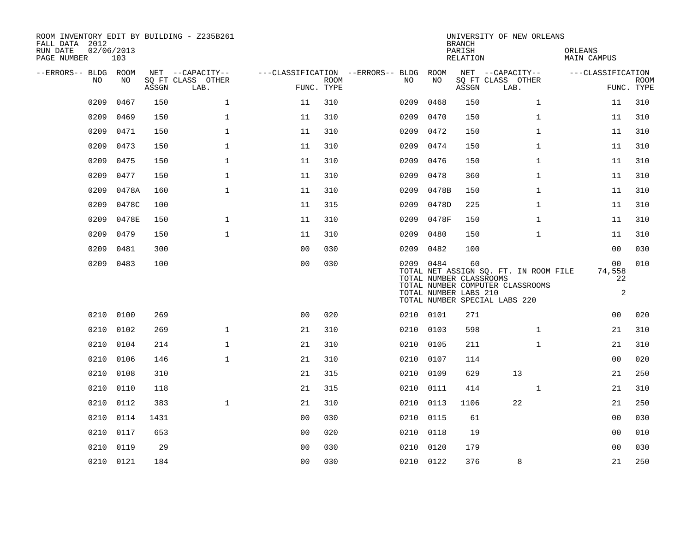| FALL DATA 2012<br>RUN DATE<br>PAGE NUMBER | 02/06/2013<br>103 |       | ROOM INVENTORY EDIT BY BUILDING - Z235B261 |                |                           |                                        |                                                               | <b>BRANCH</b><br>PARISH<br>RELATION | UNIVERSITY OF NEW ORLEANS                                                                                  | ORLEANS<br>MAIN CAMPUS               |                           |
|-------------------------------------------|-------------------|-------|--------------------------------------------|----------------|---------------------------|----------------------------------------|---------------------------------------------------------------|-------------------------------------|------------------------------------------------------------------------------------------------------------|--------------------------------------|---------------------------|
| --ERRORS-- BLDG ROOM                      |                   |       | NET --CAPACITY--                           |                |                           | ---CLASSIFICATION --ERRORS-- BLDG ROOM |                                                               |                                     | NET --CAPACITY--                                                                                           | ---CLASSIFICATION                    |                           |
| NO                                        | NO                | ASSGN | SQ FT CLASS OTHER<br>LAB.                  |                | <b>ROOM</b><br>FUNC. TYPE | NO                                     | NO                                                            | ASSGN                               | SQ FT CLASS OTHER<br>LAB.                                                                                  |                                      | <b>ROOM</b><br>FUNC. TYPE |
| 0209                                      | 0467              | 150   | $\mathbf 1$                                | 11             | 310                       | 0209                                   | 0468                                                          | 150                                 | $\mathbf{1}$                                                                                               | 11                                   | 310                       |
| 0209                                      | 0469              | 150   | $\mathbf{1}$                               | 11             | 310                       | 0209                                   | 0470                                                          | 150                                 | $\mathbf{1}$                                                                                               | 11                                   | 310                       |
| 0209                                      | 0471              | 150   | $\mathbf 1$                                | 11             | 310                       | 0209                                   | 0472                                                          | 150                                 | $\mathbf{1}$                                                                                               | 11                                   | 310                       |
| 0209                                      | 0473              | 150   | $\mathbf{1}$                               | 11             | 310                       | 0209                                   | 0474                                                          | 150                                 | $\mathbf{1}$                                                                                               | 11                                   | 310                       |
| 0209                                      | 0475              | 150   | $\mathbf{1}$                               | 11             | 310                       | 0209                                   | 0476                                                          | 150                                 | $\mathbf{1}$                                                                                               | 11                                   | 310                       |
| 0209                                      | 0477              | 150   | $\mathbf{1}$                               | 11             | 310                       | 0209                                   | 0478                                                          | 360                                 | $\mathbf{1}$                                                                                               | 11                                   | 310                       |
| 0209                                      | 0478A             | 160   | $\mathbf 1$                                | 11             | 310                       | 0209                                   | 0478B                                                         | 150                                 | $\mathbf{1}$                                                                                               | 11                                   | 310                       |
| 0209                                      | 0478C             | 100   |                                            | 11             | 315                       | 0209                                   | 0478D                                                         | 225                                 | $\mathbf{1}$                                                                                               | 11                                   | 310                       |
| 0209                                      | 0478E             | 150   | $\mathbf{1}$                               | 11             | 310                       | 0209                                   | 0478F                                                         | 150                                 | $\mathbf{1}$                                                                                               | 11                                   | 310                       |
| 0209                                      | 0479              | 150   | $\mathbf{1}$                               | 11             | 310                       | 0209                                   | 0480                                                          | 150                                 | $\mathbf{1}$                                                                                               | 11                                   | 310                       |
| 0209                                      | 0481              | 300   |                                            | 0 <sub>0</sub> | 030                       | 0209                                   | 0482                                                          | 100                                 |                                                                                                            | 00                                   | 030                       |
| 0209                                      | 0483              | 100   |                                            | 00             | 030                       |                                        | 0209 0484<br>TOTAL NUMBER CLASSROOMS<br>TOTAL NUMBER LABS 210 | 60                                  | TOTAL NET ASSIGN SQ. FT. IN ROOM FILE<br>TOTAL NUMBER COMPUTER CLASSROOMS<br>TOTAL NUMBER SPECIAL LABS 220 | 00<br>74,558<br>22<br>$\overline{a}$ | 010                       |
|                                           | 0210 0100         | 269   |                                            | 0 <sub>0</sub> | 020                       |                                        | 0210 0101                                                     | 271                                 |                                                                                                            | 0 <sub>0</sub>                       | 020                       |
|                                           | 0210 0102         | 269   | $\mathbf{1}$                               | 21             | 310                       |                                        | 0210 0103                                                     | 598                                 | $\mathbf{1}$                                                                                               | 21                                   | 310                       |
| 0210                                      | 0104              | 214   | $\mathbf{1}$                               | 21             | 310                       | 0210                                   | 0105                                                          | 211                                 | $\mathbf{1}$                                                                                               | 21                                   | 310                       |
| 0210                                      | 0106              | 146   | $\mathbf{1}$                               | 21             | 310                       |                                        | 0210 0107                                                     | 114                                 |                                                                                                            | 00                                   | 020                       |
| 0210                                      | 0108              | 310   |                                            | 21             | 315                       | 0210                                   | 0109                                                          | 629                                 | 13                                                                                                         | 21                                   | 250                       |
| 0210                                      | 0110              | 118   |                                            | 21             | 315                       |                                        | 0210 0111                                                     | 414                                 | $\mathbf{1}$                                                                                               | 21                                   | 310                       |
| 0210                                      | 0112              | 383   | $\mathbf{1}$                               | 21             | 310                       | 0210                                   | 0113                                                          | 1106                                | 22                                                                                                         | 21                                   | 250                       |
| 0210                                      | 0114              | 1431  |                                            | 0 <sub>0</sub> | 030                       |                                        | 0210 0115                                                     | 61                                  |                                                                                                            | 00                                   | 030                       |
| 0210                                      | 0117              | 653   |                                            | 00             | 020                       | 0210                                   | 0118                                                          | 19                                  |                                                                                                            | 00                                   | 010                       |
| 0210                                      | 0119              | 29    |                                            | 0 <sub>0</sub> | 030                       | 0210                                   | 0120                                                          | 179                                 |                                                                                                            | 00                                   | 030                       |
|                                           | 0210 0121         | 184   |                                            | 0 <sub>0</sub> | 030                       |                                        | 0210 0122                                                     | 376                                 | 8                                                                                                          | 21                                   | 250                       |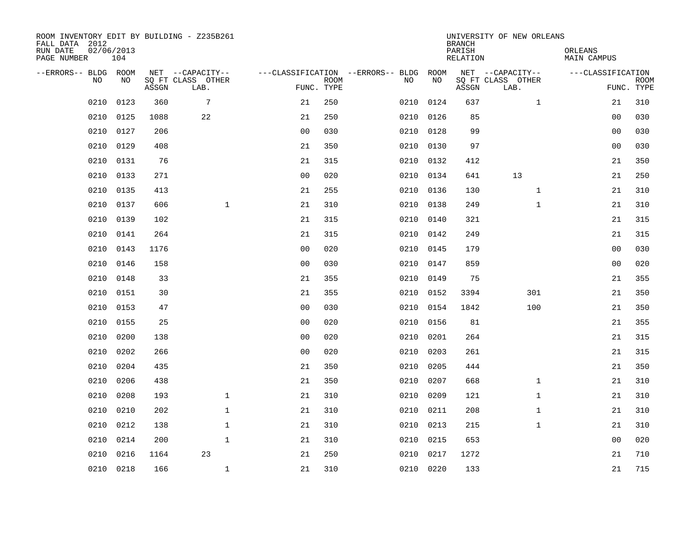| ROOM INVENTORY EDIT BY BUILDING - Z235B261<br>FALL DATA 2012<br>RUN DATE<br>PAGE NUMBER | 02/06/2013<br>104 |       |                                               |                |             |                                              |           | <b>BRANCH</b><br>PARISH<br><b>RELATION</b> | UNIVERSITY OF NEW ORLEANS                     | ORLEANS<br><b>MAIN CAMPUS</b> |                           |
|-----------------------------------------------------------------------------------------|-------------------|-------|-----------------------------------------------|----------------|-------------|----------------------------------------------|-----------|--------------------------------------------|-----------------------------------------------|-------------------------------|---------------------------|
| --ERRORS-- BLDG ROOM<br>NO                                                              | NO                | ASSGN | NET --CAPACITY--<br>SQ FT CLASS OTHER<br>LAB. | FUNC. TYPE     | <b>ROOM</b> | ---CLASSIFICATION --ERRORS-- BLDG ROOM<br>NO | NO        | ASSGN                                      | NET --CAPACITY--<br>SQ FT CLASS OTHER<br>LAB. | ---CLASSIFICATION             | <b>ROOM</b><br>FUNC. TYPE |
| 0210                                                                                    | 0123              | 360   | 7                                             | 21             | 250         | 0210                                         | 0124      | 637                                        | $\mathbf{1}$                                  | 21                            | 310                       |
| 0210                                                                                    | 0125              | 1088  | 22                                            | 21             | 250         | 0210                                         | 0126      | 85                                         |                                               | 00                            | 030                       |
| 0210                                                                                    | 0127              | 206   |                                               | 0 <sub>0</sub> | 030         | 0210                                         | 0128      | 99                                         |                                               | 00                            | 030                       |
| 0210                                                                                    | 0129              | 408   |                                               | 21             | 350         |                                              | 0210 0130 | 97                                         |                                               | 0 <sub>0</sub>                | 030                       |
| 0210                                                                                    | 0131              | 76    |                                               | 21             | 315         | 0210                                         | 0132      | 412                                        |                                               | 21                            | 350                       |
| 0210                                                                                    | 0133              | 271   |                                               | 0 <sub>0</sub> | 020         |                                              | 0210 0134 | 641                                        | 13                                            | 21                            | 250                       |
| 0210                                                                                    | 0135              | 413   |                                               | 21             | 255         | 0210                                         | 0136      | 130                                        | $\mathbf{1}$                                  | 21                            | 310                       |
| 0210                                                                                    | 0137              | 606   | $\mathbf{1}$                                  | 21             | 310         |                                              | 0210 0138 | 249                                        | $\mathbf{1}$                                  | 21                            | 310                       |
| 0210                                                                                    | 0139              | 102   |                                               | 21             | 315         | 0210                                         | 0140      | 321                                        |                                               | 21                            | 315                       |
| 0210                                                                                    | 0141              | 264   |                                               | 21             | 315         |                                              | 0210 0142 | 249                                        |                                               | 21                            | 315                       |
| 0210                                                                                    | 0143              | 1176  |                                               | 0 <sub>0</sub> | 020         | 0210                                         | 0145      | 179                                        |                                               | 0 <sub>0</sub>                | 030                       |
| 0210                                                                                    | 0146              | 158   |                                               | 0 <sub>0</sub> | 030         |                                              | 0210 0147 | 859                                        |                                               | 0 <sub>0</sub>                | 020                       |
| 0210                                                                                    | 0148              | 33    |                                               | 21             | 355         | 0210                                         | 0149      | 75                                         |                                               | 21                            | 355                       |
| 0210                                                                                    | 0151              | 30    |                                               | 21             | 355         | 0210                                         | 0152      | 3394                                       | 301                                           | 21                            | 350                       |
| 0210                                                                                    | 0153              | 47    |                                               | 0 <sub>0</sub> | 030         | 0210                                         | 0154      | 1842                                       | 100                                           | 21                            | 350                       |
| 0210                                                                                    | 0155              | 25    |                                               | 0 <sub>0</sub> | 020         | 0210                                         | 0156      | 81                                         |                                               | 21                            | 355                       |
| 0210                                                                                    | 0200              | 138   |                                               | 0 <sub>0</sub> | 020         | 0210                                         | 0201      | 264                                        |                                               | 21                            | 315                       |
| 0210                                                                                    | 0202              | 266   |                                               | 0 <sub>0</sub> | 020         | 0210                                         | 0203      | 261                                        |                                               | 21                            | 315                       |
| 0210                                                                                    | 0204              | 435   |                                               | 21             | 350         | 0210                                         | 0205      | 444                                        |                                               | 21                            | 350                       |
| 0210                                                                                    | 0206              | 438   |                                               | 21             | 350         | 0210                                         | 0207      | 668                                        | $\mathbf{1}$                                  | 21                            | 310                       |
| 0210                                                                                    | 0208              | 193   | $\mathbf 1$                                   | 21             | 310         | 0210                                         | 0209      | 121                                        | $\mathbf{1}$                                  | 21                            | 310                       |
| 0210                                                                                    | 0210              | 202   | $\mathbf{1}$                                  | 21             | 310         | 0210                                         | 0211      | 208                                        | $\mathbf{1}$                                  | 21                            | 310                       |
| 0210                                                                                    | 0212              | 138   | $\mathbf{1}$                                  | 21             | 310         | 0210                                         | 0213      | 215                                        | $\mathbf{1}$                                  | 21                            | 310                       |
| 0210                                                                                    | 0214              | 200   | $\mathbf{1}$                                  | 21             | 310         | 0210                                         | 0215      | 653                                        |                                               | 0 <sub>0</sub>                | 020                       |
| 0210                                                                                    | 0216              | 1164  | 23                                            | 21             | 250         | 0210                                         | 0217      | 1272                                       |                                               | 21                            | 710                       |
|                                                                                         | 0210 0218         | 166   | $\mathbf{1}$                                  | 21             | 310         |                                              | 0210 0220 | 133                                        |                                               | 21                            | 715                       |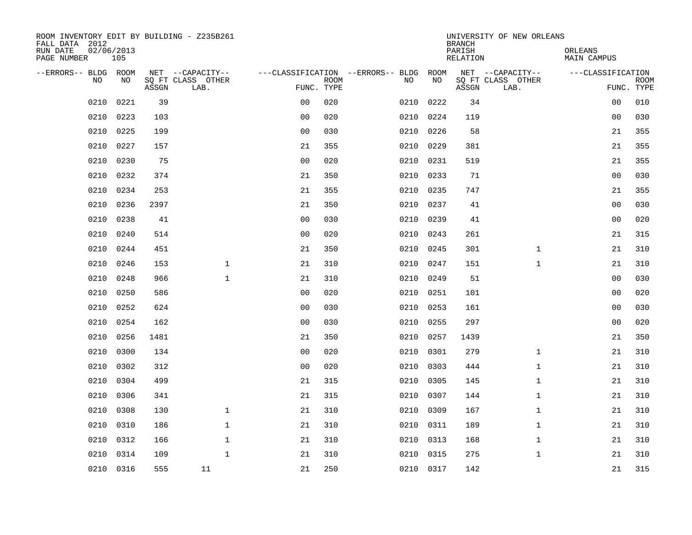| ROOM INVENTORY EDIT BY BUILDING - Z235B261<br>FALL DATA 2012 |                   |       | UNIVERSITY OF NEW ORLEANS<br><b>BRANCH</b> |                |                           |                                   |           |                    |                           |                        |                           |
|--------------------------------------------------------------|-------------------|-------|--------------------------------------------|----------------|---------------------------|-----------------------------------|-----------|--------------------|---------------------------|------------------------|---------------------------|
| RUN DATE<br>PAGE NUMBER                                      | 02/06/2013<br>105 |       |                                            |                |                           |                                   |           | PARISH<br>RELATION |                           | ORLEANS<br>MAIN CAMPUS |                           |
| --ERRORS-- BLDG ROOM                                         |                   |       | NET --CAPACITY--                           |                |                           | ---CLASSIFICATION --ERRORS-- BLDG | ROOM      |                    | NET --CAPACITY--          | ---CLASSIFICATION      |                           |
| <b>NO</b>                                                    | NO.               | ASSGN | SO FT CLASS OTHER<br>LAB.                  |                | <b>ROOM</b><br>FUNC. TYPE | NO.                               | NO        | ASSGN              | SQ FT CLASS OTHER<br>LAB. |                        | <b>ROOM</b><br>FUNC. TYPE |
| 0210                                                         | 0221              | 39    |                                            | 0 <sub>0</sub> | 020                       | 0210                              | 0222      | 34                 |                           | 00                     | 010                       |
| 0210                                                         | 0223              | 103   |                                            | 0 <sub>0</sub> | 020                       | 0210                              | 0224      | 119                |                           | 0 <sub>0</sub>         | 030                       |
| 0210                                                         | 0225              | 199   |                                            | 0 <sub>0</sub> | 030                       | 0210                              | 0226      | 58                 |                           | 21                     | 355                       |
| 0210                                                         | 0227              | 157   |                                            | 21             | 355                       | 0210                              | 0229      | 381                |                           | 21                     | 355                       |
| 0210                                                         | 0230              | 75    |                                            | 0 <sub>0</sub> | 020                       | 0210                              | 0231      | 519                |                           | 21                     | 355                       |
| 0210                                                         | 0232              | 374   |                                            | 21             | 350                       |                                   | 0210 0233 | 71                 |                           | 0 <sub>0</sub>         | 030                       |
| 0210                                                         | 0234              | 253   |                                            | 21             | 355                       | 0210                              | 0235      | 747                |                           | 21                     | 355                       |
| 0210                                                         | 0236              | 2397  |                                            | 21             | 350                       | 0210                              | 0237      | 41                 |                           | 0 <sub>0</sub>         | 030                       |
| 0210                                                         | 0238              | 41    |                                            | 0 <sub>0</sub> | 030                       | 0210                              | 0239      | 41                 |                           | 0 <sub>0</sub>         | 020                       |
| 0210                                                         | 0240              | 514   |                                            | 0 <sub>0</sub> | 020                       |                                   | 0210 0243 | 261                |                           | 21                     | 315                       |
| 0210                                                         | 0244              | 451   |                                            | 21             | 350                       | 0210                              | 0245      | 301                | $\mathbf{1}$              | 21                     | 310                       |
| 0210                                                         | 0246              | 153   | $\mathbf{1}$                               | 21             | 310                       |                                   | 0210 0247 | 151                | $\mathbf{1}$              | 21                     | 310                       |
| 0210                                                         | 0248              | 966   | $\mathbf{1}$                               | 21             | 310                       | 0210                              | 0249      | 51                 |                           | 0 <sub>0</sub>         | 030                       |
| 0210                                                         | 0250              | 586   |                                            | 0 <sub>0</sub> | 020                       | 0210                              | 0251      | 101                |                           | 0 <sub>0</sub>         | 020                       |
| 0210                                                         | 0252              | 624   |                                            | 00             | 030                       | 0210                              | 0253      | 161                |                           | 00                     | 030                       |
| 0210                                                         | 0254              | 162   |                                            | 0 <sub>0</sub> | 030                       | 0210                              | 0255      | 297                |                           | 00                     | 020                       |
| 0210                                                         | 0256              | 1481  |                                            | 21             | 350                       | 0210                              | 0257      | 1439               |                           | 21                     | 350                       |
| 0210                                                         | 0300              | 134   |                                            | 0 <sub>0</sub> | 020                       | 0210                              | 0301      | 279                | $\mathbf{1}$              | 21                     | 310                       |
| 0210                                                         | 0302              | 312   |                                            | 0 <sub>0</sub> | 020                       | 0210                              | 0303      | 444                | $\mathbf{1}$              | 21                     | 310                       |
| 0210                                                         | 0304              | 499   |                                            | 21             | 315                       | 0210                              | 0305      | 145                | $\mathbf{1}$              | 21                     | 310                       |
| 0210                                                         | 0306              | 341   |                                            | 21             | 315                       | 0210                              | 0307      | 144                | $\mathbf{1}$              | 21                     | 310                       |
| 0210                                                         | 0308              | 130   | $\mathbf 1$                                | 21             | 310                       | 0210                              | 0309      | 167                | $\mathbf{1}$              | 21                     | 310                       |
| 0210                                                         | 0310              | 186   | $\mathbf{1}$                               | 21             | 310                       | 0210                              | 0311      | 189                | $\mathbf{1}$              | 21                     | 310                       |
| 0210                                                         | 0312              | 166   | $\mathbf{1}$                               | 21             | 310                       | 0210                              | 0313      | 168                | $\mathbf{1}$              | 21                     | 310                       |
| 0210                                                         | 0314              | 109   | $\mathbf{1}$                               | 21             | 310                       |                                   | 0210 0315 | 275                | $\mathbf{1}$              | 21                     | 310                       |
|                                                              | 0210 0316         | 555   | 11                                         | 21             | 250                       |                                   | 0210 0317 | 142                |                           | 21                     | 315                       |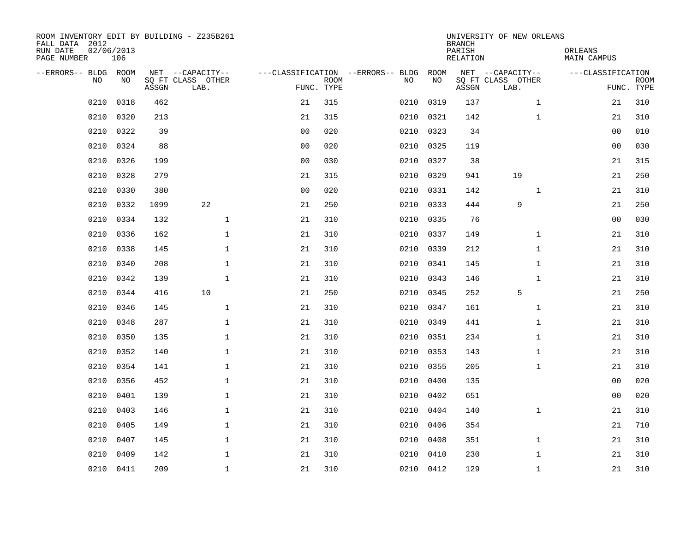| ROOM INVENTORY EDIT BY BUILDING - Z235B261<br>FALL DATA 2012<br>RUN DATE<br>PAGE NUMBER | 02/06/2013<br>106 |       |                           |                |             |                                   |           | <b>BRANCH</b><br>PARISH<br>RELATION | UNIVERSITY OF NEW ORLEANS | ORLEANS<br>MAIN CAMPUS |                           |
|-----------------------------------------------------------------------------------------|-------------------|-------|---------------------------|----------------|-------------|-----------------------------------|-----------|-------------------------------------|---------------------------|------------------------|---------------------------|
| --ERRORS-- BLDG ROOM                                                                    |                   |       | NET --CAPACITY--          |                |             | ---CLASSIFICATION --ERRORS-- BLDG | ROOM      |                                     | NET --CAPACITY--          | ---CLASSIFICATION      |                           |
| NO.                                                                                     | NO.               | ASSGN | SQ FT CLASS OTHER<br>LAB. | FUNC. TYPE     | <b>ROOM</b> | NO.                               | NO        | ASSGN                               | SQ FT CLASS OTHER<br>LAB. |                        | <b>ROOM</b><br>FUNC. TYPE |
| 0210                                                                                    | 0318              | 462   |                           | 21             | 315         | 0210                              | 0319      | 137                                 | $\mathbf{1}$              | 21                     | 310                       |
| 0210                                                                                    | 0320              | 213   |                           | 21             | 315         | 0210                              | 0321      | 142                                 | $\mathbf{1}$              | 21                     | 310                       |
| 0210                                                                                    | 0322              | 39    |                           | 0 <sub>0</sub> | 020         | 0210                              | 0323      | 34                                  |                           | 00                     | 010                       |
| 0210                                                                                    | 0324              | 88    |                           | 0 <sub>0</sub> | 020         |                                   | 0210 0325 | 119                                 |                           | 0 <sub>0</sub>         | 030                       |
| 0210                                                                                    | 0326              | 199   |                           | 0 <sub>0</sub> | 030         | 0210                              | 0327      | 38                                  |                           | 21                     | 315                       |
| 0210                                                                                    | 0328              | 279   |                           | 21             | 315         | 0210                              | 0329      | 941                                 | 19                        | 21                     | 250                       |
| 0210                                                                                    | 0330              | 380   |                           | 0 <sub>0</sub> | 020         | 0210                              | 0331      | 142                                 | $\mathbf{1}$              | 21                     | 310                       |
| 0210                                                                                    | 0332              | 1099  | 22                        | 21             | 250         |                                   | 0210 0333 | 444                                 | 9                         | 21                     | 250                       |
| 0210                                                                                    | 0334              | 132   | $\mathbf{1}$              | 21             | 310         | 0210                              | 0335      | 76                                  |                           | 0 <sub>0</sub>         | 030                       |
| 0210                                                                                    | 0336              | 162   | $\mathbf{1}$              | 21             | 310         |                                   | 0210 0337 | 149                                 | $\mathbf{1}$              | 21                     | 310                       |
| 0210                                                                                    | 0338              | 145   | $\mathbf 1$               | 21             | 310         | 0210                              | 0339      | 212                                 | $\mathbf{1}$              | 21                     | 310                       |
| 0210                                                                                    | 0340              | 208   | $\mathbf{1}$              | 21             | 310         |                                   | 0210 0341 | 145                                 | $\mathbf{1}$              | 21                     | 310                       |
| 0210                                                                                    | 0342              | 139   | $\mathbf{1}$              | 21             | 310         | 0210                              | 0343      | 146                                 | $\mathbf{1}$              | 21                     | 310                       |
| 0210                                                                                    | 0344              | 416   | 10                        | 21             | 250         | 0210                              | 0345      | 252                                 | 5                         | 21                     | 250                       |
| 0210                                                                                    | 0346              | 145   | $\mathbf 1$               | 21             | 310         | 0210                              | 0347      | 161                                 | $\mathbf{1}$              | 21                     | 310                       |
| 0210                                                                                    | 0348              | 287   | $\mathbf 1$               | 21             | 310         | 0210                              | 0349      | 441                                 | $\mathbf{1}$              | 21                     | 310                       |
| 0210                                                                                    | 0350              | 135   | $\mathbf{1}$              | 21             | 310         | 0210                              | 0351      | 234                                 | $\mathbf{1}$              | 21                     | 310                       |
| 0210                                                                                    | 0352              | 140   | $\mathbf{1}$              | 21             | 310         | 0210                              | 0353      | 143                                 | $\mathbf{1}$              | 21                     | 310                       |
| 0210                                                                                    | 0354              | 141   | $\mathbf 1$               | 21             | 310         |                                   | 0210 0355 | 205                                 | $\mathbf{1}$              | 21                     | 310                       |
| 0210                                                                                    | 0356              | 452   | $\mathbf 1$               | 21             | 310         | 0210                              | 0400      | 135                                 |                           | 00                     | 020                       |
| 0210                                                                                    | 0401              | 139   | $\mathbf{1}$              | 21             | 310         | 0210                              | 0402      | 651                                 |                           | 0 <sub>0</sub>         | 020                       |
| 0210                                                                                    | 0403              | 146   | $\mathbf{1}$              | 21             | 310         | 0210                              | 0404      | 140                                 | $\mathbf{1}$              | 21                     | 310                       |
| 0210                                                                                    | 0405              | 149   | 1                         | 21             | 310         | 0210                              | 0406      | 354                                 |                           | 21                     | 710                       |
| 0210                                                                                    | 0407              | 145   | 1                         | 21             | 310         | 0210                              | 0408      | 351                                 | $\mathbf{1}$              | 21                     | 310                       |
| 0210                                                                                    | 0409              | 142   | $\mathbf 1$               | 21             | 310         | 0210                              | 0410      | 230                                 | $\mathbf{1}$              | 21                     | 310                       |
|                                                                                         | 0210 0411         | 209   | $\mathbf{1}$              | 21             | 310         |                                   | 0210 0412 | 129                                 | $\mathbf{1}$              | 21                     | 310                       |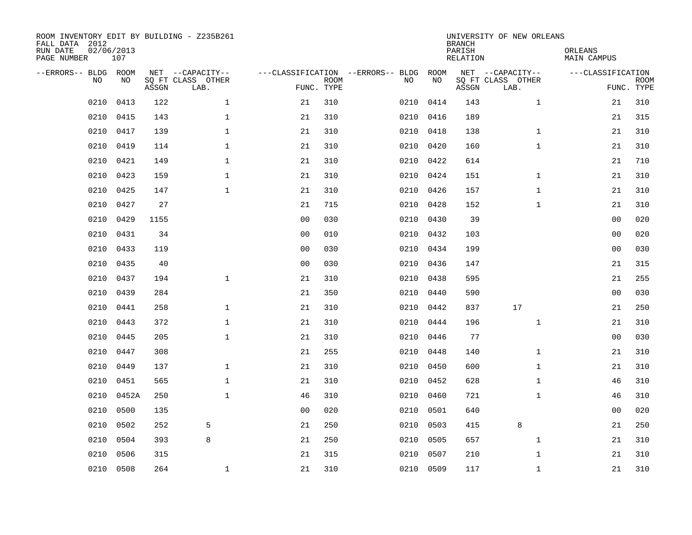| ROOM INVENTORY EDIT BY BUILDING - Z235B261<br>FALL DATA 2012<br>RUN DATE<br>PAGE NUMBER | 02/06/2013<br>107 |       |                                               |                |             |                                         |            | <b>BRANCH</b><br>PARISH<br><b>RELATION</b> | UNIVERSITY OF NEW ORLEANS                     | ORLEANS<br><b>MAIN CAMPUS</b> |                           |
|-----------------------------------------------------------------------------------------|-------------------|-------|-----------------------------------------------|----------------|-------------|-----------------------------------------|------------|--------------------------------------------|-----------------------------------------------|-------------------------------|---------------------------|
| --ERRORS-- BLDG ROOM<br>NO                                                              | NO                | ASSGN | NET --CAPACITY--<br>SQ FT CLASS OTHER<br>LAB. | FUNC. TYPE     | <b>ROOM</b> | ---CLASSIFICATION --ERRORS-- BLDG<br>NO | ROOM<br>NO | ASSGN                                      | NET --CAPACITY--<br>SQ FT CLASS OTHER<br>LAB. | ---CLASSIFICATION             | <b>ROOM</b><br>FUNC. TYPE |
| 0210                                                                                    | 0413              | 122   | $\mathbf 1$                                   | 21             | 310         | 0210                                    | 0414       | 143                                        | $\mathbf{1}$                                  | 21                            | 310                       |
| 0210                                                                                    | 0415              | 143   | $\mathbf 1$                                   | 21             | 310         | 0210                                    | 0416       | 189                                        |                                               | 21                            | 315                       |
| 0210                                                                                    | 0417              | 139   | $\mathbf 1$                                   | 21             | 310         | 0210                                    | 0418       | 138                                        | $\mathbf{1}$                                  | 21                            | 310                       |
| 0210                                                                                    | 0419              | 114   | $\mathbf 1$                                   | 21             | 310         |                                         | 0210 0420  | 160                                        | $\mathbf{1}$                                  | 21                            | 310                       |
| 0210                                                                                    | 0421              | 149   | $\mathbf{1}$                                  | 21             | 310         | 0210                                    | 0422       | 614                                        |                                               | 21                            | 710                       |
| 0210                                                                                    | 0423              | 159   | $\mathbf 1$                                   | 21             | 310         |                                         | 0210 0424  | 151                                        | $\mathbf{1}$                                  | 21                            | 310                       |
| 0210                                                                                    | 0425              | 147   | $\mathbf{1}$                                  | 21             | 310         |                                         | 0210 0426  | 157                                        | $\mathbf{1}$                                  | 21                            | 310                       |
| 0210                                                                                    | 0427              | 27    |                                               | 21             | 715         |                                         | 0210 0428  | 152                                        | $\mathbf{1}$                                  | 21                            | 310                       |
| 0210                                                                                    | 0429              | 1155  |                                               | 0 <sub>0</sub> | 030         | 0210                                    | 0430       | 39                                         |                                               | 0 <sub>0</sub>                | 020                       |
| 0210                                                                                    | 0431              | 34    |                                               | 0 <sub>0</sub> | 010         |                                         | 0210 0432  | 103                                        |                                               | 0 <sub>0</sub>                | 020                       |
| 0210                                                                                    | 0433              | 119   |                                               | 0 <sub>0</sub> | 030         | 0210                                    | 0434       | 199                                        |                                               | 0 <sub>0</sub>                | 030                       |
| 0210                                                                                    | 0435              | 40    |                                               | 0 <sub>0</sub> | 030         |                                         | 0210 0436  | 147                                        |                                               | 21                            | 315                       |
| 0210                                                                                    | 0437              | 194   | $\mathbf{1}$                                  | 21             | 310         | 0210                                    | 0438       | 595                                        |                                               | 21                            | 255                       |
| 0210                                                                                    | 0439              | 284   |                                               | 21             | 350         | 0210                                    | 0440       | 590                                        |                                               | 00                            | 030                       |
| 0210                                                                                    | 0441              | 258   | $\mathbf{1}$                                  | 21             | 310         | 0210                                    | 0442       | 837                                        | 17                                            | 21                            | 250                       |
| 0210                                                                                    | 0443              | 372   | $\mathbf 1$                                   | 21             | 310         | 0210                                    | 0444       | 196                                        | $\mathbf{1}$                                  | 21                            | 310                       |
| 0210                                                                                    | 0445              | 205   | $\mathbf{1}$                                  | 21             | 310         | 0210                                    | 0446       | 77                                         |                                               | 0 <sub>0</sub>                | 030                       |
| 0210                                                                                    | 0447              | 308   |                                               | 21             | 255         | 0210                                    | 0448       | 140                                        | $\mathbf{1}$                                  | 21                            | 310                       |
| 0210                                                                                    | 0449              | 137   | $\mathbf 1$                                   | 21             | 310         | 0210                                    | 0450       | 600                                        | $\mathbf{1}$                                  | 21                            | 310                       |
| 0210                                                                                    | 0451              | 565   | $\mathbf{1}$                                  | 21             | 310         | 0210                                    | 0452       | 628                                        | $\mathbf{1}$                                  | 46                            | 310                       |
| 0210                                                                                    | 0452A             | 250   | $\mathbf{1}$                                  | 46             | 310         | 0210                                    | 0460       | 721                                        | $\mathbf{1}$                                  | 46                            | 310                       |
| 0210                                                                                    | 0500              | 135   |                                               | 0 <sub>0</sub> | 020         | 0210                                    | 0501       | 640                                        |                                               | 0 <sub>0</sub>                | 020                       |
| 0210                                                                                    | 0502              | 252   | 5                                             | 21             | 250         | 0210                                    | 0503       | 415                                        | 8                                             | 21                            | 250                       |
| 0210                                                                                    | 0504              | 393   | 8                                             | 21             | 250         | 0210                                    | 0505       | 657                                        | $\mathbf{1}$                                  | 21                            | 310                       |
| 0210                                                                                    | 0506              | 315   |                                               | 21             | 315         | 0210                                    | 0507       | 210                                        | $\mathbf{1}$                                  | 21                            | 310                       |
|                                                                                         | 0210 0508         | 264   | 1                                             | 21             | 310         |                                         | 0210 0509  | 117                                        | $\mathbf{1}$                                  | 21                            | 310                       |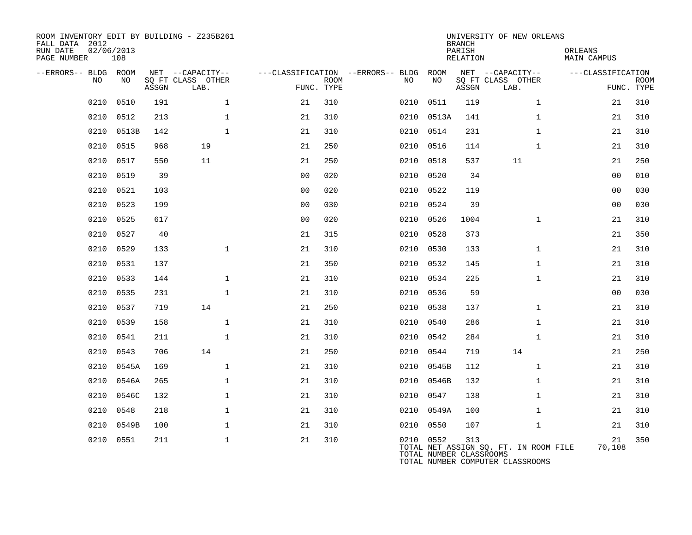| ROOM INVENTORY EDIT BY BUILDING - Z235B261<br>FALL DATA 2012<br>RUN DATE<br>02/06/2013<br>PAGE NUMBER | 108       |       |                           |                |             |                                   |                                      | <b>BRANCH</b><br>PARISH<br>RELATION | UNIVERSITY OF NEW ORLEANS                                                 | ORLEANS<br>MAIN CAMPUS |                           |
|-------------------------------------------------------------------------------------------------------|-----------|-------|---------------------------|----------------|-------------|-----------------------------------|--------------------------------------|-------------------------------------|---------------------------------------------------------------------------|------------------------|---------------------------|
| --ERRORS-- BLDG ROOM                                                                                  |           |       | NET --CAPACITY--          |                |             | ---CLASSIFICATION --ERRORS-- BLDG | ROOM                                 |                                     | NET --CAPACITY--                                                          | ---CLASSIFICATION      |                           |
| NO                                                                                                    | NO        | ASSGN | SQ FT CLASS OTHER<br>LAB. | FUNC. TYPE     | <b>ROOM</b> | NO.                               | NO                                   | ASSGN                               | SQ FT CLASS OTHER<br>LAB.                                                 |                        | <b>ROOM</b><br>FUNC. TYPE |
| 0210                                                                                                  | 0510      | 191   | $\mathbf 1$               | 21             | 310         | 0210                              | 0511                                 | 119                                 | $\mathbf{1}$                                                              | 21                     | 310                       |
| 0210                                                                                                  | 0512      | 213   | $\mathbf{1}$              | 21             | 310         | 0210                              | 0513A                                | 141                                 | $\mathbf{1}$                                                              | 21                     | 310                       |
| 0210                                                                                                  | 0513B     | 142   | $\mathbf{1}$              | 21             | 310         |                                   | 0210 0514                            | 231                                 | $\mathbf{1}$                                                              | 21                     | 310                       |
| 0210                                                                                                  | 0515      | 968   | 19                        | 21             | 250         | 0210                              | 0516                                 | 114                                 | $\mathbf{1}$                                                              | 21                     | 310                       |
| 0210                                                                                                  | 0517      | 550   | 11                        | 21             | 250         |                                   | 0210 0518                            | 537                                 | 11                                                                        | 21                     | 250                       |
| 0210                                                                                                  | 0519      | 39    |                           | 0 <sub>0</sub> | 020         | 0210                              | 0520                                 | 34                                  |                                                                           | 0 <sub>0</sub>         | 010                       |
| 0210                                                                                                  | 0521      | 103   |                           | 0 <sub>0</sub> | 020         |                                   | 0210 0522                            | 119                                 |                                                                           | 0 <sub>0</sub>         | 030                       |
| 0210                                                                                                  | 0523      | 199   |                           | 00             | 030         | 0210                              | 0524                                 | 39                                  |                                                                           | 0 <sub>0</sub>         | 030                       |
| 0210                                                                                                  | 0525      | 617   |                           | 0 <sub>0</sub> | 020         |                                   | 0210 0526                            | 1004                                | $\mathbf{1}$                                                              | 21                     | 310                       |
| 0210                                                                                                  | 0527      | 40    |                           | 21             | 315         | 0210                              | 0528                                 | 373                                 |                                                                           | 21                     | 350                       |
| 0210                                                                                                  | 0529      | 133   | $\mathbf{1}$              | 21             | 310         |                                   | 0210 0530                            | 133                                 | $\mathbf{1}$                                                              | 21                     | 310                       |
| 0210                                                                                                  | 0531      | 137   |                           | 21             | 350         | 0210                              | 0532                                 | 145                                 | $\mathbf{1}$                                                              | 21                     | 310                       |
| 0210                                                                                                  | 0533      | 144   | $\mathbf{1}$              | 21             | 310         | 0210                              | 0534                                 | 225                                 | $\mathbf{1}$                                                              | 21                     | 310                       |
| 0210                                                                                                  | 0535      | 231   | $\mathbf{1}$              | 21             | 310         | 0210                              | 0536                                 | 59                                  |                                                                           | 0 <sub>0</sub>         | 030                       |
| 0210                                                                                                  | 0537      | 719   | 14                        | 21             | 250         | 0210                              | 0538                                 | 137                                 | $\mathbf{1}$                                                              | 21                     | 310                       |
| 0210                                                                                                  | 0539      | 158   | $\mathbf 1$               | 21             | 310         | 0210                              | 0540                                 | 286                                 | $\mathbf{1}$                                                              | 21                     | 310                       |
| 0210                                                                                                  | 0541      | 211   | $\mathbf{1}$              | 21             | 310         | 0210                              | 0542                                 | 284                                 | $\mathbf{1}$                                                              | 21                     | 310                       |
| 0210                                                                                                  | 0543      | 706   | 14                        | 21             | 250         |                                   | 0210 0544                            | 719                                 | 14                                                                        | 21                     | 250                       |
| 0210                                                                                                  | 0545A     | 169   | $\mathbf{1}$              | 21             | 310         | 0210                              | 0545B                                | 112                                 | $\mathbf{1}$                                                              | 21                     | 310                       |
| 0210                                                                                                  | 0546A     | 265   | $\mathbf 1$               | 21             | 310         |                                   | 0210 0546B                           | 132                                 | $\mathbf{1}$                                                              | 21                     | 310                       |
| 0210                                                                                                  | 0546C     | 132   | $\mathbf{1}$              | 21             | 310         | 0210                              | 0547                                 | 138                                 | $\mathbf{1}$                                                              | 21                     | 310                       |
| 0210                                                                                                  | 0548      | 218   | $\mathbf 1$               | 21             | 310         |                                   | 0210 0549A                           | 100                                 | $\mathbf{1}$                                                              | 21                     | 310                       |
| 0210                                                                                                  | 0549B     | 100   | $\mathbf{1}$              | 21             | 310         | 0210                              | 0550                                 | 107                                 | $\mathbf{1}$                                                              | 21                     | 310                       |
|                                                                                                       | 0210 0551 | 211   | $\mathbf 1$               | 21             | 310         |                                   | 0210 0552<br>TOTAL NUMBER CLASSROOMS | 313                                 | TOTAL NET ASSIGN SQ. FT. IN ROOM FILE<br>TOTAL NUMBER COMPUTER CLASSROOMS | 21<br>70,108           | 350                       |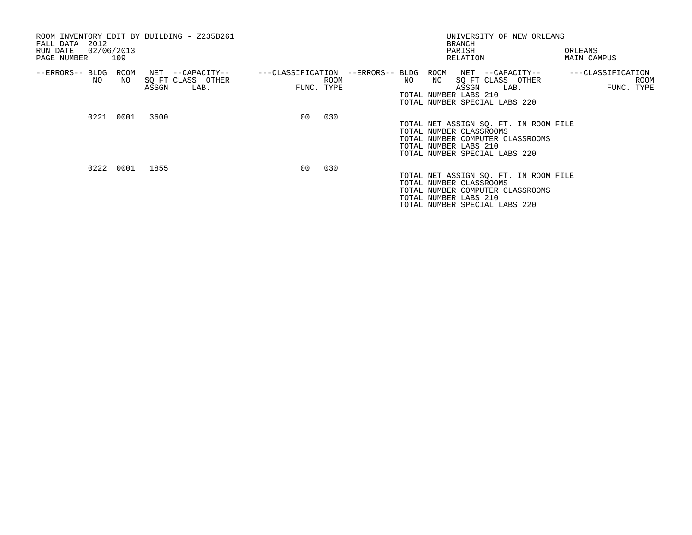| 2012<br>FALL DATA<br>02/06/2013<br>RUN DATE<br>PAGE NUMBER | 109        | ROOM INVENTORY EDIT BY BUILDING - Z235B261             |                 | UNIVERSITY OF NEW ORLEANS<br>BRANCH<br>PARISH<br>ORLEANS<br>RELATION<br><b>MAIN CAMPUS</b> |  |    |    |                                                                                                                                                                |                                         |  |
|------------------------------------------------------------|------------|--------------------------------------------------------|-----------------|--------------------------------------------------------------------------------------------|--|----|----|----------------------------------------------------------------------------------------------------------------------------------------------------------------|-----------------------------------------|--|
| --ERRORS-- BLDG<br>NO                                      | ROOM<br>NO | NET --CAPACITY--<br>SQ FT CLASS OTHER<br>ASSGN<br>LAB. |                 | ROOM<br>FUNC. TYPE                                                                         |  | NO | NO | ---CLASSIFICATION --ERRORS-- BLDG ROOM NET --CAPACITY--<br>SQ FT CLASS OTHER<br>ASSGN<br>LAB.<br>TOTAL NUMBER LABS 210<br>TOTAL NUMBER SPECIAL LABS 220        | ---CLASSIFICATION<br>ROOM<br>FUNC. TYPE |  |
|                                                            | 0221 0001  | 3600                                                   | 00 <sub>o</sub> | 030                                                                                        |  |    |    | TOTAL NET ASSIGN SQ. FT. IN ROOM FILE<br>TOTAL NUMBER CLASSROOMS<br>TOTAL NUMBER COMPUTER CLASSROOMS<br>TOTAL NUMBER LABS 210<br>TOTAL NUMBER SPECIAL LABS 220 |                                         |  |
|                                                            | 0222 0001  | 1855                                                   | 00 <sup>o</sup> | 030                                                                                        |  |    |    | TOTAL NET ASSIGN SQ. FT. IN ROOM FILE<br>TOTAL NUMBER CLASSROOMS<br>TOTAL NUMBER COMPUTER CLASSROOMS<br>TOTAL NUMBER LABS 210<br>TOTAL NUMBER SPECIAL LABS 220 |                                         |  |